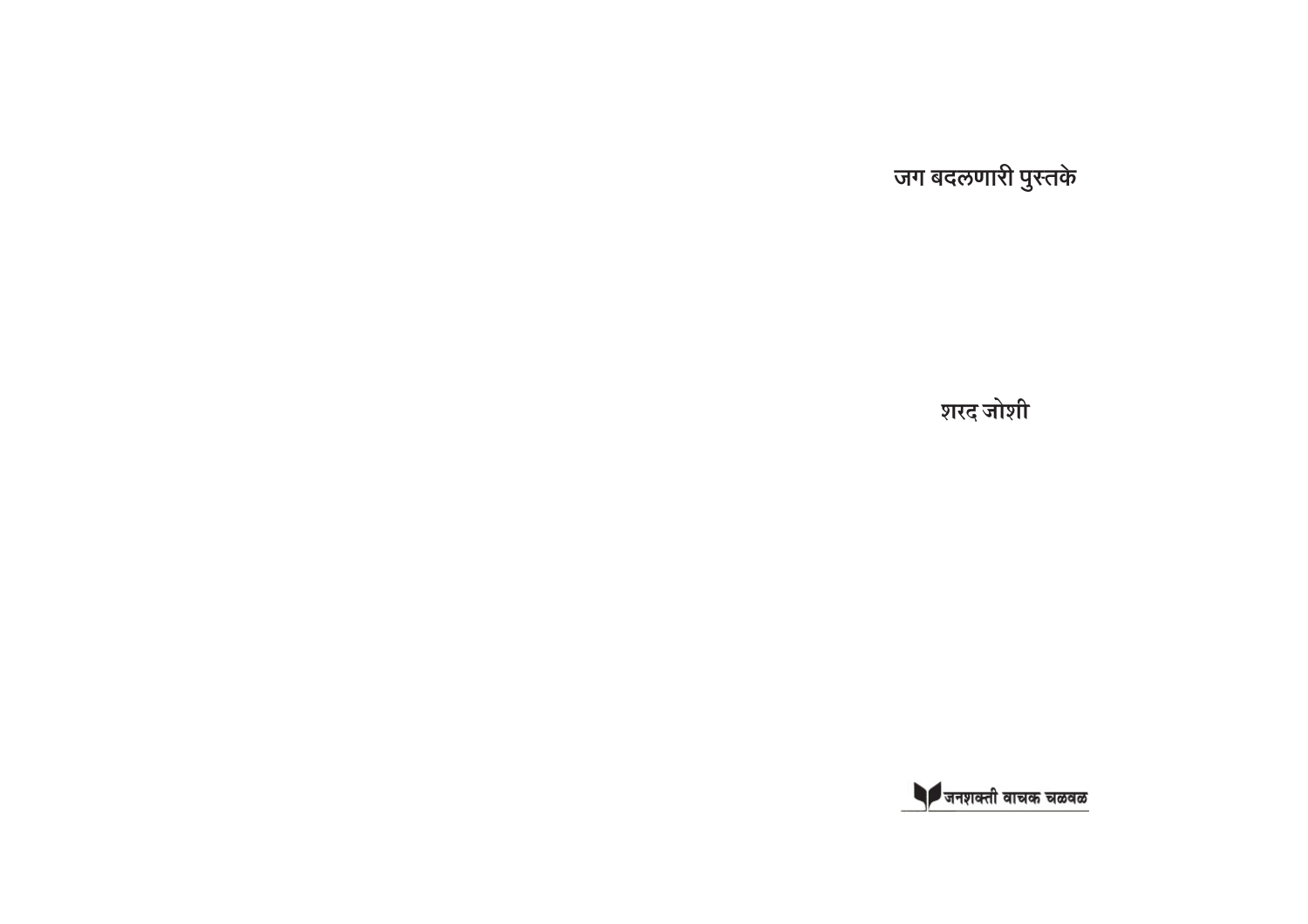जग बदलणारी पुस्तके

शरद जोशी

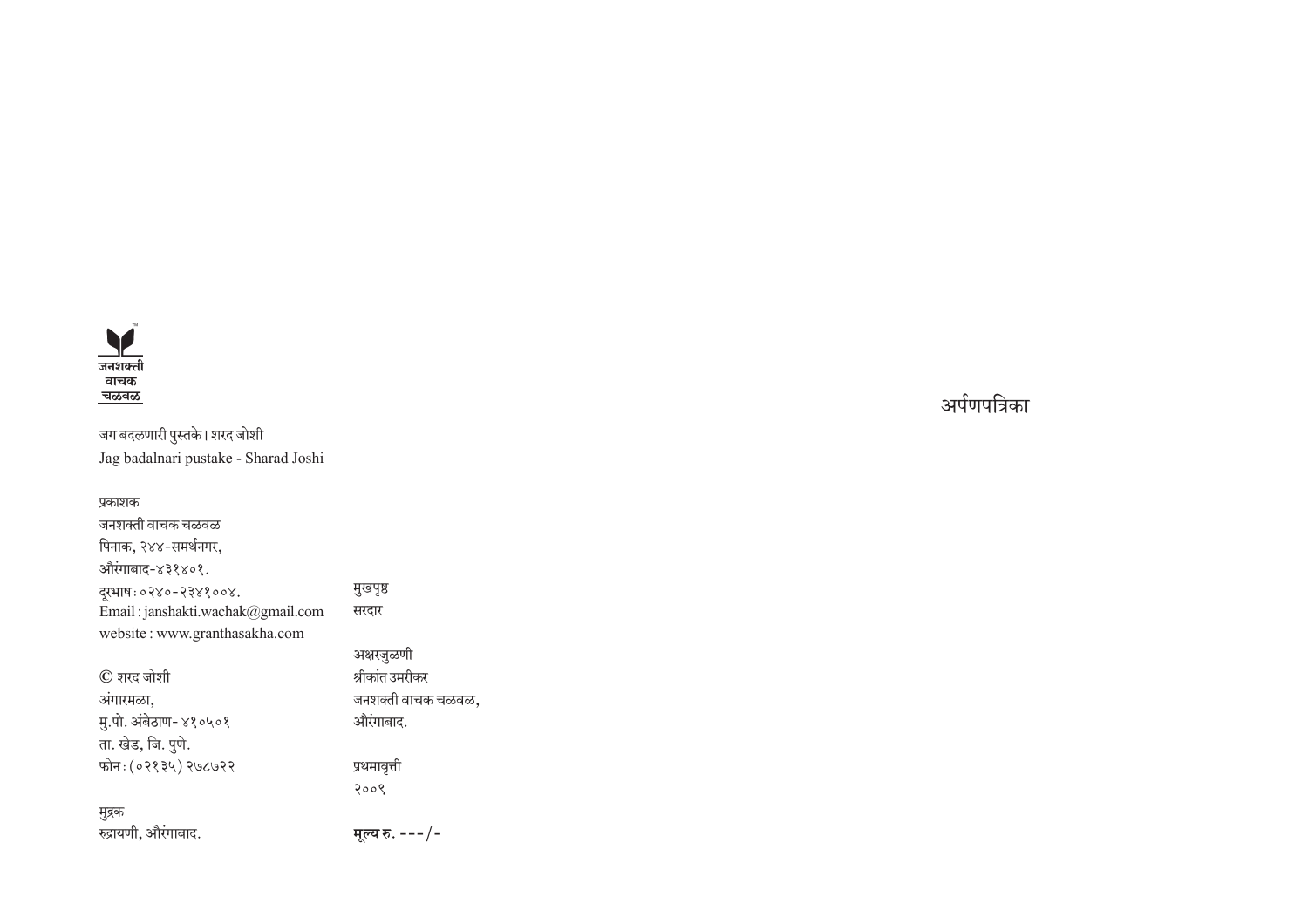

जग बदलणारी पुस्तके। शरद जोशी Jag badalnari pustake - Sharad Joshi

#### प्रकाशक

जनशक्ती वाचक चळवळ पिनाक, २४४-समर्थनगर, औरंगाबाद-४३१४०१. दूरभाष:०२४०-२३४१००४. Email : janshakti.wachak@gmail.com website : www.granthasakha.com

#### $\mathbb O$  शरद जोशी अंगारमळा, मु.पो. अंबेठाण- ४१०५०१ ता. खेड, जि. <u>प</u>ुणे. फोन: (०२१३५) २७८७२२

#### मुद्रक

रुद्रायणी, औरंगाबाद.

मुखपृष्ठ सरदार

> अक्षरजुळणी श्रीकांत उमरीकर जनशक्ती वाचक चळवळ, ओरंगाबाद.

प्रथमावृत्ती 2009

मूल्य रु. ---/-

्ञर्पणपत्रिक<u>ा</u>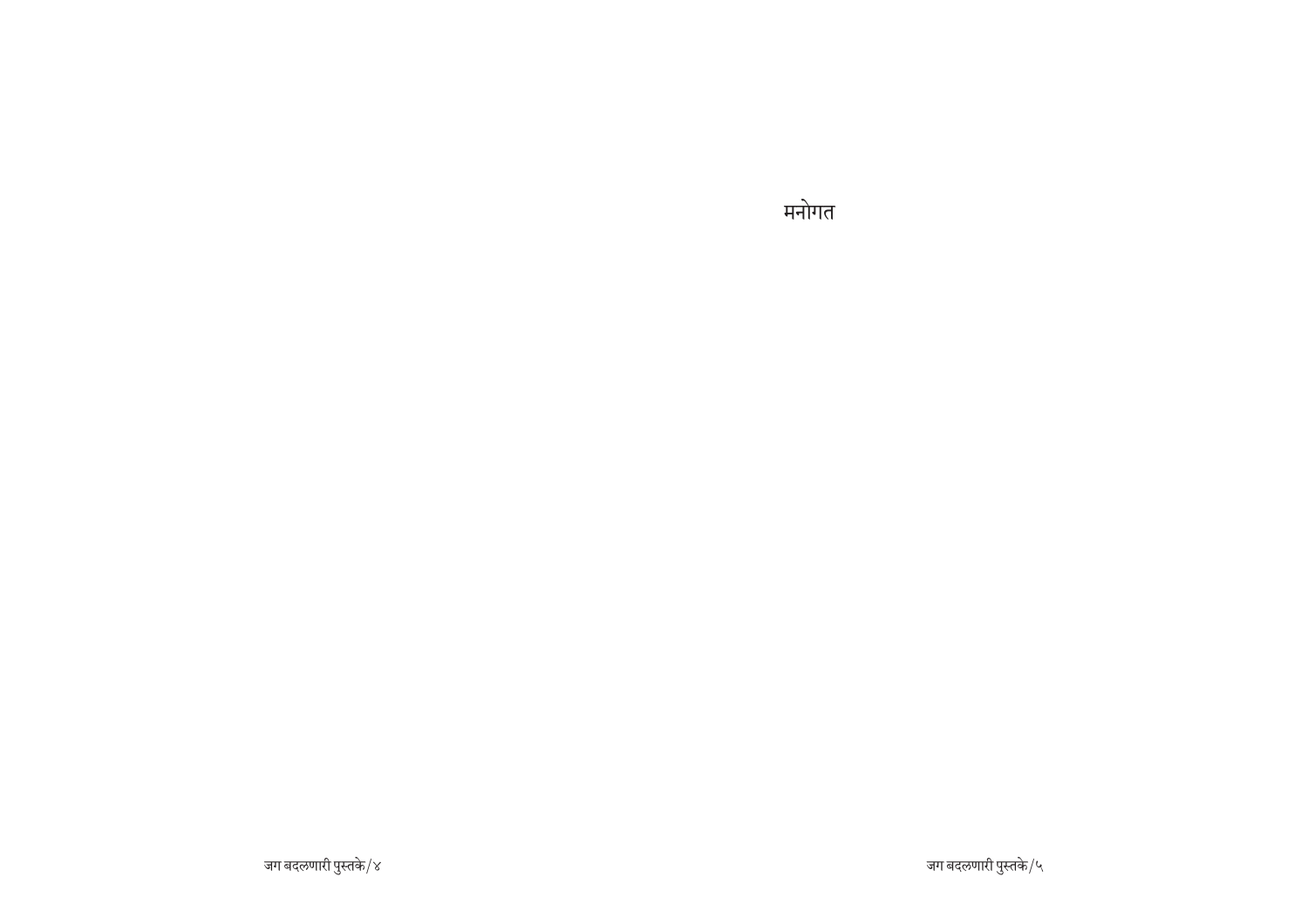मनोगत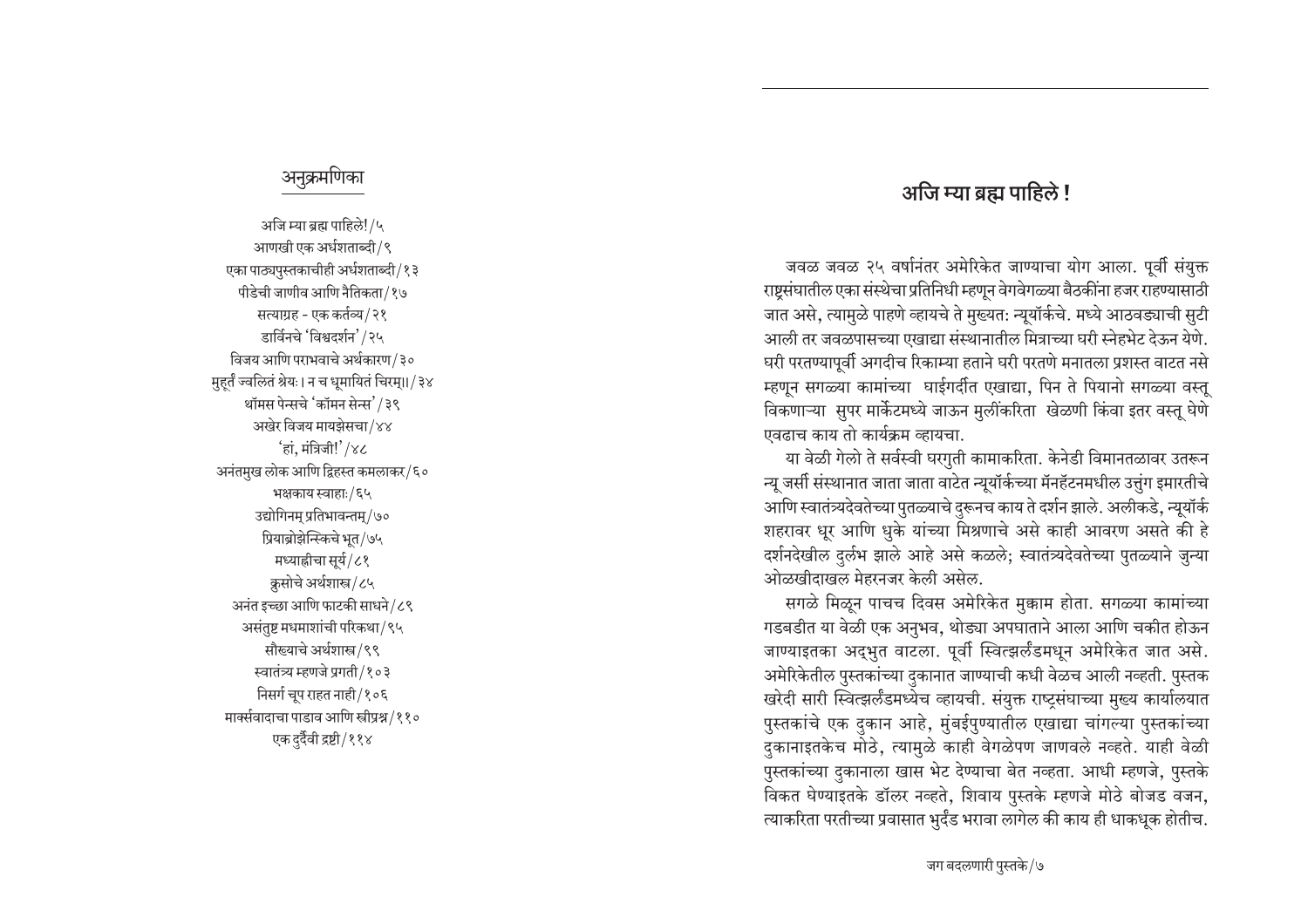### अजि म्या ब्रह्म पाहिले !

जवळ जवळ २५ वर्षानंतर अमेरिकेत जाण्याचा योग आला. पूर्वी संयुक्त राष्टसंघातील एका संस्थेचा प्रतिनिधी म्हणून वेगवेगळ्या बैठकींना हजर राहण्यासाठी जात असे, त्यामुळे पाहणे व्हायचे ते मुख्यत: न्यूयॉर्कचे. मध्ये आठवड्याची सुटी आली तर जवळपासच्या एखाद्या संस्थानातील मित्राच्या घरी स्नेहभेट देऊन येणे. घरी परतण्यापूर्वी अगदीच रिकाम्या हताने घरी परतणे मनातला प्रशस्त वाटत नसे म्हणून सगळ्या कामांच्या घाईगर्दीत एखाद्या, पिन ते पियानो सगळ्या वस्तू विकणाऱ्या सुपर मार्केटमध्ये जाऊन मुलींकरिता खेळणी किंवा इतर वस्तू घेणे एवढाच काय तो कार्यक्रम व्हायचा.

या वेळी गेलो ते सर्वस्वी घरगुती कामाकरिता. केनेडी विमानतळावर उतरून न्यू जर्सी संस्थानात जाता जाता वाटेत न्यूयॉर्कच्या मॅनहॅटनमधील उत्तुंग इमारतीचे आणि स्वातंत्र्यदेवतेच्या पुतळ्याचे दुरूनच काय ते दर्शन झाले. अलीकडे, न्यूयॉर्क शहरावर धूर आणि धुके यांच्या मिश्रणाचे असे काही आवरण असते की हे दर्शनदेखील दुर्लभ झाले आहे असे कळले; स्वातंत्र्यदेवतेच्या पुतळ्याने जुन्या ओळखीदाखल मेहरनजर केली असेल.

सगळे मिळून पाचच दिवस अमेरिकेत मुक्काम होता. सगळ्या कामांच्या गडबडीत या वेळी एक अनुभव, थोड्या अपघाताने आला आणि चकीत होऊन जाण्याइतका अद्भुत वाटला. पूर्वी स्वित्झर्लंडमधून अमेरिकेत जात असे. अमेरिकेतील पुस्तकांच्या दुकानात जाण्याची कधी वेळच आली नव्हती. पुस्तक ⁄ खरेदी सारी स्वित्झर्लंडमध्येच व्हायची. संयुक्त राष्ट्रसंघाच्या मुख्य कार्यालयात पुस्तकांचे एक दुकान आहे, मुंबईपुण्यातील एखाद्या चांगल्या पुस्तकांच्या दुकानाइतकेच मोठे, त्यामुळे काही वेगळेपण जाणवले नव्हते. याही वेळी पुस्तकांच्या दुकानाला खास भेट देण्याचा बेत नव्हता. आधी म्हणजे, पुस्तके विकत घेण्याइतके डॉलर नव्हते, शिवाय पुस्तके म्हणजे मोठे बोजड वजन, <u>त्याकरिता परतीच्या प्रवासात भुर्दंड भरावा लागेल की काय ही धाकधूक होतीच.</u>

#### अनुक्रमणिका

अजि म्या ब्रह्म पाहिले!/५ आणखी एक अर्धशताब्दी /९ एका पाठ्यपुस्तकाचीही अर्धशताब्दी∕१३ पीडेची जाणीव आणि नैतिकता/१७ सत्याग्रह - एक कर्तव्य∕२१ डार्विनचे 'विश्वदर्शन'/२५ विजय आणि पराभवाचे अर्थकारण / ३० <u>म</u>हर्तं ज्वलितं श्रेयः। न च धुमायितं चिरम्।।/३४ थॉमस पेन्सचे 'कॉमन सेन्स'/३९ अखेर विजय मायझेसचा/४४  $'$ हां, मंत्रिजी! $'/\gamma$ ८ अनंतमुख लोक आणि द्विहस्त कमलाकर/६० भक्षकाय स्वाहाः/६५ उद्योगिनम् प्रतिभावन्तम्/७० प्रियाब्रोझेन्स्किचे भूत/७५ मध्याह्रीचा सूर्य/८१ क्रसोचे अर्थशास्त्र/८५ अनंत इच्छा आणि फाटकी साधने $/$ ८९ <u>असंतुष्ट मधमाशांची परिकथा/९५</u> सौख्याचे अर्थशास्त्र/९९ स्वातंत्र्य म्हणजे प्रगती/१०३ निसर्ग चूप राहत नाही / १०६ मार्क्सवादाचा पाडाव आणि स्त्रीप्रश्न /११० एक दुर्दैवी द्रष्टी/११४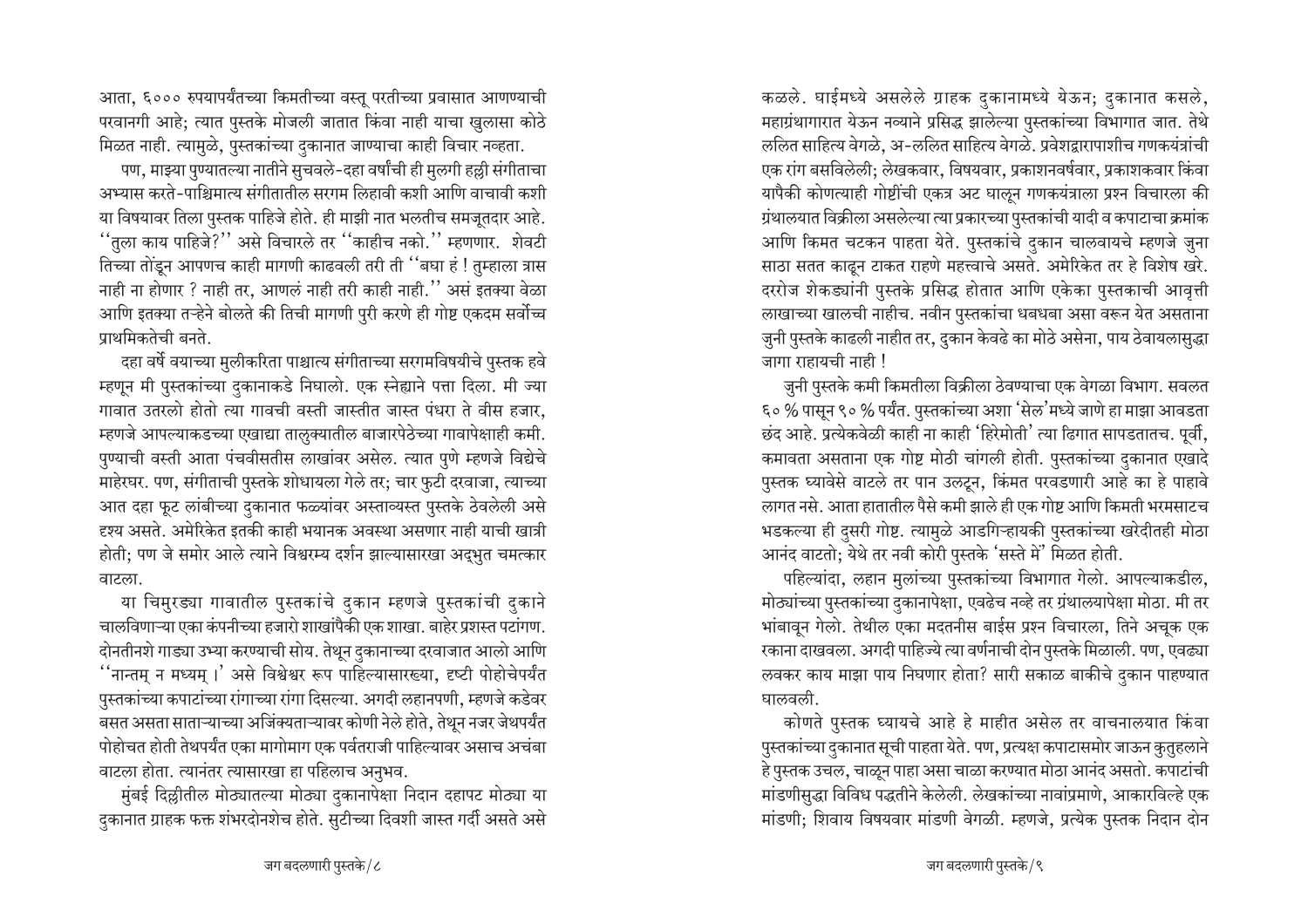आता, ६००० रुपयापर्यंतच्या किमतीच्या वस्तू परतीच्या प्रवासात आणण्याची परवानगी आहे; त्यात पुस्तके मोजली जातात किंवा नाही याचा खुलासा कोठे मिळत नाही. त्यामुळे, पुस्तकांच्या दकानात जाण्याचा काही विचार नव्हता.

पण, माझ्या पुण्यातल्या नातीने सुचवले-दहा वर्षांची ही मुलगी हल्ली संगीताचा अभ्यास करते-पाश्चिमात्य संगीतातील सरगम लिहावी कशी आणि वाचावी कशी या विषयावर तिला पुस्तक पाहिजे होते. ही माझी नात भलतीच समजूतदार आहे. ''तुला काय पाहिजे?'' असे विचारले तर ''काहीच नको.'' म्हणणार. शेवटी तिच्या तोंडून आपणच काही मागणी काढवली तरी ती ''बघा हं ! तुम्हाला त्रास नाही ना होणार ? नाही तर, आणलं नाही तरी काही नाही." असं इतक्या वेळा आणि इतक्या तऱ्हेने बोलते की तिची मागणी पुरी करणे ही गोष्ट एकदम सर्वोच्च प्राथमिकतेची बनते.

दहा वर्षे वयाच्या मुलीकरिता पाश्चात्य संगीताच्या सरगमविषयीचे पुस्तक हवे म्हणून मी पुस्तकांच्या दुकानाकडे निघालो. एक स्नेह्याने पत्ता दिला. मी ज्या गावात उतरलो होतो त्या गावची वस्ती जास्तीत जास्त पंधरा ते वीस हजार. म्हणजे आपल्याकडच्या एखाद्या तालुक्यातील बाजारपेठेच्या गावापेक्षाही कमी. पुण्याची वस्ती आता पंचवीसतीस लाखांवर असेल. त्यात पुणे म्हणजे विद्येचे माहेरघर. पण, संगीताची पुस्तके शोधायला गेले तर; चार फुटी दरवाजा, त्याच्या आत दहा फूट लांबीच्या दुकानात फळ्यांवर अस्ताव्यस्त पुस्तके ठेवलेली असे दृश्य असते. अमेरिकेत इतकी काही भयानक अवस्था असणार नाही याची खात्री होती; पण जे समोर आले त्याने विश्वरम्य दर्शन झाल्यासारखा अद्भुत चमत्कार वाटला.

या चिमरड्या गावातील पुस्तकांचे दुकान म्हणजे पुस्तकांची दुकाने चालविणाऱ्या एका कंपनीच्या हजारो शाखांपैकी एक शाखा. बाहेर प्रशस्त पटांगण. दोनतीनशे गाड्या उभ्या करण्याची सोय. तेथून दुकानाच्या दरवाजात आलो आणि ''नान्तम् न मध्यम् ।' असे विश्वेश्वर रूप पाहिल्यासारख्या, दृष्टी पोहोचेपर्यंत पुस्तकांच्या कपाटांच्या रांगाच्या रांगा दिसल्या. अगदी लहानपणी, म्हणजे कडेवर बसत असता साताऱ्याच्या अजिंक्यताऱ्यावर कोणी नेले होते, तेथून नजर जेथपर्यंत पोहोचत होती तेथपर्यंत एका मागोमाग एक पर्वतराजी पाहिल्यावर असाच अचंबा वाटला होता. त्यानंतर त्यासारखा हा पहिलाच अनुभव.

मुंबई दिल्लीतील मोठ्यातल्या मोठ्या दुकानापेक्षा निदान दहापट मोठ्या या दुकानात ग्राहक फक्त शंभरदोनशेच होते. सुटीच्या दिवशी जास्त गर्दी असते असे

कळले. घाईमध्ये असलेले ग्राहक दुकानामध्ये येऊन; दुकानात कसले, महाग्रंथागारात येऊन नव्याने प्रसिद्ध झालेल्या पुस्तकांच्या विभागात जात. तेथे ललित साहित्य वेगळे, अ-ललित साहित्य वेगळे. प्रवेशद्वारापाशीच गणकयंत्रांची एक रांग बसविलेली; लेखकवार, विषयवार, प्रकाशनवर्षवार, प्रकाशकवार किंवा यापैकी कोणत्याही गोष्टींची एकत्र अट घालून गणकयंत्राला प्रश्न विचारला की ग्रंथालयात विक्रीला असलेल्या त्या प्रकारच्या पुस्तकांची यादी व कपाटाचा क्रमांक आणि किमत चटकन पाहता येते. पुस्तकांचे दुकान चालवायचे म्हणजे जुना साठा सतत काढून टाकत राहणे महत्त्वाचे असते. अमेरिकेत तर हे विशेष खरे. दररोज शेकड्यांनी पुस्तके प्रसिद्ध होतात आणि एकेका पुस्तकाची आवृत्ती लाखाच्या खालची नाहीच. नवीन पुस्तकांचा धबधबा असा वरून येत असताना जुनी पुस्तके काढली नाहीत तर, दुकान केवढे का मोठे असेना, पाय ठेवायलासुद्धा जागा राहायची नाही !

जुनी पुस्तके कमी किमतीला विक्रीला ठेवण्याचा एक वेगळा विभाग. सवलत ६०% पासून ९०% पर्यंत. पुस्तकांच्या अशा 'सेल'मध्ये जाणे हा माझा आवडता छंद आहे. प्रत्येकवेळी काही ना काही 'हिरेमोती' त्या ढिगात सापडतातच. पूर्वी, कमावता असताना एक गोष्ट मोठी चांगली होती. पुस्तकांच्या दुकानात एखादे पुस्तक घ्यावेसे वाटले तर पान उलटून, किंमत परवडणारी आहे का हे पाहावे लागत नसे. आता हातातील पैसे कमी झाले ही एक गोष्ट आणि किमती भरमसाटच भडकल्या ही दुसरी गोष्ट. त्यामुळे आडगिऱ्हायकी पुस्तकांच्या खरेदीतही मोठा आनंद वाटतो; येथे तर नवी कोरी पुस्तके 'सस्ते में' मिळत होती.

पहिल्यांदा, लहान मुलांच्या पुस्तकांच्या विभागात गेलो. आपल्याकडील, मोठ्यांच्या पुस्तकांच्या दुकानापेक्षा, एवढेच नव्हे तर ग्रंथालयापेक्षा मोठा. मी तर भांबावून गेलो. तेथील एका मदतनीस बाईस प्रश्न विचारला, तिने अचुक एक रकाना दाखवला. अगदी पाहिज्ये त्या वर्णनाची दोन पुस्तके मिळाली. पण, एवढ्या लवकर काय माझा पाय निघणार होता? सारी सकाळ बाकीचे दुकान पाहण्यात घालवली.

कोणते पुस्तक घ्यायचे आहे हे माहीत असेल तर वाचनालयात किंवा पुस्तकांच्या दुकानात सूची पाहता येते. पण, प्रत्यक्ष कपाटासमोर जाऊन कुतुहलाने हे पुस्तक उचल, चाळून पाहा असा चाळा करण्यात मोठा आनंद असतो. कपाटांची मांडणीसुद्धा विविध पद्धतीने केलेली. लेखकांच्या नावांप्रमाणे, आकारविल्हे एक मांडणी; शिवाय विषयवार मांडणी वेगळी. म्हणजे, प्रत्येक पुस्तक निदान दोन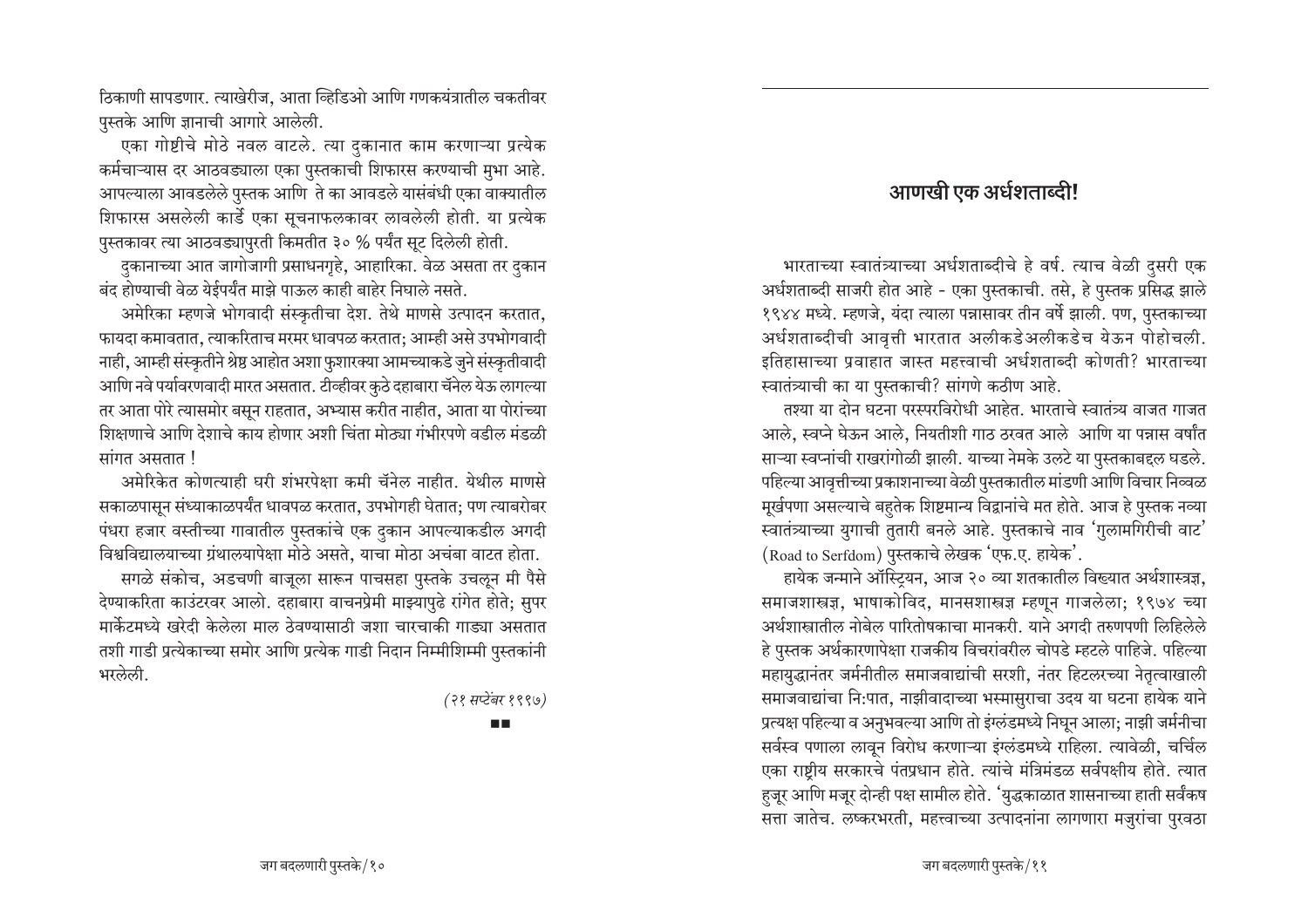ठिकाणी सापडणार. त्याखेरीज, आता व्हिडिओ आणि गणकयंत्रातील चकतीवर पुस्तके आणि ज्ञानाची आगारे आलेली.

एका गोष्टीचे मोठे नवल वाटले. त्या दुकानात काम करणाऱ्या प्रत्येक कर्मचाऱ्यास दर आठवड्याला एका पुस्तकाची शिफारस करण्याची मुभा आहे. आपल्याला आवडलेले पुस्तक आणि ते का आवडले यासंबंधी एका वाक्यातील शिफारस असलेली कार्डे एका सूचनाफलकावर लावलेली होती. या प्रत्येक पुस्तकावर त्या आठवड्यापुरती किमतीत ३० % पर्यंत सूट दिलेली होती.

दुकानाच्या आत जागोजागी प्रसाधनगृहे, आहारिका. वेळ असता तर दुकान बंद होण्याची वेळ येईपर्यंत माझे पाऊल काही बाहेर निघाले नसते.

अमेरिका म्हणजे भोगवादी संस्कृतीचा देश. तेथे माणसे उत्पादन करतात, फायदा कमावतात, त्याकरिताच मरमर धावपळ करतात; आम्ही असे उपभोगवादी नाही, आम्ही संस्कृतीने श्रेष्ठ आहोत अशा फुशारक्या आमच्याकडे जुने संस्कृतीवादी आणि नवे पर्यावरणवादी मारत असतात. टीव्हीवर कुठे दहाबारा चॅनेल येऊ लागल्या तर आता पोरे त्यासमोर बसुन राहतात, अभ्यास करीत नाहीत, आता या पोरांच्या शिक्षणाचे आणि देशाचे काय होणार अशी चिंता मोठ्या गंभीरपणे वडील मंडळी सांगत असतात !

अमेरिकेत कोणत्याही घरी शंभरपेक्षा कमी चॅनेल नाहीत. येथील माणसे सकाळपासून संध्याकाळपर्यंत धावपळ करतात, उपभोगही घेतात; पण त्याबरोबर पंधरा हजार वस्तीच्या गावातील पुस्तकांचे एक दुकान आपल्याकडील अगदी विश्वविद्यालयाच्या ग्रंथालयापेक्षा मोठे असते, याचा मोठा अचंबा वाटत होता.

सगळे संकोच, अडचणी बाजूला सारून पाचसहा पुस्तके उचलून मी पैसे देण्याकरिता काउंटरवर आलो. दहाबारा वाचनप्रेमी माझ्यापुढे रांगेत होते: सुपर मार्केटमध्ये खरेदी केलेला माल ठेवण्यासाठी जशा चारचाकी गाड्या असतात तशी गाडी प्रत्येकाच्या समोर आणि प्रत्येक गाडी निदान निम्मीशिम्मी पुस्तकांनी भरलेली.

(२१ सप्टेंबर १९९७)

п.

### आणखी एक अर्धशताब्दी!

भारताच्या स्वातंत्र्याच्या अर्धशताब्दीचे हे वर्ष. त्याच वेळी दुसरी एक अर्धशताब्दी साजरी होत आहे - एका पुस्तकाची. तसे, हे पुस्तक प्रसिद्ध झाले १९४४ मध्ये. म्हणजे, यंदा त्याला पन्नासावर तीन वर्षे झाली. पण, पुस्तकाच्या अर्धशताब्दीची आवृत्ती भारतात अलीकडेअलीकडेच येऊन पोहोचली. इतिहासाच्या प्रवाहात जास्त महत्त्वाची अर्धशताब्दी कोणती? भारताच्या स्वातंत्र्याची का या पुस्तकाची? सांगणे कठीण आहे.

तश्या या दोन घटना परस्परविरोधी आहेत. भारताचे स्वातंत्र्य वाजत गाजत आले, स्वप्ने घेऊन आले, नियतीशी गाठ ठरवत आले आणि या पन्नास वर्षांत साऱ्या स्वप्नांची राखरांगोळी झाली. याच्या नेमके उलटे या पुस्तकाबद्दल घडले. पहिल्या आवृत्तीच्या प्रकाशनाच्या वेळी पुस्तकातील मांडणी आणि विचार निव्वळ मूर्खपणा असल्याचे बहुतेक शिष्टमान्य विद्वानांचे मत होते. आज हे पुस्तक नव्या स्वातंत्र्याच्या युगाची तुतारी बनले आहे. पुस्तकाचे नाव 'गुलामगिरीची वाट' (Road to Serfdom) पुस्तकाचे लेखक 'एफ.ए. हायेक'.

हायेक जन्माने ऑस्ट्यिन, आज २० व्या शतकातील विख्यात अर्थशास्त्रज्ञ, समाजशास्त्रज्ञ, भाषाकोविद, मानसशास्त्रज्ञ म्हणून गाजलेला; १९७४ च्या अर्थशास्त्रातील नोबेल पारितोषकाचा मानकरी. याने अगदी तरुणपणी लिहिलेले हे पुस्तक अर्थकारणापेक्षा राजकीय विचरांवरील चोपडे म्हटले पाहिजे. पहिल्या महायुद्धानंतर जर्मनीतील समाजवाद्यांची सरशी, नंतर हिटलरच्या नेतृत्वाखाली समाजवाद्यांचा नि:पात, नाझीवादाच्या भस्मासुराचा उदय या घटना हायेक याने प्रत्यक्ष पहिल्या व अनुभवल्या आणि तो इंग्लंडमध्ये निघून आला; नाझी जर्मनीचा सर्वस्व पणाला लावून विरोध करणाऱ्या इंग्लंडमध्ये राहिला. त्यावेळी, चर्चिल एका राष्टीय सरकारचे पंतप्रधान होते. त्यांचे मंत्रिमंडळ सर्वपक्षीय होते. त्यात हुजूर आणि मजूर दोन्ही पक्ष सामील होते. 'युद्धकाळात शासनाच्या हाती सर्वंकष सत्ता जातेच. लष्करभरती, महत्त्वाच्या उत्पादनांना लागणारा मजुरांचा पुरवठा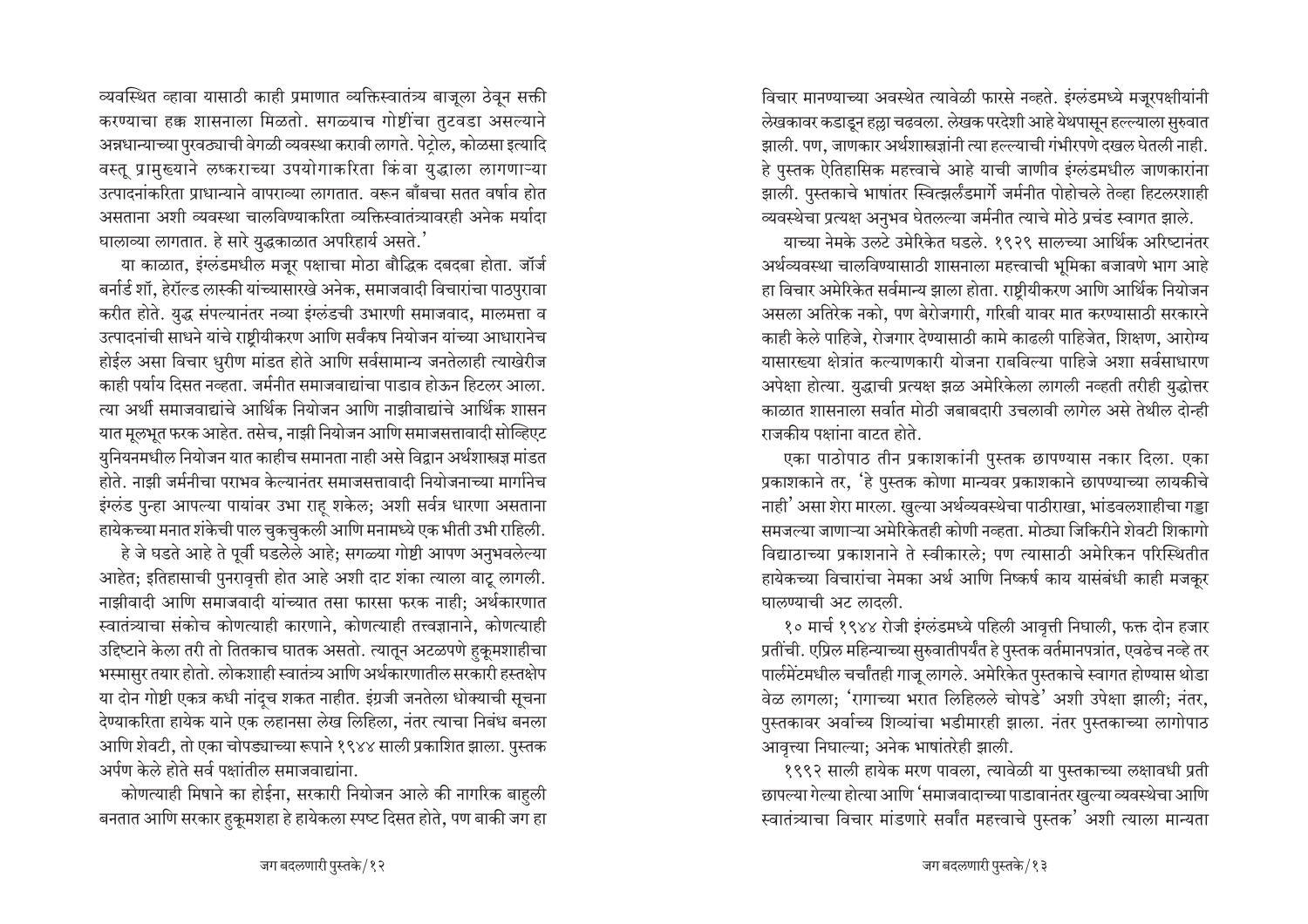<u>न्यवस्थित व्हावा यासाठी काही प्रमाणात व्यक्तिस्वातंत्र्य बाजुला ठेवून सक्ती</u> करण्याचा हक्क शासनाला मिळतो. सगळ्याच गोष्टींचा तुटवडा असल्याने अन्नधान्याच्या <u>पु</u>रवठ्याची वेगळी व्यवस्था करावी लागते. पेट्रोल, कोळसा इत्यादि वस्तू प्रामुख्याने लष्कराच्या उपयोगाकरिता किंवा युद्धाला लागणाऱ्या उत्पादनांकरिता प्राधान्याने वापराव्या लागतात. वरून बाँबचा सतत वर्षाव होत असताना अशी व्यवस्था चालविण्याकरिता व्यक्तिस्वातंत्र्यावरही अनेक मर्यादा धालाव्या लागतात. हे सारे युद्धकाळात अपरिहार्य असते. $\cdot$ 

या काळात, इंग्लंडमधील मजूर पक्षाचा मोठा बौद्धिक दबदबा होता. जॉर्ज बर्नार्ड शॉ, हेरॉल्ड लास्की यांच्यासारखे अनेक, समाजवादी विचारांचा पाठपुरावा •करीत होते. युद्ध संपल्यानंतर नव्या इंग्लंडची उभारणी समाजवाद, मालमत्ता व उत्पादनांची साधने यांचे राष्ट्रीयीकरण आणि सर्वंकष नियोजन यांच्या आधारानेच होईल असा विचार धुरीण मांडत होते आणि सर्वसामान्य जनतेलाही त्याखेरीज काही पर्याय दिसत नव्हता. जर्मनीत समाजवाद्यांचा पाडाव होऊन हिटलर आला. त्या अर्थी समाजवाद्यांचे आर्थिक नियोजन आणि नाझीवाद्यांचे आर्थिक शासन यात मूलभूत फरक आहेत. तसेच, नाझी नियोजन आणि समाजसत्तावादी सोव्हिएट युनियनमधील नियोजन यात काहीच समानता नाही असे विद्वान अर्थशास्त्रज्ञ मांडत होते. नाझी जर्मनीचा पराभव केल्यानंतर समाजसत्तावादी नियोजनाच्या मार्गानेच इंग्लंड पुन्हा आपल्या पायांवर उभा राह शकेल; अशी सर्वत्र धारणा असताना हायेकच्या मनात शंकेची पाल चुकचुकली आणि मनामध्ये एक भीती उभी राहिली.

हे जे घडते आहे ते पूर्वी घडलेले आहे; सगळ्या गोष्टी आपण अनुभवलेल्या आहेत; इतिहासाची पुनरावृत्ती होत आहे अशी दाट शंका त्याला वाटू लागली. नाझीवादी आणि समाजवादी यांच्यात तसा फारसा फरक नाही; अर्थकारणात स्वातंत्र्याचा संकोच कोणत्याही कारणाने, कोणत्याही तत्त्वज्ञानाने, कोणत्याही उद्दिष्टाने केला तरी तो तितकाच घातक असतो. त्यातून अटळपणे हुकूमशाहीचा भस्मासुर तयार होतो. लोकशाही स्वातंत्र्य आणि अर्थकारणातील सरकारी हस्तक्षेप या दोन गोष्टी एकत्र कधी नांदूच शकत नाहीत. इंग्रजी जनतेला धोक्याची सूचना देण्याकरिता हायेक याने एक लहानसा लेख लिहिला, नंतर त्याचा निबंध बनला आणि शेवटी, तो एका चोपड्याच्या रूपाने १९४४ साली प्रकाशित झाला. पुस्तक अर्पण केले होते सर्व पक्षांतील समाजवाद्यांना.

कोणत्याही मिषाने का होईना, सरकारी नियोजन आले की नागरिक बाहुली बनतात आणि सरकार हुकूमशहा हे हायेकला स्पष्ट दिसत होते, पण बाकी जग हा

विचार मानण्याच्या अवस्थेत त्यावेळी फारसे नव्हते. इंग्लंडमध्ये मजूरपक्षीयांनी लेखकावर कडाइन हल्ला चढवला. लेखक परदेशी आहे येथपासून हल्ल्याला सुरुवात झाली. पण, जाणकार अर्थशास्त्रज्ञांनी त्या हल्ल्याची गंभीरपणे दखल घेतली नाही. हे पुस्तक ऐतिहासिक महत्त्वाचे आहे याची जाणीव इंग्लंडमधील जाणकारांना झाली. पुस्तकाचे भाषांतर स्वित्झर्लंडमार्गे जर्मनीत पोहोचले तेव्हा हिटलरशाही <u>व्यवस्थेचा प्रत्यक्ष अनुभव घेतलल्या जर्मनीत त्याचे मोठे प्रचंड स्वागत झाले.</u>

याच्या नेमके उलटे उमेरिकेत घडले. १९२९ सालच्या आर्थिक अरिष्टानंतर अर्थव्यवस्था चालविण्यासाठी शासनाला महत्त्वाची भूमिका बजावणे भाग आहे हा विचार अमेरिकेत सर्वमान्य झाला होता. राष्ट्रीयीकरण आणि आर्थिक नियोजन असला अतिरेक नको, पण बेरोजगारी, गरिबी यावर मात करण्यासाठी सरकारने काही केले पाहिजे, रोजगार देण्यासाठी कामे काढली पाहिजेत, शिक्षण, आरोग्य यासारख्या क्षेत्रांत कल्याणकारी योजना राबविल्या पाहिजे अशा सर्वसाधारण अपेक्षा होत्या. यद्धाची प्रत्यक्ष झळ अमेरिकेला लागली नव्हती तरीही यद्धोत्तर काळात शासनाला सर्वात मोठी जबाबदारी उचलावी लागेल असे तेथील दोन्ही राजकीय पक्षांना वाटत होते.

एका पाठोपाठ तीन प्रकाशकांनी पुस्तक छापण्यास नकार दिला. एका प्रकाशकाने तर, 'हे पुस्तक कोणा मान्यवर प्रकाशकाने छापण्याच्या लायकीचे नाही' असा शेरा मारला. खुल्या अर्थव्यवस्थेचा पाठीराखा, भांडवलशाहीचा गड्डा समजल्या जाणाऱ्या अमेरिकेतही कोणी नव्हता. मोठ्या जिकिरीने शेवटी शिकागो विद्याठाच्या प्रकाशनाने ते स्वीकारले: पण त्यासाठी अमेरिकन परिस्थितीत हायेकच्या विचारांचा नेमका अर्थ आणि निष्कर्ष काय यासंबंधी काही मजकूर  $\overline{u}$  घालण्याची अट लादली.

१० मार्च १९४४ रोजी इंग्लंडमध्ये पहिली आवृत्ती निघाली, फक्त दोन हजार प्रतींची. एप्रिल महिन्याच्या सुरुवातीपर्यंत हे पुस्तक वर्तमानपत्रांत, एवढेच नव्हे तर पार्लमेंटमधील चर्चांतही गाजू लागले. अमेरिकेत पुस्तकाचे स्वागत होण्यास थोडा वेळ लागला; 'रागाच्या भरात लिहिलले चोपडे' अशी उपेक्षा झाली; नंतर, पुस्तकावर अर्वाच्य शिव्यांचा भडीमारही झाला. नंतर पुस्तकाच्या लागोपाठ आवृत्त्या निघाल्या; अनेक भाषांतरेही झाली.

१९९२ साली हायेक मरण पावला, त्यावेळी या पुस्तकाच्या लक्षावधी प्रती छापल्या गेल्या होत्या आणि 'समाजवादाच्या पाडावानंतर खुल्या व्यवस्थेचा आणि स्वातंत्र्याचा विचार मांडणारे सर्वांत महत्त्वाचे पुस्तक' अशी त्याला मान्यता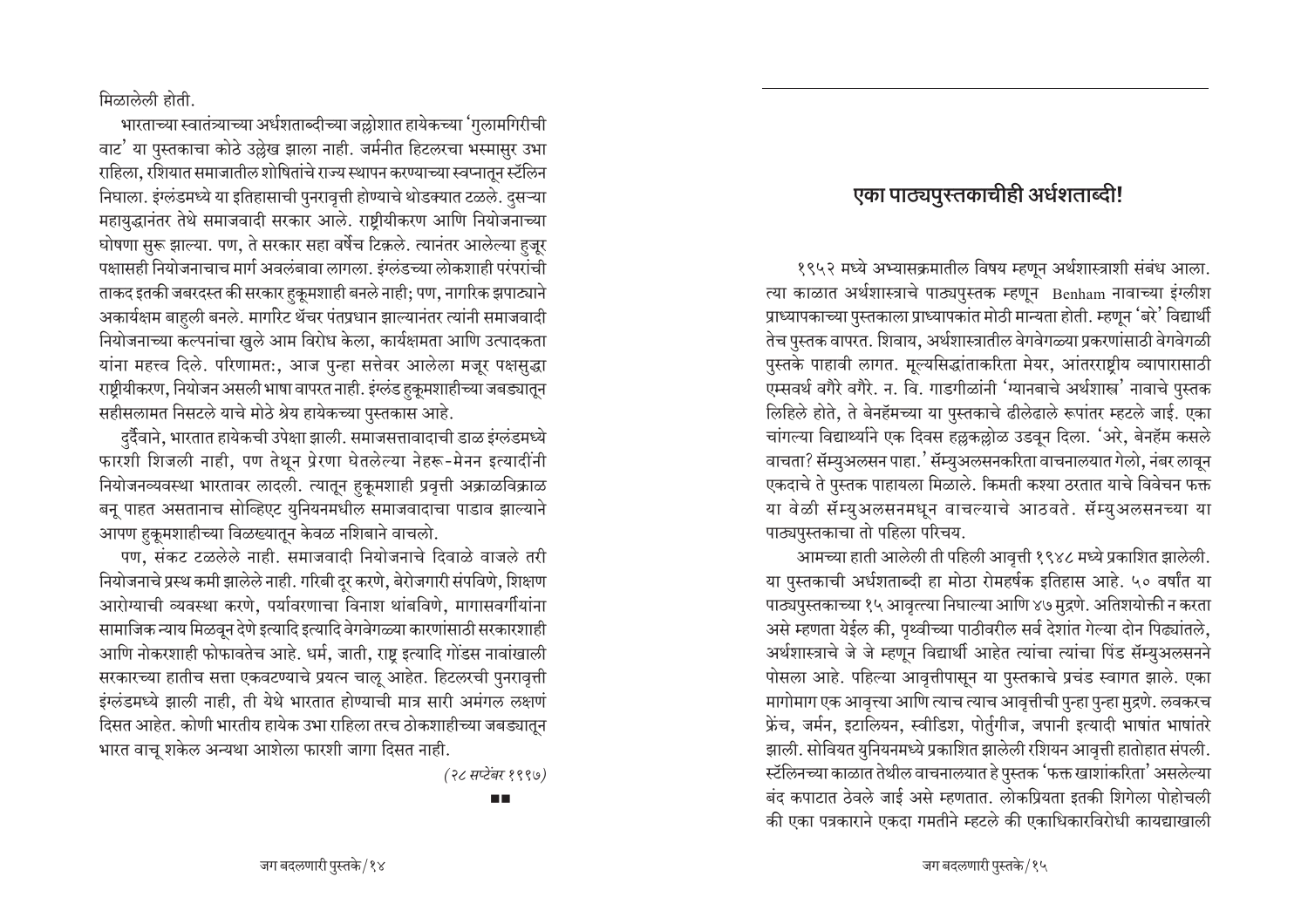मिळालेली होती.

भारताच्या स्वातंत्र्याच्या अर्धशताब्दीच्या जल्लोशात हायेकच्या 'गुलामगिरीची वाट' या पुस्तकाचा कोठे उल्लेख झाला नाही. जर्मनीत हिटलरचा भस्मासुर उभा राहिला, रशियात समाजातील शोषितांचे राज्य स्थापन करण्याच्या स्वप्नातून स्टॅलिन निघाला. इंग्लंडमध्ये या इतिहासाची पुनरावृत्ती होण्याचे थोडक्यात टळले. दुसऱ्या महायुद्धानंतर तेथे समाजवादी सरकार आले. राष्ट्रीयीकरण आणि नियोजनाच्या <u>घोषणा सुरू झाल्या. पण, ते सरकार सहा वर्षेच टिकले. त्यानंतर आलेल्या हुजूर</u> पक्षासही नियोजनाचाच मार्ग अवलंबावा लागला. इंग्लंडच्या लोकशाही परंपरांची ताकद इतकी जबरदस्त की सरकार हुकूमशाही बनले नाही; पण, नागरिक झपाट्याने अकार्यक्षम बाहली बनले. मार्गारेट थॅचर पंतप्रधान झाल्यानंतर त्यांनी समाजवादी नियोजनाच्या कल्पनांचा खुले आम विरोध केला, कार्यक्षमता आणि उत्पादकता यांना महत्त्व दिले. परिणामत:, आज पुन्हा सत्तेवर आलेला मजूर पक्षसुद्धा राष्ट्रीयीकरण, नियोजन असली भाषा वापरत नाही. इंग्लंड हुकूमशाहीच्या जबड्यातून सहीसलामत निसटले याचे मोठे श्रेय हायेकच्या पुस्तकास आहे.

दुर्दैवाने, भारतात हायेकची उपेक्षा झाली. समाजसत्तावादाची डाळ इंग्लंडमध्ये फारशी शिजली नाही, पण तेथून प्रेरणा घेतलेल्या नेहरू-मेनन इत्यादींनी <u>नियोजनव्यवस्था भारतावर लादली. त्यातून हकूमशाही प्रवृत्ती अक्राळविक्राळ</u> बनू पाहत असतानाच सोव्हिएट युनियनमधील समाजवादाचा पाडाव झाल्याने आपण हुकूमशाहीच्या विळख्यातून केवळ नशिबाने वाचलो.

पण, संकट टळलेले नाही. समाजवादी नियोजनाचे दिवाळे वाजले तरी <u>नियोजनाचे प्रस्थ कमी झालेले नाही. गरिबी दुर करणे, बेरोजगारी संपविणे, शिक्षण</u> आरोग्याची व्यवस्था करणे, पर्यावरणाचा विनाश थांबविणे, मागासवर्गीयांना सामाजिक न्याय मिळवून देणे इत्यादि इत्यादि वेगवेगळ्या कारणांसाठी सरकारशाही आणि नोकरशाही फोफावतेच आहे. धर्म, जाती, राष्ट्र इत्यादि गोंडस नावांखाली सरकारच्या हातीच सत्ता एकवटण्याचे प्रयत्न चालू आहेत. हिटलरची पुनरावृत्ती इंग्लंडमध्ये झाली नाही, ती येथे भारतात होण्याची मात्र सारी अमंगल लक्षणं दिसत आहेत. कोणी भारतीय हायेक उभा राहिला तरच ठोकशाहीच्या जबड्यातन भारत वाचू शकेल अन्यथा आशेला फारशी जागा दिसत नाही.

*(28 PÌ^>C\*kŸ 1997)*

#### m m

## एका पाठ्यपुरतकाचीही अर्धशताब्दी!

१९५२ मध्ये अभ्यासक्रमातील विषय म्हणून अर्थशास्त्राशी संबंध आला. त्या काळात अर्थशास्त्राचे पाठ्यपुस्तक म्हणून Benham नावाच्या इंग्लीश प्राध्यापकाच्या पुस्तकाला प्राध्यापकांत मोठी मान्यता होती. म्हणून 'बरे' विद्यार्थी तेच पुस्तक वापरत. शिवाय, अर्थशास्त्रातील वेगवेगळ्या प्रकरणांसाठी वेगवेगळी पुस्तके पाहावी लागत. मूल्यसिद्धांताकरिता मेयर, आंतरराष्टीय व्यापारासाठी एम्सवर्थ वगैरे वगैरे. न. वि. गाडगीळांनी <sup>'</sup>ग्यानबाचे अर्थशास्त्र' नावाचे पुस्तक लिहिले होते. ते बेनहॅमच्या या पुस्तकाचे ढीलेढाले रूपांतर म्हटले जाई. एका चांगल्या विद्यार्थ्याने एक दिवस हल्लकल्लोळ उडवून दिला. 'अरे, बेनहॅम कसले वाचता? सॅम्युअलसन पाहा. 'सॅम्युअलसनकरिता वाचनालयात गेलो, नंबर लावून एकदाचे ते पुस्तक पाहायला मिळाले. किमती कश्या ठरतात याचे विवेचन फक्त या वेळी सॅम्युअलसनमधून वाचल्याचे आठवते. सॅम्युअलसनच्या या पाठ्यपुस्तकाचा तो पहिला परिचय.

आमच्या हाती आलेली ती पहिली आवृत्ती १९४८ मध्ये प्रकाशित झालेली. या पुस्तकाची अर्धशताब्दी हा मोठा रोमहर्षक इतिहास आहे. ५० वर्षांत या पाठ्यपुस्तकाच्या १५ आवृत्त्या निघाल्या आणि ४७ मुद्रणे. अतिशयोक्ती न करता असे म्हणता येईल की, पृथ्वीच्या पाठीवरील सर्व देशांत गेल्या दोन पिढ्यांतले, अर्थशास्त्राचे जे जे म्हणून विद्यार्थी आहेत त्यांचा त्यांचा पिंड सॅम्युअलसनने पोसला आहे. पहिल्या आवृत्तीपासून या पुस्तकाचे प्रचंड स्वागत झाले. एका मागोमाग एक आवृत्त्या आणि त्याच त्याच आवृत्तीची पुन्हा पुन्हा मुद्रणे. लवकरच फ्रेंच, जर्मन, इटालियन, स्वीडिश, पोर्तुगीज, जपानी इत्यादी भाषांत भाषांतरे झाली. सोवियत युनियनमध्ये प्रकाशित झालेली रशियन आवृत्ती हातोहात संपली. स्टॅलिनच्या काळात तेथील वाचनालयात हे पुस्तक 'फक्त खाशांकरिता' असलेल्या बंद कपाटात ठेवले जाई असे म्हणतात. लोकप्रियता इतकी शिगेला पोहोचली की एका पत्रकाराने एकदा गमतीने म्हटले की एकाधिकारविरोधी कायद्याखाली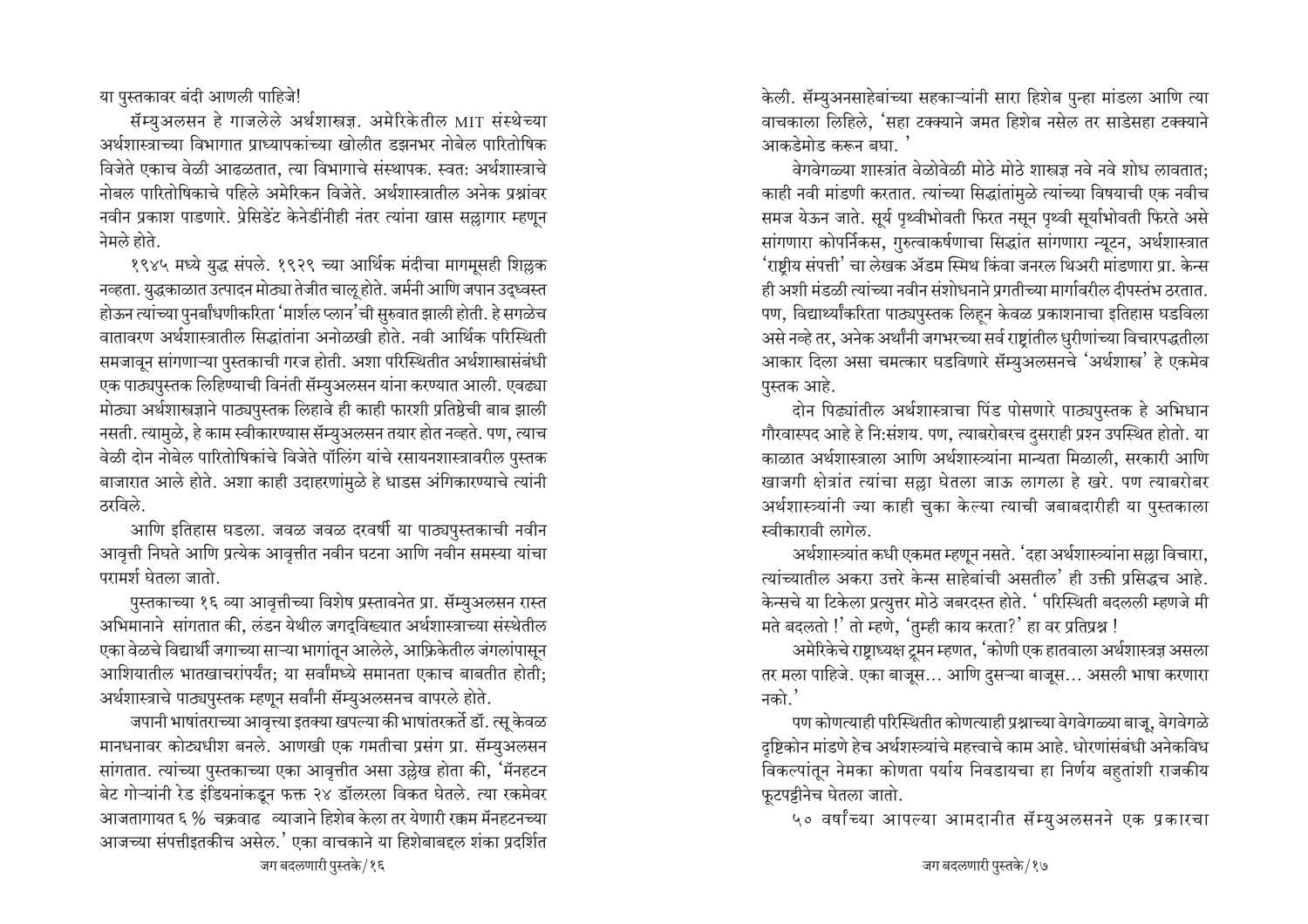या पुस्तकावर बंदी आणली पाहिजे!

सॅम्युअलसन हे गाजलेले अर्थशास्त्रज्ञ. अमेरिकेतील MIT संस्थेच्या अर्थशास्त्राच्या विभागात प्राध्यापकांच्या खोलीत डझनभर नोबेल पारितोषिक विजेते एकाच वेळी आढळतात, त्या विभागाचे संस्थापक. स्वत: अर्थशास्त्राचे नोबल पारितोषिकाचे पहिले अमेरिकन विजेते. अर्थशास्त्रातील अनेक प्रश्नांवर नवीन प्रकाश पाडणारे. प्रेसिडेंट केनेडींनीही नंतर त्यांना खास सल्लागार म्हणून नेमले होते.

१९४५ मध्ये युद्ध संपले. १९२९ च्या आर्थिक मंदीचा मागमूसही शिल्लक नव्हता. युद्धकाळात उत्पादन मोठ्या तेजीत चालू होते. जर्मनी आणि जपान उद्ध्वस्त होऊन त्यांच्या पुनर्बांधणीकरिता 'मार्शल प्लान'ची सुरुवात झाली होती. हे सगळेच वातावरण अर्थशास्त्रातील सिद्धांतांना अनोळखी होते. नवी आर्थिक परिस्थिती समजावन सांगणाऱ्या पुस्तकाची गरज होती. अशा परिस्थितीत अर्थशास्त्रासंबंधी एक पाठ्यपुस्तक लिहिण्याची विनंती सॅम्युअलसन यांना करण्यात आली. एवढ्या मोठ्या अर्थशास्त्रज्ञाने पाठ्यपुस्तक लिहावे ही काही फारशी प्रतिष्ठेची बाब झाली नसती. त्यामुळे, हे काम स्वीकारण्यास सॅम्युअलसन तयार होत नव्हते. पण, त्याच वेळी दोन नोबेल पारितोषिकांचे विजेते पॉलिंग यांचे रसायनशास्त्रावरील पुस्तक बाजारात आले होते. अशा काही उदाहरणांमुळे हे धाडस अंगिकारण्याचे त्यांनी तरविले.

आणि इतिहास घडला. जवळ जवळ दरवर्षी या पाठ्यपुस्तकाची नवीन आवृत्ती निघते आणि प्रत्येक आवृत्तीत नवीन घटना आणि नवीन समस्या यांचा परामर्श घेतला जातो.

पुस्तकाच्या १६ व्या आवृत्तीच्या विशेष प्रस्तावनेत प्रा. सॅम्युअलसन रास्त अभिमानाने सांगतात की, लंडन येथील जगदविख्यात अर्थशास्त्राच्या संस्थेतील एका वेळचे विद्यार्थी जगाच्या साऱ्या भागांतून आलेले, आफ्रिकेतील जंगलांपासून आशियातील भातखाचरांपर्यंत; या सर्वांमध्ये समानता एकाच बाबतीत होती; अर्थशास्त्राचे पाठ्यपुस्तक म्हणून सर्वांनी सॅम्युअलसनच वापरले होते.

जपानी भाषांतराच्या आवृत्त्या इतक्या खपल्या की भाषांतरकर्ते डॉ. त्स् केवळ मानधनावर कोट्यधीश बनले. आणखी एक गमतीचा प्रसंग प्रा. सॅम्युअलसन सांगतात. त्यांच्या पुस्तकाच्या एका आवृत्तीत असा उल्लेख होता की, 'मॅनहटन बेट गोऱ्यांनी रेड इंडियनांकडून फक्त २४ डॉलरला विकत घेतले. त्या रकमेवर आजतागायत ६ % चक्रवाढ व्याजाने हिशेब केला तर येणारी रक्कम मॅनहटनच्या आजच्या संपत्तीइतकीच असेल.' एका वाचकाने या हिशेबाबद्दल शंका प्रदर्शित

केली. सॅम्युअनसाहेबांच्या सहकाऱ्यांनी सारा हिशेब पुन्हा मांडला आणि त्या वाचकाला लिहिले, 'सहा टक्क्याने जमत हिशेब नसेल तर साडेसहा टक्क्याने आकडेमोड करून बघा. '

वेगवेगळ्या शास्त्रांत वेळोवेळी मोठे मोठे शास्त्रज्ञ नवे नवे शोध लावतात; काही नवी मांडणी करतात. त्यांच्या सिद्धांतांमुळे त्यांच्या विषयाची एक नवीच समज येऊन जाते. सूर्य पृथ्वीभोवती फिरत नसून पृथ्वी सूर्याभोवती फिरते असे सांगणारा कोपर्निकस, गुरुत्वाकर्षणाचा सिद्धांत सांगणारा न्यूटन, अर्थशास्त्रात 'राष्टीय संपत्ती' चा लेखक ॲडम स्मिथ किंवा जनरल थिअरी मांडणारा प्रा. केन्स ही अशी मंडळी त्यांच्या नवीन संशोधनाने प्रगतीच्या मार्गावरील दीपस्तंभ ठरतात. पण, विद्यार्थ्यांकरिता पाठ्यपुस्तक लिहन केवळ प्रकाशनाचा इतिहास घडविला असे नव्हे तर, अनेक अर्थांनी जगभरच्या सर्व राष्ट्रांतील धुरीणांच्या विचारपद्धतीला आकार दिला असा चमत्कार घडविणारे सॅम्युअलसनचे 'अर्थशास्त्र' हे एकमेव पस्तक आहे.

दोन पिढ्यांतील अर्थशास्त्राचा पिंड पोसणारे पाठ्यपुस्तक हे अभिधान गौरवास्पद आहे हे नि:संशय. पण, त्याबरोबरच दुसराही प्रश्न उपस्थित होतो. या काळात अर्थशास्त्राला आणि अर्थशास्त्र्यांना मान्यता मिळाली. सरकारी आणि खाजगी क्षेत्रांत त्यांचा सल्ला घेतला जाऊ लागला हे खरे. पण त्याबरोबर अर्थशास्त्र्यांनी ज्या काही चुका केल्या त्याची जबाबदारीही या पुस्तकाला स्वीकारावी लागेल.

अर्थशास्त्र्यांत कधी एकमत म्हणून नसते. 'दहा अर्थशास्त्र्यांना सल्ला विचारा, त्यांच्यातील अकरा उत्तरे केन्स साहेबांची असतील' ही उक्ती प्रसिद्धच आहे. केन्सचे या टिकेला प्रत्युत्तर मोठे जबरदस्त होते. ' परिस्थिती बदलली म्हणजे मी मते बदलतो !' तो म्हणे, 'तुम्ही काय करता?' हा वर प्रतिप्रश्न !

अमेरिकेचे राष्ट्राध्यक्ष ट्रूमन म्हणत, 'कोणी एक हातवाला अर्थशास्त्रज्ञ असला तर मला पाहिजे. एका बाजूस... आणि दुसऱ्या बाजूस... असली भाषा करणारा नको.'

पण कोणत्याही परिस्थितीत कोणत्याही प्रश्नाच्या वेगवेगळ्या बाजू, वेगवेगळे दृष्टिकोन मांडणे हेच अर्थशस्त्र्यांचे महत्त्वाचे काम आहे. धोरणांसंबंधी अनेकविध विकल्पांतून नेमका कोणता पर्याय निवडायचा हा निर्णय बहुतांशी राजकीय फूटपट्टीनेच घेतला जातो.

५० वर्षांच्या आपल्या आमदानीत सॅम्युअलसनने एक प्रकारचा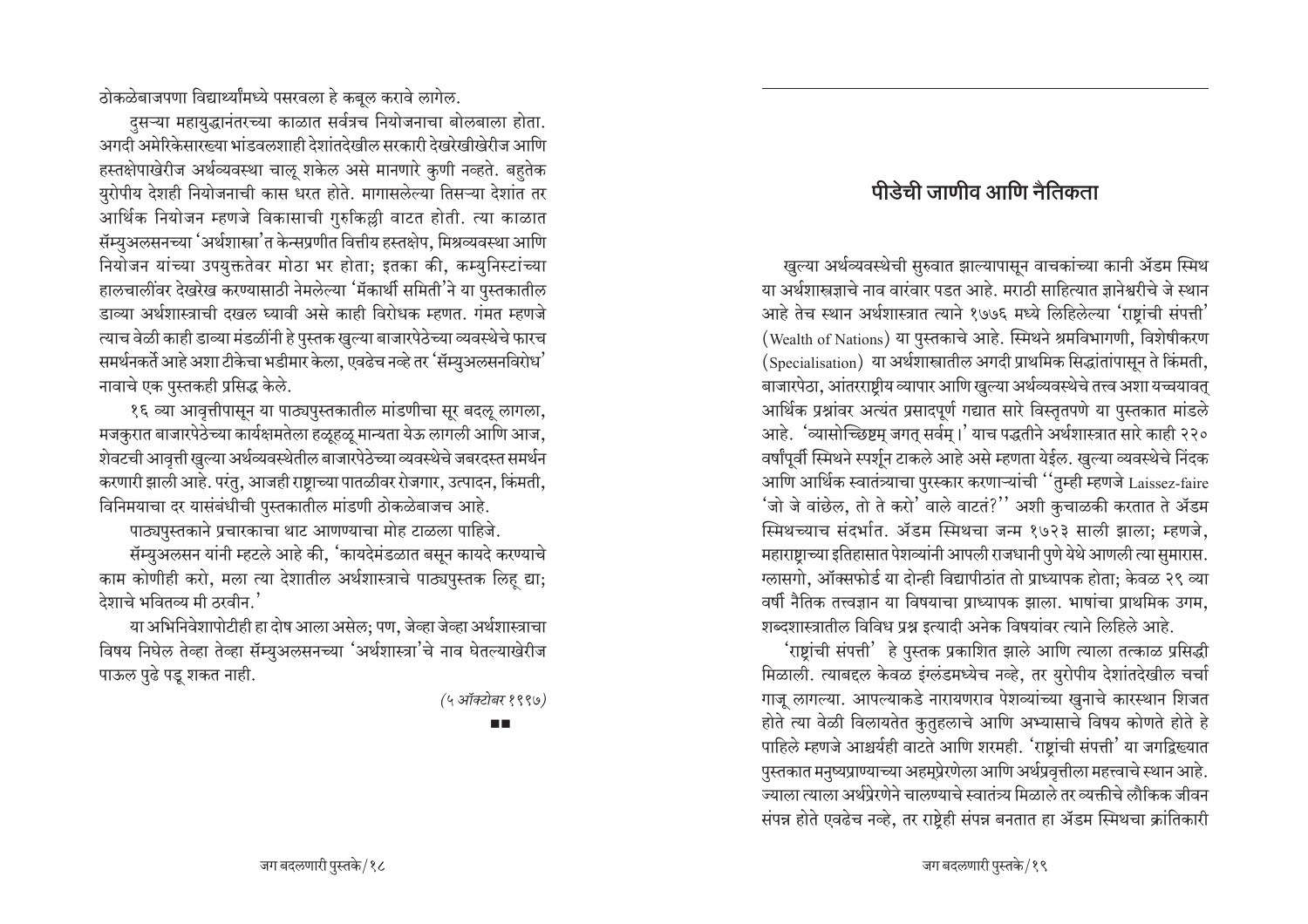ठोकळेबाजपणा विद्यार्थ्यांमध्ये पसरवला हे कबूल करावे लागेल.

दसऱ्या महायुद्धानंतरच्या काळात सर्वत्रच नियोजनाचा बोलबाला होता. अगर्व अमेरिकेसारख्या भांडवलशाही देशांतदेखील सरकारी देखरेखीखेरीज आणि हस्तक्षेपाखेरीज अर्थव्यवस्था चालू शकेल असे मानणारे कुणी नव्हते. बहुतेक युरोपीय देशही नियोजनाची कास धरत होते. मागासलेल्या तिसऱ्या देशांत तर आर्थिक नियोजन म्हणजे विकासाची गुरुकिल्ली वाटत होती. त्या काळात सॅम्युअलसनच्या 'अर्थशास्त्रा'त केन्सप्रणीत वित्तीय हस्तक्षेप, मिश्रव्यवस्था आणि नियोजन यांच्या उपयुक्ततेवर मोठा भर होता; इतका की, कम्युनिस्टांच्या हालचालींवर देखरेख करण्यासाठी नेमलेल्या 'मॅकार्थी समिती'ने या पुस्तकातील डाव्या अर्थशास्त्राची दखल घ्यावी असे काही विरोधक म्हणत. गंमत म्हणजे त्याच वेळी काही डाव्या मंडळींनी हे पुस्तक खुल्या बाजारपेठेच्या व्यवस्थेचे फारच समर्थनकर्ते आहे अशा टीकेचा भडीमार केला, एवढेच नव्हे तर 'सॅम्युअलसनविरोध' नावाचे एक पुस्तकही प्रसिद्ध केले.

१६ व्या आवृत्तीपासून या पाठ्यपुस्तकातील मांडणीचा सूर बदलू लागला. मजकुरात बाजारपेठेच्या कार्यक्षमतेला हळूहळू मान्यता येऊ लागली आणि आज, शेवटची आवृत्ती खुल्या अर्थव्यवस्थेतील बाजारपेठेच्या व्यवस्थेचे जबरदस्त समर्थन करणारी झाली आहे. परंतु, आजही राष्ट्राच्या पातळीवर रोजगार, उत्पादन, किंमती, विनिमयाचा दर यासंबंधीची पुस्तकातील मांडणी ठोकळेबाजच आहे.

पाठ्यपुस्तकाने प्रचारकाचा थाट आणण्याचा मोह टाळला पाहिजे.

सॅम्युअलसन यांनी म्हटले आहे की, 'कायदेमंडळात बसून कायदे करण्याचे काम कोणीही करो, मला त्या देशातील अर्थशास्त्राचे पाठ्यपुस्तक लिह द्या; ढेशाचे भवितव्य मी ठरवीन.'

या अभिनिवेशापोटीही हा दोष आला असेल; पण, जेव्हा जेव्हा अर्थशास्त्राचा विषय निघेल तेव्हा तेव्हा सॅम्युअलसनच्या 'अर्थशास्त्रा'चे नाव घेतल्याखेरीज पाऊल पुढे पडु शकत नाही.

(५ ऑक्टोबर १९९७)

п.

# पीडेची जाणीव आणि नैतिकता

खुल्या अर्थव्यवस्थेची सुरुवात झाल्यापासून वाचकांच्या कानी ॲडम स्मिथ या अर्थशास्त्रज्ञाचे नाव वारंवार पडत आहे. मराठी साहित्यात ज्ञानेश्वरीचे जे स्थान आहे तेच स्थान अर्थशास्त्रात त्याने १७७६ मध्ये लिहिलेल्या 'राष्टांची संपत्ती' (Wealth of Nations) या पुस्तकाचे आहे. स्मिथने श्रमविभागणी, विशेषीकरण (Specialisation) या अर्थशास्त्रातील अगदी प्राथमिक सिद्धांतांपासून ते किंमती, बाजारपेठा, आंतरराष्ट्रीय व्यापार आणि खुल्या अर्थव्यवस्थेचे तत्त्व अशा यच्चयावत् आर्थिक प्रश्नांवर अत्यंत प्रसादपूर्ण गद्यात सारे विस्तृतपणे या पुस्तकात मांडले आहे. 'व्यासोच्छिष्टम् जगत् सर्वम् ।' याच पद्धतीने अर्थशास्त्रात सारे काही २२० वर्षांपूर्वी स्मिथने स्पर्शून टाकले आहे असे म्हणता येईल. खुल्या व्यवस्थेचे निंदक आणि आर्थिक स्वातंत्र्याचा पुरस्कार करणाऱ्यांची ''तुम्ही म्हणजे Laissez-faire 'जो जे वांछेल, तो ते करो' वाले वाटतं?'' अशी कुचाळकी करतात ते ॲडम स्मिथच्याच संदर्भात. ॲडम स्मिथचा जन्म १७२३ साली झाला; म्हणजे, महाराष्ट्राच्या इतिहासात पेशव्यांनी आपली राजधानी पुणे येथे आणली त्या सुमारास. ग्लासगो, ऑक्सफोर्ड या दोन्ही विद्यापीठांत तो प्राध्यापक होता; केवळ २९ व्या वर्षी नैतिक तत्त्वज्ञान या विषयाचा प्राध्यापक झाला. भाषांचा प्राथमिक उगम, शब्दशास्त्रातील विविध प्रश्न इत्यादी अनेक विषयांवर त्याने लिहिले आहे.

'राष्ट्रांची संपत्ती' हे पुस्तक प्रकाशित झाले आणि त्याला तत्काळ प्रसिद्धी मिळाली. त्याबद्दल केवळ इंग्लंडमध्येच नव्हे, तर युरोपीय देशांतदेखील चर्चा गाजू लागल्या. आपल्याकडे नारायणराव पेशव्यांच्या खुनाचे कारस्थान शिजत होते त्या वेळी विलायतेत कुतुहलाचे आणि अभ्यासाचे विषय कोणते होते हे पाहिले म्हणजे आश्चर्यही वाटते आणि शरमही. 'राष्ट्रांची संपत्ती' या जगद्विख्यात पुस्तकात मनुष्यप्राण्याच्या अहमुप्रेरणेला आणि अर्थप्रवृत्तीला महत्त्वाचे स्थान आहे. ज्याला त्याला अर्थप्रेरणेने चालण्याचे स्वातंत्र्य मिळाले तर व्यक्तीचे लौकिक जीवन संपन्न होते एवढेच नव्हे. तर राष्टेही संपन्न बनतात हा ॲडम स्मिथचा क्रांतिकारी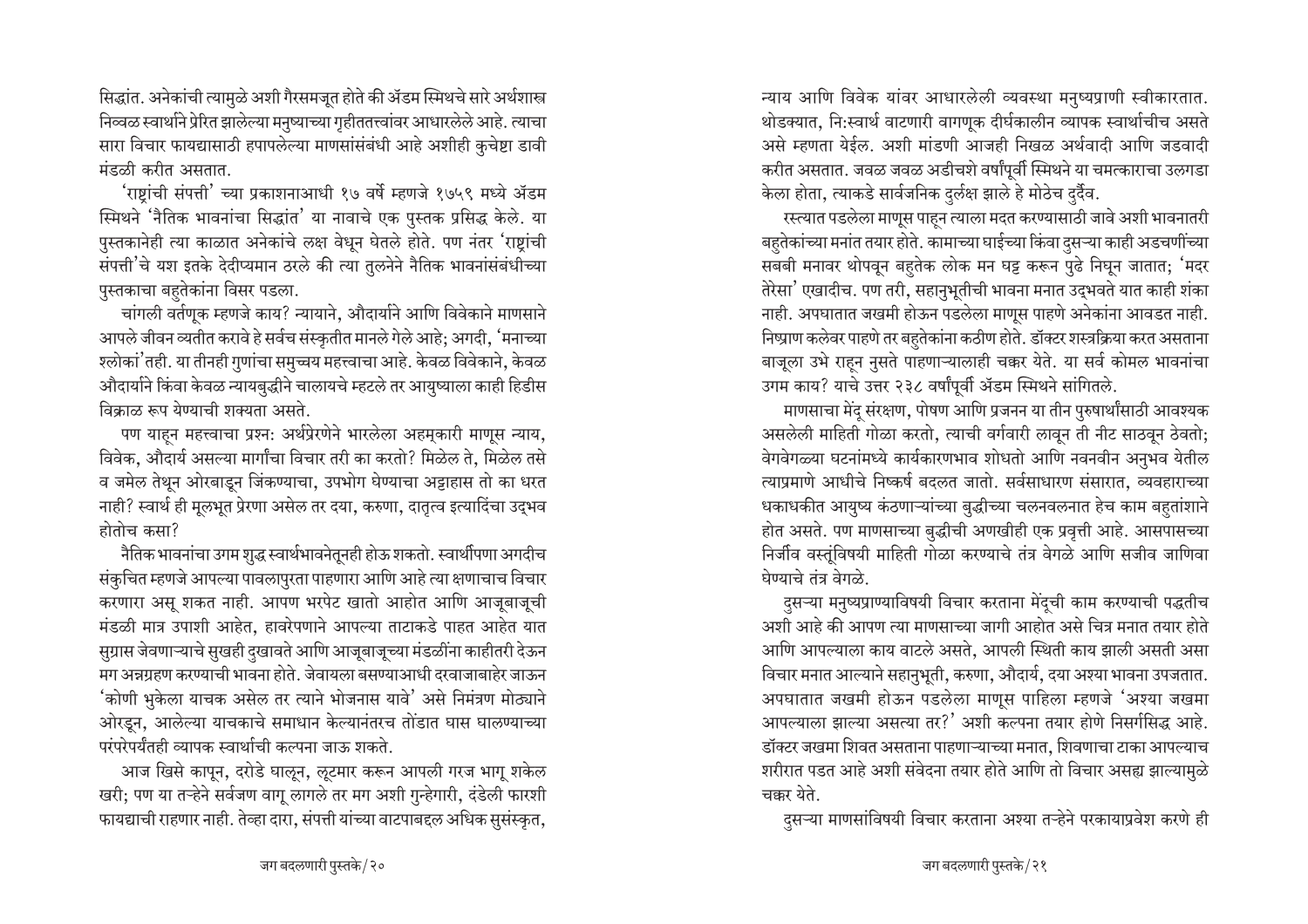सिद्धांत. अनेकांची त्यामुळे अशी गैरसमजूत होते की ॲडम स्मिथचे सारे अर्थशास्त्र निव्वळ स्वार्थाने प्रेरित झालेल्या मनुष्याच्या गृहीततत्त्वांवर आधारलेले आहे. त्याचा सारा विचार फायद्यासाठी हपापलेल्या माणसांसंबंधी आहे अशीही कुचेष्टा डावी मंडळी करीत असतात.

'राष्ट्रांची संपत्ती' च्या प्रकाशनाआधी १७ वर्षे म्हणजे १७५९ मध्ये ॲडम स्मिथने 'नैतिक भावनांचा सिद्धांत' या नावाचे एक पुस्तक प्रसिद्ध केले. या पुस्तकानेही त्या काळात अनेकांचे लक्ष वेधून घेतले होते. पण नंतर 'राष्टांची संपत्ती'चे यश इतके देदीप्यमान ठरले की त्या तुलनेने नैतिक भावनांसंबंधीच्या पुस्तकाचा बहुतेकांना विसर पडला.

चांगली वर्तणूक म्हणजे काय? न्यायाने, औदार्याने आणि विवेकाने माणसाने आपले जीवन व्यतीत करावे हे सर्वच संस्कृतीत मानले गेले आहे; अगदी, 'मनाच्या श्लोकां'तही. या तीनही गुणांचा समुच्चय महत्त्वाचा आहे. केवळ विवेकाने, केवळ औदार्याने किंवा केवळ न्यायबुद्धीने चालायचे म्हटले तर आयुष्याला काही हिडीस विकाळ रूप येण्याची शक्यता असते.

पण याहून महत्त्वाचा प्रश्न: अर्थप्रेरणेने भारलेला अहमूकारी माणूस न्याय, विवेक, औदार्य असल्या मार्गांचा विचार तरी का करतो? मिळेल ते, मिळेल तसे व जमेल तेथून ओरबाडून जिंकण्याचा, उपभोग घेण्याचा अट्टाहास तो का धरत नाही? स्वार्थ ही मूलभूत प्रेरणा असेल तर दया, करुणा, दातृत्व इत्यादिंचा उद्भव होतोच कसा?

नैतिक भावनांचा उगम शुद्ध स्वार्थभावनेतूनही होऊ शकतो. स्वार्थीपणा अगदीच संकुचित म्हणजे आपल्या पावलापुरता पाहणारा आणि आहे त्या क्षणाचाच विचार करणारा असू शकत नाही. आपण भरपेट खातो आहोत आणि आजूबाजूची मंडळी मात्र उपाशी आहेत, हावरेपणाने आपल्या ताटाकडे पाहत आहेत यात सुग्रास जेवणाऱ्याचे सुखही दुखावते आणि आजूबाजूच्या मंडळींना काहीतरी देऊन मग अन्नग्रहण करण्याची भावना होते. जेवायला बसण्याआधी दरवाजाबाहेर जाऊन 'कोणी भुकेला याचक असेल तर त्याने भोजनास यावे' असे निमंत्रण मोठ्याने ओरडून, आलेल्या याचकाचे समाधान केल्यानंतरच तोंडात घास घालण्याच्या परंपरेपर्यंतही व्यापक स्वार्थाची कल्पना जाऊ शकते.

आज खिसे कापून, दरोडे घालून, लूटमार करून आपली गरज भागू शकेल खरी; पण या तऱ्हेने सर्वजण वागू लागले तर मग अशी गुन्हेगारी, दंडेली फारशी फायद्याची राहणार नाही. तेव्हा दारा, संपत्ती यांच्या वाटपाबद्दल अधिक सुसंस्कृत,

न्याय आणि विवेक यांवर आधारलेली व्यवस्था मनुष्यप्राणी स्वीकारतात. थोडक्यात, नि:स्वार्थ वाटणारी वागणुक दीर्घकालीन व्यापक स्वार्थाचीच असते असे म्हणता येईल. अशी मांडणी आजही निखळ अर्थवादी आणि जडवादी करीत असतात. जवळ जवळ अडीचशे वर्षांपूर्वी स्मिथने या चमत्काराचा उलगडा केला होता, त्याकडे सार्वजनिक दुर्लक्ष झाले हे मोठेच दुर्दैव.

रस्त्यात पडलेला माणूस पाहन त्याला मदत करण्यासाठी जावे अशी भावनातरी बहुतेकांच्या मनांत तयार होते. कामाच्या घाईच्या किंवा दुसऱ्या काही अडचणींच्या सबबी मनावर थोपवून बहतेक लोक मन घट्ट करून पुढे निघून जातात; 'मदर तेरेसा' एखादीच. पण तरी, सहानुभूतीची भावना मनात उद्भवते यात काही शंका नाही. अपघातात जखमी होऊन पडलेला माणूस पाहणे अनेकांना आवडत नाही. निष्प्राण कलेवर पाहणे तर बहुतेकांना कठीण होते. डॉक्टर शस्त्रक्रिया करत असताना बाजूला उभे राहन नुसते पाहणाऱ्यालाही चक्कर येते. या सर्व कोमल भावनांचा उगम काय? याचे उत्तर २३८ वर्षांपूर्वी ॲडम स्मिथने सांगितले.

माणसाचा मेंद संरक्षण, पोषण आणि प्रजनन या तीन पुरुषार्थांसाठी आवश्यक असलेली माहिती गोळा करतो, त्याची वर्गवारी लावून ती नीट साठवून ठेवतो; वेगवेगळ्या घटनांमध्ये कार्यकारणभाव शोधतो आणि नवनवीन अनुभव येतील त्याप्रमाणे आधीचे निष्कर्ष बदलत जातो. सर्वसाधारण संसारात, व्यवहाराच्या धकाधकीत आयुष्य कंठणाऱ्यांच्या बुद्धीच्या चलनवलनात हेच काम बहुतांशाने होत असते. पण माणसाच्या बुद्धीची अणखीही एक प्रवृत्ती आहे. आसपासच्या निर्जीव वस्तुंविषयी माहिती गोळा करण्याचे तंत्र वेगळे आणि सजीव जाणिवा घेण्याचे तंत्र वेगळे.

दुसऱ्या मनुष्यप्राण्याविषयी विचार करताना मेंदूची काम करण्याची पद्धतीच अशी आहे की आपण त्या माणसाच्या जागी आहोत असे चित्र मनात तयार होते आणि आपल्याला काय वाटले असते. आपली स्थिती काय झाली असती असा विचार मनात आल्याने सहानुभूती, करुणा, औदार्य, दया अश्या भावना उपजतात. अपघातात जखमी होऊन पडलेला माणूस पाहिला म्हणजे 'अश्या जखमा आपल्याला झाल्या असत्या तर?' अशी कल्पना तयार होणे निसर्गसिद्ध आहे. डॉक्टर जखमा शिवत असताना पाहणाऱ्याच्या मनात, शिवणाचा टाका आपल्याच शरीरात पडत आहे अशी संवेदना तयार होते आणि तो विचार असह्य झाल्यामुळे चक्कर येते.

दुसऱ्या माणसांविषयी विचार करताना अश्या तऱ्हेने परकायाप्रवेश करणे ही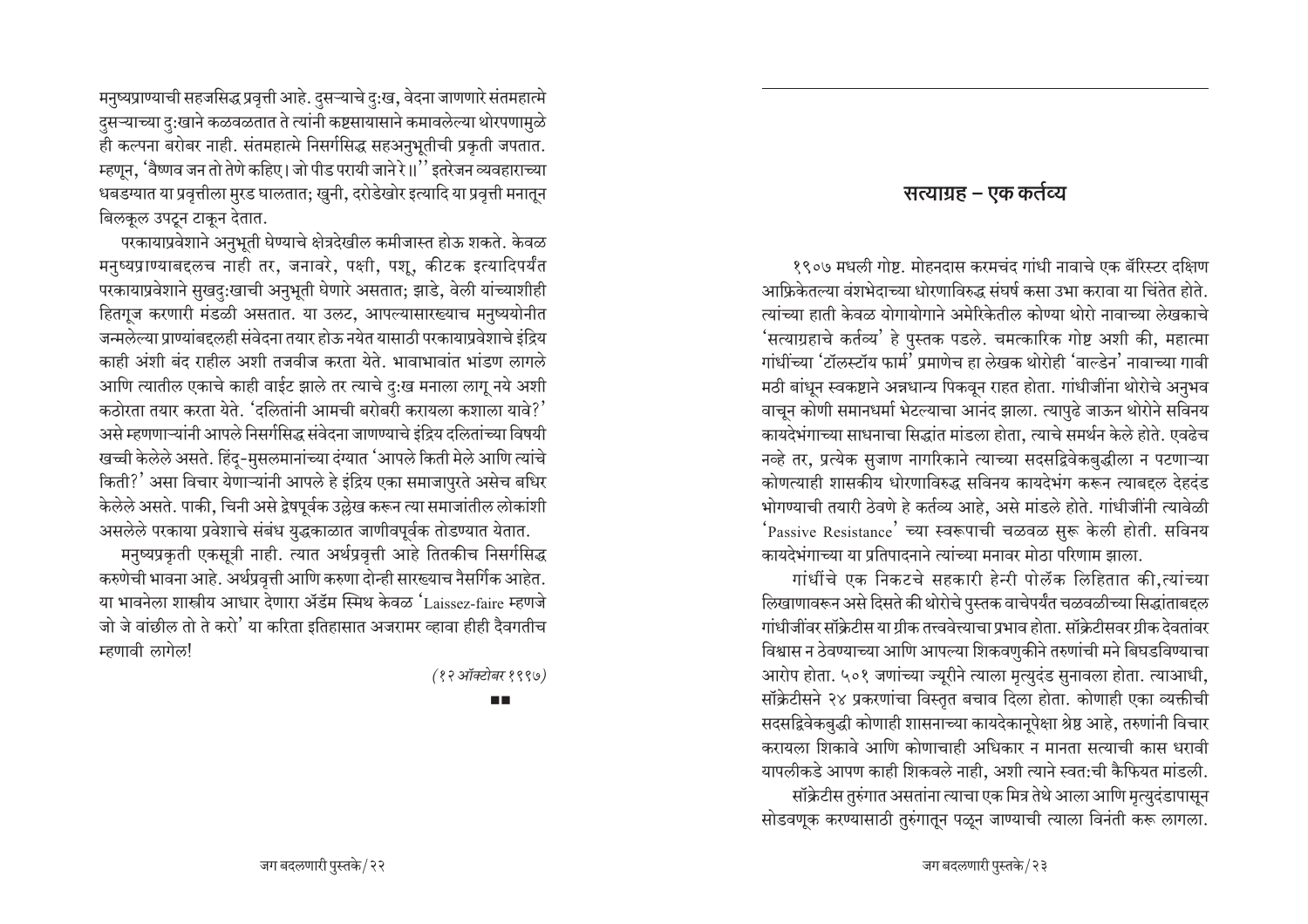मनुष्यप्राण्याची सहजसिद्ध प्रवृत्ती आहे. दुसऱ्याचे दु:ख, वेदना जाणणारे संतमहात्मे दुसऱ्याच्या दु:खाने कळवळतात ते त्यांनी कष्टसायासाने कमावलेल्या थोरपणामुळे ही कल्पना बरोबर नाही. संतमहात्मे निसर्गसिद्ध सहअनुभूतीची प्रकृती जपतात. म्हणून, 'वैष्णव जन तो तेणे कहिए। जो पीड परायी जाने रे॥'' इतरेजन व्यवहाराच्या धबडग्यात या प्रवृत्तीला मुरड घालतात; खुनी, दरोडेखोर इत्यादि या प्रवृत्ती मनातून बिलकुल उपट्न टाकुन देतात.

परकायाप्रवेशाने अनुभूती घेण्याचे क्षेत्रदेखील कमीजास्त होऊ शकते. केवळ मनुष्यप्राण्याबद्दलच नाही तर, जनावरे, पक्षी, पशू, कीटक इत्यादिपर्यंत परकायाप्रवेशाने सुखदु:खाची अनुभूती घेणारे असतात; झाडे, वेली यांच्याशीही हितगूज करणारी मंडळी असतात. या उलट, आपल्यासारख्याच मनुष्ययोनीत जन्मलेल्या प्राण्यांबद्दलही संवेदना तयार होऊ नयेत यासाठी परकायाप्रवेशाचे इंद्रिय काही अंशी बंद राहील अशी तजवीज करता येते. भावाभावांत भांडण लागले आणि त्यातील एकाचे काही वाईट झाले तर त्याचे दु:ख मनाला लागू नये अशी कठोरता तयार करता येते. 'दलितांनी आमची बरोबरी करायला कशाला यावे?' असे म्हणणाऱ्यांनी आपले निसर्गसिद्ध संवेदना जाणण्याचे इंद्रिय दलितांच्या विषयी खच्ची केलेले असते. हिंदू-मुसलमानांच्या दंग्यात 'आपले किती मेले आणि त्यांचे किती?' असा विचार येणाऱ्यांनी आपले हे इंद्रिय एका समाजापुरते असेच बधिर केलेले असते. पाकी, चिनी असे द्वेषपूर्वक उल्लेख करून त्या समाजांतील लोकांशी असलेले परकाया प्रवेशाचे संबंध युद्धकाळात जाणीवपूर्वक तोडण्यात येतात.

मनुष्यप्रकृती एकसूत्री नाही. त्यात अर्थप्रवृत्ती आहे तितकीच निसर्गसिद्ध करुणेची भावना आहे. अर्थप्रवृत्ती आणि करुणा दोन्ही सारख्याच नैसर्गिक आहेत. या भावनेला शास्त्रीय आधार देणारा ॲडॅम स्मिथ केवळ 'Laissez-faire म्हणजे जो जे वांछील तो ते करो' या करिता इतिहासात अजरामर व्हावा हीही दैवगतीच म्हणावी लागेल!

(१२ऑक्टोबर १९९७)

m m

#### सत्याग्रह – एक कर्तव्य

१९०७ मधली गोष्ट. मोहनदास करमचंद गांधी नावाचे एक बॅरिस्टर दक्षिण आफ्रिकेतल्या वंशभेदाच्या धोरणाविरुद्ध संघर्ष कसा उभा करावा या चिंतेत होते. त्यांच्या हाती केवळ योगायोगाने अमेरिकेतील कोण्या थोरो नावाच्या लेखकाचे 'सत्याग्रहाचे कर्तव्य' हे पुस्तक पडले. चमत्कारिक गोष्ट अशी की, महात्मा गांधींच्या 'टॉलस्टॉय फार्म' प्रमाणेच हा लेखक थोरोही 'वाल्डेन' नावाच्या गावी मठी बांधून स्वकष्टाने अन्नधान्य पिकवून राहत होता. गांधीजींना थोरोचे अनुभव वाचून कोणी समानधर्मा भेटल्याचा आनंद झाला. त्यापुढे जाऊन थोरोने सविनय कायदेभंगाच्या साधनाचा सिद्धांत मांडला होता, त्याचे समर्थन केले होते. एवढेच नव्हे तर, प्रत्येक सुजाण नागरिकाने त्याच्या सदसद्विवेकबुद्धीला न पटणाऱ्या कोणत्याही शासकीय धोरणाविरुद्ध सविनय कायदेभंग करून त्याबद्दल देहदंड भोगण्याची तयारी ठेवणे हे कर्तव्य आहे. असे मांडले होते. गांधीजींनी त्यावेळी 'Passive Resistance' च्या स्वरूपाची चळवळ सुरू केली होती. सविनय कायदेभंगाच्या या प्रतिपादनाने त्यांच्या मनावर मोठा परिणाम झाला.

गांधींचे एक निकटचे सहकारी हेन्री पोलॅक लिहितात की,त्यांच्या लिखाणावरून असे दिसते की थोरोचे पुस्तक वाचेपर्यंत चळवळीच्या सिद्धांताबद्दल गांधीजींवर सॉक्रेटीस या ग्रीक तत्त्ववेत्त्याचा प्रभाव होता. सॉक्रेटीसवर ग्रीक देवतांवर विश्वास न ठेवण्याच्या आणि आपल्या शिकवणुकीने तरुणांची मने बिघडविण्याचा आरोप होता. ५०१ जणांच्या ज्यूरीने त्याला मृत्युदंड सुनावला होता. त्याआधी, सॉक्रेटीसने २४ प्रकरणांचा विस्तृत बचाव दिला होता. कोणाही एका व्यक्तीची सदसद्विवेकबुद्धी कोणाही शासनाच्या कायदेकानूपेक्षा श्रेष्ठ आहे, तरुणांनी विचार करायला शिकावे आणि कोणाचाही अधिकार न मानता सत्याची कास धरावी यापलीकडे आपण काही शिकवले नाही, अशी त्याने स्वत:ची कैफियत मांडली. सॉक्रेटीस तुरुंगात असतांना त्याचा एक मित्र तेथे आला आणि मृत्युदंडापासून सोडवणूक करण्यासाठी तुरुंगातून पळून जाण्याची त्याला विनंती करू लागला.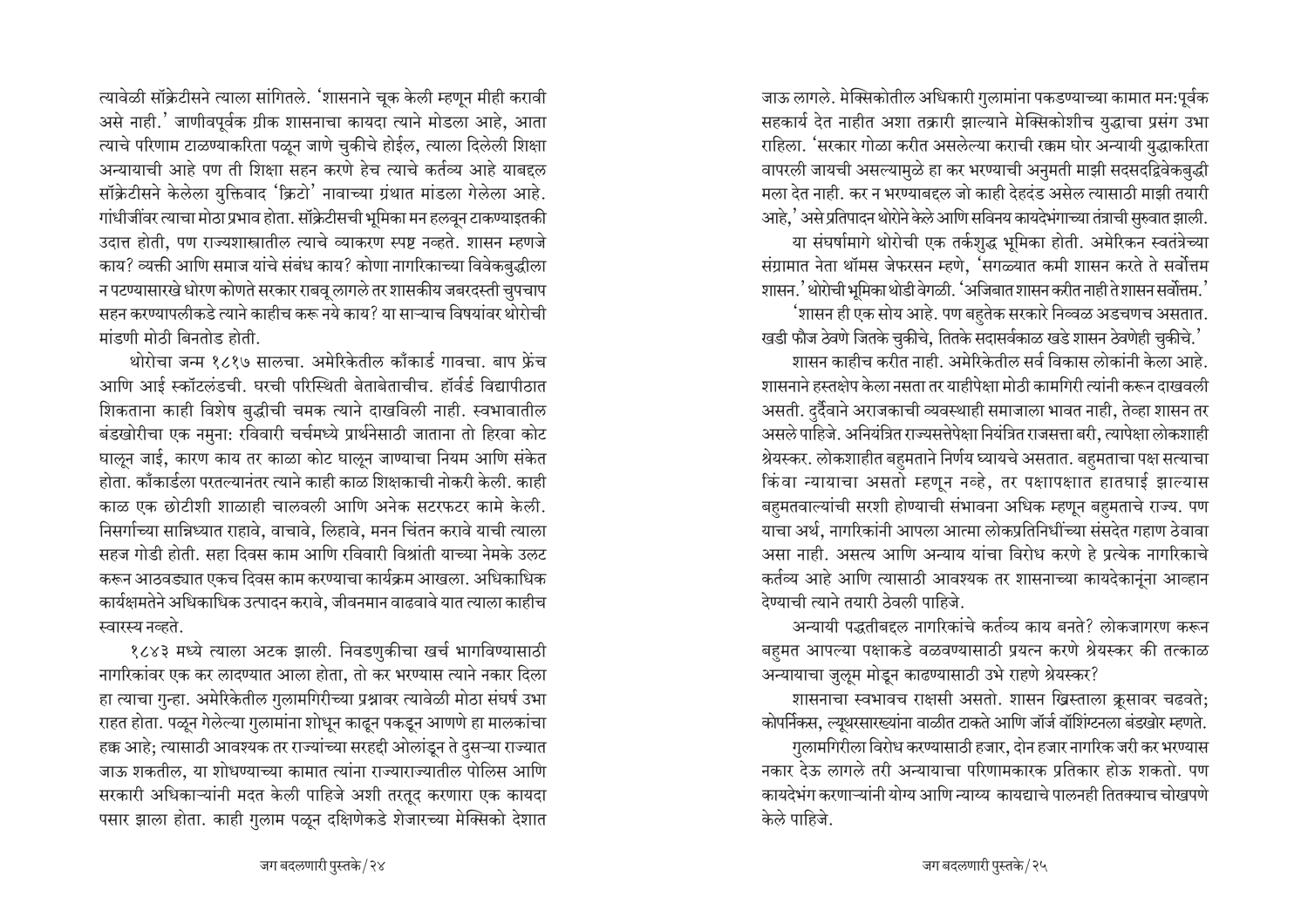ल्यावेळी सॉक्रेटीसने त्याला सांगितले. <sup>'</sup>शासनाने चूक केली म्हणून मीही करावी असे नाही.' जाणीवपूर्वक ग्रीक शासनाचा कायदा त्याने मोडला आहे. आता त्याचे परिणाम टाळण्याकरिता पळून जाणे चुकीचे होईल, त्याला दिलेली शिक्षा अन्यायाची आहे पण ती शिक्षा सहन करणे हेच त्याचे कर्तव्य आहे याबद्दल सॉक्रेटीसने केलेला युक्तिवाद 'क्रिटो' नावाच्या ग्रंथात मांडला गेलेला आहे. गांधीजींवर त्याचा मोठा प्रभाव होता. सॉक्रेटीसची भूमिका मन हलवून टाकण्याइतकी उदात्त होती, पण राज्यशास्त्रातील त्याचे व्याकरण स्पष्ट नव्हते. शासन म्हणजे काय? व्यक्ती आणि समाज यांचे संबंध काय? कोणा नागरिकाच्या विवेक<u>बु</u>द्धीला <u>न पटण्यासारखे धोरण कोणते सरकार राबवू लागले तर शासकीय जबरदस्ती चुपचाप</u> सहन करण्यापलीकडे त्याने काहीच करू नये काय? या साऱ्याच विषयांवर थोरोची <u>मांडणी मोठी बिनतोड होती.</u>

थोरोचा जन्म १८१७ सालचा. अमेरिकेतील काँकार्ड गावचा. बाप फ्रेंच आणि आई स्कॉटलंडची. घरची परिस्थिती बेताबेताचीच. हॉर्वर्ड विद्यापीठात शिकताना काही विशेष बुद्धीची चमक त्याने दाखविली नाही. स्वभावातील बंडखोरीचा एक नमुना: रविवारी चर्चमध्ये प्रार्थनेसाठी जाताना तो हिरवा कोट घाऌून जाई, कारण काय तर काळा कोट घाऌून जाण्याचा नियम आणि संकेत ेहोता. काँकार्डला परतल्यानंतर त्याने काही काळ शिक्षकाची नोकरी केली. काही काळ एक छोटीशी शाळाही चालवली आणि अनेक सटरफटर कामे केली. <u>निसर्गाच्या सान्निध्यात राहावे, वाचावे, लिहावे, मनन चिंतन करावे याची त्याला</u> सहज गोडी होती. सहा दिवस काम आणि रविवारी विश्रांती याच्या नेमके उलट •करून आठवड्यात एकच दिवस काम करण्याचा कार्यक्रम आखला. अधिकाधिक कार्यक्षमतेने अधिकाधिक उत्पादन करावे, जीवनमान वाढवावे यात त्याला काहीच स्वारस्य नव्हते.

१८४३ मध्ये त्याला अटक झाली. निवडणुकीचा खर्च भागविण्यासाठी नागरिकांवर एक कर लादण्यात आला होता, तो कर भरण्यास त्याने नकार दिला हा त्याचा गुन्हा. अमेरिकेतील गुलामगिरीच्या प्रश्नावर त्यावेळी मोठा संघर्ष उभा राहत होता. पळून गेलेल्या गुलामांना शोधून काढून पकडून आणणे हा मालकांचा हक्क आहे; त्यासाठी आवश्यक तर राज्यांच्या सरहद्दी ओलांडून ते दुसऱ्या राज्यात जाऊ शकतील. या शोधण्याच्या कामात त्यांना राज्याराज्यातील पोलिस आणि सरकारी अधिकाऱ्यांनी मदत केली पाहिजे अशी तरतूद करणारा एक कायदा पसार झाला होता. काही गुलाम पळून दक्षिणेकडे शेजारच्या मेक्सिको देशात

जाऊ लागले. मेक्सिकोतील अधिकारी गुलामांना पकडण्याच्या कामात मन:पूर्वक सहकार्य देत नाहीत अशा तक्रारी झाल्याने मेक्सिकोशीच युद्धाचा प्रसंग उभा राहिला. <sup>'</sup>सरकार गोळा करीत असलेल्या कराची रक्कम घोर अन्यायी युद्धाकरिता वापरली जायची असल्यामुळे हा कर भरण्याची अनुमती माझी सदसदद्विवेकबुद्धी मला देत नाही. कर न भरण्याबद्दल जो काही देहदंड असेल त्यासाठी माझी तयारी आहे.' असे प्रतिपादन थोरोने केले आणि सविनय कायदेभंगाच्या तंत्राची सुरुवात झाली.

या संघर्षामागे थोरोची एक तर्कशुद्ध भूमिका होती. अमेरिकन स्वतंत्रेच्या संग्रामात नेता थॉमस जेफरसन म्हणे. 'सगळ्यात कमी शासन करते ते सर्वोत्तम शासन.' थोरोची भूमिका थोडी वेगळी. 'अजिबात शासन करीत नाही ते शासन सर्वोत्तम.'

<sup>'</sup>शासन ही एक सोय आहे. पण बहतेक सरकारे निव्वळ अडचणच असतात.  $\cdot$ खडी फौज ठेवणे जितके चुकीचे, तितके सदासर्वकाळ खडे शासन ठेवणेही चुकीचे. $\cdot$ 

<u>शासन काहीच करीत नाही. अमेरिकेतील सर्व विकास लोकांनी केला आहे.</u> <u>शासनाने हस्तक्षेप केला नसता तर याहीपेक्षा मोठी कामगिरी त्यांनी करून दाखवली</u> असती. दर्दैवाने अराजकाची व्यवस्थाही समाजाला भावत नाही, तेव्हा शासन तर असले पाहिजे. अनियंत्रित राज्यसत्तेपेक्षा नियंत्रित राजसत्ता बरी, त्यापेक्षा लोकशाही श्रेयस्कर. लोकशाहीत बहुमताने निर्णय घ्यायचे असतात. बहुमताचा पक्ष सत्याचा किंवा न्यायाचा असतो म्हणून नव्हे, तर पक्षापक्षात हातघाई झाल्यास बहुमतवाल्यांची सरशी होण्याची संभावना अधिक म्हणून बहुमताचे राज्य. पण याचा अर्थ, नागरिकांनी आपला आत्मा लोकप्रतिनिधींच्या संसदेत गहाण ठेवावा असा नाही. असत्य आणि अन्याय यांचा विरोध करणे हे प्रत्येक नागरिकाचे कर्तव्य आहे आणि त्यासाठी आवश्यक तर शासनाच्या कायदेकानूंना आव्हान <u>देण्याची त्याने तयारी ठेवली पाहिजे.</u>

अन्यायी पद्धतीबद्दल नागरिकांचे कर्तव्य काय बनते? लोकजागरण करून बहुमत आपल्या पक्षाकडे वळवण्यासाठी प्रयत्न करणे श्रेयस्कर की तत्काळ अन्यायाचा जुलूम मोडून काढण्यासाठी उभे राहणे श्रेयस्कर?

शासनाचा स्वभावच राक्षसी असतो. शासन ख्रिस्ताला क्रूसावर चढवते; कोपर्निकस, ल्यूथरसारख्यांना वाळीत टाकते आणि जॉर्ज वॉशिंग्टनला बंडखोर म्हणते. **गुलामगिरीला विरोध करण्यासाठी हजार, दोन हजार नागरिक जरी कर भरण्यास** नकार देऊ लागले तरी अन्यायाचा परिणामकारक प्रतिकार होऊ शकतो. पण <u>कायदेभंग करणाऱ्यांनी योग्य आणि न्याय्य कायद्याचे पालनही तितक्याच चोखपणे </u> केले पाहिजे.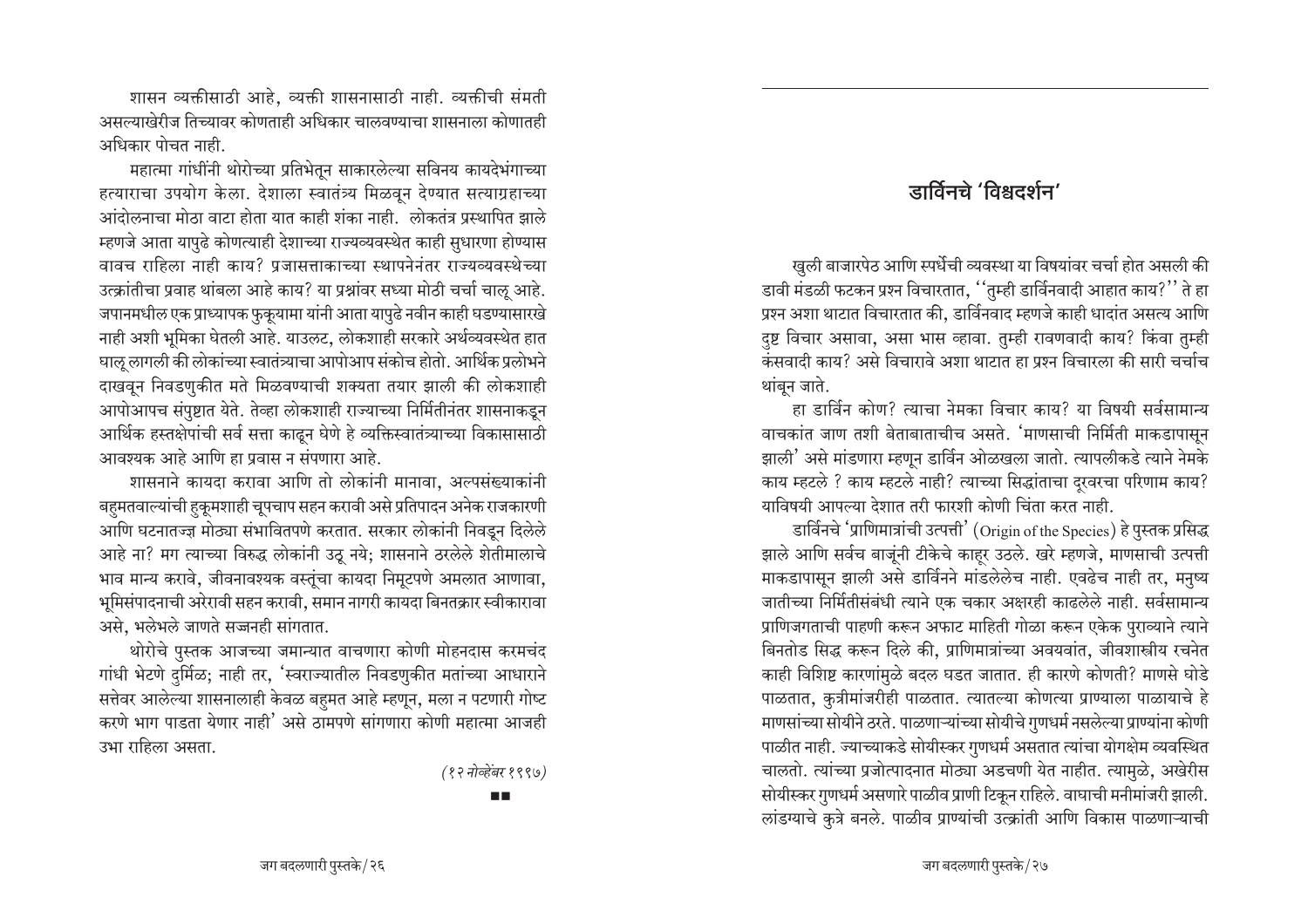शासन व्यक्तीसाठी आहे, व्यक्ती शासनासाठी नाही. व्यक्तीची संमती असल्याखेरीज तिच्यावर कोणताही अधिकार चालवण्याचा शासनाला कोणातही अधिकार पोचत नाही.

महात्मा गांधींनी थोरोच्या प्रतिभेतून साकारलेल्या सविनय कायदेभंगाच्या हत्याराचा उपयोग केला. देशाला स्वातंत्र्य मिळवून देण्यात सत्याग्रहाच्या  $\frac{1}{2}$ आंदोलनाचा मोठा वाटा होता यात काही शंका नाही. लोकतंत्र प्रस्थापित झाले म्हणजे आता यापुढे कोणत्याही देशाच्या राज्यव्यवस्थेत काही सुधारणा होण्यास वावच राहिला नाही काय? प्रजासत्ताकाच्या स्थापनेनंतर राज्यव्यवस्थेच्या उत्क्रांतीचा प्रवाह थांबला आहे काय? या प्रश्नांवर सध्या मोठी चर्चा चालू आहे. जपानमधील एक प्राध्यापक फुकूयामा यांनी आता यापुढे नवीन काही घडण्यासारखे नाही अशी भूमिका घेतली आहे. याउलट, लोकशाही सरकारे अर्थव्यवस्थेत हात <u>घाऌ लागली की लोकांच्या स्वातंत्र्याचा आपोआप संकोच होतो. आर्थिक प्रलोभने</u> दाखवून निवडणुकीत मते मिळवण्याची शक्यता तयार झाली की लोकशाही आपोआपच संपुष्टात येते. तेव्हा लोकशाही राज्याच्या निर्मितीनंतर शासनाकडून आर्थिक हस्तक्षेपांची सर्व सत्ता काढून घेणे हे व्यक्तिस्वातंत्र्याच्या विकासासाठी आवश्यक आहे आणि हा प्रवास न संपणारा आहे.

शासनाने कायदा करावा आणि तो लोकांनी मानावा. अल्पसंख्याकांनी बहुमतवाल्यांची हुकूमशाही चूपचाप सहन करावी असे प्रतिपादन अनेक राजकारणी आणि घटनातज्ज्ञ मोठ्या संभावितपणे करतात. सरकार लोकांनी निवडून दिलेले आहे ना? मग त्याच्या विरुद्ध लोकांनी उठू नये; शासनाने ठरलेले शेतीमालाचे भाव मान्य करावे, जीवनावश्यक वस्तूंचा कायदा निमूटपणे अमलात आणावा, भूमिसंपादनाची अरेरावी सहन करावी, समान नागरी कायदा बिनतक्रार स्वीकारावा असे, भलेभले जाणते सज्जनही सांगतात.

थोरोचे पुस्तक आजच्या जमान्यात वाचणारा कोणी मोहनदास करमचंद गांधी भेटणे दुर्मिळ; नाही तर, 'स्वराज्यातील निवडणुकीत मतांच्या आधाराने सत्तेवर आलेल्या शासनालाही केवळ बहुमत आहे म्हणून, मला न पटणारी गोष्ट करणे भाग पाडता येणार नाही' असे ठामपणे सांगणारा कोणी महात्मा आजही उभा राहिला असता.

*(१२ नोव्हेंबर १९९७)* 

#### **TIM**

### $\overline{\text{G}}$ ार्विनचे 'विश्वदर्शन'

⁄ugली बाजारपेठ आणि स्पर्धेची व्यवस्था या विषयांवर चर्चा होत असली की डावी मंडळी फटकन प्रश्न विचारतात, ''तुम्ही डार्विनवादी आहात काय?'' ते हा प्रश्न अशा थाटात विचारतात की, डार्विनवाद म्हणजे काही धादांत असत्य आणि दुष्ट विचार असावा, असा भास व्हावा. तुम्ही रावणवादी काय? किंवा तुम्ही कंसवादी काय? असे विचारावे अशा थाटात हा प्रश्न विचारला की सारी चर्चाच थांबन जाते.

हा डार्विन कोण? त्याचा नेमका विचार काय? या विषयी सर्वसामान्य वाचकांत जाण तशी बेताबाताचीच असते. 'माणसाची निर्मिती माकडापासून झाली' असे मांडणारा म्हणून डार्विन ओळखला जातो. त्यापलीकडे त्याने नेमके काय म्हटले ? काय म्हटले नाही? त्याच्या सिद्धांताचा दूरवरचा परिणाम काय? याविषयी आपल्या देशात तरी फारशी कोणी चिंता करत नाही.

डार्विनचे 'प्राणिमात्रांची उत्पत्ती' (Origin of the Species) हे पुस्तक प्रसिद्ध झाले आणि सर्वच बाजूंनी टीकेचे काहर उठले. खरे म्हणजे, माणसाची उत्पत्ती माकडापासून झाली असे डार्विनने मांडलेलेच नाही. एवढेच नाही तर, मनुष्य जातीच्या निर्मितीसंबंधी त्याने एक चकार अक्षरही काढलेले नाही. सर्वसामान्य प्राणिजगताची पाहणी करून अफाट माहिती गोळा करून एकेक पुराव्याने त्याने बिनतोड सिद्ध करून दिले की, प्राणिमात्रांच्या अवयवांत, जीवशास्त्रीय रचनेत काही विशिष्ट कारणांमुळे बदल घडत जातात. ही कारणे कोणती? माणसे घोडे पाळतात, कुत्रीमांजरीही पाळतात. त्यातल्या कोणत्या प्राण्याला पाळायाचे हे माणसांच्या सोयीने ठरते. पाळणाऱ्यांच्या सोयीचे गुणधर्म नसलेल्या प्राण्यांना कोणी पाळीत नाही. ज्याच्याकडे सोयीस्कर गुणधर्म असतात त्यांचा योगक्षेम व्यवस्थित चालतो. त्यांच्या प्रजोत्पादनात मोठ्या अडचणी येत नाहीत. त्यामुळे, अखेरीस सोयीस्कर गुणधर्म असणारे पाळीव प्राणी टिकून राहिले. वाघाची मनीमांजरी झाली. लांडग्याचे कुत्रे बनले. पाळीव प्राण्यांची उत्क्रांती आणि विकास पाळणाऱ्याची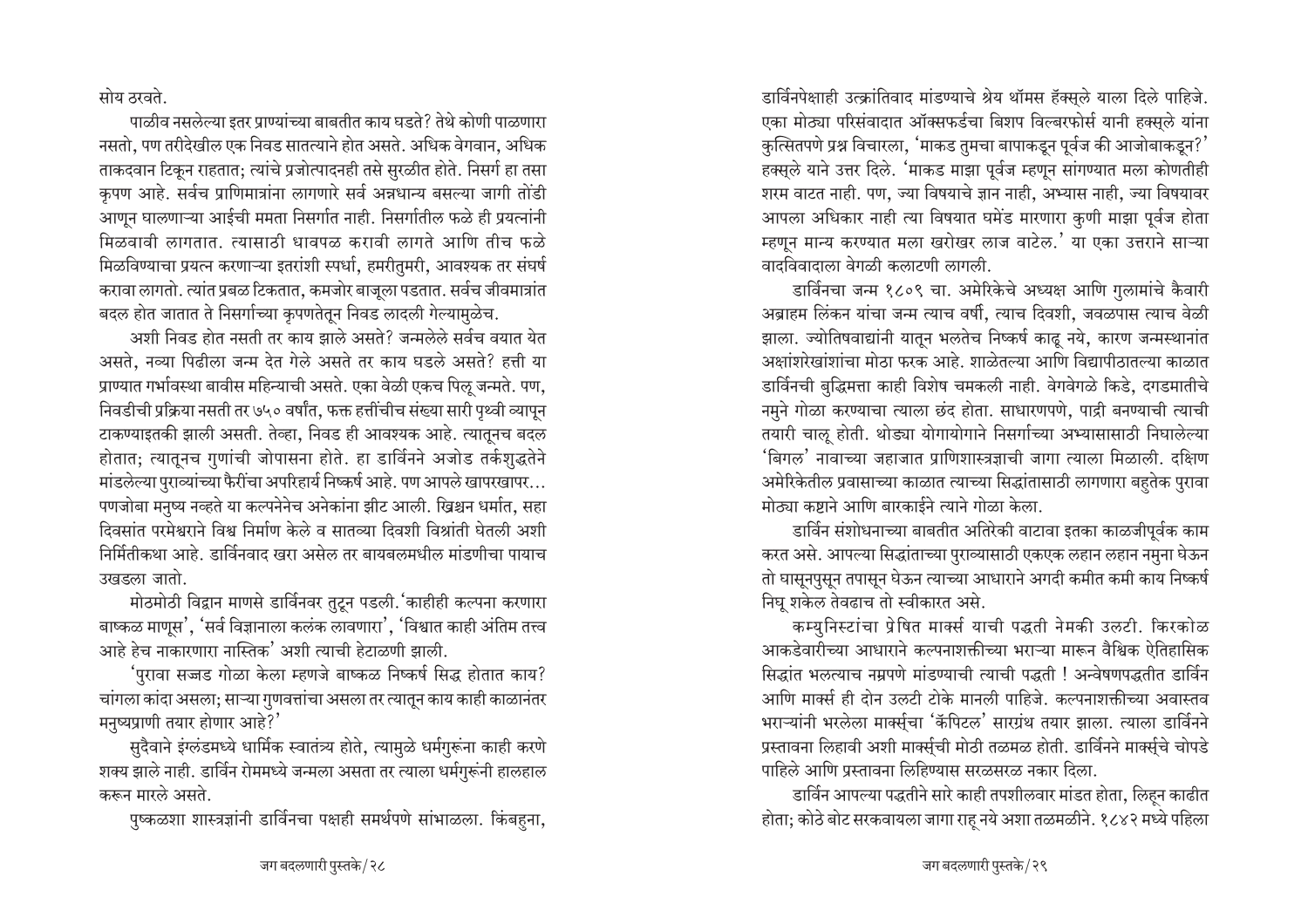सोय ठरवते.

पाळीव नसलेल्या इतर प्राण्यांच्या बाबतीत काय घडते? तेथे कोणी पाळणारा नसतो. पण तरीदेखील एक निवड सातत्याने होत असते. अधिक वेगवान, अधिक ताकदवान टिकून राहतात; त्यांचे प्रजोत्पादनही तसे सुरळीत होते. निसर्ग हा तसा कृपण आहे. सर्वच प्राणिमात्रांना लागणारे सर्व अन्नधान्य बसल्या जागी तोंडी आणून घालणाऱ्या आईची ममता निसर्गात नाही. निसर्गातील फळे ही प्रयत्नांनी मिळवावी लागतात. त्यासाठी धावपळ करावी लागते आणि तीच फळे मिळविण्याचा प्रयत्न करणाऱ्या इतरांशी स्पर्धा, हमरीतुमरी, आवश्यक तर संघर्ष करावा लागतो. त्यांत प्रबळ टिकतात, कमजोर बाजूला पडतात. सर्वच जीवमात्रांत बदल होत जातात ते निसर्गाच्या कृपणतेतून निवड लादली गेल्यामुळेच.

अशी निवड होत नसती तर काय झाले असते? जन्मलेले सर्वच वयात येत असते. नव्या पिढीला जन्म देत गेले असते तर काय घडले असते? हत्ती या प्राण्यात गर्भावस्था बावीस महिन्याची असते. एका वेळी एकच पिलू जन्मते. पण, निवडीची प्रक्रिया नसती तर ७५० वर्षांत, फक्त हत्तींचीच संख्या सारी पृथ्वी व्यापुन टाकण्याइतकी झाली असती. तेव्हा, निवड ही आवश्यक आहे. त्यातूनच बदल होतात; त्यातूनच गुणांची जोपासना होते. हा डार्विनने अजोड तर्कशुद्धतेने मांडलेल्या पुराव्यांच्या फैरींचा अपरिहार्य निष्कर्ष आहे. पण आपले खापरखापर... पणजोबा मनुष्य नव्हते या कल्पनेनेच अनेकांना झीट आली. ख्रिश्चन धर्मात, सहा दिवसांत परमेश्वराने विश्व निर्माण केले व सातव्या दिवशी विश्रांती घेतली अशी निर्मितीकथा आहे. डार्विनवाद खरा असेल तर बायबलमधील मांडणीचा पायाच उखडला जातो.

मोठमोठी विद्वान माणसे डार्विनवर तुटून पडली. 'काहीही कल्पना करणारा बाष्कळ माणुस', 'सर्व विज्ञानाला कलंक लावणारा', 'विश्वात काही अंतिम तत्त्व आहे हेच नाकारणारा नास्तिक' अशी त्याची हेटाळणी झाली.

'पुरावा सज्जड गोळा केला म्हणजे बाष्कळ निष्कर्ष सिद्ध होतात काय? चांगला कांदा असला; साऱ्या गुणवत्तांचा असला तर त्यातून काय काही काळानंतर मनुष्यप्राणी तयार होणार आहे?'

सुदैवाने इंग्लंडमध्ये धार्मिक स्वातंत्र्य होते, त्यामुळे धर्मगुरूंना काही करणे शक्य झाले नाही. डार्विन रोममध्ये जन्मला असता तर त्याला धर्मगुरूंनी हालहाल करून मारले असते.

पुष्कळशा शास्त्रज्ञांनी डार्विनचा पक्षही समर्थपणे सांभाळला. किंबहना,

डार्विनपेक्षाही उत्क्रांतिवाद मांडण्याचे श्रेय थॉमस हॅक्सले याला दिले पाहिजे. एका मोठ्या परिसंवादात ऑक्सफर्डचा बिशप विल्बरफोर्स यानी हक्सले यांना कुत्सितपणे प्रश्न विचारला, 'माकड तुमचा बापाकडून पूर्वज की आजोबाकडून?' हक्सुले याने उत्तर दिले. 'माकड माझा पूर्वज म्हणून सांगण्यात मला कोणतीही शरम वाटत नाही. पण, ज्या विषयाचे ज्ञान नाही, अभ्यास नाही, ज्या विषयावर आपला अधिकार नाही त्या विषयात घमेंड मारणारा कुणी माझा पूर्वज होता म्हणून मान्य करण्यात मला खरोखर लाज वाटेल.' या एका उत्तराने साऱ्या वादविवादाला वेगळी कलाटणी लागली.

डार्विनचा जन्म १८०९ चा. अमेरिकेचे अध्यक्ष आणि गुलामांचे कैवारी अब्राहम लिंकन यांचा जन्म त्याच वर्षी, त्याच दिवशी, जवळपास त्याच वेळी झाला. ज्योतिषवाद्यांनी यातून भलतेच निष्कर्ष काढू नये, कारण जन्मस्थानांत अक्षांशरेखांशांचा मोठा फरक आहे. शाळेतल्या आणि विद्यापीठातल्या काळात डार्विनची बद्धिमत्ता काही विशेष चमकली नाही. वेगवेगळे किडे. दगडमातीचे नमुने गोळा करण्याचा त्याला छंद होता. साधारणपणे, पाद्री बनण्याची त्याची तयारी चालू होती. थोड्या योगायोगाने निसर्गाच्या अभ्यासासाठी निघालेल्या 'बिगल' नावाच्या जहाजात प्राणिशास्त्रज्ञाची जागा त्याला मिळाली. दक्षिण अमेरिकेतील प्रवासाच्या काळात त्याच्या सिद्धांतासाठी लागणारा बहतेक पुरावा मोठ्या कष्टाने आणि बारकाईने त्याने गोळा केला.

डार्विन संशोधनाच्या बाबतीत अतिरेकी वाटावा इतका काळजीपूर्वक काम करत असे. आपल्या सिद्धांताच्या पुराव्यासाठी एकएक लहान लहान नमुना घेऊन तो घासूनपुसून तपासून घेऊन त्याच्या आधाराने अगदी कमीत कमी काय निष्कर्ष निघु शकेल तेवढाच तो स्वीकारत असे.

कम्युनिस्टांचा प्रेषित मार्क्स याची पद्धती नेमकी उलटी. किरकोळ आकडेवारीच्या आधाराने कल्पनाशक्तीच्या भराऱ्या मारून वैश्विक ऐतिहासिक सिद्धांत भलत्याच नम्रपणे मांडण्याची त्याची पद्धती ! अन्वेषणपद्धतीत डार्विन आणि मार्क्स ही दोन उलटी टोके मानली पाहिजे. कल्पनाशक्तीच्या अवास्तव भराऱ्यांनी भरलेला मार्क्सचा 'कॅपिटल' सारग्रंथ तयार झाला. त्याला डार्विनने प्रस्तावना लिहावी अशी मार्क्सची मोठी तळमळ होती. डार्विनने मार्क्सचे चोपडे पाहिले आणि प्रस्तावना लिहिण्यास सरळसरळ नकार दिला.

डार्विन आपल्या पद्धतीने सारे काही तपशीलवार मांडत होता, लिहन काढीत होता; कोठे बोट सरकवायला जागा राह नये अशा तळमळीने. १८४२ मध्ये पहिला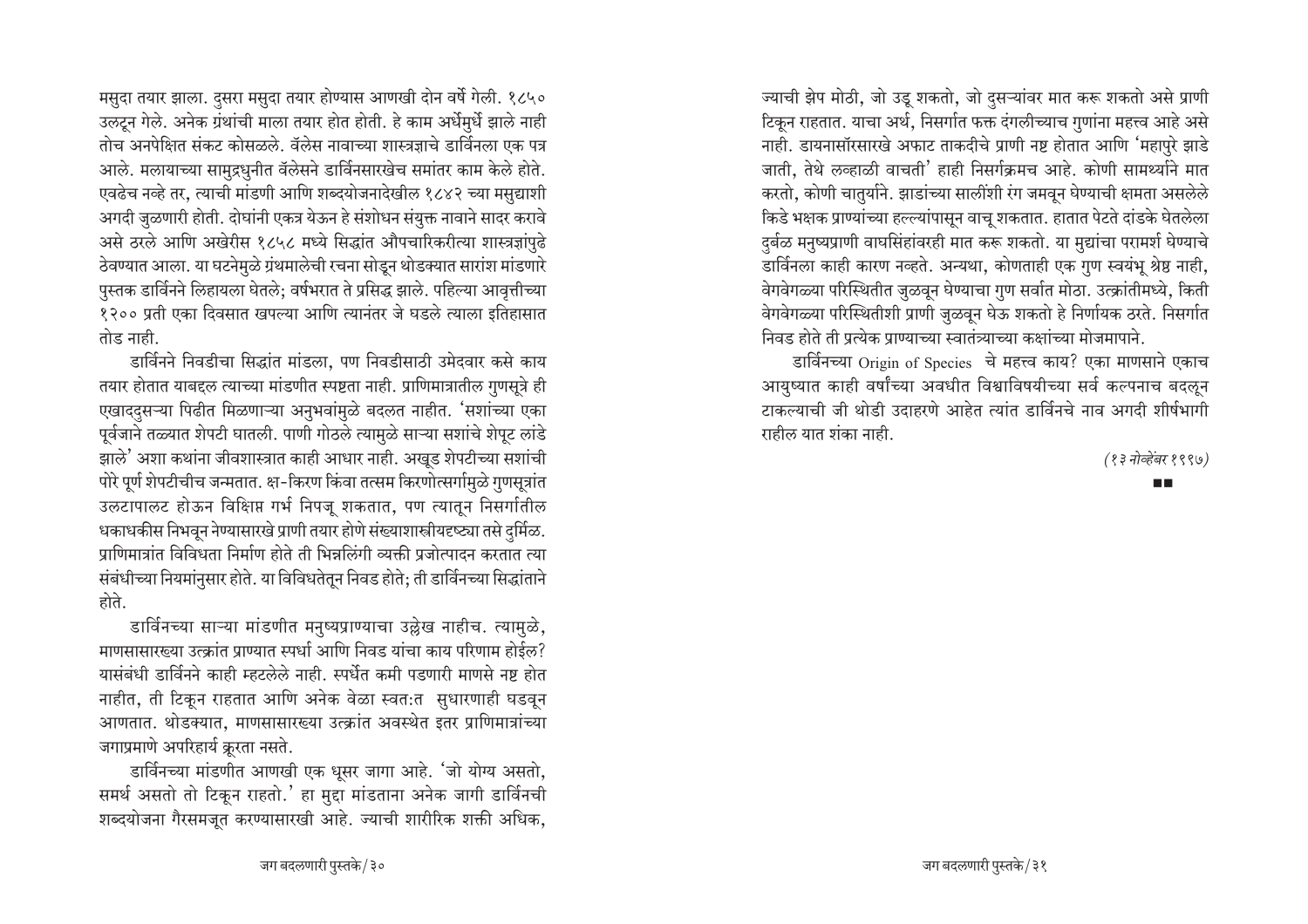मसुदा तयार झाला. दुसरा मसुदा तयार होण्यास आणखी दोन वर्षे गेली. १८५० उलटून गेले. अनेक ग्रंथांची माला तयार होत होती. हे काम अर्धेमुर्धे झाले नाही तोच अनपेक्षित संकट कोसळले. वॅलेस नावाच्या शास्त्रज्ञाचे डार्विनला एक पत्र आले. मलायाच्या सामुद्रधुनीत वॅलेसने डार्विनसारखेच समांतर काम केले होते. एवढेच नव्हे तर, त्याची मांडणी आणि शब्दयोजनादेखील १८४२ च्या मसुद्याशी अगदी जुळणारी होती. दोघांनी एकत्र येऊन हे संशोधन संयुक्त नावाने सादर करावे असे ठरले आणि अखेरीस १८५८ मध्ये सिद्धांत औपचारिकरीत्या शास्त्रज्ञांपुढे ठेवण्यात आला. या घटनेमुळे ग्रंथमालेची रचना सोडून थोडक्यात सारांश मांडणारे पुस्तक डार्विनने लिहायला घेतले; वर्षभरात ते प्रसिद्ध झाले. पहिल्या आवृत्तीच्या १२०० प्रती एका दिवसात खपल्या आणि त्यानंतर जे घडले त्याला इतिहासात तोड नाही.

डार्विनने निवडीचा सिद्धांत मांडला, पण निवडीसाठी उमेदवार कसे काय तयार होतात याबद्दल त्याच्या मांडणीत स्पष्टता नाही. प्राणिमात्रातील गुणसूत्रे ही एखाददुसऱ्या पिढीत मिळणाऱ्या अनुभवांमुळे बदलत नाहीत. 'सशांच्या एका पूर्वजाने तळ्यात शेपटी घातली. पाणी गोठले त्यामुळे साऱ्या सशांचे शेपूट लांडे झाले' अशा कथांना जीवशास्त्रात काही आधार नाही. अखूड शेपटीच्या सशांची पोरे पूर्ण शेपटीचीच जन्मतात. क्ष-किरण किंवा तत्सम किरणोत्सर्गामुळे गुणसूत्रांत उलटापालट होऊन विक्षिप्त गर्भ निपजू शकतात, पण त्यातून निसर्गातील धकाधकीस निभवून नेण्यासारखे प्राणी तयार होणे संख्याशास्त्रीयदृष्ट्या तसे दुर्मिळ. प्राणिमात्रांत विविधता निर्माण होते ती भिन्नलिंगी व्यक्ती प्रजोत्पादन करतात त्या संबंधीच्या नियमांनुसार होते. या विविधतेतून निवड होते; ती डार्विनच्या सिद्धांताने होते.

डार्विनच्या साऱ्या मांडणीत मनुष्यप्राण्याचा उल्लेख नाहीच. त्यामुळे, माणसासारख्या उत्क्रांत प्राण्यात स्पर्धा आणि निवड यांचा काय परिणाम होईल? यासंबंधी डार्विनने काही म्हटलेले नाही. स्पर्धेत कमी पडणारी माणसे नष्ट होत नाहीत, ती टिकून राहतात आणि अनेक वेळा स्वत:त सुधारणाही घडवून आणतात. थोडक्यात, माणसासारख्या उत्क्रांत अवस्थेत इतर प्राणिमात्रांच्या जगाप्रमाणे अपरिहार्य क्रूरता नसते.

डार्विनच्या मांडणीत आणखी एक धुसर जागा आहे. 'जो योग्य असतो, समर्थ असतो तो टिकून राहतो.' हा मुद्दा मांडताना अनेक जागी डार्विनची शब्दयोजना गैरसमजुत करण्यासारखी आहे. ज्याची शारीरिक शक्ती अधिक,

ज्याची झेप मोठी, जो उडू शकतो, जो दसऱ्यांवर मात करू शकतो असे प्राणी टिकून राहतात. याचा अर्थ, निसर्गात फक्त दंगलीच्याच गुणांना महत्त्व आहे असे नाही. डायनासॉरसारखे अफाट ताकदीचे प्राणी नष्ट होतात आणि 'महापुरे झाडे जाती. तेथे लव्हाळी वाचती' हाही निसर्गक्रमच आहे. कोणी सामर्थ्याने मात करतो, कोणी चातुर्याने. झाडांच्या सालींशी रंग जमवून घेण्याची क्षमता असलेले किडे भक्षक प्राण्यांच्या हल्ल्यांपासून वाचू शकतात. हातात पेटते दांडके घेतलेला दर्बळ मनुष्यप्राणी वाघसिंहांवरही मात करू शकतो. या मुद्यांचा परामर्श घेण्याचे डार्विनला काही कारण नव्हते. अन्यथा, कोणताही एक गुण स्वयंभू श्रेष्ठ नाही, वेगवेगळ्या परिस्थितीत जुळवून घेण्याचा गुण सर्वात मोठा. उत्क्रांतीमध्ये, किती वेगवेगळ्या परिस्थितीशी प्राणी जुळवून घेऊ शकतो हे निर्णायक ठरते. निसर्गात निवड होते ती प्रत्येक प्राण्याच्या स्वातंत्र्याच्या कक्षांच्या मोजमापाने.

डार्विनच्या Origin of Species चे महत्त्व काय? एका माणसाने एकाच आयुष्यात काही वर्षांच्या अवधीत विश्वाविषयीच्या सर्व कल्पनाच बदलून टाकल्याची जी थोडी उदाहरणे आहेत त्यांत डार्विनचे नाव अगदी शीर्षभागी राहील यात शंका नाही.

(१३ नोव्हेंबर १९९७)

**TIME**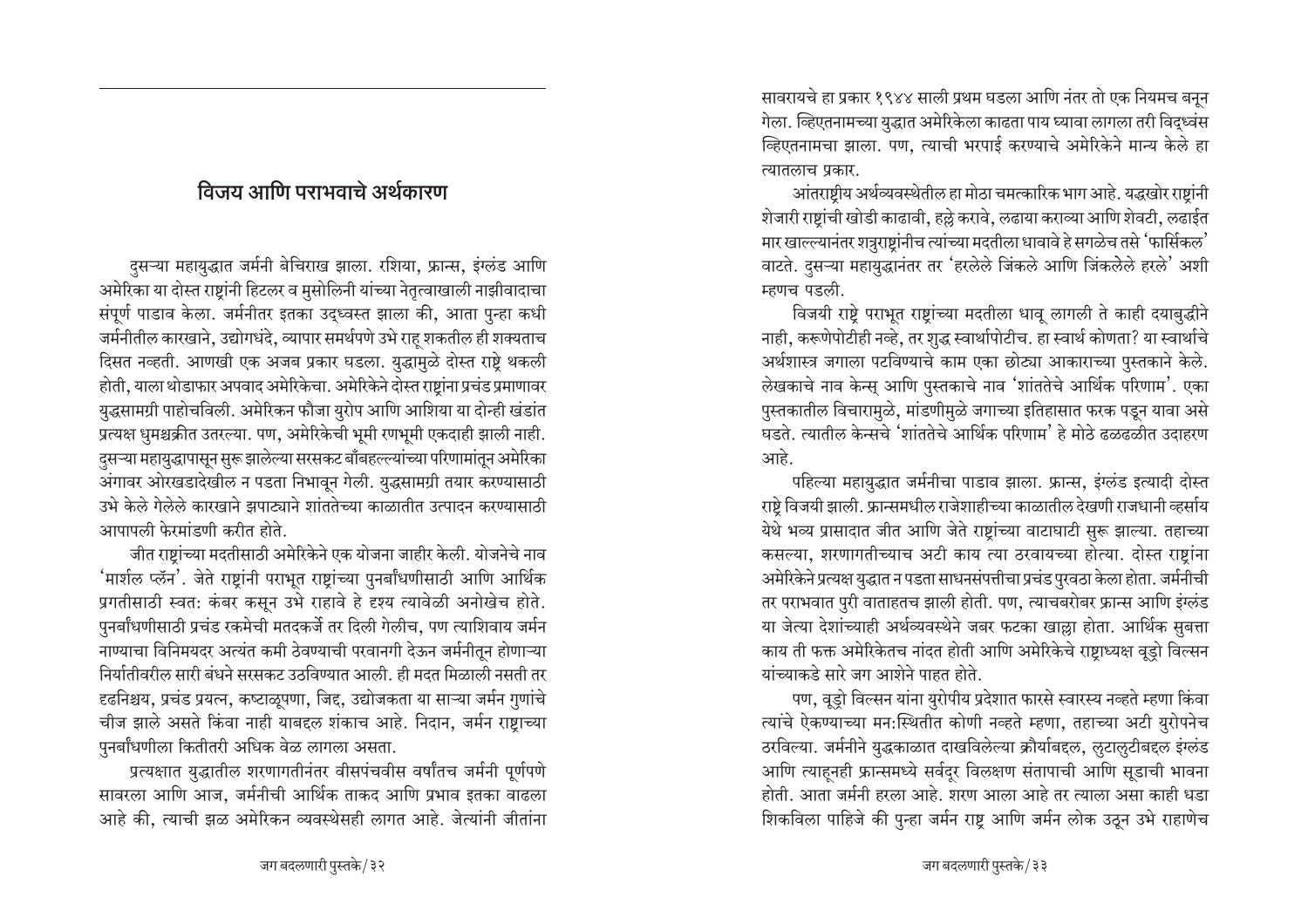### विजय आणि पराभवाचे अर्थकारण

दुसऱ्या महायुद्धात जर्मनी बेचिराख झाला. रशिया, फ्रान्स, इंग्लंड आणि अमेरिका या दोस्त राष्टांनी हिटलर व मुसोलिनी यांच्या नेतृत्वाखाली नाझीवादाचा संपूर्ण पाडाव केला. जर्मनीतर इतका उद्ध्वस्त झाला की, आता पुन्हा कधी जर्मनीतील कारखाने, उद्योगधंदे, व्यापार समर्थपणे उभे राह शकतील ही शक्यताच दिसत नव्हती. आणखी एक अजब प्रकार घडला. युद्धामुळे दोस्त राष्टे थकली होती, याला थोडाफार अपवाद अमेरिकेचा. अमेरिकेने दोस्त राष्ट्रांना प्रचंड प्रमाणावर युद्धसामग्री पाहोचविली. अमेरिकन फौजा युरोप आणि आशिया या दोन्ही खंडांत प्रत्यक्ष धुमश्चक्रीत उतरल्या. पण, अमेरिकेची भूमी रणभूमी एकदाही झाली नाही. दसऱ्या महायुद्धापासून सुरू झालेल्या सरसकट बाँबहल्ल्यांच्या परिणामांतून अमेरिका अंगावर ओरखडादेखील न पडता निभावून गेली. युद्धसामग्री तयार करण्यासाठी उभे केले गेलेले कारखाने झपाट्याने शांततेच्या काळातीत उत्पादन करण्यासाठी आपापली फेरमांडणी करीत होते.

जीत राष्टांच्या मदतीसाठी अमेरिकेने एक योजना जाहीर केली. योजनेचे नाव 'मार्शल प्लॅन'. जेते राष्टांनी पराभूत राष्टांच्या पुनर्बांधणीसाठी आणि आर्थिक प्रगतीसाठी स्वत: कंबर कसून उभे राहावे हे दृश्य त्यावेळी अनोखेच होते. पुनर्बांधणीसाठी प्रचंड रकमेची मतदकर्जे तर दिली गेलीच, पण त्याशिवाय जर्मन नाण्याचा विनिमयदर अत्यंत कमी ठेवण्याची परवानगी देऊन जर्मनीतून होणाऱ्या निर्यातीवरील सारी बंधने सरसकट उठविण्यात आली. ही मदत मिळाली नसती तर दृढनिश्चय, प्रचंड प्रयत्न, कष्टाळूपणा, जिद्द, उद्योजकता या साऱ्या जर्मन गुणांचे चीज झाले असते किंवा नाही याबद्दल शंकाच आहे. निदान, जर्मन राष्टाच्या पुनर्बांधणीला कितीतरी अधिक वेळ लागला असता.

प्रत्यक्षात युद्धातील शरणागतीनंतर वीसपंचवीस वर्षांतच जर्मनी पूर्णपणे सावरला आणि आज, जर्मनीची आर्थिक ताकद आणि प्रभाव इतका वाढला आहे की. त्याची झळ अमेरिकन व्यवस्थेसही लागत आहे. जेत्यांनी जीतांना सावरायचे हा प्रकार १९४४ साली प्रथम घडला आणि नंतर तो एक नियमच बनून गेला. व्हिएतनामच्या युद्धात अमेरिकेला काढता पाय घ्यावा लागला तरी विदध्वंस व्हिएतनामचा झाला. पण, त्याची भरपाई करण्याचे अमेरिकेने मान्य केले हा त्यातलाच प्रकार.

आंतराष्टीय अर्थव्यवस्थेतील हा मोठा चमत्कारिक भाग आहे. यद्धखोर राष्टांनी शेजारी राष्टांची खोडी काढावी, हल्ले करावे, लढाया कराव्या आणि शेवटी, लढाईत मार खाल्ल्यानंतर शत्रुराष्टांनीच त्यांच्या मदतीला धावावे हे सगळेच तसे 'फार्सिकल' वाटते. दुसऱ्या महायुद्धानंतर तर 'हरलेले जिंकले आणि जिंकलेले हरले' अशी म्हणच पडली.

विजयी राष्ट्रे पराभूत राष्ट्रांच्या मदतीला धावू लागली ते काही दयाबुद्धीने नाही, करूणेपोटीही नव्हे, तर शुद्ध स्वार्थापोटीच. हा स्वार्थ कोणता? या स्वार्थाचे अर्थशास्त्र जगाला पटविण्याचे काम एका छोट्या आकाराच्या पुस्तकाने केले. लेखकाचे नाव केन्स् आणि पुस्तकाचे नाव 'शांततेचे आर्थिक परिणाम'. एका पुस्तकातील विचारामुळे, मांडणीमुळे जगाच्या इतिहासात फरक पडून यावा असे घडते. त्यातील केन्सचे 'शांततेचे आर्थिक परिणाम' हे मोठे ढळढळीत उदाहरण आहे.

पहिल्या महायुद्धात जर्मनीचा पाडाव झाला. फ्रान्स, इंग्लंड इत्यादी दोस्त राष्टे विजयी झाली. फ्रान्समधील राजेशाहीच्या काळातील देखणी राजधानी व्हर्साय येथे भव्य प्रासादात जीत आणि जेते राष्ट्रांच्या वाटाघाटी सुरू झाल्या. तहाच्या कसल्या, शरणागतीच्याच अटी काय त्या ठरवायच्या होत्या. दोस्त राष्टांना अमेरिकेने प्रत्यक्ष युद्धात न पडता साधनसंपत्तीचा प्रचंड पुरवठा केला होता. जर्मनीची तर पराभवात पुरी वाताहतच झाली होती. पण, त्याचबरोबर फ्रान्स आणि इंग्लंड या जेत्या देशांच्याही अर्थव्यवस्थेने जबर फटका खाल्ला होता. आर्थिक सुबत्ता काय ती फक्त अमेरिकेतच नांदत होती आणि अमेरिकेचे राष्टाध्यक्ष वूडो विल्सन यांच्याकडे सारे जग आशेने पाहत होते.

पण, वूड्रो विल्सन यांना युरोपीय प्रदेशात फारसे स्वारस्य नव्हते म्हणा किंवा त्यांचे ऐकण्याच्या मन:स्थितीत कोणी नव्हते म्हणा, तहाच्या अटी युरोपनेच ठरविल्या. जर्मनीने युद्धकाळात दाखविलेल्या क्रौर्याबद्दल, लुटालुटीबद्दल इंग्लंड आणि त्याहनही फ्रान्समध्ये सर्वदुर विलक्षण संतापाची आणि सूडाची भावना होती. आता जर्मनी हरला आहे. शरण आला आहे तर त्याला असा काही धडा शिकविला पाहिजे की पुन्हा जर्मन राष्ट आणि जर्मन लोक उठून उभे राहाणेच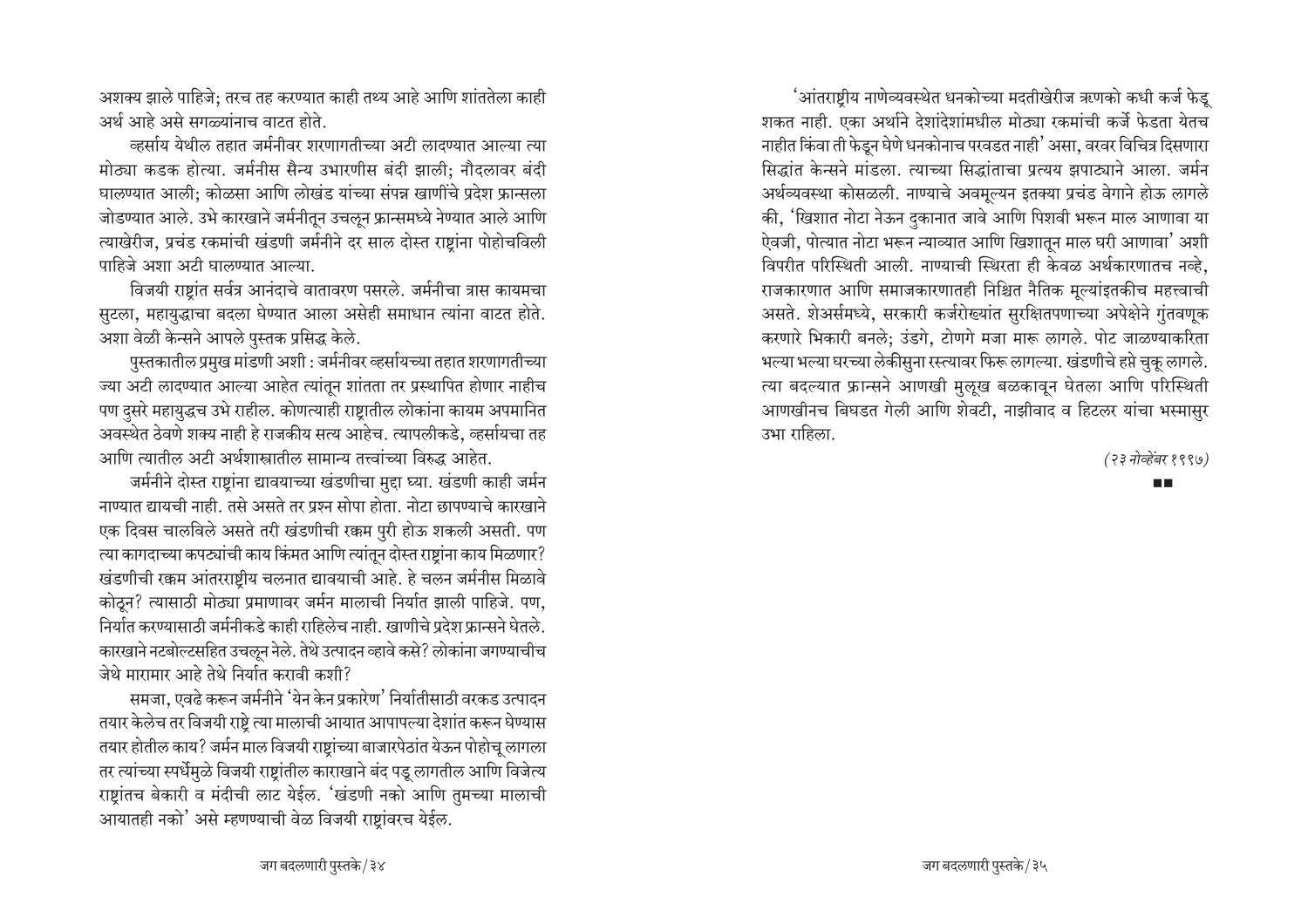अशक्य झाले पाहिजे; तरच तह करण्यात काही तथ्य आहे आणि शांततेला काही  $\frac{1}{2}$ अर्थ आहे असे सगळ्यांनाच वाटत होते.

क्तर्साय येथील तहात जर्मनीवर शरणागतीच्या अटी लादण्यात आल्या त्या <u>मोठ्या कडक होत्या. जर्मनीस सैन्य उभारणीस बंदी झाली: नौदलावर बंदी</u> <u>घालण्यात आली; कोळसा आणि लोखंड यांच्या संपन्न खाणींचे प्रदेश फ्रान्सला</u> जोडण्यात आले. उभे कारखाने जर्मनीतून उचलून फ्रान्समध्ये नेण्यात आले आणि त्याखेरीज, प्रचंड रकमांची खंडणी जर्मनीने दर साल दोस्त राष्टांना पोहोचविली पाहिजे अशा अटी घालण्यात आल्या.

विजयी राष्टांत सर्वत्र आनंदाचे वातावरण पसरले. जर्मनीचा त्रास कायमचा सुटला, महायुद्धाचा बदला घेण्यात आला असेही समाधान त्यांना वाटत होते. अशा वेळी केन्सने आपले पुस्तक प्रसिद्ध केले.

पुस्तकातील प्रमुख मांडणी अशी : जर्मनीवर व्हर्सायच्या तहात शरणागत<del>ी</del>च्या ज्या अटी लादण्यात आल्या आहेत त्यांतून शांतता तर प्रस्थापित होणार नाहीच पण दुसरे महायुद्धच उभे राहील. कोणत्याही राष्ट्रातील लोकांना कायम अपमानित आवस्थेत ठेवणे शक्य नाही हे राजकीय सत्य आहेच. त्यापलीकडे, व्हर्सायचा तह आणि त्यातील अटी अर्थशास्त्रातील सामान्य तत्त्वांच्या विरुद्ध आहेत.

जर्मनीने दोस्त राष्ट्रांना द्यावयाच्या खंडणीचा मुद्दा घ्या. खंडणी काही जर्मन नाण्यात द्यायची नाही. तसे असते तर प्रश्न सोपा होता. नोटा छापण्याचे कारखाने एक दिवस चालविले असते तरी खंडणीची रक्कम पुरी होऊ शकली असती. पण  $\epsilon$ या कागदाच्या कपट्यांची काय किंमत आणि त्यांतून दोस्त राष्टांना काय मिळणार? <sup>1</sup>खंडणीची रक्कम आंतरराष्ट्रीय चलनात द्यावयाची आहे. हे चलन जर्मनीस मिळावे कोठून? त्यासाठी मोठ्या प्रमाणावर जर्मन मालाची निर्यात झाली पाहिजे. पण, <u>निर्यात करण्यासाठी जर्मनीकडे काही राहिलेच नाही. खाणीचे प्रदेश फ्रान्सने घेतले.</u> कारखाने नटबोल्टसहित उचऌून नेले. तेथे उत्पादन व्हावे कसे? लोकांना जगण्याचीच जेथे मारामार आहे तेथे निर्यात करावी कशी?

समजा, एवढे करून जर्मनीने 'येन केन प्रकारेण' निर्यातीसाठी वरकड उत्पादन तयार केलेच तर विजयी राष्ट्रे त्या मालाची आयात आपापल्या देशांत करून घेण्यास तयार होतील काय? जर्मन माल विजयी राष्ट्रांच्या बाजारपेठांत येऊन पोहोचू लागला तर त्यांच्या स्पर्धेमुळे विजयी राष्ट्रांतील काराखाने बंद पडू लागतील आणि विजेत्य राष्ट्रांतच बेकारी व मंदीची लाट येईल. 'खंडणी नको आणि तुमच्या मालाची आयातही नको<sup>'</sup> असे म्हणण्याची वेळ विजयी राष्टांवरच येईल.

<sup>∙</sup>आंतराष्ट्रीय नाणेव्यवस्थेत धनकोच्या मदतीखेरीज ऋणको कधी कर्ज फेड् शकत नाही. एका अर्थाने देशांदेशांमधील मोठ्या रकमांची कर्जे फेडता येतच नाहीत किंवा ती फेडून घेणे धनकोनाच परवडत नाही<sup>'</sup> असा, वरवर विचित्र दिसणारा सिद्धांत केन्सने मांडला. त्याच्या सिद्धांताचा प्रत्यय झपाट्याने आला. जर्मन अर्थव्यवस्था कोसळली. नाण्याचे अवमूल्यन इतक्या प्रचंड वेगाने होऊ लागले की, 'खिशात नोटा नेऊन दुकानात जावे आणि पिशवी भरून माल आणावा या ऐवजी, पोत्यात नोटा भरून न्याव्यात आणि खिशातून माल घरी आणावा' अशी विपरीत परिस्थिती आली. नाण्याची स्थिरता ही केवळ अर्थकारणातच नव्हे. राजकारणात आणि समाजकारणातही निश्चित नैतिक मूल्यांइतकीच महत्त्वाची असते. शेअर्समध्ये, सरकारी कर्जरोख्यांत सुरक्षितपणाच्या अपेक्षेने गुंतवणूक करणारे भिकारी बनले; उंडगे, टोणगे मजा मारू लागले. पोट जाळण्याकरिता <u>भल्या भल्या घरच्या लेकीसुना रस्त्यावर फिरू लागल्या. खंडणीचे हप्ते चुकू लागले.</u> त्या बदल्यात फ्रान्सने आणखी मुलूख बळकावून घेतला आणि परिस्थिती आणखीनच बिघडत गेली आणि शेवटी, नाझीवाद व हिटलर यांचा भस्मासुर उभा राहिला.

*(२३ नोव्हेंबर १९९७)* 

**TIME**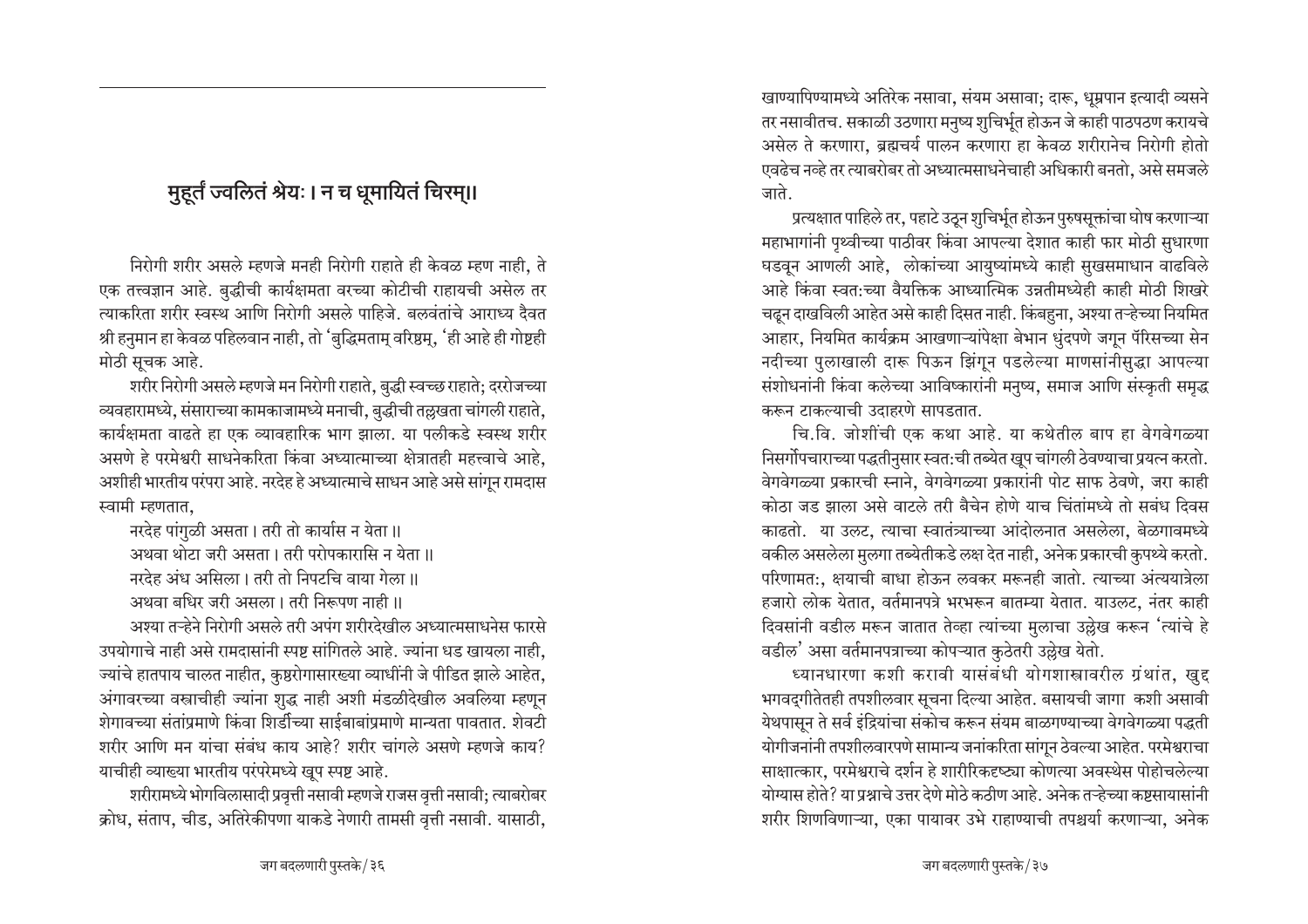# <u>मुहूर्तं ज्वलितं श्रेयः । न च धूमायितं चिरम्॥</u>

निरोगी शरीर असले म्हणजे मनही निरोगी राहाते ही केवळ म्हण नाही. ते एक तत्त्वज्ञान आहे. बुद्धीची कार्यक्षमता वरच्या कोटीची राहायची असेल तर स्याकरिता शरीर स्वस्थ आणि निरोगी असले पाहिजे. बलवंतांचे आराध्य दैवत श्री हनुमान हा केवळ पहिलवान नाही, तो 'बुद्धिमताम् वरिष्ठम्, 'ही आहे ही गोष्टही मोठी सूचक आहे.

शरीर निरोगी असले म्हणजे मन निरोगी राहाते, बुद्धी स्वच्छ राहाते; दररोजच्या ्व्यवहारामध्ये, संसाराच्या कामकाजामध्ये मनाची, बुद्धीची तल्लखता चांगली राहाते, कार्यक्षमता वाढते हा एक व्यावहारिक भाग झाला. या पलीकडे स्वस्थ शरीर असणे हे परमेश्वरी साधनेकरिता किंवा अध्यात्माच्या क्षेत्रातही महत्त्वाचे आहे, अशीही भारतीय परंपरा आहे. नरदेह हे अध्यात्माचे साधन आहे असे सांगून रामदास स्वामी म्हणतात.

नरदेह पांगुळी असता। तरी तो कार्यास न येता ॥

अथवा थोटा जरी असता। तरी परोपकारासि न येता॥

नरदेह अंध असिला। तरी तो निपटचि वाया गेला॥

अथवा बधिर जरी असला। तरी निरूपण नाही ।।

अश्या तन्हेने निरोगी असले तरी अपंग शरीरदेखील अध्यात्मसाधनेस फारसे उपयोगाचे नाही असे रामदासांनी स्पष्ट सांगितले आहे. ज्यांना धड खायला नाही. ज्यांचे हातपाय चालत नाहीत, कुष्ठरोगासारख्या व्याधींनी जे पीडित झाले आहेत, आंगावरच्या वस्त्राचीही ज्यांना शुद्ध नाही अशी मंडळीदेखील अवलिया म्हणून शेगावच्या संतांप्रमाणे किंवा शिर्डीच्या साईबाबांप्रमाणे मान्यता पावतात. शेवटी शरीर आणि मन यांचा संबंध काय आहे? शरीर चांगले असणे म्हणजे काय? याचीही व्याख्या भारतीय परंपरेमध्ये खुप स्पष्ट आहे.

शरीरामध्ये भोगविलासादी प्रवृत्ती नसावी म्हणजे राजस वृत्ती नसावी; त्याबरोबर <u>क्रोध, संताप, चीड, अतिरेकीपणा याकडे नेणारी तामसी वृत्ती नसावी. यासाठी, </u>

∙खाण्यापिण्यामध्ये अतिरेक नसावा, संयम असावा; दारू, धूम्रपान इत्यादी व्यसने तर नसावीतच. सकाळी उठणारा मनुष्य शुचिर्भूत होऊन जे काही पाठपठण करायचे असेल ते करणारा, ब्रह्मचर्य पालन करणारा हा केवळ शरीरानेच निरोगी होतो एवढेच नव्हे तर त्याबरोबर तो अध्यात्मसाधनेचाही अधिकारी बनतो, असे समजले जाते

प्रत्यक्षात पाहिले तर, पहाटे उठून शुचिर्भूत होऊन पुरुषसूक्तांचा घोष करणाऱ्या महाभागांनी पृथ्वीच्या पाठीवर किंवा आपल्या देशात काही फार मोठी सुधारणा घडवून आणली आहे, लोकांच्या आयुष्यांमध्ये काही सुखसमाधान वाढविले आहे किंवा स्वत:च्या वैयक्तिक आध्यात्मिक उन्नतीमध्येही काही मोठी शिखरे चढून दाखविली आहेत असे काही दिसत नाही. किंबहुना, अश्या तऱ्हेच्या नियमित आहार, नियमित कार्यक्रम आखणाऱ्यांपेक्षा बेभान धुंदपणे जगून पॅरिसच्या सेन नदीच्या पुलाखाली दारू पिऊन झिंगून पडलेल्या माणसांनीसुद्धा आपल्या संशोधनांनी किंवा कलेच्या आविष्कारांनी मनुष्य, समाज आणि संस्कृती समृद्ध <u>करून टाकल्याची उदाहरणे सापडतात.</u>

चि.वि. जोशींची एक कथा आहे. या कथेतील बाप हा वेगवेगळ्या <u>निसर्गो</u>पचाराच्या पद्धतीनुसार स्वत:ची तब्येत खूप चांगली ठेवण्याचा प्रयत्न करतो. वेगवेगळ्या प्रकारची स्नाने, वेगवेगळ्या प्रकारांनी पोट साफ ठेवणे, जरा काही कोठा जड झाला असे वाटले तरी बैचेन होणे याच चिंतांमध्ये तो सबंध दिवस काढतो. या उलट, त्याचा स्वातंत्र्याच्या आंदोलनात असलेला, बेळगावमध्ये वकील असलेला मुलगा तब्येतीकडे लक्ष देत नाही, अनेक प्रकारची कुपथ्ये करतो. परिणामत:, क्षयाची बाधा होऊन लवकर मरूनही जातो. त्याच्या अंत्ययात्रेला हजारो लोक येतात, वर्तमानपत्रे भरभरून बातम्या येतात. याउलट, नंतर काही दिवसांनी वडील मरून जातात तेव्हा त्यांच्या मुलाचा उल्लेख करून 'त्यांचे हे वडील' असा वर्तमानपत्राच्या कोपऱ्यात कुठेतरी उल्लेख येतो.

ध्यानधारणा कशी करावी यासंबंधी योगशास्त्रावरील ग्रंथांत, खुद्द भगवद्गीतेतही तपशीलवार सूचना दिल्या आहेत. बसायची जागा कशी असावी येथपासून ते सर्व इंद्रियांचा संकोच करून संयम बाळगण्याच्या वेगवेगळ्या पद्धती थोगीजनांनी तपशीलवारपणे सामान्य जनांकरिता सांगून ठेवल्या आहेत. परमेश्वराचा साक्षात्कार, परमेश्वराचे दर्शन हे शारीरिकदृष्ट्या कोणत्या अवस्थेस पोहोचलेल्या योग्यास होते? या प्रश्नाचे उत्तर देणे मोठे कठीण आहे. अनेक तऱ्हेच्या कष्टसायासांनी शरीर शिणविणाऱ्या. एका पायावर उभे राहाण्याची तपश्चर्या करणाऱ्या. अनेक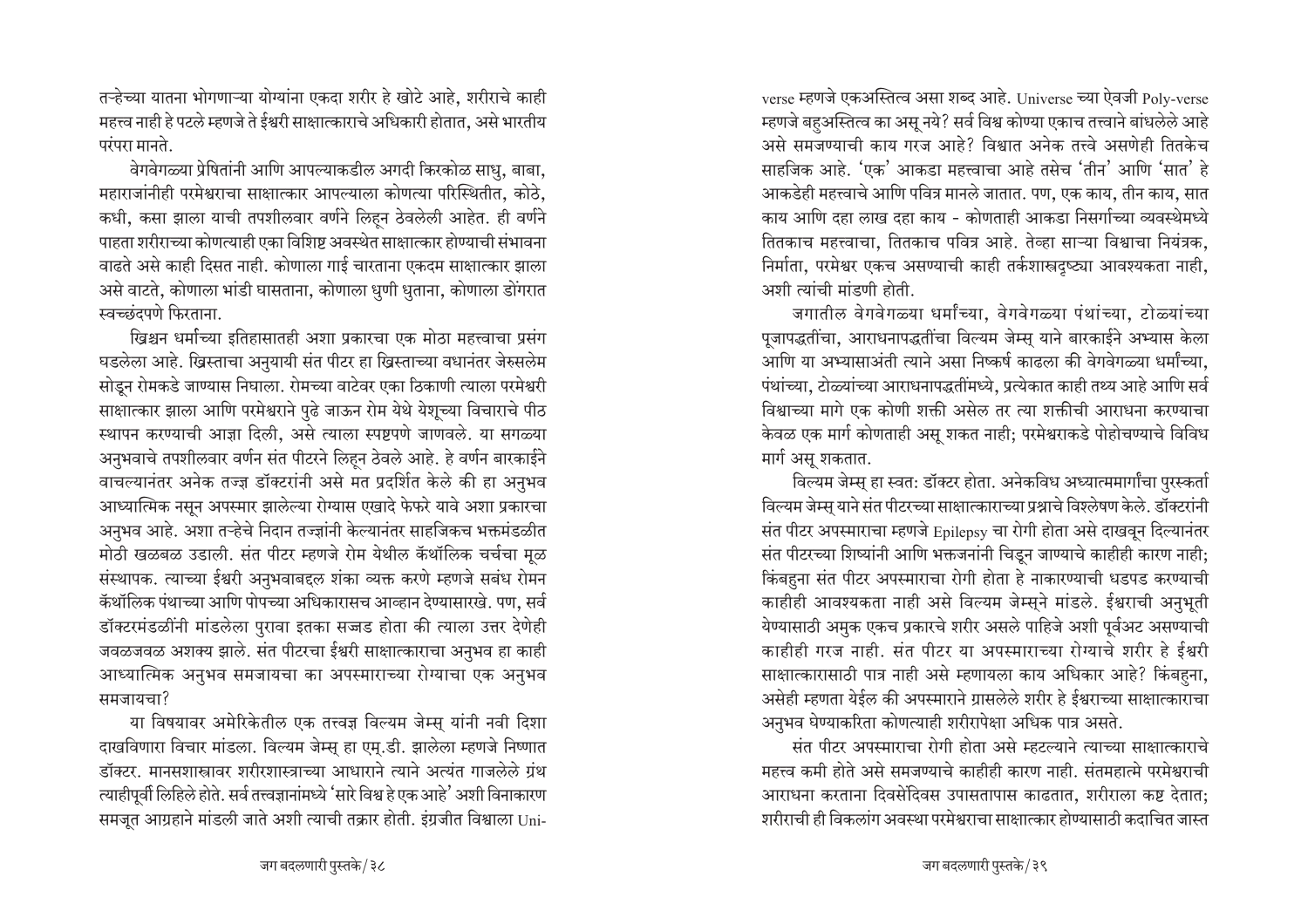तऱ्हेच्या यातना भोगणाऱ्या योग्यांना एकदा शरीर हे खोटे आहे, शरीराचे काही <u>महत्त्व नाही हे पटले म्हणजे ते ईश्वरी साक्षात्काराचे अधिकारी होतात, असे भारतीय</u>  $\overline{u}$ एरंपरा मानते.

<u>वेगवेगळ्या प्रेषितांनी आणि आपल्याकडील अगदी किरकोळ साधु, बाबा,</u> महाराजांनीही परमेश्वराचा साक्षात्कार आपल्याला कोणत्या परिस्थितीत, कोठे, कधी, कसा झाला याची तपशीलवार वर्णने लिहन ठेवलेली आहेत. ही वर्णने पाहता शरीराच्या कोणत्याही एका विशिष्ट अवस्थेत साक्षात्कार होण्याची संभावना ँ वाढते असे काही दिसत नाही. कोणाला गाई चारताना एकदम साक्षात्कार झाला असे वाटते, कोणाला भांडी घासताना, कोणाला धुणी धुताना, कोणाला डोंगरात स्वच्छंदपणे फिरताना.

ख्रिश्चन धर्माच्या इतिहासातही अशा प्रकारचा एक मोठा महत्त्वाचा प्रसंग घडलेला आहे. ख्रिस्ताचा अनुयायी संत पीटर हा ख्रिस्ताच्या वधानंतर जेरुसलेम Rigन रोमकडे जाण्यास निघाला. रोमच्या वाटेवर एका ठिकाणी त्याला परमेश्वरी साक्षात्कार झाला आणि परमेश्वराने पुढे जाऊन रोम येथे येशूच्या विचाराचे पीठ स्थापन करण्याची आज्ञा दिली, असे त्याला स्पष्टपणे जाणवले. या सगळ्या अनुभवाचे तपशीलवार वर्णन संत पीटरने लिहून ठेवले आहे. हे वर्णन बारकाईने वाचल्यानंतर अनेक तज्ज्ञ डॉक्टरांनी असे मत प्रदर्शित केले की हा अनुभव आध्यात्मिक नसून अपस्मार झालेल्या रोग्यास एखादे फेफरे यावे अशा प्रकारचा अनुभव आहे. अशा तऱ्हेचे निदान तज्ज्ञांनी केल्यानंतर साहजिकच भक्तमंडळीत मोठी खळबळ उडाली. संत पीटर म्हणजे रोम येथील कॅथॉलिक चर्चचा मूळ संस्थापक. त्याच्या ईश्वरी अनुभवाबद्दल शंका व्यक्त करणे म्हणजे सबंध रोमन कॅथॉलिक पंथाच्या आणि पोपच्या अधिकारासच आव्हान देण्यासारखे. पण, सर्व डॉक्टरमंडळींनी मांडलेला पुरावा इतका सज्जड होता की त्याला उत्तर देणेही जवळजवळ अशक्य झाले. संत पीटरचा ईश्वरी साक्षात्काराचा अनुभव हा काही आध्यात्मिक अनुभव समजायचा का अपस्माराच्या रोग्याचा एक अनुभव समजायचा?

या विषयावर अमेरिकेतील एक तत्त्वज्ञ विल्यम जेम्सू यांनी नवी दिशा दाखविणारा विचार मांडला. विल्यम जेम्स हा एम.डी. झालेला म्हणजे निष्णात .<br>इॉक्टर. मानसशास्त्रावर शरीरशास्त्राच्या आधाराने त्याने अत्यंत गाजलेले गंथ  $\epsilon$ याहीपूर्वी लिहिले होते. सर्व तत्त्वज्ञानांमध्ये 'सारे विश्व हे एक आहे' अशी विनाकारण समजूत आग्रहाने मांडली जाते अशी त्याची तक्रार होती. इंग्रजीत विश्वाला Universe म्हणजे एकअस्तित्व असा शब्द आहे. Universe च्या ऐवजी Poly-verse म्हणजे बहअस्तित्व का अस् नये? सर्व विश्व कोण्या एकाच तत्त्वाने बांधलेले आहे असे समजण्याची काय गरज आहे? विश्वात अनेक तत्त्वे असणेही तितकेच साहजिक आहे. 'एक' आकडा महत्त्वाचा आहे तसेच 'तीन' आणि 'सात' हे आकडेही महत्त्वाचे आणि पवित्र मानले जातात. पण, एक काय, तीन काय, सात काय आणि दहा लाख दहा काय - कोणताही आकडा निसर्गाच्या व्यवस्थेमध्ये तितकाच महत्त्वाचा, तितकाच पवित्र आहे. तेव्हा साऱ्या विश्वाचा नियंत्रक, निर्माता, परमेश्वर एकच असण्याची काही तर्कशास्त्रदृष्ट्या आवश्यकता नाही, अशी त्यांची मांडणी होती.

जगातील वेगवेगळ्या धर्मांच्या, वेगवेगळ्या पंथांच्या, टोळ्यांच्या पूजापद्धतींचा, आराधनापद्धतींचा विल्यम जेम्स याने बारकाईने अभ्यास केला आणि या अभ्यासाअंती त्याने असा निष्कर्ष काढला की वेगवेगळ्या धर्मांच्या, पंथांच्या. टोळ्यांच्या आराधनापद्धतींमध्ये. प्रत्येकात काही तथ्य आहे आणि सर्व विश्वाच्या मागे एक कोणी शक्ती असेल तर त्या शक्तीची आराधना करण्याचा केवळ एक मार्ग कोणताही असू शकत नाही; परमेश्वराकडे पोहोचण्याचे विविध मार्ग असू शकतात.

विल्यम जेम्स् हा स्वत: डॉक्टर होता. अनेकविध अध्यात्ममार्गांचा पुरस्कर्ता विल्यम जेम्स् याने संत पीटरच्या साक्षात्काराच्या प्रश्नाचे विश्लेषण केले. डॉक्टरांनी संत पीटर अपस्माराचा म्हणजे Epilepsy चा रोगी होता असे दाखवून दिल्यानंतर संत पीटरच्या शिष्यांनी आणि भक्तजनांनी चिडून जाण्याचे काहीही कारण नाही**:** किंबहुना संत पीटर अपस्माराचा रोगी होता हे नाकारण्याची धडपड करण्याची काहीही आवश्यकता नाही असे विल्यम जेम्सूने मांडले. ईश्वराची अनुभूती येण्यासाठी अमुक एकच प्रकारचे शरीर असले पाहिजे अशी पुर्वअट असण्याची काहीही गरज नाही. संत पीटर या अपस्माराच्या रोग्याचे शरीर हे ईश्वरी साक्षात्कारासाठी पात्र नाही असे म्हणायला काय अधिकार आहे? किंबहना, आसेही म्हणता येईल की अपस्माराने ग्रासलेले शरीर हे ईश्वराच्या साक्षात्काराचा अनुभव घेण्याकरिता कोणत्याही शरीरापेक्षा अधिक पात्र असते.

संत पीटर अपस्माराचा रोगी होता असे म्हटल्याने त्याच्या साक्षात्काराचे महत्त्व कमी होते असे समजण्याचे काहीही कारण नाही. संतमहात्मे परमेश्वराची आराधना करताना दिवसेंदिवस उपासतापास काढतात, शरीराला कष्ट देतात; <u>शरीराची ही विकलांग अवस्था परमेश्वराचा साक्षात्कार होण्यासाठी कटाचित जास्त</u>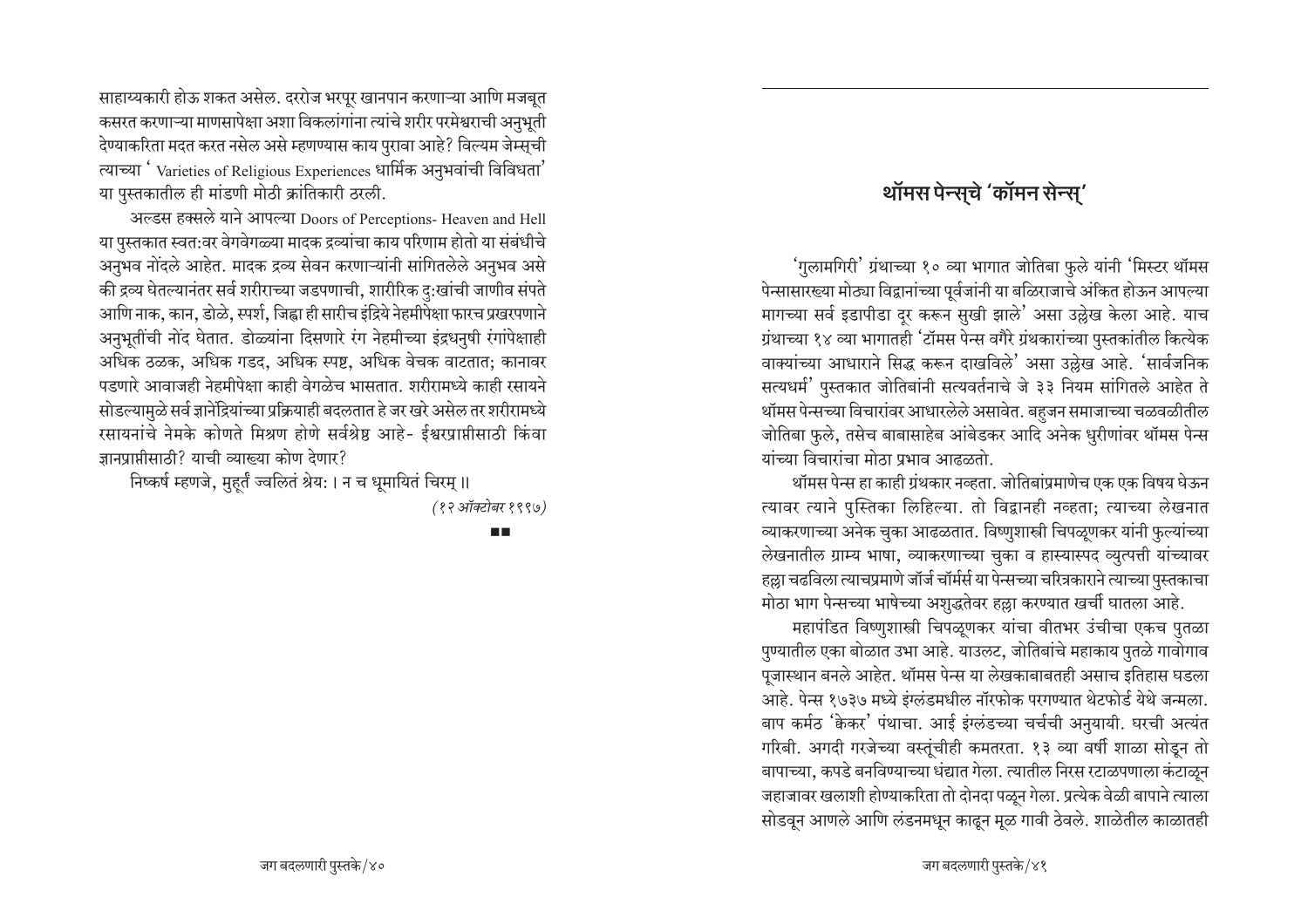साहाय्यकारी होऊ शकत असेल. दररोज भरपूर खानपान करणाऱ्या आणि मजबूत कसरत करणाऱ्या माणसापेक्षा अशा विकलांगांना त्यांचे शरीर परमेश्वराची अनुभूती देण्याकरिता मदत करत नसेल असे म्हणण्यास काय पुरावा आहे? विल्यम जेम्सूची त्याच्या 'Varieties of Religious Experiences धार्मिक अनुभवांची विविधता' या पुस्तकातील ही मांडणी मोठी क्रांतिकारी ठरली.

अल्डस हक्सले याने आपल्या Doors of Perceptions- Heaven and Hell या पुस्तकात स्वत:वर वेगवेगळ्या मादक द्रव्यांचा काय परिणाम होतो या संबंधीचे अनुभव नोंदले आहेत. मादक द्रव्य सेवन करणाऱ्यांनी सांगितलेले अनुभव असे की द्रव्य घेतल्यानंतर सर्व शरीराच्या जडपणाची, शारीरिक दु:खांची जाणीव संपते आणि नाक, कान, डोळे, स्पर्श, जिह्वा ही सारीच इंद्रिये नेहमीपेक्षा फारच प्रखरपणाने अनुभूतींची नोंद घेतात. डोळ्यांना दिसणारे रंग नेहमीच्या इंद्रधनुषी रंगांपेक्षाही अधिक ठळक, अधिक गडद, अधिक स्पष्ट, अधिक वेचक वाटतात; कानावर पडणारे आवाजही नेहमीपेक्षा काही वेगळेच भासतात. शरीरामध्ये काही रसायने सोडल्यामुळे सर्व ज्ञानेंद्रियांच्या प्रक्रियाही बदलतात हे जर खरे असेल तर शरीरामध्ये रसायनांचे नेमके कोणते मिश्रण होणे सर्वश्रेष्ठ आहे- ईश्वरप्राप्तीसाठी किंवा ज्ञानप्राप्तीसाठी? याची व्याख्या कोण देणार?

निष्कर्ष म्हणजे, मुहर्तं ज्वलितं श्रेय: । न च धूमायितं चिरम् ॥

(१२ऑक्टोबर १९९७)

 $\blacksquare$ 

# थॉमस पेन्सचे 'कॉमन सेन्स'

'गुलामगिरी' ग्रंथाच्या १० व्या भागात जोतिबा फुले यांनी 'मिस्टर थॉमस पेन्सासारख्या मोठ्या विद्वानांच्या पूर्वजांनी या बळिराजाचे अंकित होऊन आपल्या मागच्या सर्व इडापीडा दुर करून सुखी झाले' असा उल्लेख केला आहे. याच ग्रंथाच्या १४ व्या भागातही 'टॉमस पेन्स वगैरे ग्रंथकारांच्या पुस्तकांतील कित्येक वाक्यांच्या आधाराने सिद्ध करून दाखविले' असा उल्लेख आहे. 'सार्वजनिक सत्यधर्म' पुस्तकात जोतिबांनी सत्यवर्तनाचे जे ३३ नियम सांगितले आहेत ते थॉमस पेन्सच्या विचारांवर आधारलेले असावेत. बहुजन समाजाच्या चळवळीतील जोतिबा फुले, तसेच बाबासाहेब आंबेडकर आदि अनेक धुरीणांवर थॉमस पेन्स यांच्या विचारांचा मोठा प्रभाव आढळतो.

थॉमस पेन्स हा काही ग्रंथकार नव्हता. जोतिबांप्रमाणेच एक एक विषय घेऊन त्यावर त्याने पुस्तिका लिहिल्या. तो विद्वानही नव्हता; त्याच्या लेखनात व्याकरणाच्या अनेक चुका आढळतात. विष्णुशास्त्री चिपळूणकर यांनी फुल्यांच्या लेखनातील ग्राम्य भाषा, व्याकरणाच्या चुका व हास्यास्पद व्युत्पत्ती यांच्यावर हल्ला चढविला त्याचप्रमाणे जॉर्ज चॉर्मर्स या पेन्सच्या चरित्रकाराने त्याच्या पुस्तकाचा मोठा भाग पेन्सच्या भाषेच्या अशुद्धतेवर हल्ला करण्यात खर्ची घातला आहे.

महापंडित विष्णुशास्त्री चिपळूणकर यांचा वीतभर उंचीचा एकच पुतळा पुण्यातील एका बोळात उभा आहे. याउलट, जोतिबांचे महाकाय पुतळे गावोगाव पूजास्थान बनले आहेत. थॉमस पेन्स या लेखकाबाबतही असाच इतिहास घडला आहे. पेन्स १७३७ मध्ये इंग्लंडमधील नॉरफोक परगण्यात थेटफोर्ड येथे जन्मला. बाप कर्मठ 'केकर' पंथाचा. आई इंग्लंडच्या चर्चची अनुयायी. घरची अत्यंत गरिबी. अगदी गरजेच्या वस्तूंचीही कमतरता. १३ व्या वर्षी शाळा सोडून तो बापाच्या, कपडे बनविण्याच्या धंद्यात गेला. त्यातील निरस रटाळपणाला कंटाळून जहाजावर खलाशी होण्याकरिता तो दोनदा पळून गेला. प्रत्येक वेळी बापाने त्याला सोडवून आणले आणि लंडनमधून काढून मूळ गावी ठेवले. शाळेतील काळातही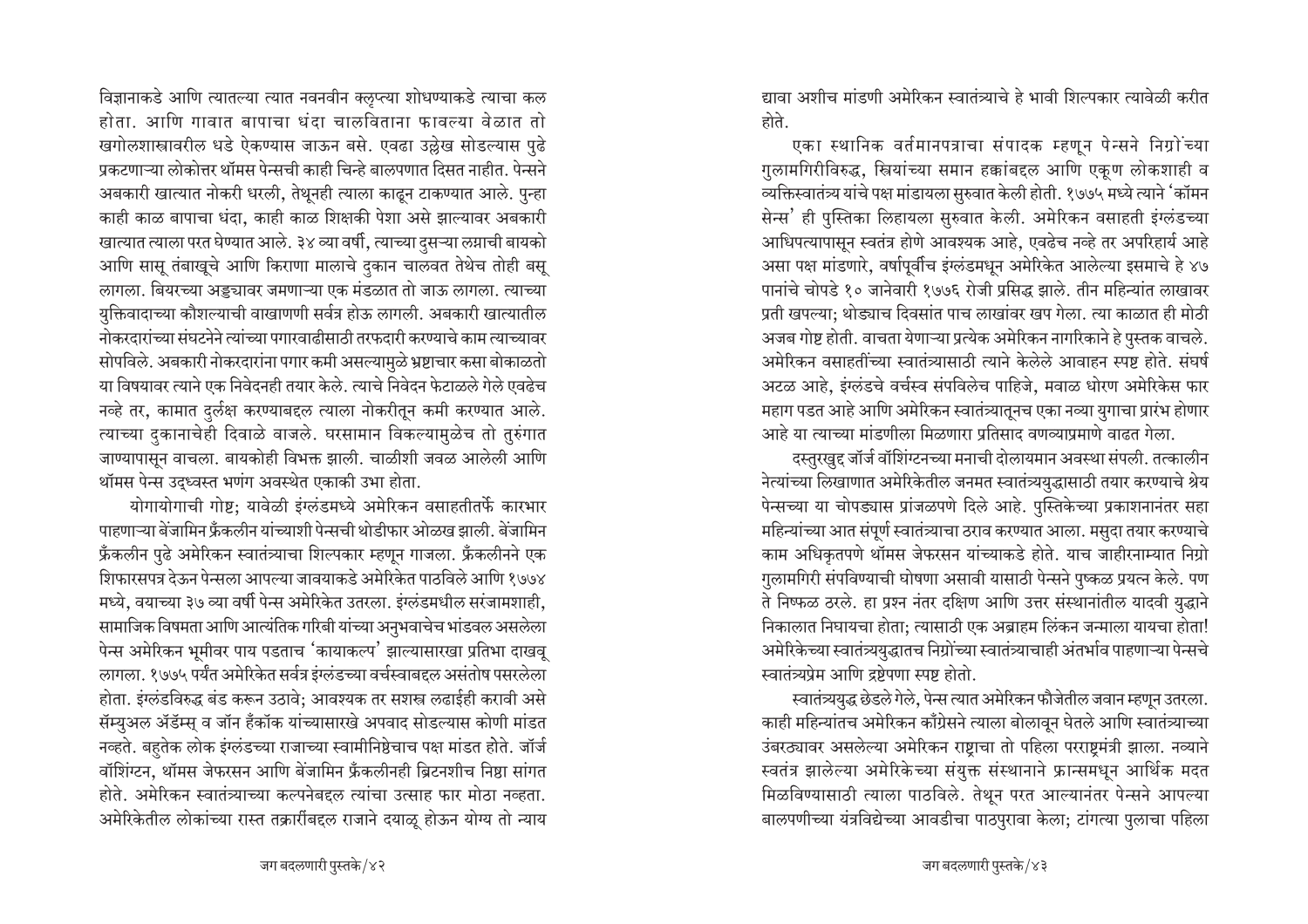विज्ञानाकडे आणि त्यातल्या त्यात नवनवीन क्लुप्त्या शोधण्याकडे त्याचा कल होता. आणि गावात बापाचा धंदा चालविताना फावल्या वेळात तो खगोलशास्त्रावरील धडे ऐकण्यास जाऊन बसे. एवढा उल्लेख सोडल्यास पुढे प्रकटणाऱ्या लोकोत्तर थॉमस पेन्सची काही चिन्हे बालपणात दिसत नाहीत. पेन्सने अबकारी खात्यात नोकरी धरली, तेथूनही त्याला काढून टाकण्यात आले. पुन्हा काही काळ बापाचा धंदा, काही काळ शिक्षकी पेशा असे झाल्यावर अबकारी खात्यात त्याला परत घेण्यात आले. ३४ व्या वर्षी, त्याच्या दुसऱ्या लग्नाची बायको आणि सासू तंबाखूचे आणि किराणा मालाचे दुकान चालवत तेथेच तोही बसू लागला. बियरच्या अड्ड्यावर जमणाऱ्या एक मंडळात तो जाऊ लागला. त्याच्या युक्तिवादाच्या कौशल्याची वाखाणणी सर्वत्र होऊ लागली. अबकारी खात्यातील नोकरदारांच्या संघटनेने त्यांच्या पगारवाढीसाठी तरफदारी करण्याचे काम त्याच्यावर सोपविले. अबकारी नोकरदारांना पगार कमी असल्यामुळे भ्रष्टाचार कसा बोकाळतो या विषयावर त्याने एक निवेदनही तयार केले. त्याचे निवेदन फेटाळले गेले एवढेच नव्हे तर, कामात दुर्लक्ष करण्याबद्दल त्याला नोकरीतून कमी करण्यात आले. त्याच्या दुकानाचेही दिवाळे वाजले. घरसामान विकल्यामुळेच तो तुरुंगात जाण्यापासून वाचला. बायकोही विभक्त झाली. चाळीशी जवळ आलेली आणि थॉमस पेन्स उद्ध्वस्त भणंग अवस्थेत एकाकी उभा होता.

योगायोगाची गोष्ट; यावेळी इंग्लंडमध्ये अमेरिकन वसाहतीतर्फे कारभार पाहणाऱ्या बेजामिन फ्रॅंकलीन यांच्याशी पेन्सची थोडीफार ओळख झाली. बेजामिन फ्रॅंकलीन पुढे अमेरिकन स्वातंत्र्याचा शिल्पकार म्हणून गाजला. फ्रॅंकलीनने एक शिफारसपत्र देऊन पेन्सला आपल्या जावयाकडे अमेरिकेत पाठविले आणि १७७४ मध्ये, वयाच्या ३७ व्या वर्षी पेन्स अमेरिकेत उतरला. इंग्लंडमधील सरंजामशाही, सामाजिक विषमता आणि आत्यंतिक गरिबी यांच्या अनुभवाचेच भांडवल असलेला पेन्स अमेरिकन भूमीवर पाय पडताच 'कायाकल्प' झाल्यासारखा प्रतिभा दाखवू लागला. १७७५ पर्यंत अमेरिकेत सर्वत्र इंग्लंडच्या वर्चस्वाबद्दल असंतोष पसरलेला होता. इंग्लंडविरुद्ध बंड करून उठावे; आवश्यक तर सशस्त्र लढाईही करावी असे सॅम्युअल ॲडॅम्स् व जॉन हॅंकॉक यांच्यासारखे अपवाद सोडल्यास कोणी मांडत नव्हते. बहुतेक लोक इंग्लंडच्या राजाच्या स्वामीनिष्ठेचाच पक्ष मांडत होते. जॉर्ज वॉशिंग्टन. थॉमस जेफरसन आणि बेंजामिन फ्रॅंकलीनही ब्रिटनशीच निष्ठा सांगत होते. अमेरिकन स्वातंत्र्याच्या कल्पनेबद्दल त्यांचा उत्साह फार मोठा नव्हता. अमेरिकेतील लोकांच्या रास्त तक्रारींबद्दल राजाने दयाळू होऊन योग्य तो न्याय

द्यावा अशीच मांडणी अमेरिकन स्वातंत्र्याचे हे भावी शिल्पकार त्यावेळी करीत होते.

एका स्थानिक वर्तमानपत्राचा संपादक म्हणून पेन्सने निग्रोंच्या गुलामगिरीविरुद्ध, स्त्रियांच्या समान हक्कांबद्दल आणि एकूण लोकशाही व व्यक्तिस्वातंत्र्य यांचे पक्ष मांडायला सुरुवात केली होती. १७७५ मध्ये त्याने 'कॉमन सेन्स' ही पुस्तिका लिहायला सुरुवात केली. अमेरिकन वसाहती इंग्लंडच्या आधिपत्यापासून स्वतंत्र होणे आवश्यक आहे, एवढेच नव्हे तर अपरिहार्य आहे असा पक्ष मांडणारे, वर्षापूर्वीच इंग्लंडमधून अमेरिकेत आलेल्या इसमाचे हे ४७ पानांचे चोपडे १० जानेवारी १७७६ रोजी प्रसिद्ध झाले. तीन महिन्यांत लाखावर प्रती खपल्या; थोड्याच दिवसांत पाच लाखांवर खप गेला. त्या काळात ही मोठी अजब गोष्ट होती. वाचता येणाऱ्या प्रत्येक अमेरिकन नागरिकाने हे पुस्तक वाचले. अमेरिकन वसाहतींच्या स्वातंत्र्यासाठी त्याने केलेले आवाहन स्पष्ट होते. संघर्ष अटळ आहे. इंग्लंडचे वर्चस्व संपविलेच पाहिजे. मवाळ धोरण अमेरिकेस फार महाग पडत आहे आणि अमेरिकन स्वातंत्र्यातुनच एका नव्या युगाचा प्रारंभ होणार आहे या त्याच्या मांडणीला मिळणारा प्रतिसाद वणव्याप्रमाणे वाढत गेला.

दस्तुरखुद्द जॉर्ज वॉशिंग्टनच्या मनाची दोलायमान अवस्था संपली. तत्कालीन नेत्यांच्या लिखाणात अमेरिकेतील जनमत स्वातंत्र्ययुद्धासाठी तयार करण्याचे श्रेय पेन्सच्या या चोपड्यास प्रांजळपणे दिले आहे. पुस्तिकेच्या प्रकाशनानंतर सहा महिन्यांच्या आत संपूर्ण स्वातंत्र्याचा ठराव करण्यात आला. मसुदा तयार करण्याचे काम अधिकृतपणे थॉमस जेफरसन यांच्याकडे होते. याच जाहीरनाम्यात निग्रो गुलामगिरी संपविण्याची घोषणा असावी यासाठी पेन्सने पुष्कळ प्रयत्न केले. पण ते निष्फळ ठरले. हा प्रश्न नंतर दक्षिण आणि उत्तर संस्थानांतील यादवी युद्धाने निकालात निघायचा होता; त्यासाठी एक अब्राहम लिंकन जन्माला यायचा होता! अमेरिकेच्या स्वातंत्र्ययुद्धातच निग्रोंच्या स्वातंत्र्याचाही अंतर्भाव पाहणाऱ्या पेन्सचे स्वातंत्र्यप्रेम आणि द्रष्टेपणा स्पष्ट होतो.

स्वातंत्र्ययुद्ध छेडले गेले, पेन्स त्यात अमेरिकन फौजेतील जवान म्हणून उतरला. काही महिन्यांतच अमेरिकन काँग्रेसने त्याला बोलावून घेतले आणि स्वातंत्र्याच्या उंबरठ्यावर असलेल्या अमेरिकन राष्ट्राचा तो पहिला परराष्ट्रमंत्री झाला. नव्याने स्वतंत्र झालेल्या अमेरिकेच्या संयुक्त संस्थानाने फ्रान्समधून आर्थिक मदत मिळविण्यासाठी त्याला पाठविले. तेथून परत आल्यानंतर पेन्सने आपल्या बालपणीच्या यंत्रविद्येच्या आवडीचा पाठपुरावा केला; टांगत्या पुलाचा पहिला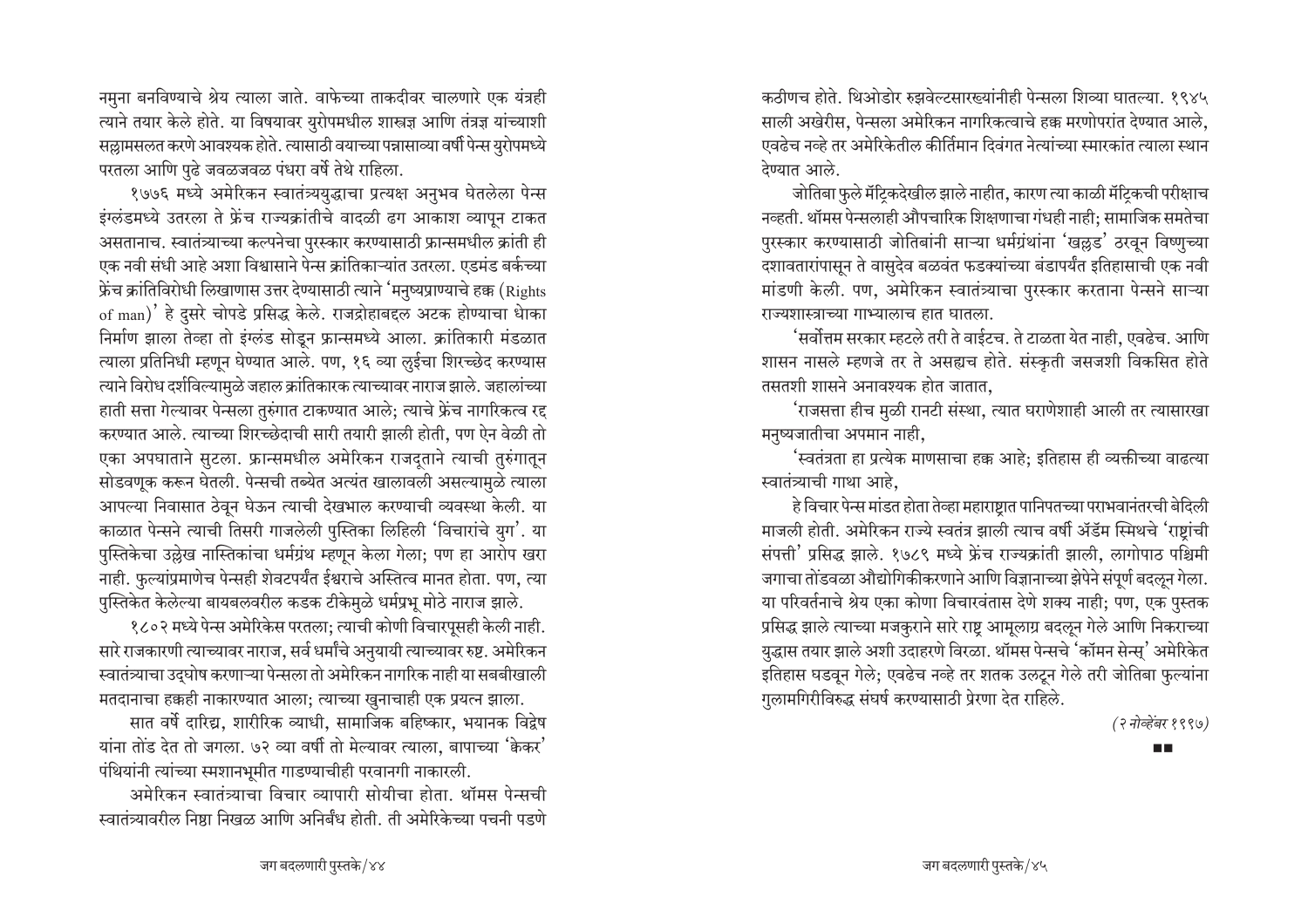नमुना बनविण्याचे श्रेय त्याला जाते. वाफेच्या ताकदीवर चालणारे एक यंत्रही त्याने तयार केले होते. या विषयावर युरोपमधील शास्त्रज्ञ आणि तंत्रज्ञ यांच्याशी सल्लामसलत करणे आवश्यक होते. त्यासाठी वयाच्या पन्नासाव्या वर्षी पेन्स युरोपमध्ये परतला आणि पुढे जवळजवळ पंधरा वर्षे तेथे राहिला.

१७७६ मध्ये अमेरिकन स्वातंत्र्ययुद्धाचा प्रत्यक्ष अनुभव घेतलेला पेन्स इंग्लंडमध्ये उतरला ते फ्रेंच राज्यक्रांतीचे वादळी ढग आकाश व्यापून टाकत असतानाच. स्वातंत्र्याच्या कल्पनेचा पुरस्कार करण्यासाठी फ्रान्समधील क्रांती ही एक नवी संधी आहे अशा विश्वासाने पेन्स क्रांतिकाऱ्यांत उतरला. एडमंड बर्कच्या फ्रेंच क्रांतिविरोधी लिखाणास उत्तर देण्यासाठी त्याने 'मनुष्यप्राण्याचे हक्क (Rights of man)' हे दुसरे चोपडे प्रसिद्ध केले. राजद्रोहाबद्दल अटक होण्याचा धेाका निर्माण झाला तेव्हा तो इंग्लंड सोडून फ्रान्समध्ये आला. क्रांतिकारी मंडळात त्याला प्रतिनिधी म्हणून घेण्यात आले. पण, १६ व्या लुईचा शिरच्छेद करण्यास त्याने विरोध दर्शविल्यामुळे जहाल क्रांतिकारक त्याच्यावर नाराज झाले. जहालांच्या हाती सत्ता गेल्यावर पेन्सला तुरुंगात टाकण्यात आले; त्याचे फ्रेंच नागरिकत्व रद्द करण्यात आले. त्याच्या शिरच्छेदाची सारी तयारी झाली होती, पण ऐन वेळी तो एका अपघाताने सुटला. फ्रान्समधील अमेरिकन राजदूताने त्याची तुरुंगातून सोडवणूक करून घेतली. पेन्सची तब्येत अत्यंत खालावली असल्यामुळे त्याला आपल्या निवासात ठेवून घेऊन त्याची देखभाल करण्याची व्यवस्था केली. या काळात पेन्सने त्याची तिसरी गाजलेली पुस्तिका लिहिली 'विचारांचे युग'. या पुस्तिकेचा उल्लेख नास्तिकांचा धर्मग्रंथ म्हणून केला गेला; पण हा आरोप खरा नाही. फुल्यांप्रमाणेच पेन्सही शेवटपर्यंत ईश्वराचे अस्तित्व मानत होता. पण, त्या पुस्तिकेत केलेल्या बायबलवरील कडक टीकेमुळे धर्मप्रभू मोठे नाराज झाले.

१८०२ मध्ये पेन्स अमेरिकेस परतला; त्याची कोणी विचारपुसही केली नाही. सारे राजकारणी त्याच्यावर नाराज, सर्व धर्मांचे अनुयायी त्याच्यावर रुष्ट. अमेरिकन स्वातंत्र्याचा उद्घोष करणाऱ्या पेन्सला तो अमेरिकन नागरिक नाही या सबबीखाली मतदानाचा हक्कही नाकारण्यात आला; त्याच्या खुनाचाही एक प्रयत्न झाला.

सात वर्षे दारिद्य, शारीरिक व्याधी, सामाजिक बहिष्कार, भयानक विद्वेष यांना तोंड देत तो जगला. ७२ व्या वर्षी तो मेल्यावर त्याला, बापाच्या 'केकर' पंथियांनी त्यांच्या स्मशानभूमीत गाडण्याचीही परवानगी नाकारली.

अमेरिकन स्वातंत्र्याचा विचार व्यापारी सोयीचा होता. थॉमस पेन्सची स्वातंत्र्यावरील निष्ठा निखळ आणि अनिर्बंध होती. ती अमेरिकेच्या पचनी पडणे

कठीणच होते. थिओडोर रुझवेल्टसारख्यांनीही पेन्सला शिव्या घातल्या. १९४५ साली अखेरीस. पेन्सला अमेरिकन नागरिकत्वाचे हक्क मरणोपरांत देण्यात आले, एवढेच नव्हे तर अमेरिकेतील कीर्तिमान दिवंगत नेत्यांच्या स्मारकांत त्याला स्थान देण्यात आले.

जोतिबा फुले मॅटिकदेखील झाले नाहीत, कारण त्या काळी मॅटिकची परीक्षाच नव्हती. थॉमस पेन्सलाही औपचारिक शिक्षणाचा गंधही नाही; सामाजिक समतेचा पुरस्कार करण्यासाठी जोतिबांनी साऱ्या धर्मग्रंथांना 'खल्लड' ठरवून विष्णुच्या दशावतारांपासून ते वासुदेव बळवंत फडक्यांच्या बंडापर्यंत इतिहासाची एक नवी मांडणी केली. पण, अमेरिकन स्वातंत्र्याचा पुरस्कार करताना पेन्सने साऱ्या राज्यशास्त्राच्या गाभ्यालाच हात घातला.

'सर्वोत्तम सरकार म्हटले तरी ते वाईटच. ते टाळता येत नाही, एवढेच. आणि शासन नासले म्हणजे तर ते असह्यच होते. संस्कृती जसजशी विकसित होते तसतशी शासने अनावश्यक होत जातात.

'राजसत्ता हीच मुळी रानटी संस्था, त्यात घराणेशाही आली तर त्यासारखा मनुष्यजातीचा अपमान नाही,

'स्वतंत्रता हा प्रत्येक माणसाचा हक्क आहे; इतिहास ही व्यक्तीच्या वाढत्या स्वातंत्र्याची गाथा आहे.

हे विचार पेन्स मांडत होता तेव्हा महाराष्ट्रात पानिपतच्या पराभवानंतरची बेदिली माजली होती. अमेरिकन राज्ये स्वतंत्र झाली त्याच वर्षी ॲडॅम स्मिथचे 'राष्ट्रांची संपत्ती' प्रसिद्ध झाले. १७८९ मध्ये फ्रेंच राज्यक्रांती झाली, लागोपाठ पश्चिमी जगाचा तोंडवळा औद्योगिकीकरणाने आणि विज्ञानाच्या झेपेने संपूर्ण बदलून गेला. या परिवर्तनाचे श्रेय एका कोणा विचारवंतास देणे शक्य नाही; पण, एक पुस्तक प्रसिद्ध झाले त्याच्या मजकुराने सारे राष्ट्र आमूलाग्र बदलून गेले आणि निकराच्या युद्धास तयार झाले अशी उदाहरणे विरळा. थॉमस पेन्सचे 'कॉमन सेन्स्' अमेरिकेत इतिहास घडवून गेले; एवढेच नव्हे तर शतक उलटून गेले तरी जोतिबा फुल्यांना गुलामगिरीविरुद्ध संघर्ष करण्यासाठी प्रेरणा देत राहिले.

(२ नोव्हेंबर १९९७)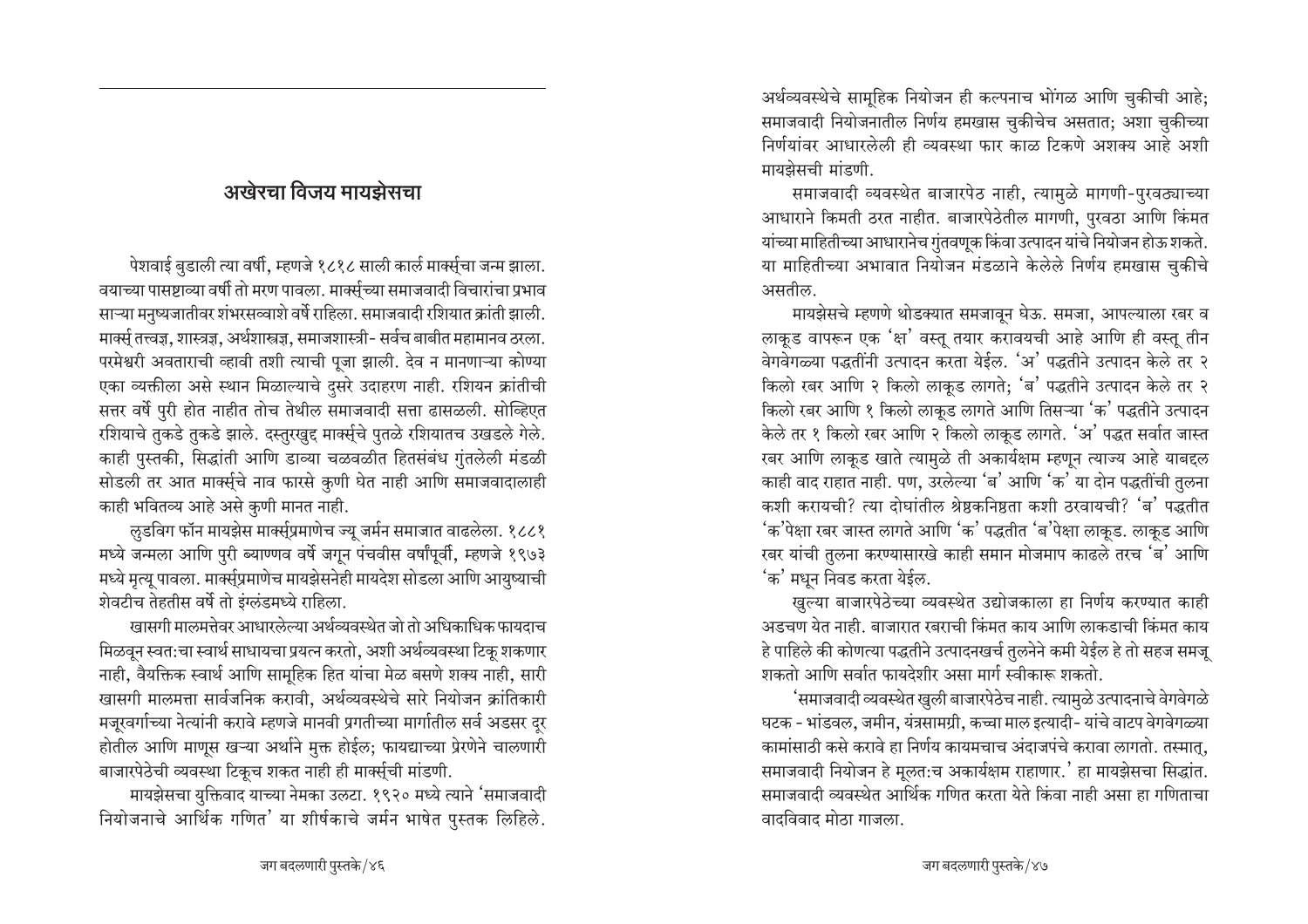# $\overline{3}$ अखेरचा विजय मायझेसचा

ऐशवाई बुडाली त्या वर्षी, म्हणजे १८१८ साली कार्ल मार्क्स्चा जन्म झाला. aयाच्या पासष्टाव्या वर्षी तो मरण पावला. मार्क्सूच्या समाजवादी विचारांचा प्रभाव . साऱ्या मनुष्यजातीवर शंभरसव्वाशे वर्षे राहिला. समाजवादी रशियात क्रांती झाली. <u>मार्क्स तत्त्वज्ञ, शास्त्रज्ञ, अर्थशास्त्रज्ञ, समाजशास्त्री- सर्वच बाबीत महामानव ठरला.</u> परमेश्वरी अवताराची व्हावी तशी त्याची पूजा झाली. देव न मानणाऱ्या कोण्या एका व्यक्तीला असे स्थान मिळाल्याचे दुसरे उदाहरण नाही. रशियन क्रांतीची सत्तर वर्षे पुरी होत नाहीत तोच तेथील समाजवादी सत्ता ढासळली. सोव्हिएत रशियाचे तुकडे तुकडे झाले. दस्तुरखुद्द मार्क्स्चे पुतळे रशियातच उखडले गेले. काही पुस्तकी, सिद्धांती आणि डाव्या चळवळीत हितसंबंध गुंतलेली मंडळी सोडली तर आत मार्क्स्चे नाव फारसे कुणी घेत नाही आणि समाजवादालाही काही भवितव्य आहे असे कुणी मानत नाही.

लुडविग फॉन मायझेस मार्क्स्प्रमाणेच ज्यू जर्मन समाजात वाढलेला. १८८१ मध्ये जन्मला आणि पुरी ब्याण्णव वर्षे जगून पंचवीस वर्षांपूर्वी, म्हणजे १९७३ मध्ये मृत्यू पावला. मार्क्सुप्रमाणेच मायझेसनेही मायदेश सोडला आणि आयुष्याची शेवटीच तेहतीस वर्षे तो इंग्लंडमध्ये राहिला.

<sup>√</sup>खासगी मालमत्तेवर आधारलेल्या अर्थव्यवस्थेत जो तो अधिकाधिक फायदाच <u>मिळवून स्वत:चा स्वार्थ साधायचा प्रयत्न करतो, अशी अर्थव्यवस्था टिकू शकणार</u> नाही, वैयक्तिक स्वार्थ आणि सामूहिक हित यांचा मेळ बसणे शक्य नाही, सारी ⁄ खासगी मालमत्ता सार्वजनिक करावी, अर्थव्यवस्थेचे सारे नियोजन क्रांतिकारी मजूरवर्गाच्या नेत्यांनी करावे म्हणजे मानवी प्रगतीच्या मार्गातील सर्व अडसर दर होतील आणि माणूस खऱ्या अर्थाने मुक्त होईल; फायद्याच्या प्रेरणेने चालणारी बाजारपेठेची व्यवस्था टिकूच शकत नाही ही मार्क्सुची मांडणी.

मायझेसचा युक्तिवाद याच्या नेमका उलटा. १९२० मध्ये त्याने 'समाजवादी नियोजनाचे आर्थिक गणित' या शीर्षकाचे जर्मन भाषेत पुस्तक लिहिले.

अर्थव्यवस्थेचे सामूहिक नियोजन ही कल्पनाच भोंगळ आणि चुकीची आहे; समाजवादी नियोजनातील निर्णय हमखास चुकीचेच असतात; अशा चुकीच्या निर्णयांवर आधारलेली ही व्यवस्था फार काळ टिकणे अशक्य आहे अशी मायझेसची मांडणी.

समाजवादी व्यवस्थेत बाजारपेठ नाही, त्यामुळे मागणी-पुरवठ्याच्या आधाराने किमती ठरत नाहीत. बाजारपेठेतील मागणी, पुरवठा आणि किंमत यांच्या माहितीच्या आधारानेच गुंतवणूक किंवा उत्पादन यांचे नियोजन होऊ शकते. या माहितीच्या अभावात नियोजन मंडळाने केलेले निर्णय हमखास चुकीचे असतील.

मायझेसचे म्हणणे थोडक्यात समजावून घेऊ. समजा, आपल्याला रबर व लाकूड वापरून एक 'क्ष' वस्तू तयार करावयची आहे आणि ही वस्तू तीन वेगवेगळ्या पद्धतींनी उत्पादन करता येईल. 'अ' पद्धतीने उत्पादन केले तर २ किलो रबर आणि २ किलो लाकूड लागते; 'ब' पद्धतीने उत्पादन केले तर २ किलो खर आणि १ किलो लाकूड लागते आणि तिसऱ्या 'क' पद्धतीने उत्पादन केले तर १ किलो रबर आणि २ किलो लाकूड लागते. 'अ' पद्धत सर्वात जास्त रबर आणि लाकूड खाते त्यामुळे ती अकार्यक्षम म्हणून त्याज्य आहे याबद्दल काही वाद राहात नाही. पण, उरलेल्या 'ब' आणि 'क' या दोन पद्धतींची तुलना कशी करायची? त्या दोघांतील श्रेष्ठकनिष्ठता कशी ठरवायची? 'ब' पद्धतीत 'क'पेक्षा रबर जास्त लागते आणि 'क' पद्धतीत 'ब'पेक्षा लाकूड. लाकूड आणि रबर यांची तुलना करण्यासारखे काही समान मोजमाप काढले तरच 'ब' आणि  $\sigma$ ' मधून निवड करता येईल.

⁄ खुल्या बाजारपेठेच्या व्यवस्थेत उद्योजकाला हा निर्णय करण्यात काही अडचण येत नाही. बाजारात रबराची किंमत काय आणि लाकडाची किंमत काय हे पाहिले की कोणत्या पद्धतीने उत्पादनखर्च तुलनेने कमी येईल हे तो सहज समजू शकतो आणि सर्वात फायदेशीर असा मार्ग स्वीकारू शकतो.

 $^{\epsilon}$ समाजवादी व्यवस्थेत खुली बाजारपेठेच नाही. त्यामुळे उत्पादनाचे वेगवेगळे घटक - भांडवल, जमीन, यंत्रसामग्री, कच्चा माल इत्यादी- यांचे वाटप वेगवेगळ्या • कामांसाठी कसे करावे हा निर्णय कायमचाच अंदाजपंचे करावा लागतो. तस्मात्**.** समाजवादी नियोजन हे मूलत:च अकार्यक्षम राहाणार.' हा मायझेसचा सिद्धांत. समाजवादी व्यवस्थेत आर्थिक गणित करता येते किंवा नाही असा हा गणिताचा <u>वादविवाद मोठा गाजला.</u>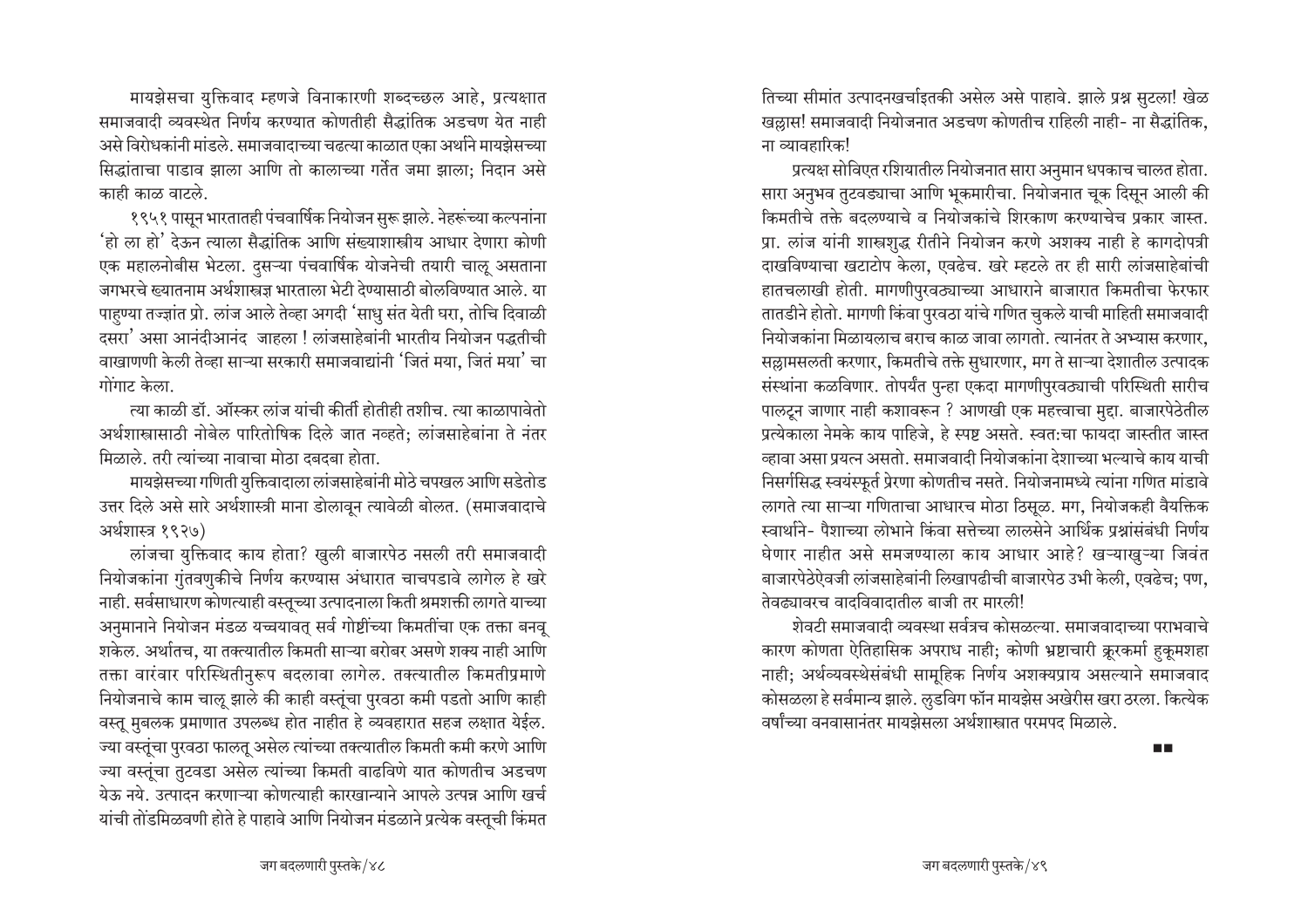मायझेसचा युक्तिवाद म्हणजे विनाकारणी शब्दच्छल आहे, प्रत्यक्षात समाजवादी व्यवस्थेत निर्णय करण्यात कोणतीही सैद्धांतिक अडचण येत नाही असे विरोधकांनी मांडले. समाजवादाच्या चढत्या काळात एका अर्थाने मायझेसच्या सिद्धांताचा पाडाव झाला आणि तो कालाच्या गर्तेत जमा झाला: निदान असे काही काळ वाटले.

१९५१ पासून भारतातही पंचवार्षिक नियोजन सुरू झाले. नेहरूंच्या कल्पनांना 'हो ला हो' देऊन त्याला सैद्धांतिक आणि संख्याशास्त्रीय आधार देणारा कोणी एक महालनोबीस भेटला. दुसऱ्या पंचवार्षिक योजनेची तयारी चालू असताना जगभरचे ख्यातनाम अर्थशास्त्रज्ञ भारताला भेटी देण्यासाठी बोलविण्यात आले. या पाहुण्या तज्ज्ञांत प्रो. लांज आले तेव्हा अगदी 'साधु संत येती घरा, तोचि दिवाळी दसरा' असा आनंदीआनंद जाहला ! लांजसाहेबांनी भारतीय नियोजन पद्धतीची वाखाणणी केली तेव्हा साऱ्या सरकारी समाजवाद्यांनी 'जितं मया, जितं मया' चा गोंगाट केला.

त्या काळी डॉ. ऑस्कर लांज यांची कीर्ती होतीही तशीच. त्या काळापावेतो अर्थशास्त्रासाठी नोबेल पारितोषिक दिले जात नव्हते: लांजसाहेबांना ते नंतर मिळाले. तरी त्यांच्या नावाचा मोठा दबदबा होता.

मायझेसच्या गणिती युक्तिवादाला लांजसाहेबांनी मोठे चपखल आणि सडेतोड उत्तर दिले असे सारे अर्थशास्त्री माना डोलावून त्यावेळी बोलत. (समाजवादाचे अर्थशास्त्र १९२७)

लांजचा युक्तिवाद काय होता? खुली बाजारपेठ नसली तरी समाजवादी नियोजकांना गुंतवणुकीचे निर्णय करण्यास अंधारात चाचपडावे लागेल हे खरे नाही. सर्वसाधारण कोणत्याही वस्तूच्या उत्पादनाला किती श्रमशक्ती लागते याच्या अनुमानाने नियोजन मंडळ यच्चयावत सर्व गोष्टींच्या किमतींचा एक तक्ता बनव शकेल. अर्थातच, या तक्त्यातील किमती साऱ्या बरोबर असणे शक्य नाही आणि तक्ता वारंवार परिस्थितीनुरूप बदलावा लागेल. तक्त्यातील किमतीप्रमाणे नियोजनाचे काम चालू झाले की काही वस्तूंचा पुरवठा कमी पडतो आणि काही वस्तू मुबलक प्रमाणात उपलब्ध होत नाहीत हे व्यवहारात सहज लक्षात येईल. ज्या वस्तूंचा पुरवठा फालतू असेल त्यांच्या तक्त्यातील किमती कमी करणे आणि ज्या वस्तुंचा तुटवडा असेल त्यांच्या किमती वाढविणे यात कोणतीच अडचण येऊ नये. उत्पादन करणाऱ्या कोणत्याही कारखान्याने आपले उत्पन्न आणि खर्च यांची तोडमिळवणी होते हे पाहावे आणि नियोजन मंडळाने प्रत्येक वस्तूची किंमत

तिच्या सीमांत उत्पादनखर्चाइतकी असेल असे पाहावे. झाले प्रश्न सुटला! खेळ खल्लास! समाजवादी नियोजनात अडचण कोणतीच राहिली नाही- ना सैद्धांतिक. ना व्यावहारिक!

प्रत्यक्ष सोविएत रशियातील नियोजनात सारा अनुमान धपकाच चालत होता. सारा अनुभव तुटवड्याचा आणि भूकमारीचा. नियोजनात चूक दिसून आली की किमतीचे तक्ते बदलण्याचे व नियोजकांचे शिरकाण करण्याचेच प्रकार जास्त. प्रा. लांज यांनी शास्त्रशुद्ध रीतीने नियोजन करणे अशक्य नाही हे कागदोपत्री दाखविण्याचा खटाटोप केला, एवढेच. खरे म्हटले तर ही सारी लांजसाहेबांची हातचलाखी होती. मागणीपुरवठ्याच्या आधाराने बाजारात किमतीचा फेरफार तातडीने होतो. मागणी किंवा पुरवठा यांचे गणित चुकले याची माहिती समाजवादी नियोजकांना मिळायलाच बराच काळ जावा लागतो. त्यानंतर ते अभ्यास करणार. सल्लामसलती करणार, किमतीचे तक्ते सुधारणार, मग ते साऱ्या देशातील उत्पादक संस्थांना कळविणार. तोपर्यंत पुन्हा एकदा मागणीपुरवठ्याची परिस्थिती सारीच पालटून जाणार नाही कशावरून ? आणखी एक महत्त्वाचा मुद्दा. बाजारपेठेतील प्रत्येकाला नेमके काय पाहिजे, हे स्पष्ट असते. स्वत:चा फायदा जास्तीत जास्त व्हावा असा प्रयत्न असतो. समाजवादी नियोजकांना देशाच्या भल्याचे काय याची निसर्गसिद्ध स्वयंस्फूर्त प्रेरणा कोणतीच नसते. नियोजनामध्ये त्यांना गणित मांडावे लागते त्या साऱ्या गणिताचा आधारच मोठा ठिसूळ. मग, नियोजकही वैयक्तिक स्वार्थाने- पैशाच्या लोभाने किंवा सत्तेच्या लालसेने आर्थिक प्रश्नांसंबंधी निर्णय घेणार नाहीत असे समजण्याला काय आधार आहे? खऱ्याखूऱ्या जिवंत बाजारपेठेऐवजी लांजसाहेबांनी लिखापढीची बाजारपेठ उभी केली, एवढेच; पण, तेवत्न्यावरच वादविवादातील बाजी तर मारली!

शेवटी समाजवादी व्यवस्था सर्वत्रच कोसळल्या. समाजवादाच्या पराभवाचे कारण कोणता ऐतिहासिक अपराध नाही; कोणी भ्रष्टाचारी क्रूरकर्मा हुकूमशहा नाही; अर्थव्यवस्थेसंबंधी सामूहिक निर्णय अशक्यप्राय असल्याने समाजवाद कोसळला हे सर्वमान्य झाले. लुडविग फॉन मायझेस अखेरीस खरा ठरला. कित्येक वर्षांच्या वनवासानंतर मायझेसला अर्थशास्त्रात परमपद मिळाले.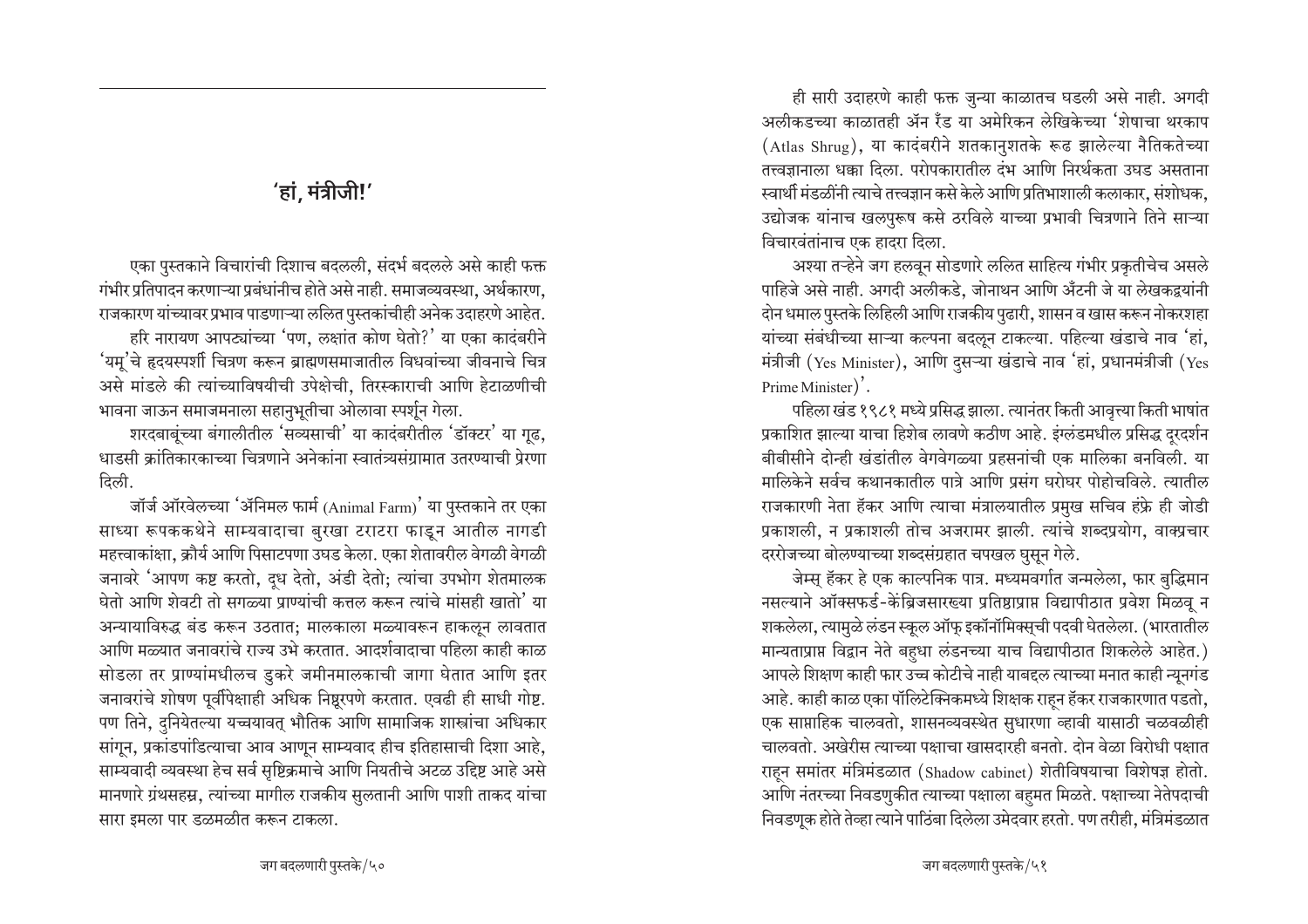ही सारी उदाहरणे काही फक्त जुन्या काळातच घडली असे नाही. अगदी अलीकडच्या काळातही ॲन रॅंड या अमेरिकन लेखिकेच्या 'शेषाचा थरकाप (Atlas Shrug), या कादंबरीने शतकानुशतके रूढ झालेल्या नैतिकतेच्या तत्त्वज्ञानाला धक्का दिला. परोपकारातील दंभ आणि निरर्थकता उघड असताना स्वार्थी मंडळींनी त्याचे तत्त्वज्ञान कसे केले आणि प्रतिभाशाली कलाकार, संशोधक, उद्योजक यांनाच खलपुरूष कसे ठरविले याच्या प्रभावी चित्रणाने तिने साऱ्या विचारवंतांनाच एक हादरा दिला.

अश्या तऱ्हेने जग हलवून सोडणारे ललित साहित्य गंभीर प्रकृतीचेच असले पाहिजे असे नाही. अगदी अलीकडे, जोनाथन आणि अँटनी जे या लेखकद्वयांनी दोन धमाल पुस्तके लिहिली आणि राजकीय पुढारी, शासन व खास करून नोकरशहा यांच्या संबंधीच्या साऱ्या कल्पना बदलून टाकल्या. पहिल्या खंडाचे नाव 'हां, मंत्रीजी (Yes Minister), आणि दुसऱ्या खंडाचे नाव 'हां, प्रधानमंत्रीजी (Yes Prime Minister)'.

पहिला खंड १९८१ मध्ये प्रसिद्ध झाला. त्यानंतर किती आवृत्त्या किती भाषांत प्रकाशित झाल्या याचा हिशेब लावणे कठीण आहे. इंग्लंडमधील प्रसिद्ध दूरदर्शन बीबीसीने दोन्ही खंडांतील वेगवेगळ्या प्रहसनांची एक मालिका बनविली. या मालिकेने सर्वच कथानकातील पात्रे आणि प्रसंग घरोघर पोहोचविले. त्यातील राजकारणी नेता हॅकर आणि त्याचा मंत्रालयातील प्रमुख सचिव हंफ्रे ही जोडी प्रकाशली, न प्रकाशली तोच अजरामर झाली. त्यांचे शब्दप्रयोग, वाक्प्रचार दररोजच्या बोलण्याच्या शब्दसंग्रहात चपखल घुसून गेले.

जेम्स् हॅकर हे एक काल्पनिक पात्र. मध्यमवर्गात जन्मलेला, फार बुद्धिमान नसल्याने ऑक्सफर्ड-केंब्रिजसारख्या प्रतिष्ठाप्राप्त विद्यापीठात प्रवेश मिळवू न शकलेला, त्यामुळे लंडन स्कूल ऑफ् इकॉनॉमिक्सूची पदवी घेतलेला. (भारतातील मान्यताप्राप्त विद्वान नेते बहुधा लंडनच्या याच विद्यापीठात शिकलेले आहेत.) आपले शिक्षण काही फार उच्च कोटीचे नाही याबद्दल त्याच्या मनात काही न्यूनगंड आहे. काही काळ एका पॉलिटेक्निकमध्ये शिक्षक राहून हॅकर राजकारणात पडतो, एक साप्ताहिक चालवतो, शासनव्यवस्थेत सुधारणा व्हावी यासाठी चळवळीही चालवतो. अखेरीस त्याच्या पक्षाचा खासदारही बनतो. दोन वेळा विरोधी पक्षात राहन समांतर मंत्रिमंडळात (Shadow cabinet) शेतीविषयाचा विशेषज्ञ होतो. आणि नंतरच्या निवडणुकीत त्याच्या पक्षाला बहुमत मिळते. पक्षाच्या नेतेपदाची निवडणूक होते तेव्हा त्याने पाठिंबा दिलेला उमेदवार हरतो. पण तरीही, मंत्रिमंडळात

'हां, मंत्रीजी!'

एका पुस्तकाने विचारांची दिशाच बदलली. संदर्भ बदलले असे काही फक्त गंभीर प्रतिपादन करणाऱ्या प्रबंधांनीच होते असे नाही. समाजव्यवस्था, अर्थकारण, राजकारण यांच्यावर प्रभाव पाडणाऱ्या ललित पुस्तकांचीही अनेक उदाहरणे आहेत. हरि नारायण आपट्यांच्या 'पण, लक्षांत कोण घेतो?' या एका कादंबरीने 'यम्'चे हृदयस्पर्शी चित्रण करून ब्राह्मणसमाजातील विधवांच्या जीवनाचे चित्र असे मांडले की त्यांच्याविषयीची उपेक्षेची. तिरस्काराची आणि हेटाळणीची भावना जाऊन समाजमनाला सहानुभूतीचा ओलावा स्पर्शून गेला.

शरदबाबूंच्या बंगालीतील 'सव्यसाची' या कादंबरीतील 'डॉक्टर' या गूढ, धाडसी क्रांतिकारकाच्या चित्रणाने अनेकांना स्वातंत्र्यसंग्रामात उतरण्याची पेरणा दिली.

जॉर्ज ऑरवेलच्या 'ॲनिमल फार्म (Animal Farm)' या पुस्तकाने तर एका साध्या रूपककथेने साम्यवादाचा बुरखा टराटरा फाडून आतील नागडी महत्त्वाकांक्षा, क्रौर्य आणि पिसाटपणा उघड केला. एका शेतावरील वेगळी वेगळी जनावरे 'आपण कष्ट करतो, दध देतो, अंडी देतो; त्यांचा उपभोग शेतमालक घेतो आणि शेवटी तो सगळ्या प्राण्यांची कत्तल करून त्यांचे मांसही खातो' या अन्यायाविरुद्ध बंड करून उठतात; मालकाला मळ्यावरून हाकलून लावतात आणि मळ्यात जनावरांचे राज्य उभे करतात. आदर्शवादाचा पहिला काही काळ सोडला तर प्राण्यांमधीलच डुकरे जमीनमालकाची जागा घेतात आणि इतर जनावरांचे शोषण पूर्वीपेक्षाही अधिक निष्ठूरपणे करतात. एवढी ही साधी गोष्ट. पण तिने, दुनियेतल्या यच्चयावत् भौतिक आणि सामाजिक शास्त्रांचा अधिकार सांगून, प्रकांडपांडित्याचा आव आणून साम्यवाद हीच इतिहासाची दिशा आहे, साम्यवादी व्यवस्था हेच सर्व सृष्टिक्रमाचे आणि नियतीचे अटळ उद्दिष्ट आहे असे मानणारे ग्रंथसहस्र, त्यांच्या मागील राजकीय सुलतानी आणि पाशी ताकद यांचा सारा इमला पार डळमळीत करून टाकला.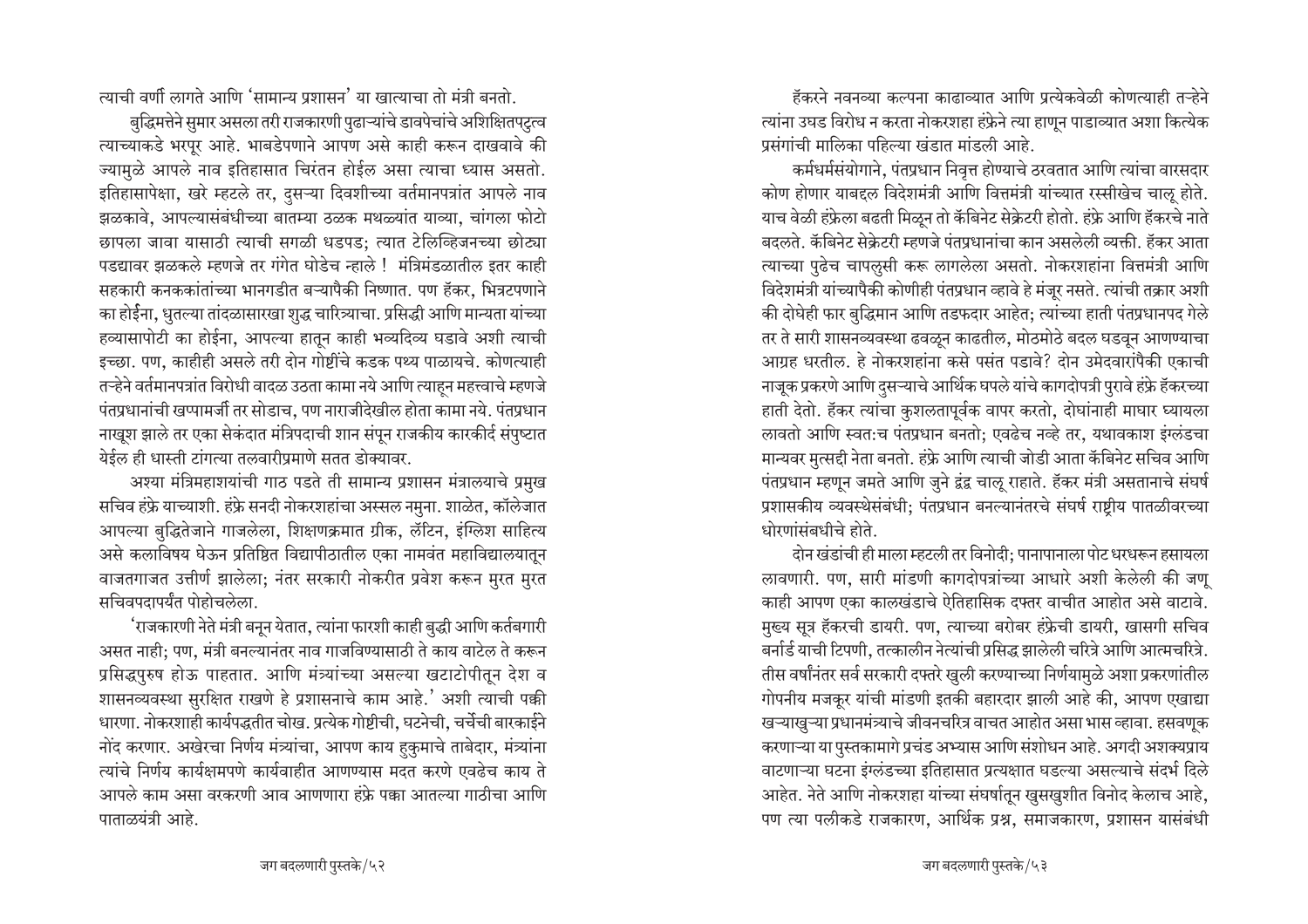त्याची वर्णी लागते आणि 'सामान्य प्रशासन' या खात्याचा तो मंत्री बनतो.

बुद्धिमत्तेने सुमार असला तरी राजकारणी पुढाऱ्यांचे डावपेचांचे अशिक्षितपट्त्व त्याच्याकडे भरपूर आहे. भाबडेपणाने आपण असे काही करून दाखवावे की ज्यामुळे आपले नाव इतिहासात चिरंतन होईल असा त्याचा ध्यास असतो. इतिहासापेक्षा, खरे म्हटले तर, दुसऱ्या दिवशीच्या वर्तमानपत्रांत आपले नाव झळकावे, आपल्यासंबंधीच्या बातम्या ठळक मथळ्यांत याव्या, चांगला फोटो छापला जावा यासाठी त्याची सगळी धडपड; त्यात टेलिव्हिजनच्या छोट्या पडद्यावर झळकले म्हणजे तर गंगेत घोडेच न्हाले ! मंत्रिमंडळातील इतर काही सहकारी कनककांतांच्या भानगडीत बऱ्यापैकी निष्णात. पण हॅकर, भित्रटपणाने का होईना, धुतल्या तांदळासारखा शुद्ध चारित्र्याचा. प्रसिद्धी आणि मान्यता यांच्या हव्यासापोटी का होईना, आपल्या हातून काही भव्यदिव्य घडावे अशी त्याची इच्छा. पण, काहीही असले तरी दोन गोष्टींचे कडक पथ्य पाळायचे. कोणत्याही तऱ्हेने वर्तमानपत्रांत विरोधी वादळ उठता कामा नये आणि त्याहन महत्त्वाचे म्हणजे पंतप्रधानांची खप्पामर्जी तर सोडाच, पण नाराजीदेखील होता कामा नये. पंतप्रधान नाखूश झाले तर एका सेकंदात मंत्रिपदाची शान संपून राजकीय कारकीर्द संपुष्टात येईल ही धास्ती टांगत्या तलवारीप्रमाणे सतत डोक्यावर.

अश्या मंत्रिमहाशयांची गाठ पडते ती सामान्य प्रशासन मंत्रालयाचे प्रमुख सचिव हंफ्रे याच्याशी. हंफ्रे सनदी नोकरशहांचा अस्सल नमुना. शाळेत, कॉलेजात आपल्या बुद्धितेजाने गाजलेला, शिक्षणक्रमात ग्रीक, लॅटिन, इंग्लिश साहित्य असे कलाविषय घेऊन प्रतिष्ठित विद्यापीठातील एका नामवंत महाविद्यालयातून वाजतगाजत उत्तीर्ण झालेला; नंतर सरकारी नोकरीत प्रवेश करून मुरत मुरत सचिवपदापर्यंत पोहोचलेला.

'राजकारणी नेते मंत्री बनून येतात, त्यांना फारशी काही बुद्धी आणि कर्तबगारी असत नाही; पण, मंत्री बनल्यानंतर नाव गाजविण्यासाठी ते काय वाटेल ते करून प्रसिद्धपुरुष होऊ पाहतात. आणि मंत्र्यांच्या असल्या खटाटोपीतून देश व शासनव्यवस्था सुरक्षित राखणे हे प्रशासनाचे काम आहे.' अशी त्याची पक्की धारणा. नोकरशाही कार्यपद्धतीत चोख. प्रत्येक गोष्टीची, घटनेची, चर्चेची बारकाईने नोंद करणार. अखेरचा निर्णय मंत्र्यांचा, आपण काय हकुमाचे ताबेदार, मंत्र्यांना त्यांचे निर्णय कार्यक्षमपणे कार्यवाहीत आणण्यास मदत करणे एवढेच काय ते आपले काम असा वरकरणी आव आणणारा हंफ्रे पक्का आतल्या गाठीचा आणि पाताळयंत्री आहे.

हॅकरने नवनव्या कल्पना काढाव्यात आणि प्रत्येकवेळी कोणत्याही तऱ्हेने त्यांना उघड विरोध न करता नोकरशहा हंफ्रेने त्या हाणून पाडाव्यात अशा कित्येक प्रसंगांची मालिका पहिल्या खंडात मांडली आहे.

कर्मधर्मसंयोगाने, पंतप्रधान निवृत्त होण्याचे ठरवतात आणि त्यांचा वारसदार कोण होणार याबद्दल विदेशमंत्री आणि वित्तमंत्री यांच्यात रस्सीखेच चालू होते. याच वेळी हंफ्रेला बढती मिळून तो कॅबिनेट सेक्रेटरी होतो. हंफ्रे आणि हॅकरचे नाते बदलते. कॅबिनेट सेक्रेटरी म्हणजे पंतप्रधानांचा कान असलेली व्यक्ती. हॅकर आता त्याच्या पुढेच चापलुसी करू लागलेला असतो. नोकरशहांना वित्तमंत्री आणि विदेशमंत्री यांच्यापैकी कोणीही पंतप्रधान व्हावे हे मंजूर नसते. त्यांची तक्रार अशी की दोघेही फार बुद्धिमान आणि तडफदार आहेत; त्यांच्या हाती पंतप्रधानपद गेले तर ते सारी शासनव्यवस्था ढवळून काढतील, मोठमोठे बदल घडवून आणण्याचा आग्रह धरतील. हे नोकरशहांना कसे पसंत पडावे? दोन उमेदवारांपैकी एकाची नाजूक प्रकरणे आणि दसऱ्याचे आर्थिक घपले यांचे कागदोपत्री पुरावे हंफ्रे हॅकरच्या हाती देतो. हॅकर त्यांचा कुशलतापूर्वक वापर करतो, दोघांनाही माघार घ्यायला लावतो आणि स्वतःच पंतप्रधान बनतो; एवढेच नव्हे तर, यथावकाश इंग्लंडचा मान्यवर मुत्सद्दी नेता बनतो. हंफ्रे आणि त्याची जोडी आता कॅबिनेट सचिव आणि पंतप्रधान म्हणून जमते आणि जुने द्वंद्व चालू राहाते. हॅकर मंत्री असतानाचे संघर्ष प्रशासकीय व्यवस्थेसंबंधी; पंतप्रधान बनल्यानंतरचे संघर्ष राष्टीय पातळीवरच्या धोरणांसंबधीचे होते.

दोन खंडांची ही माला म्हटली तर विनोदी: पानापानाला पोट धरधरून हसायला लावणारी. पण, सारी मांडणी कागदोपत्रांच्या आधारे अशी केलेली की जणू काही आपण एका कालखंडाचे ऐतिहासिक दफ्तर वाचीत आहोत असे वाटावे. मुख्य सूत्र हॅकरची डायरी. पण, त्याच्या बरोबर हंफ्रेची डायरी, खासगी सचिव बर्नार्ड याची टिपणी, तत्कालीन नेत्यांची प्रसिद्ध झालेली चरित्रे आणि आत्मचरित्रे. तीस वर्षांनंतर सर्व सरकारी दफ्तरे खुली करण्याच्या निर्णयामुळे अशा प्रकरणांतील गोपनीय मजकूर यांची मांडणी इतकी बहारदार झाली आहे की, आपण एखाद्या खऱ्याखुऱ्या प्रधानमंत्र्याचे जीवनचरित्र वाचत आहोत असा भास व्हावा. हसवणूक करणाऱ्या या पुस्तकामागे प्रचंड अभ्यास आणि संशोधन आहे. अगदी अशक्यप्राय वाटणाऱ्या घटना इंग्लंडच्या इतिहासात प्रत्यक्षात घडल्या असल्याचे संदर्भ दिले आहेत. नेते आणि नोकरशहा यांच्या संघर्षातून खुसखुशीत विनोद केलाच आहे, पण त्या पलीकडे राजकारण, आर्थिक प्रश्न, समाजकारण, प्रशासन यासंबंधी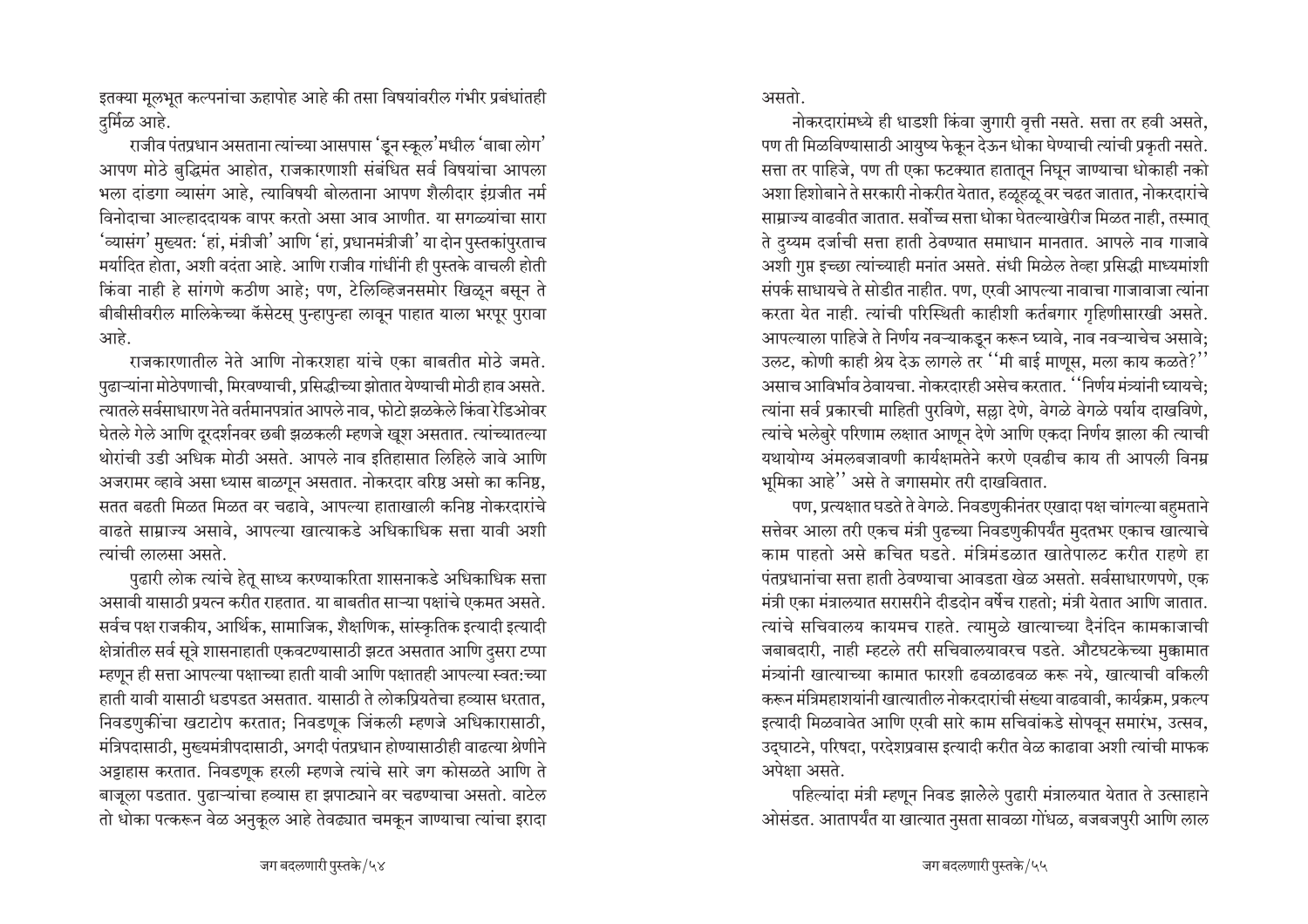इतक्या मूलभूत कल्पनांचा ऊहापोह आहे की तसा विषयांवरील गंभीर प्रबंधांतही दर्मिळ आहे.

राजीव पंतप्रधान असताना त्यांच्या आसपास 'डुन स्कूल'मधील 'बाबा लोग' आपण मोठे बुद्धिमंत आहोत, राजकारणाशी संबंधित सर्व विषयांचा आपला भला दांडगा व्यासंग आहे, त्याविषयी बोलताना आपण शैलीदार इंग्रजीत नर्म विनोदाचा आल्हाददायक वापर करतो असा आव आणीत. या सगळ्यांचा सारा 'व्यासंग' मुख्यत: 'हां, मंत्रीजी' आणि 'हां, प्रधानमंत्रीजी' या दोन पुस्तकांपुरताच मर्यादित होता, अशी वदंता आहे. आणि राजीव गांधींनी ही पुस्तके वाचली होती किंवा नाही हे सांगणे कठीण आहे; पण, टेलिव्हिजनसमोर खिळून बसून ते बीबीसीवरील मालिकेच्या कॅसेटस् पुन्हापुन्हा लावून पाहात याला भरपूर पुरावा आहे.

राजकारणातील नेते आणि नोकरशहा यांचे एका बाबतीत मोठे जमते. पुढाऱ्यांना मोठेपणाची, मिरवण्याची, प्रसिद्धीच्या झोतात येण्याची मोठी हाव असते. त्यातले सर्वसाधारण नेते वर्तमानपत्रांत आपले नाव, फोटो झळकेले किंवा रेडिओवर घेतले गेले आणि दूरदर्शनवर छबी झळकली म्हणजे खूश असतात. त्यांच्यातल्या थोरांची उडी अधिक मोठी असते. आपले नाव इतिहासात लिहिले जावे आणि अजरामर व्हावे असा ध्यास बाळगून असतात. नोकरदार वरिष्ठ असो का कनिष्ठ, सतत बढती मिळत मिळत वर चढावे, आपल्या हाताखाली कनिष्ठ नोकरदारांचे वाढते साम्राज्य असावे, आपल्या खात्याकडे अधिकाधिक सत्ता यावी अशी त्यांची लालसा असते.

पुढारी लोक त्यांचे हेतू साध्य करण्याकरिता शासनाकडे अधिकाधिक सत्ता असावी यासाठी प्रयत्न करीत राहतात. या बाबतीत साऱ्या पक्षांचे एकमत असते. सर्वच पक्ष राजकीय, आर्थिक, सामाजिक, शैक्षणिक, सांस्कृतिक इत्यादी इत्यादी क्षेत्रांतील सर्व सूत्रे शासनाहाती एकवटण्यासाठी झटत असतात आणि दुसरा टप्पा म्हणून ही सत्ता आपल्या पक्षाच्या हाती यावी आणि पक्षातही आपल्या स्वत:च्या हाती यावी यासाठी धडपडत असतात. यासाठी ते लोकप्रियतेचा हव्यास धरतात. निवडणुकींचा खटाटोप करतात; निवडणूक जिंकली म्हणजे अधिकारासाठी, मंत्रिपदासाठी, मुख्यमंत्रीपदासाठी, अगदी पंतप्रधान होण्यासाठीही वाढत्या श्रेणीने अट्टाहास करतात. निवडणक हरली म्हणजे त्यांचे सारे जग कोसळते आणि ते बाजूला पडतात. पुढाऱ्यांचा हव्यास हा झपाट्याने वर चढण्याचा असतो. वाटेल तो धोका पत्करून वेळ अनुकूल आहे तेवढ्यात चमकून जाण्याचा त्यांचा इरादा

असतो.

नोकरदारांमध्ये ही धाडशी किंवा जुगारी वृत्ती नसते. सत्ता तर हवी असते, पण ती मिळविण्यासाठी आयुष्य फेकून देऊन धोका घेण्याची त्यांची प्रकृती नसते. सत्ता तर पाहिजे, पण ती एका फटक्यात हातातून निघून जाण्याचा धोकाही नको अशा हिशोबाने ते सरकारी नोकरीत येतात, हळूहळू वर चढत जातात, नोकरदारांचे साम्राज्य वाढवीत जातात. सर्वोच्च सत्ता धोका घेतल्याखेरीज मिळत नाही, तस्मात् ते दुय्यम दर्जाची सत्ता हाती ठेवण्यात समाधान मानतात. आपले नाव गाजावे अशी गुप्त इच्छा त्यांच्याही मनांत असते. संधी मिळेल तेव्हा प्रसिद्धी माध्यमांशी संपर्क साधायचे ते सोडीत नाहीत. पण, एरवी आपल्या नावाचा गाजावाजा त्यांना करता येत नाही. त्यांची परिस्थिती काहीशी कर्तबगार गृहिणीसारखी असते. आपल्याला पाहिजे ते निर्णय नवऱ्याकडून करून घ्यावे. नाव नवऱ्याचेच असावे: उलट, कोणी काही श्रेय देऊ लागले तर ''मी बाई माणूस, मला काय कळते?'' असाच आविर्भाव ठेवायचा. नोकरदारही असेच करतात. ''निर्णय मंत्र्यांनी घ्यायचे: त्यांना सर्व प्रकारची माहिती पुरविणे, सल्ला देणे, वेगळे वेगळे पर्याय दाखविणे, त्यांचे भलेबुरे परिणाम लक्षात आणून देणे आणि एकदा निर्णय झाला की त्याची यथायोग्य अंमलबजावणी कार्यक्षमतेने करणे एवढीच काय ती आपली विनम्र भूमिका आहे'' असे ते जगासमोर तरी दाखवितात.

पण, प्रत्यक्षात घडते ते वेगळे. निवडणुकीनंतर एखादा पक्ष चांगल्या बहुमताने सत्तेवर आला तरी एकच मंत्री पुढच्या निवडणुकीपर्यंत मुदतभर एकाच खात्याचे काम पाहतो असे कचित घडते. मंत्रिमंडळात खातेपालट करीत राहणे हा पंतप्रधानांचा सत्ता हाती ठेवण्याचा आवडता खेळ असतो. सर्वसाधारणपणे, एक मंत्री एका मंत्रालयात सरासरीने दीडदोन वर्षेच राहतो: मंत्री येतात आणि जातात. त्यांचे सचिवालय कायमच राहते. त्यामुळे खात्याच्या दैनंदिन कामकाजाची जबाबदारी, नाही म्हटले तरी सचिवालयावरच पडते. औटघटकेच्या मुक्कामात मंत्र्यांनी खात्याच्या कामात फारशी ढवळाढवळ करू नये, खात्याची वकिली करून मंत्रिमहाशयांनी खात्यातील नोकरदारांची संख्या वाढवावी, कार्यक्रम, प्रकल्प इत्यादी मिळवावेत आणि एरवी सारे काम सचिवांकडे सोपवून समारंभ, उत्सव, उद्घाटने, परिषदा, परदेशप्रवास इत्यादी करीत वेळ काढावा अशी त्यांची माफक अपेक्षा असते.

पहिल्यांदा मंत्री म्हणून निवड झालेले पुढारी मंत्रालयात येतात ते उत्साहाने ओसंडत. आतापर्यंत या खात्यात नुसता सावळा गोंधळ, बजबजपुरी आणि लाल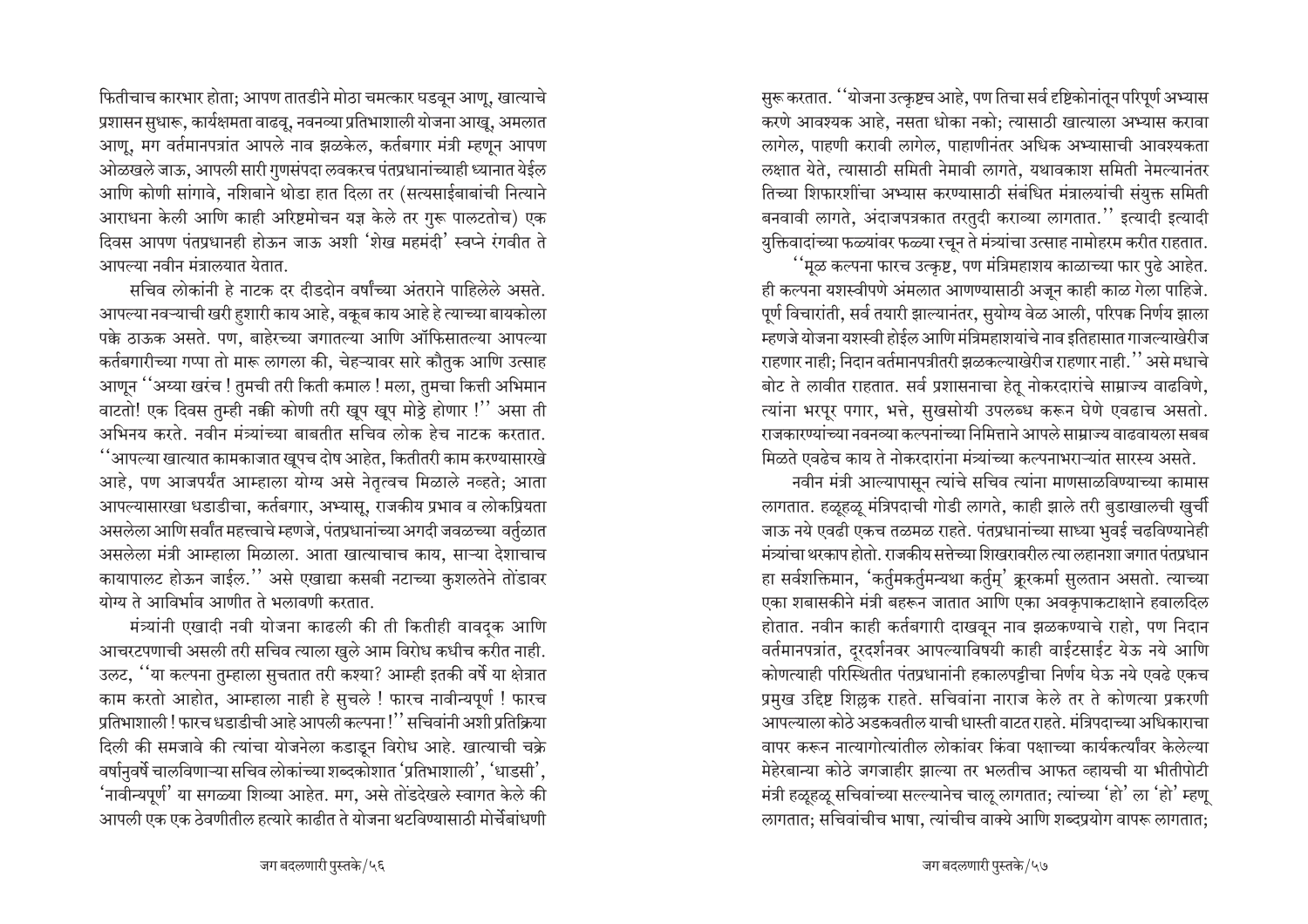फितीचाच कारभार होता; आपण तातडीने मोठा चमत्कार घडवून आणू, खात्याचे प्रशासन सुधारू, कार्यक्षमता वाढवू, नवनव्या प्रतिभाशाली योजना आखू, अमलात आणु, मग वर्तमानपत्रांत आपले नाव झळकेल, कर्तबगार मंत्री म्हणून आपण ओळखले जाऊ, आपली सारी गुणसंपदा लवकरच पंतप्रधानांच्याही ध्यानात येईल आणि कोणी सांगावे, नशिबाने थोडा हात दिला तर (सत्यसाईबाबांची नित्याने आराधना केली आणि काही अरिष्टमोचन यज्ञ केले तर गुरू पालटतोच) एक दिवस आपण पंतप्रधानही होऊन जाऊ अशी 'शेख महमंदी' स्वप्ने रंगवीत ते आपल्या नवीन मंत्रालयात येतात.

सचिव लोकांनी हे नाटक दर दीडदोन वर्षांच्या अंतराने पाहिलेले असते. आपल्या नवऱ्याची खरी हशारी काय आहे, वकूब काय आहे हे त्याच्या बायकोला पक्के ठाऊक असते. पण, बाहेरच्या जगातल्या आणि ऑफिसातल्या आपल्या कर्तबगारीच्या गप्पा तो मारू लागला की, चेहऱ्यावर सारे कौतुक आणि उत्साह आणून ''अय्या खरंच ! तुमची तरी किती कमाल ! मला, तुमचा कित्ती अभिमान वाटतो! एक दिवस तुम्ही नकी कोणी तरी खुप खुप मोठ्ठे होणार !'' असा ती आभिनय करते. नवीन मंत्र्यांच्या बाबतीत सचिव लोक हेच नाटक करतात.  $\,$  ''आपल्या खात्यात कामकाजात खूपच दोष आहेत, कितीतरी काम करण्यासारखे आहे, पण आजपर्यंत आम्हाला योग्य असे नेतृत्वच मिळाले नव्हते; आता आपल्यासारखा धडाडीचा, कर्तबगार, अभ्यासू, राजकीय प्रभाव व लोकप्रियता असलेला आणि सर्वांत महत्त्वाचे म्हणजे, पंतप्रधानांच्या अगदी जवळच्या वर्तुळात असलेला मंत्री आम्हाला मिळाला. आता खात्याचाच काय, साऱ्या देशाचाच कायापालट होऊन जाईल.'' असे एखाद्या कसबी नटाच्या कुशलतेने तोडावर योग्य ते आविर्भाव आणीत ते भलावणी करतात.

मंत्र्यांनी एखादी नवी योजना काढली की ती कितीही वावदक आणि आचरटपणाची असली तरी सचिव त्याला खुले आम विरोध कधीच करीत नाही. उलट, ''या कल्पना तुम्हाला सुचतात तरी कश्या? आम्ही इतकी वर्षे या क्षेत्रात काम करतो आहोत, आम्हाला नाही हे सुचले ! फारच नावीन्यपूर्ण ! फारच <u>प्रतिभाशाली ! फारच धडाडीची आहे आपली कल्पना !'' सचिवांनी अशी प्रतिक्रिया</u> दिली की समजावे की त्यांचा योजनेला कडाडून विरोध आहे. खात्याची चक्रे वर्षानुवर्षे चालविणाऱ्या सचिव लोकांच्या शब्दकोशात 'प्रतिभाशाली', 'धाडसी', <sup>'</sup>नावीन्यपूर्ण' या सगळ्या शिव्या आहेत. मग, असे तोंडदेखले स्वागत केले की आपली एक एक ठेवणीतील हत्यारे काढीत ते योजना थटविण्यासाठी मोर्चेबांधणी

सुरू करतात. ''योजना उत्कृष्टच आहे, पण तिचा सर्व दृष्टिकोनांतून परिपूर्ण अभ्यास करणे आवश्यक आहे, नसता धोका नको; त्यासाठी खात्याला अभ्यास करावा लागेल, पाहणी करावी लागेल, पाहाणीनंतर अधिक अभ्यासाची आवश्यकता लक्षात येते, त्यासाठी समिती नेमावी लागते, यथावकाश समिती नेमल्यानंतर तिच्या शिफारशींचा अभ्यास करण्यासाठी संबंधित मंत्रालयांची संयुक्त समिती बनवावी लागते, अंदाजपत्रकात तरतुदी कराव्या लागतात." इत्यादी इत्यादी युक्तिवादांच्या फळ्यांवर फळ्या रचून ते मंत्र्यांचा उत्साह नामोहरम करीत राहतात.

 $\lq\lq$ भूळ कल्पना फारच उत्कृष्ट, पण मंत्रिमहाशय काळाच्या फार पुढे आहेत. ही कल्पना यशस्वीपणे अंमलात आणण्यासाठी अजून काही काळ गेला पाहिजे. पूर्ण विचारांती, सर्व तयारी झाल्यानंतर, सुयोग्य वेळ आली, परिपक निर्णय झाला म्हणजे योजना यशस्वी होईल आणि मंत्रिमहाशयांचे नाव इतिहासात गाजल्याखेरीज राहणार नाही: निदान वर्तमानपत्रीतरी झळकल्याखेरीज राहणार नाही. $^{\prime\prime}$  असे मधाचे <u>बोट ते लावीत राहतात. सर्व प्रशासनाचा हेतू नोकरदारांचे साम्राज्य वाढविणे,</u> त्यांना भरपूर पगार, भत्ते, सुखसोयी उपलब्ध करून घेणे एवढाच असतो. राजकारण्यांच्या नवनव्या कल्पनांच्या निमित्ताने आपले साम्राज्य वाढवायला सबब <u>मिळते एवढेच काय ते नोकरदारांना मंत्र्यांच्या कल्पनाभराऱ्यांत सारस्य असते.</u>

नवीन मंत्री आल्यापासून त्यांचे सचिव त्यांना माणसाळविण्याच्या कामास लागतात. हळूहळू मंत्रिपदाची गोडी लागते, काही झाले तरी बुडाखालची खुर्ची जाऊ नये एवढी एकच तळमळ राहते. पंतप्रधानांच्या साध्या भुवई चढविण्यानेही मंत्र्यांचा थरकाप होतो. राजकीय सत्तेच्या शिखरावरील त्या लहानशा जगात पंतप्रधान हा सर्वशक्तिमान, 'कर्तुमकर्तुमन्यथा कर्तुम्' क्रूरकर्मा सुलतान असतो. त्याच्या एका शबासकीने मंत्री बहरून जातात आणि एका अवकुपाकटाक्षाने हवालदिल होतात. नवीन काही कर्तबगारी दाखवून नाव झळकण्याचे राहो, पण निदान वर्तमानपत्रांत, दुरदर्शनवर आपल्याविषयी काही वाईटसाईट येऊ नये आणि कोणत्याही परिस्थितीत पंतप्रधानांनी हकालपट्टीचा निर्णय घेऊ नये एवढे एकच <u>प्रमुख उद्दिष्ट शिल्ल</u>क राहते. सचिवांना नाराज केले तर ते कोणत्या प्रकरणी आपल्याला कोठे अडकवतील याची धास्ती वाटत राहते. मंत्रिपदाच्या अधिकाराचा āापर करून नात्यागोत्यांतील लोकांवर किंवा पक्षाच्या कार्यकर्त्यांवर केलेल्या मेहेरबान्या कोठे जगजाहीर झाल्या तर भलतीच आफत व्हायची या भीतीपोटी मंत्री हळूहळू सचिवांच्या सल्ल्यानेच चालू लागतात; त्यांच्या 'हो' ला 'हो' म्हणू लागतात; सचिवांचीच भाषा, त्यांचीच वाक्ये आणि शब्दप्रयोग वापरू लागतात;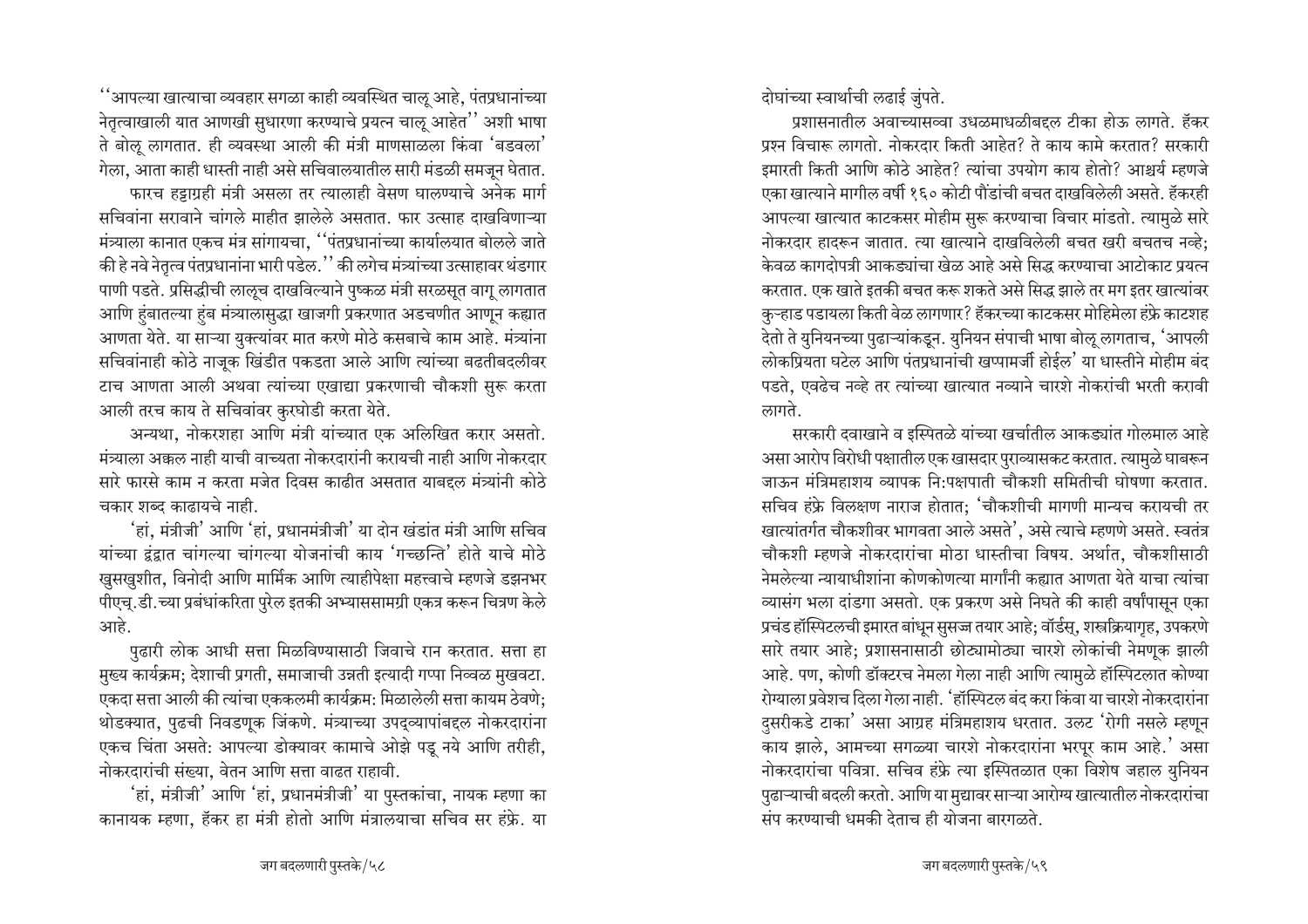$\lq\lq$ भापल्या खात्याचा व्यवहार सगळा काही व्यवस्थित चालू आहे, पंतप्रधानांच्या नेतृत्वाखाली यात आणखी सुधारणा करण्याचे प्रयत्न चालू आहेत<sup>''</sup> अशी भाषा ते बोलू लागतात. ही व्यवस्था आली की मंत्री माणसाळला किंवा 'बडवला' गेला, आता काही धास्ती नाही असे सचिवालयातील सारी मंडळी समजून घेतात*.* फारच हट्टाग्रही मंत्री असला तर त्यालाही वेसण घालण्याचे अनेक मार्ग सचिवांना सरावाने चांगले माहीत झालेले असतात. फार उत्साह दाखविणाऱ्या

मंत्र्याला कानात एकच मंत्र सांगायचा, ''पंतप्रधानांच्या कार्यालयात बोलले जाते की हे नवे नेतृत्व पंतप्रधानांना भारी पडेल.'' की लगेच मंत्र्यांच्या उत्साहावर थंडगार पाणी पडते. प्रसिद्धीची लालूच दाखविल्याने पुष्कळ मंत्री सरळसूत वागू लागतात आणि हुंबातल्या हुंब मंत्र्यालासुद्धा खाजगी प्रकरणात अडचणीत आणून कह्यात आणता येते. या साऱ्या युक्त्यांवर मात करणे मोठे कसबाचे काम आहे. मंत्र्यांना सचिवांनाही कोठे नाजूक खिंडीत पकडता आले आणि त्यांच्या बढतीबदलीवर टाच आणता आली अथवा त्यांच्या एखाद्या प्रकरणाची चौकशी सुरू करता आली तरच काय ते सचिवांवर कुरघोडी करता येते.

अन्यथा, नोकरशहा आणि मंत्री यांच्यात एक अलिखित करार असतो. <u>मंत्र्याला अक्कल नाही याची वाच्यता नोकरदारांनी करायची नाही आणि नोकरदार</u> <u>सारे फारसे काम न करता मजेत दिवस काढीत असतात याबदृल मंत्र्यांनी कोठे</u> चकार शब्द काढायचे नाही.

 $^{\prime}$ हां, मंत्रीजी $^{\prime}$  आणि  $^{\prime}$ हां, प्रधानमंत्रीजी $^{\prime}$  या दोन खंडांत मंत्री आणि सचिव यांच्या द्वंद्वात चांगल्या चांगल्या योजनांची काय 'गच्छन्ति' होते याचे मोठे ⁄ खुसखुशीत, विनोदी आणि मार्मिक आणि त्याहीपेक्षा महत्त्वाचे म्हणजे डझनभर पीएच्.डी.च्या प्रबंधांकरिता पुरेल इतकी अभ्याससामग्री एकत्र करून चित्रण केले आहे.

पुढारी लोक आधी सत्ता मिळविण्यासाठी जिवाचे रान करतात. सत्ता हा मुख्य कार्यक्रम; देशाची प्रगती, समाजाची उन्नती इत्यादी गप्पा निव्वळ मुखवटा. एकदा सत्ता आली की त्यांचा एककलमी कार्यक्रम: मिळालेली सत्ता कायम ठेवणे; थोडक्यात, पुढची निवडणूक जिंकणे. मंत्र्याच्या उपद्व्यापांबद्दल नोकरदारांना एकच चिंता असते: आपल्या डोक्यावर कामाचे ओझे पड़ नये आणि तरीही, नोकरदारांची संख्या. वेतन आणि सत्ता वाढत राहावी.

 $i$ हां, मंत्रीजी $i$  आणि 'हां, प्रधानमंत्रीजी $i$  या पुस्तकांचा, नायक म्हणा का कानायक म्हणा, हॅकर हा मंत्री होतो आणि मंत्रालयाचा सचिव सर हंफ्रे. या दोघांच्या स्वार्थाची लढाई जुंपते.

प्रशासनातील अवाच्यासव्वा उधळमाधळीबद्दल टीका होऊ लागते. हॅकर प्रश्न विचारू लागतो. नोकरदार किती आहेत? ते काय कामे करतात? सरकारी इमारती किती आणि कोठे आहेत? त्यांचा उपयोग काय होतो? आश्चर्य म्हणजे एका खात्याने मागील वर्षी १६० कोटी पौंडांची बचत दाखविलेली असते. हॅकरही आपल्या खात्यात काटकसर मोहीम सुरू करण्याचा विचार मांडतो. त्यामळे सारे नोकरदार हादरून जातात. त्या खात्याने दाखविलेली बचत खरी बचतच नव्हे; <u>केवळ कागदोपत्री आकड्यांचा खेळ आहे असे सिद्ध करण्याचा आटोकाट प्रयत्न</u> करतात. एक खाते इतकी बचत करू शकते असे सिद्ध झाले तर मग इतर खात्यांवर कुऱ्हाड पडायला किती वेळ लागणार? हॅकरच्या काटकसर मोहिमेला हंफ्रे काटशह देतो ते युनियनच्या पुढाऱ्यांकडून. युनियन संपाची भाषा बोऌ लागताच, 'आपली लोकप्रियता घटेल आणि पंतप्रधानांची खप्पामर्जी होईल<sup>'</sup> या धास्तीने मोहीम बंद पडते. एवढेच नव्हे तर त्यांच्या खात्यात नव्याने चारशे नोकरांची भरती करावी लागते.

सरकारी दवाखाने व इस्पितळे यांच्या खर्चातील आकड्यांत गोलमाल आहे असा आरोप विरोधी पक्षातील एक खासदार पुराव्यासकट करतात. त्यामुळे घाबरून जाऊन मंत्रिमहाशय व्यापक नि:पक्षपाती चौकशी समितीची घोषणा करतात. सचिव हंफ्रे विलक्षण नाराज होतात; 'चौकशीची मागणी मान्यच करायची तर खात्यांतर्गत चौकशीवर भागवता आले असते<sup>7</sup>, असे त्याचे म्हणणे असते. स्वतंत्र चौकशी म्हणजे नोकरदारांचा मोठा धास्तीचा विषय. अर्थात, चौकशीसाठी नेमलेल्या न्यायाधीशांना कोणकोणत्या मार्गांनी कह्यात आणता येते याचा त्यांचा <u>ञ्चासंग भला दांडगा असतो. एक प्रकरण असे निघते की काही वर्षांपासून एका</u> प्रचंड हॉस्पिटलची इमारत बांधून सुसज्ज तयार आहे; वॉर्डस्, शस्त्रक्रियागृह, उपकरणे सारे तयार आहे; प्रशासनासाठी छोट्यामोठ्या चारशे लोकांची नेमणूक झाली आहे. पण, कोणी डॉक्टरच नेमला गेला नाही आणि त्यामुळे हॉस्पिटलात कोण्या <u>रोग्याला प्रवेशच दिला गेला नाही. 'हॉस्पिटल बंद करा किंवा या चारशे नोकरदारांना</u> दसरीकडे टाका' असा आग्रह मंत्रिमहाशय धरतात. उलट 'रोगी नसले म्हणून काय झाले, आमच्या सगळ्या चारशे नोकरदारांना भरपूर काम आहे.' असा नोकरदारांचा पवित्रा. सचिव हंफ्रे त्या इस्पितळात एका विशेष जहाल युनियन पुढाऱ्याची बदली करतो. आणि या मुद्यावर साऱ्या आरोग्य खात्यातील नोकरदारांचा  $\frac{1}{2}$ संप करण्याची धमकी देताच ही योजना बारगळते.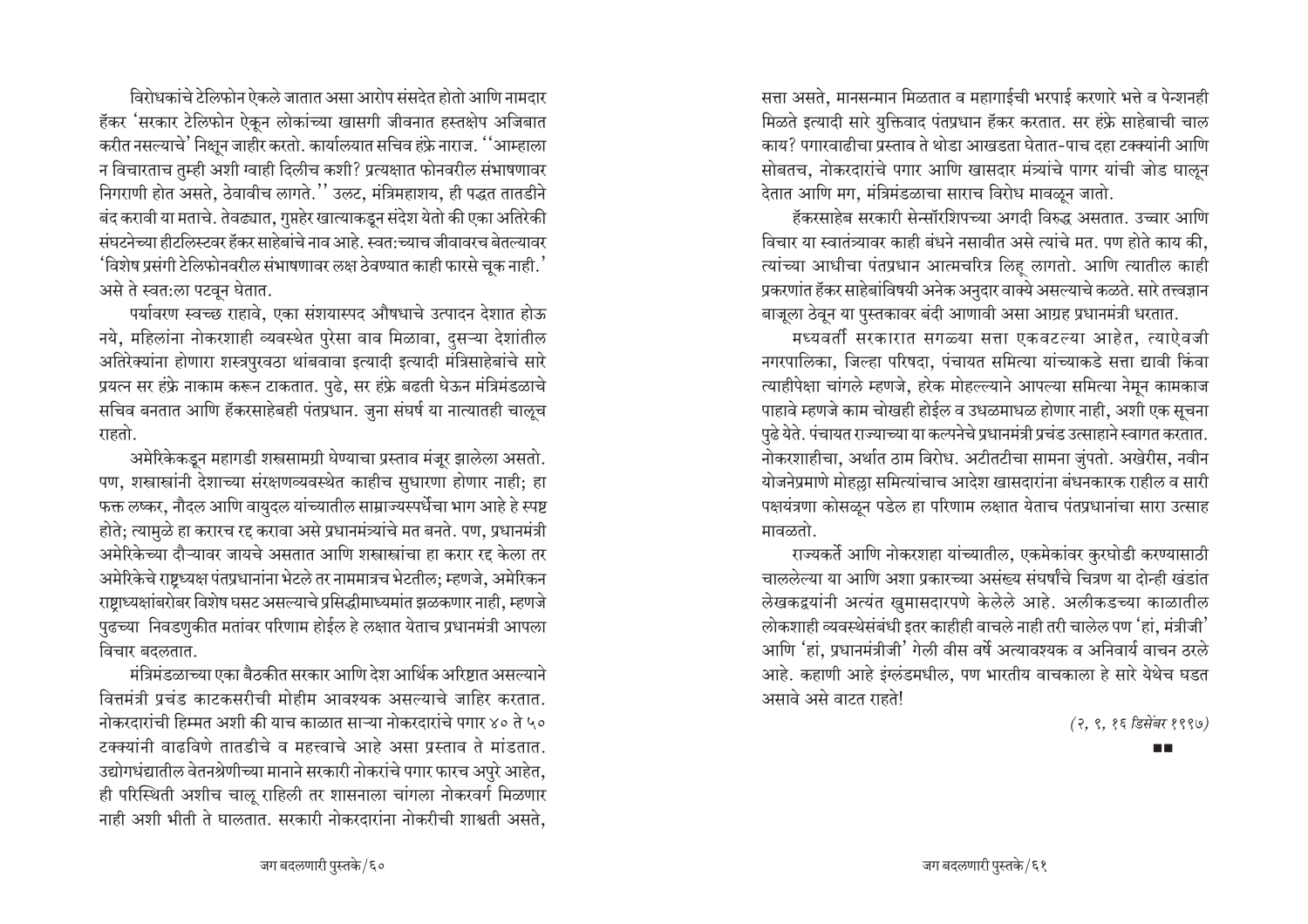विरोधकांचे टेलिफोन ऐकले जातात असा आरोप संसदेत होतो आणि नामदार हॅकर 'सरकार टेलिफोन ऐकून लोकांच्या खासगी जीवनात हस्तक्षेप अजिबात करीत नसल्याचे' निक्षुन जाहीर करतो. कार्यालयात सचिव हंफ्रे नाराज. ''आम्हाला न विचारताच तुम्ही अशी ग्वाही दिलीच कशी? प्रत्यक्षात फोनवरील संभाषणावर निगराणी होत असते. ठेवावीच लागते.'' उलट. मंत्रिमहाशय. ही पद्धत तातडीने बंद करावी या मताचे. तेवढ्यात, गुप्तहेर खात्याकडून संदेश येतो की एका अतिरेकी संघटनेच्या हीटलिस्टवर हॅकर साहेबांचे नाव आहे. स्वत:च्याच जीवावरच बेतल्यावर 'विशेष प्रसंगी टेलिफोनवरील संभाषणावर लक्ष ठेवण्यात काही फारसे चूक नाही.<sup>'</sup> असे ते स्वत:ला पटवून घेतात.

पर्यावरण स्वच्छ राहावे, एका संशयास्पद औषधाचे उत्पादन देशात होऊ नये, महिलांना नोकरशाही व्यवस्थेत पुरेसा वाव मिळावा, दुसऱ्या देशांतील अतिरेक्यांना होणारा शस्त्रपुरवठा थांबवावा इत्यादी इत्यादी मंत्रिसाहेबांचे सारे प्रयत्न सर हंफ्रे नाकाम करून टाकतात. पुढे, सर हंफ्रे बढती घेऊन मंत्रिमंडळाचे सचिव बनतात आणि हॅकरसाहेबही पंतप्रधान. जुना संघर्ष या नात्यातही चालूच राहतो.

अमेरिकेकडून महागडी शस्त्रसामग्री घेण्याचा प्रस्ताव मंजूर झालेला असतो. पण, शस्त्रास्त्रांनी देशाच्या संरक्षणव्यवस्थेत काहीच सुधारणा होणार नाही; हा फक्त लष्कर, नौदल आणि वायुदल यांच्यातील साम्राज्यस्पर्धेचा भाग आहे हे स्पष्ट होते; त्यामुळे हा करारच रद्द करावा असे प्रधानमंत्र्यांचे मत बनते. पण, प्रधानमंत्री अमेरिकेच्या दौऱ्यावर जायचे असतात आणि शस्त्रास्त्रांचा हा करार रद्द केला तर अमेरिकेचे राष्ट्रध्यक्ष पंतप्रधानांना भेटले तर नाममात्रच भेटतील; म्हणजे, अमेरिकन राष्ट्राध्यक्षांबरोबर विशेष घसट असल्याचे प्रसिद्धीमाध्यमांत झळकणार नाही, म्हणजे पुढच्या निवडणुकीत मतांवर परिणाम होईल हे लक्षात येताच प्रधानमंत्री आपला विचार बदलतात.

मंत्रिमंडळाच्या एका बैठकीत सरकार आणि देश आर्थिक अरिष्टात असल्याने वित्तमंत्री प्रचंड काटकसरीची मोहीम आवश्यक असल्याचे जाहिर करतात. नोकरदारांची हिम्मत अशी की याच काळात साऱ्या नोकरदारांचे पगार ४० ते ५० टक्क्यांनी वाढविणे तातडीचे व महत्त्वाचे आहे असा प्रस्ताव ते मांडतात. उद्योगधंद्यातील वेतनश्रेणीच्या मानाने सरकारी नोकरांचे पगार फारच अपुरे आहेत. ही परिस्थिती अशीच चालू राहिली तर शासनाला चांगला नोकरवर्ग मिळणार नाही अशी भीती ते घालतात. सरकारी नोकरदारांना नोकरीची शाश्वती असते.

सत्ता असते. मानसन्मान मिळतात व महागाईची भरपाई करणारे भत्ते व पेन्शनही मिळते इत्यादी सारे युक्तिवाद पंतप्रधान हॅकर करतात. सर हंफ्रे साहेबाची चाल काय? पगारवाढीचा प्रस्ताव ते थोडा आखडता घेतात-पाच दहा टक्क्यांनी आणि सोबतच, नोकरदारांचे पगार आणि खासदार मंत्र्यांचे पागर यांची जोड घालून देतात आणि मग, मंत्रिमंडळाचा साराच विरोध मावळून जातो.

हॅकरसाहेब सरकारी सेन्सॉरशिपच्या अगदी विरुद्ध असतात. उच्चार आणि विचार या स्वातंत्र्यावर काही बंधने नसावीत असे त्यांचे मत. पण होते काय की. त्यांच्या आधीचा पंतप्रधान आत्मचरित्र लिह लागतो. आणि त्यातील काही प्रकरणांत हॅकर साहेबांविषयी अनेक अनुदार वाक्ये असल्याचे कळते. सारे तत्त्वज्ञान बाजूला ठेवून या पुस्तकावर बंदी आणावी असा आग्रह प्रधानमंत्री धरतात.

मध्यवर्ती सरकारात सगळ्या सत्ता एकवटल्या आहेत, त्याऐवजी नगरपालिका, जिल्हा परिषदा, पंचायत समित्या यांच्याकडे सत्ता द्यावी किंवा त्याहीपेक्षा चांगले म्हणजे, हरेक मोहल्ल्याने आपल्या समित्या नेमून कामकाज पाहावे म्हणजे काम चोखही होईल व उधळमाधळ होणार नाही, अशी एक सूचना पुढे येते. पंचायत राज्याच्या या कल्पनेचे प्रधानमंत्री प्रचंड उत्साहाने स्वागत करतात. नोकरशाहीचा, अर्थात ठाम विरोध. अटीतटीचा सामना जुंपतो. अखेरीस, नवीन योजनेप्रमाणे मोहल्ला समित्यांचाच आदेश खासदारांना बंधनकारक राहील व सारी पक्षयंत्रणा कोसळून पडेल हा परिणाम लक्षात येताच पंतप्रधानांचा सारा उत्साह मावळतो.

राज्यकर्ते आणि नोकरशहा यांच्यातील, एकमेकांवर कुरघोडी करण्यासाठी चाललेल्या या आणि अशा प्रकारच्या असंख्य संघर्षांचे चित्रण या दोन्ही खंडांत लेखकद्वयांनी अत्यंत खुमासदारपणे केलेले आहे. अलीकडच्या काळातील लोकशाही व्यवस्थेसंबंधी इतर काहीही वाचले नाही तरी चालेल पण 'हां, मंत्रीजी' आणि 'हां, प्रधानमंत्रीजी' गेली वीस वर्षे अत्यावश्यक व अनिवार्य वाचन ठरले आहे. कहाणी आहे इंग्लंडमधील, पण भारतीय वाचकाला हे सारे येथेच घडत असावे असे वाटत राहते!

(२, ९, १६ डिसेंबर १९९७)

**FIL**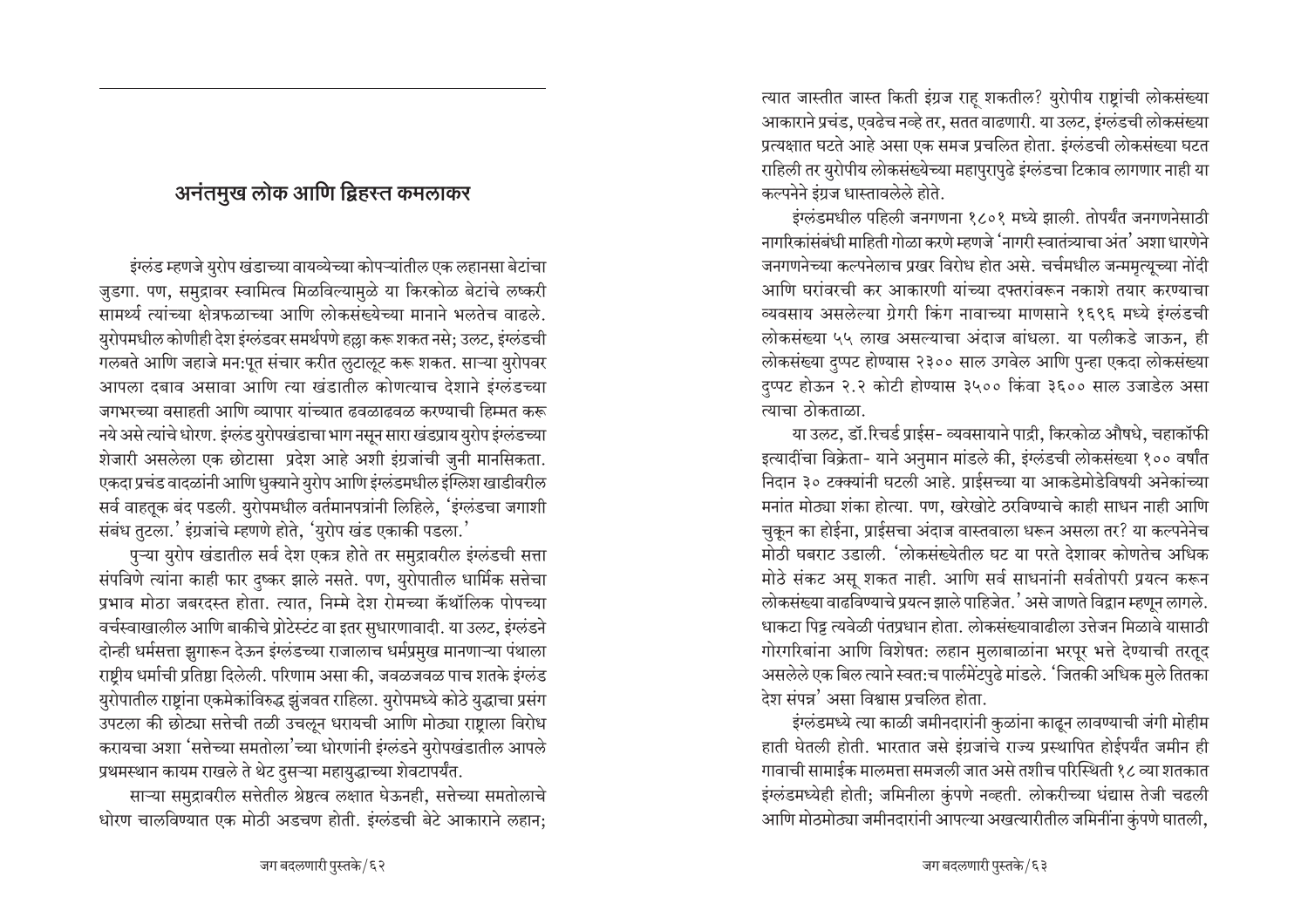## अनंतमुख लोक आणि द्विहस्त कमलाकर

इंग्लंड म्हणजे युरोप खंडाच्या वायव्येच्या कोपऱ्यांतील एक लहानसा बेटांचा जुडगा. पण, समुद्रावर स्वामित्व मिळविल्यामुळे या किरकोळ बेटांचे लष्करी सामर्थ्य त्यांच्या क्षेत्रफळाच्या आणि लोकसंख्येच्या मानाने भलतेच वाढले. युरोपमधील कोणीही देश इंग्लंडवर समर्थपणे हल्ला करू शकत नसे; उलट, इंग्लंडची गलबते आणि जहाजे मन:पूत संचार करीत लुटालूट करू शकत. साऱ्या युरोपवर आपला दबाव असावा आणि त्या खंडातील कोणत्याच देशाने इंग्लंडच्या जगभरच्या वसाहती आणि व्यापार यांच्यात ढवळाढवळ करण्याची हिम्मत करू नये असे त्यांचे धोरण. इंग्लंड युरोपखंडाचा भाग नसून सारा खंडप्राय युरोप इंग्लंडच्या शेजारी असलेला एक छोटासा प्रदेश आहे अशी इंग्रजांची जुनी मानसिकता. एकदा प्रचंड वादळांनी आणि धुक्याने युरोप आणि इंग्लंडमधील इंग्लिश खाडीवरील सर्व वाहतूक बंद पडली. युरोपमधील वर्तमानपत्रांनी लिहिले, 'इंग्लंडचा जगाशी संबंध तुटला.' इंग्रजांचे म्हणणे होते, 'युरोप खंड एकाकी पडला.'

पुऱ्या युरोप खंडातील सर्व देश एकत्र होते तर समुद्रावरील इंग्लंडची सत्ता संपविणे त्यांना काही फार दुष्कर झाले नसते. पण, युरोपातील धार्मिक सत्तेचा प्रभाव मोठा जबरदस्त होता. त्यात, निम्मे देश रोमच्या कॅथॉलिक पोपच्या वर्चस्वाखालील आणि बाकीचे प्रोटेस्टंट वा इतर सुधारणावादी. या उलट, इंग्लंडने दोन्ही धर्मसत्ता झुगारून देऊन इंग्लंडच्या राजालाच धर्मप्रमुख मानणाऱ्या पंथाला राष्टीय धर्माची प्रतिष्ठा दिलेली. परिणाम असा की, जवळजवळ पाच शतके इंग्लंड युरोपातील राष्ट्रांना एकमेकांविरुद्ध झुंजवत राहिला. युरोपमध्ये कोठे युद्धाचा प्रसंग उपटला की छोट्या सत्तेची तळी उचलून धरायची आणि मोठ्या राष्ट्राला विरोध करायचा अशा 'सत्तेच्या समतोला'च्या धोरणांनी इंग्लंडने युरोपखंडातील आपले प्रथमस्थान कायम राखले ते थेट दुसऱ्या महायुद्धाच्या शेवटापर्यंत.

साऱ्या समुद्रावरील सत्तेतील श्रेष्ठत्व लक्षात घेऊनही, सत्तेच्या समतोलाचे धोरण चालविण्यात एक मोठी अडचण होती. इंग्लंडची बेटे आकाराने लहान;

त्यात जास्तीत जास्त किती इंग्रज राह शकतील? युरोपीय राष्टांची लोकसंख्या आकाराने प्रचंड, एवढेच नव्हे तर, सतत वाढणारी. या उलट, इंग्लंडची लोकसंख्या प्रत्यक्षात घटते आहे असा एक समज प्रचलित होता. इंग्लंडची लोकसंख्या घटत राहिली तर युरोपीय लोकसंख्येच्या महापुरापुढे इंग्लंडचा टिकाव लागणार नाही या कल्पनेने इंग्रज धास्तावलेले होते.

इंग्लंडमधील पहिली जनगणना १८०१ मध्ये झाली. तोपर्यंत जनगणनेसाठी नागरिकांसंबंधी माहिती गोळा करणे म्हणजे 'नागरी स्वातंत्र्याचा अंत' अशा धारणेने जनगणनेच्या कल्पनेलाच प्रखर विरोध होत असे. चर्चमधील जन्ममृत्युच्या नोंदी आणि घरांवरची कर आकारणी यांच्या दफ्तरांवरून नकाशे तयार करण्याचा व्यवसाय असलेल्या ग्रेगरी किंग नावाच्या माणसाने १६९६ मध्ये इंग्लंडची लोकसंख्या ५५ लाख असल्याचा अंदाज बांधला. या पलीकडे जाऊन, ही लोकसंख्या दप्पट होण्यास २३०० साल उगवेल आणि पुन्हा एकदा लोकसंख्या दप्पट होऊन २.२ कोटी होण्यास ३५०० किंवा ३६०० साल उजाडेल असा त्याचा ठोकताळा.

या उलट, डॉ.रिचर्ड प्राईस- व्यवसायाने पाद्री, किरकोळ औषधे, चहाकॉफी इत्यादींचा विक्रेता- याने अनुमान मांडले की, इंग्लंडची लोकसंख्या १०० वर्षांत निदान ३० टक्क्यांनी घटली आहे. प्राईसच्या या आकडेमोडेविषयी अनेकांच्या मनांत मोठ्या शंका होत्या. पण, खरेखोटे ठरविण्याचे काही साधन नाही आणि चुकून का होईना, प्राईसचा अंदाज वास्तवाला धरून असला तर? या कल्पनेनेच मोठी घबराट उडाली. 'लोकसंख्येतील घट या परते देशावर कोणतेच अधिक मोठे संकट असू शकत नाही. आणि सर्व साधनांनी सर्वतोपरी प्रयत्न करून लोकसंख्या वाढविण्याचे प्रयत्न झाले पाहिजेत.' असे जाणते विद्वान म्हणून लागले. धाकटा पिट्ट त्यवेळी पंतप्रधान होता. लोकसंख्यावाढीला उत्तेजन मिळावे यासाठी गोरगरिबांना आणि विशेषत: लहान मुलाबाळांना भरपूर भत्ते देण्याची तरतूद असलेले एक बिल त्याने स्वत:च पार्लमेंटपुढे मांडले. 'जितकी अधिक मुले तितका देश संपन्न' असा विश्वास प्रचलित होता.

इंग्लंडमध्ये त्या काळी जमीनदारांनी कुळांना काढून लावण्याची जंगी मोहीम हाती घेतली होती. भारतात जसे इंग्रजांचे राज्य प्रस्थापित होईपर्यंत जमीन ही गावाची सामाईक मालमत्ता समजली जात असे तशीच परिस्थिती १८ व्या शतकात इंग्लंडमध्येही होती; जमिनीला कुंपणे नव्हती. लोकरीच्या धंद्यास तेजी चढली आणि मोठमोठ्या जमीनदारांनी आपल्या अखत्यारीतील जमिनींना कुंपणे घातली,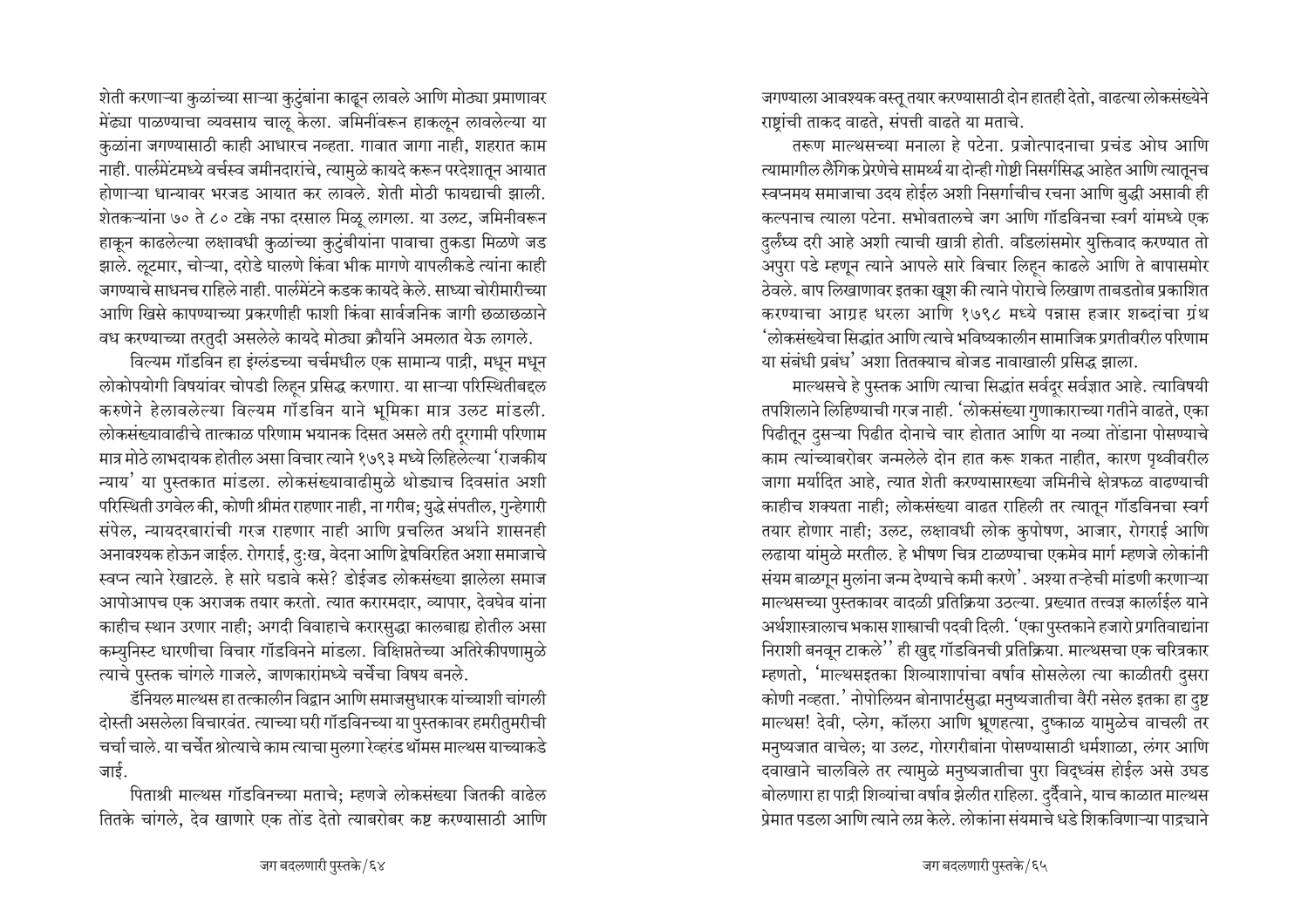शेती करणाऱ्या कुळांच्या साऱ्या कुटुंबांना काढून लावले आणि मोठ्या प्रमाणावर मेंढ्या पाळण्याचा व्यवसाय चालू केला. जमिनींवरून हाकलून लावलेल्या या कुळांना जगण्यासाठी काही आधारच नव्हता. गावात जागा नाही, शहरात काम नाही. पार्लमेंटमध्ये वर्चस्व जमीनदारांचे, त्यामुळे कायदे करून परदेशातून आयात होणाऱ्या धान्यावर भरजड आयात कर लावले. शेती मोठी फायद्याची झाली. शेतकऱ्यांना ७० ते ८० टक्के नफा दरसाल मिळू लागला. या उलट, जमिनीवरून हाकून काढलेल्या लक्षावधी कुळांच्या कुटुंबीयांना पावाचा तुकडा मिळणे जड झाले. लूटमार, चोऱ्या, दरोडे घालणे किंवा भीक मागणे यापलीकडे त्यांना काही जगण्याचे साधनच राहिले नाही. पार्लमेंटने कडक कायदे केले. साध्या चोरीमारीच्या आणि खिसे कापण्याच्या प्रकरणीही फाशी किंवा सार्वजनिक जागी छळाछळाने वध करण्याच्या तरतदी असलेले कायदे मोठ्या क्रौर्याने अमलात येऊ लागले.

विल्यम गॉडविन हा इंग्लंडच्या चर्चमधील एक सामान्य पाद्री, मधून मधून लोकोपयोगी विषयांवर चोपडी लिहून प्रसिद्ध करणारा. या साऱ्या परिस्थितीबद्दल करुणेने हेलावलेल्या विल्यम गॉडविन याने भूमिका मात्र उलट मांडली. लोकसंख्यावाढीचे तात्काळ परिणाम भयानक दिसत असले तरी दूरगामी परिणाम मात्र मोठे लाभदायक होतील असा विचार त्याने १७९३ मध्ये लिहिलेल्या 'राजकीय न्याय' या पुस्तकात मांडला. लोकसंख्यावाढीमुळे थोड्याच दिवसांत अशी परिस्थिती उगवेल की, कोणी श्रीमंत राहणार नाही, ना गरीब; युद्धे संपतील, गुन्हेगारी संपेल, न्यायदरबारांची गरज राहणार नाही आणि प्रचलित अर्थाने शासनही अनावश्यक होऊन जाईल. रोगराई, दु:ख, वेदना आणि द्रेषविरहित अशा समाजाचे स्वप्न त्याने रेखाटले. हे सारे घडावे कसे? डोईजड लोकसंख्या झालेला समाज आपोआपच एक अराजक तयार करतो. त्यात करारमदार, व्यापार, देवघेव यांना काहीच स्थान उरणार नाही; अगदी विवाहाचे करारसुद्धा कालबाह्य होतील असा कम्युनिस्ट धारणीचा विचार गॉडविनने मांडला. विक्षिप्ततेच्या अतिरेकीपणामुळे त्याचे पुस्तक चांगले गाजले, जाणकारांमध्ये चर्चेचा विषय बनले.

डॅनियल माल्थस हा तत्कालीन विद्वान आणि समाजसुधारक यांच्याशी चांगली दोस्ती असलेला विचारवंत. त्याच्या घरी गॉडविनच्या या पुस्तकावर हमरीतुमरीची चर्चा चाले. या चर्चेत श्रोत्याचे काम त्याचा मुलगा रेव्हरंड थॉमस माल्थस याच्याकडे जार्ड.

पिताश्री माल्थस गॉडविनच्या मताचे; म्हणजे लोकसंख्या जितकी वाढेल तितके चांगले. देव खाणारे एक तोंड देतो त्याबरोबर कष्ट करण्यासाठी आणि जगण्याला आवश्यक वस्तू तयार करण्यासाठी दोन हातही देतो, वाढत्या लोकसंख्येने राष्टांची ताकद वाढते. संपत्ती वाढते या मताचे.

तरूण माल्थसच्या मनाला हे पटेना. प्रजोत्पादनाचा प्रचंड ओघ आणि त्यामागील लैंगिक प्रेरणेचे सामर्थ्य या दोन्ही गोष्टी निसर्गसिद्ध आहेत आणि त्यातुनच स्वप्नमय समाजाचा उदय होईल अशी निसर्गाचीच रचना आणि बुद्धी असावी ही कल्पनाच त्याला पटेना. सभोवतालचे जग आणि गॉडविनचा स्वर्ग यांमध्ये एक दुर्लंघ्य दरी आहे अशी त्याची खात्री होती. वडिलांसमोर युक्तिवाद करण्यात तो अपुरा पडे म्हणून त्याने आपले सारे विचार लिहन काढले आणि ते बापासमोर ठेवले. बाप लिखाणावर इतका खूश की त्याने पोराचे लिखाण ताबडतोब प्रकाशित करण्याचा आग्रह धरला आणि १७९८ मध्ये पन्नास हजार शब्दांचा ग्रंथ 'लोकसंख्येचा सिद्धांत आणि त्याचे भविष्यकालीन सामाजिक प्रगतीवरील परिणाम या संबंधी प्रबंध' अशा तितक्याच बोजड नावाखाली प्रसिद्ध झाला.

माल्थसचे हे पुस्तक आणि त्याचा सिद्धांत सर्वदर सर्वज्ञात आहे. त्याविषयी तपशिलाने लिहिण्याची गरज नाही. 'लोकसंख्या गुणाकाराच्या गतीने वाढते, एका पिढीतून दुसऱ्या पिढीत दोनाचे चार होतात आणि या नव्या तोंडाना पोसण्याचे काम त्यांच्याबरोबर जन्मलेले दोन हात करू शकत नाहीत, कारण पृथ्वीवरील जागा मर्यादित आहे. त्यात शेती करण्यासारख्या जमिनीचे क्षेत्रफळ वाढण्याची काहीच शक्यता नाही; लोकसंख्या वाढत राहिली तर त्यातून गॉडविनचा स्वर्ग तयार होणार नाही; उलट, लक्षावधी लोक कुपोषण, आजार, रोगराई आणि लढाया यांमुळे मरतील. हे भीषण चित्र टाळण्याचा एकमेव मार्ग म्हणजे लोकांनी संयम बाळगून मुलांना जन्म देण्याचे कमी करणे'. अश्या तऱ्हेची मांडणी करणाऱ्या माल्थसच्या पुस्तकावर वादळी प्रतिक्रिया उठल्या. प्रख्यात तत्त्वज्ञ कार्लाईल याने अर्थशास्त्रालाच भकास शास्त्राची पदवी दिली. 'एका पुस्तकाने हजारो प्रगतिवाद्यांना निराशी बनवून टाकले'' ही खुद्द गॉडविनची प्रतिक्रिया. माल्थसचा एक चरित्रकार म्हणतो, 'माल्थसइतका शिव्याशापांचा वर्षाव सोसलेला त्या काळीतरी दुसरा कोणी नव्हता.' नोपोलियन बोनापार्टसुद्धा मनुष्यजातीचा वैरी नसेल इतका हा दुष्ट माल्थस! देवी, प्लेग, कॉलरा आणि भ्रूणहत्या, दुष्काळ यामुळेच वाचली तर मनुष्यजात वाचेल; या उलट, गोरगरीबांना पोसण्यासाठी धर्मशाळा, लंगर आणि दवाखाने चालविले तर त्यामुळे मनुष्यजातीचा पुरा विद्ध्वंस होईल असे उघड बोलणारा हा पाद्री शिव्यांचा वर्षाव झेलीत राहिला. दुर्दैवाने, याच काळात माल्थस पेमात पडला आणि त्याने लग्न केले. लोकांना संयमाचे धडे शिकविणाऱ्या पादचाने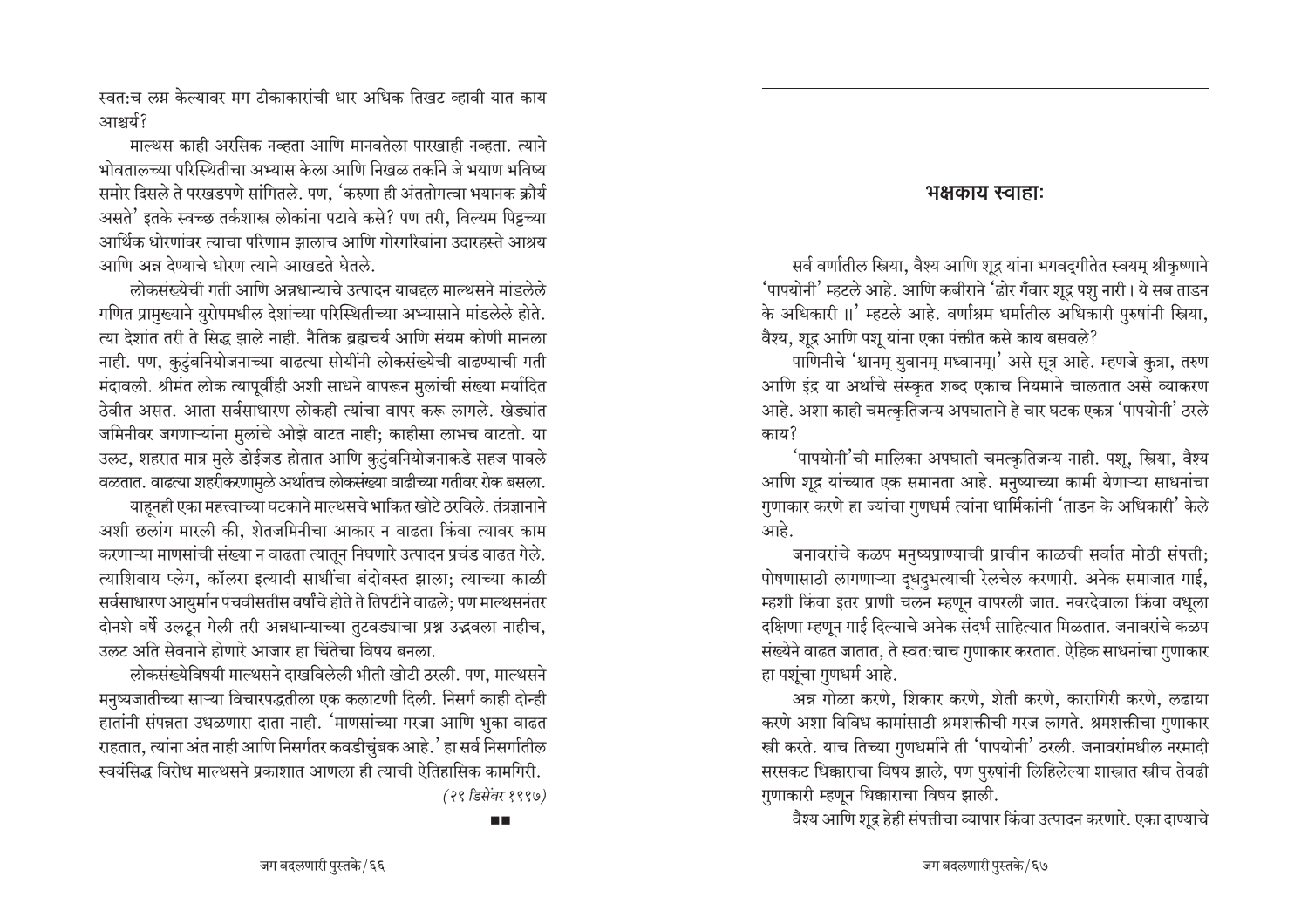स्वतःच लग्न केल्यावर मग टीकाकारांची धार अधिक तिखट व्हावी यात काय आश्चर्य?

माल्थस काही अरसिक नव्हता आणि मानवतेला पारखाही नव्हता. त्याने भोवतालच्या परिस्थितीचा अभ्यास केला आणि निखळ तर्काने जे भयाण भविष्य समोर दिसले ते परखडपणे सांगितले. पण, 'करुणा ही अंततोगत्वा भयानक क्रौर्य असते' इतके स्वच्छ तर्कशास्त्र लोकांना पटावे कसे? पण तरी, विल्यम पिट्टच्या आर्थिक धोरणांवर त्याचा परिणाम झालाच आणि गोरगरिबांना उदारहस्ते आश्रय आणि अन्न देण्याचे धोरण त्याने आखडते घेतले.

लोकसंख्येची गती आणि अन्नधान्याचे उत्पादन याबद्दल माल्थसने मांडलेले गणित प्रामुख्याने युरोपमधील देशांच्या परिस्थितीच्या अभ्यासाने मांडलेले होते. त्या देशांत तरी ते सिद्ध झाले नाही. नैतिक ब्रह्मचर्य आणि संयम कोणी मानला नाही. पण, कुटुंबनियोजनाच्या वाढत्या सोयींनी लोकसंख्येची वाढण्याची गती मंदावली. श्रीमंत लोक त्यापूर्वीही अशी साधने वापरून मुलांची संख्या मर्यादित ठेवीत असत. आता सर्वसाधारण लोकही त्यांचा वापर करू लागले. खेड्यांत जमिनीवर जगणाऱ्यांना मुलांचे ओझे वाटत नाही; काहीसा लाभच वाटतो. या उलट, शहरात मात्र मुले डोईजड होतात आणि कुटुंबनियोजनाकडे सहज पावले वळतात. वाढत्या शहरीकरणामुळे अर्थातच लोकसंख्या वाढीच्या गतीवर रोक बसला.

याहूनही एका महत्त्वाच्या घटकाने माल्थसचे भाकित खोटे ठरविले. तंत्रज्ञानाने अशी छलांग मारली की, शेतजमिनीचा आकार न वाढता किंवा त्यावर काम करणाऱ्या माणसांची संख्या न वाढता त्यातून निघणारे उत्पादन प्रचंड वाढत गेले. त्याशिवाय प्लेग, कॉलरा इत्यादी साथींचा बंदोबस्त झाला; त्याच्या काळी सर्वसाधारण आयुर्मान पंचवीसतीस वर्षांचे होते ते तिपटीने वाढले; पण माल्थसनंतर दोनशे वर्षे उलटून गेली तरी अन्नधान्याच्या तुटवड्याचा प्रश्न उद्धवला नाहीच, उलट अति सेवनाने होणारे आजार हा चिंतेचा विषय बनला.

लोकसंख्येविषयी माल्थसने दाखविलेली भीती खोटी ठरली. पण, माल्थसने मनुष्यजातीच्या साऱ्या विचारपद्धतीला एक कलाटणी दिली. निसर्ग काही दोन्ही हातांनी संपन्नता उधळणारा दाता नाही. 'माणसांच्या गरजा आणि भुका वाढत राहतात, त्यांना अंत नाही आणि निसर्गतर कवडीचुंबक आहे.' हा सर्व निसर्गातील स्वयंसिद्ध विरोध माल्थसने प्रकाशात आणला ही त्याची ऐतिहासिक कामगिरी. (२९ डिसेंबर १९९७)

ПD

#### भक्षकाय स्वाहाः

सर्व वर्णातील स्त्रिया, वैश्य आणि शुद्र यांना भगवदगीतेत स्वयम् श्रीकृष्णाने 'पापयोनी' म्हटले आहे. आणि कबीराने 'ढोर गँवार शूद्र पशु नारी। ये सब ताडन के अधिकारी ॥' म्हटले आहे. वर्णाश्रम धर्मातील अधिकारी पुरुषांनी स्त्रिया, वैश्य, शुद्र आणि पशु यांना एका पंक्तीत कसे काय बसवले?

पाणिनीचे 'श्वानम् युवानम् मध्वानम्।' असे सूत्र आहे. म्हणजे कुत्रा, तरुण आणि इंद्र या अर्थाचे संस्कृत शब्द एकाच नियमाने चालतात असे व्याकरण आहे. अशा काही चमत्कृतिजन्य अपघाताने हे चार घटक एकत्र 'पापयोनी' ठरले काय?

'पापयोनी'ची मालिका अपघाती चमत्कृतिजन्य नाही. पशू, स्त्रिया, वैश्य आणि शूद्र यांच्यात एक समानता आहे. मनुष्याच्या कामी येणाऱ्या साधनांचा गुणाकार करणे हा ज्यांचा गुणधर्म त्यांना धार्मिकांनी 'ताडन के अधिकारी' केले आहे.

जनावरांचे कळप मनुष्यप्राण्याची प्राचीन काळची सर्वात मोठी संपत्ती; पोषणासाठी लागणाऱ्या दूधदुभत्याची रेलचेल करणारी. अनेक समाजात गाई, म्हशी किंवा इतर प्राणी चलन म्हणून वापरली जात. नवरदेवाला किंवा वधूला दक्षिणा म्हणून गाई दिल्याचे अनेक संदर्भ साहित्यात मिळतात. जनावरांचे कळप संख्येने वाढत जातात, ते स्वत:चाच गुणाकार करतात. ऐहिक साधनांचा गुणाकार हा पशुंचा गुणधर्म आहे.

अन्न गोळा करणे, शिकार करणे, शेती करणे, कारागिरी करणे, लढाया करणे अशा विविध कामांसाठी श्रमशक्तीची गरज लागते. श्रमशक्तीचा गुणाकार स्त्री करते. याच तिच्या गुणधर्माने ती 'पापयोनी' ठरली. जनावरांमधील नरमादी सरसकट धिक्काराचा विषय झाले. पण पुरुषांनी लिहिलेल्या शास्त्रात स्त्रीच तेवढी गुणाकारी म्हणून धिक्काराचा विषय झाली.

वैश्य आणि शुद्र हेही संपत्तीचा व्यापार किंवा उत्पादन करणारे. एका दाण्याचे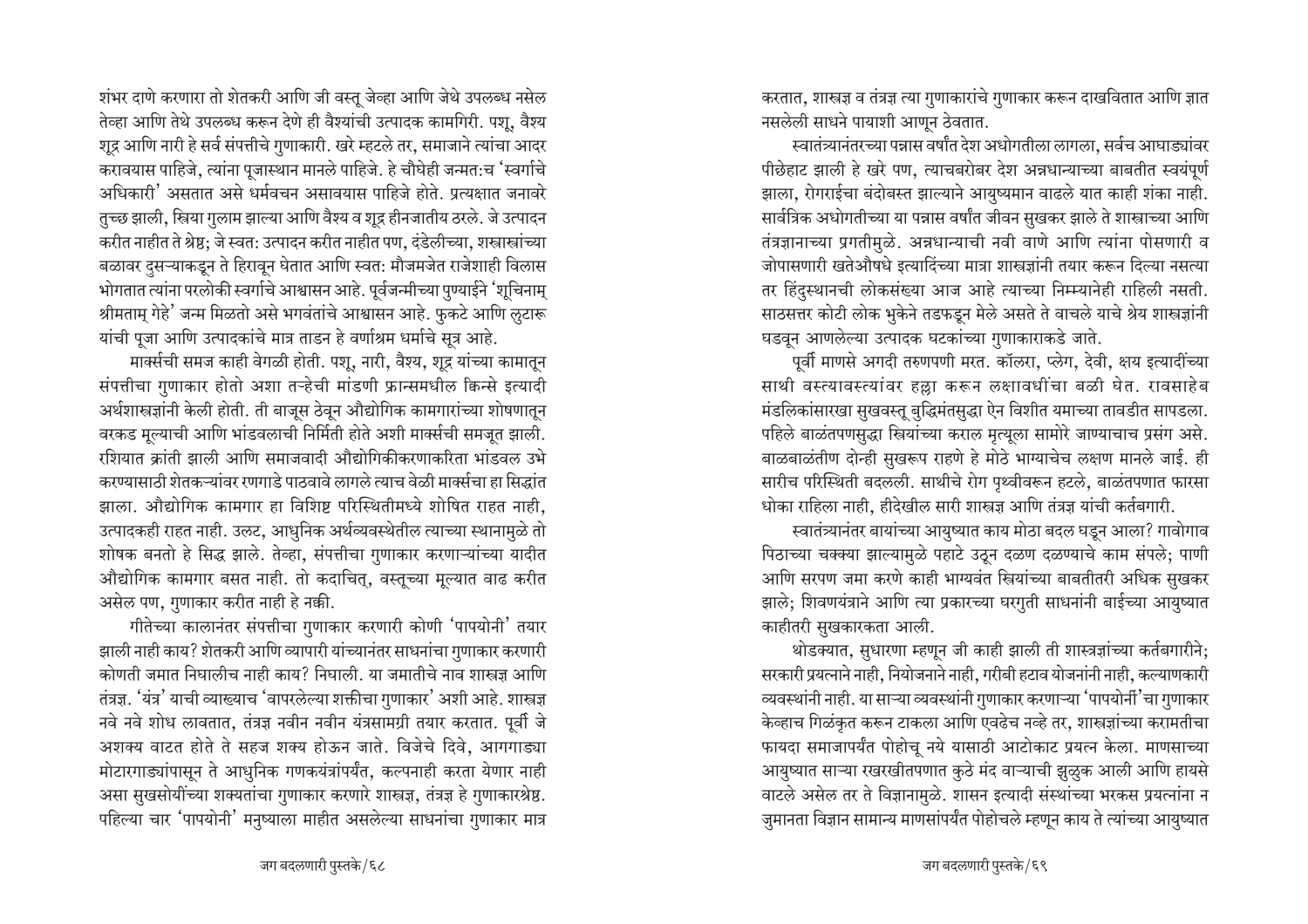शंभर दाणे करणारा तो शेतकरी आणि जी वस्तू जेव्हा आणि जेथे उपलब्ध नसेल तेव्हा आणि तेथे उपलब्ध करून देणे ही वैश्यांची उत्पादक कामगिरी. पशू, वैश्य शुद्र आणि नारी हे सर्व संपत्तीचे गुणाकारी. खरे म्हटले तर, समाजाने त्यांचा आदर करावयास पाहिजे, त्यांना पूजास्थान मानले पाहिजे. हे चौघेही जन्मत:च 'स्वर्गाचे आधिकारी' असतात असे धर्मवचन असावयास पाहिजे होते. प्रत्यक्षात जनावरे तुच्छ झाली, स्त्रिया गुलाम झाल्या आणि वैश्य व शुद्र हीनजातीय ठरले. जे उत्पादन करीत नाहीत ते श्रेष्ठ; जे स्वत: उत्पादन करीत नाहीत पण, दंडेलीच्या, शस्त्रास्त्रांच्या बळावर दुसऱ्याकडून ते हिरावून घेतात आणि स्वत: मौजमजेत राजेशाही विलास भोगतात त्यांना परलोकी स्वर्गाचे आश्वासन आहे. पूर्वजन्मीच्या पुण्याईने 'शूचिनाम् श्रीमताम् गेहे<sup>'</sup> जन्म मिळतो असे भगवंतांचे आश्वासन आहे. फुकटे आणि ऌटारू यांची पूजा आणि उत्पादकांचे मात्र ताडन हे वर्णाश्रम धर्माचे सूत्र आहे.

मार्क्सची समज काही वेगळी होती. पशू, नारी, वैश्य, शूद्र यांच्या कामातून संपत्तीचा गुणाकार होतो अशा तऱ्हेची मांडणी फ्रान्समधील किन्से इत्यादी अर्थशास्त्रज्ञांनी केली होती. ती बाजूस ठेवून औद्योगिक कामगारांच्या शोषणातून वरकड मूल्याची आणि भांडवलाची निर्मिती होते अशी मार्क्सची समजूत झाली. रशियात क्रांती झाली आणि समाजवादी औद्योगिकीकरणाकरिता भांडवल उभे • करण्यासाठी शेतकऱ्यांवर रणगाडे पाठवावे लागले त्याच वेळी मार्क्सचा हा सिद्धांत झाला. औद्योगिक कामगार हा विशिष्ट परिस्थितीमध्ये शोषित राहत नाही. उत्पादकही राहत नाही. उलट, आधुनिक अर्थव्यवस्थेतील त्याच्या स्थानामुळे तो शोषक बनतो हे सिद्ध झाले. तेव्हा, संपत्तीचा गुणाकार करणाऱ्यांच्या यादीत औद्योगिक कामगार बसत नाही. तो कदाचित्, वस्तूच्या मूल्यात वाढ करीत असेल पण, गुणाकार करीत नाही हे नक्की.

गीतेच्या कालानंतर संपत्तीचा गुणाकार करणारी कोणी 'पापयोनी' तयार झाली नाही काय? शेतकरी आणि व्यापारी यांच्यानंतर साधनांचा गुणाकार करणारी कोणती जमात निघालीच नाही काय? निघाली. या जमातीचे नाव शास्त्रज्ञ आणि  $\,$ तंत्रज्ञ. 'यंत्र' याची व्याख्याच 'वापरलेल्या शक्तीचा गुणाकार' अशी आहे. शास्त्रज्ञ नवे नवे शोध लावतात, तंत्रज्ञ नवीन नवीन यंत्रसामग्री तयार करतात. पूर्वी जे आशक्य वाटत होते ते सहज शक्य होऊन जाते. विजेचे दिवे, आगगाड्या मोटारगाड्यांपासून ते आधुनिक गणकयंत्रांपर्यंत, कल्पनाही करता येणार नाही असा सुखसोयींच्या शक्यतांचा गुणाकार करणारे शास्त्रज्ञ, तंत्रज्ञ हे गुणाकारश्रेष्ठ. पहिल्या चार 'पापयोनी' मनुष्याला माहीत असलेल्या साधनांचा गुणाकार मात्र

करतात, शास्त्रज्ञ व तंत्रज्ञ त्या गुणाकारांचे गुणाकार करून दाखवितात आणि ज्ञात नसलेली साधने पायाशी आणून ठेवतात.

 $\epsilon$ वातंत्र्यानंतरच्या पन्नास वर्षांत देश अधोगतीला लागला. सर्वच आघाड्यांवर पीछेहाट झाली हे खरे पण, त्याचबरोबर देश अन्नधान्याच्या बाबतीत स्वयंपूर्ण झाला, रोगराईचा बंदोबस्त झाल्याने आयुष्यमान वाढले यात काही शंका नाही. सार्वत्रिक अधोगतीच्या या पन्नास वर्षांत जीवन सुखकर झाले ते शास्त्राच्या आणि तंत्रज्ञानाच्या प्रगतीमुळे. अन्नधान्याची नवी वाणे आणि त्यांना पोसणारी व जोपासणारी खतेऔषधे इत्यादिंच्या मात्रा शास्त्रज्ञांनी तयार करून दिल्या नसत्या तर हिंदुस्थानची लोकसंख्या आज आहे त्याच्या निम्म्यानेही राहिली नसती. साठसत्तर कोटी लोक भुकेने तडफडून मेले असते ते वाचले याचे श्रेय शास्त्रज्ञांनी घडवून आणलेल्या उत्पादक घटकांच्या गुणाकाराकडे जाते.

पूर्वी माणसे अगदी तरुणपणी मरत. कॉलरा, प्लेग, देवी, क्षय इत्यादींच्या साथी वस्त्यावस्त्यांवर हल्ला करून लक्षावधींचा बळी घेत. रावसाहेब .<br>मंडलिकांसारखा सुखवस्तू बुद्धिमंतसुद्धा ऐन विशीत यमाच्या तावडीत सापडला. पहिले बाळंतपणसुद्धा स्त्रियांच्या कराल मृत्यूला सामोरे जाण्याचाच प्रसंग असे. बाळबाळंतीण दोन्ही सुखरूप राहणे हे मोठे भाग्याचेच लक्षण मानले जाई. ही सारीच परिस्थिती बदलली. साथीचे रोग पृथ्वीवरून हटले, बाळंतपणात फारसा धोका राहिला नाही, हीदेखील सारी शास्त्रज्ञ आणि तंत्रज्ञ यांची कर्तबगारी.

स्वातंत्र्यानंतर बायांच्या आयुष्यात काय मोठा बदल घडून आला? गावोगाव पिठाच्या चक्क्या झाल्यामुळे पहाटे उठून दळण दळण्याचे काम संपले; पाणी आणि सरपण जमा करणे काही भाग्यवंत स्त्रियांच्या बाबतीतरी अधिक सुखकर झाले; शिवणयंत्राने आणि त्या प्रकारच्या घरगुती साधनांनी बाईच्या आयुष्यात काहीतरी सुखकारकता आली.

थोडक्यात, सुधारणा म्हणून जी काही झाली ती शास्त्रज्ञांच्या कर्तबगारीने; सरकारी प्रयत्नाने नाही, नियोजनाने नाही, गरीबी हटाव योजनांनी नाही, कल्याणकारी व्यवस्थांनी नाही. या साऱ्या व्यवस्थांनी गुणाकार करणाऱ्या 'पापयोर्नी'चा गुणाकार केव्हाच गिळंकृत करून टाकला आणि एवढेच नव्हे तर, शास्त्रज्ञांच्या करामतीचा फायदा समाजापर्यंत पोहोचू नये यासाठी आटोकाट प्रयत्न केला. माणसाच्या आयुष्यात साऱ्या रखरखीतपणात कुठे मंद वाऱ्याची झुळुक आली आणि हायसे वाटले असेल तर ते विज्ञानामुळे. शासन इत्यादी संस्थांच्या भरकस प्रयत्नांना न जुमानता विज्ञान सामान्य माणसांपर्यंत पोहोचले म्हणून काय ते त्यांच्या आयुष्यात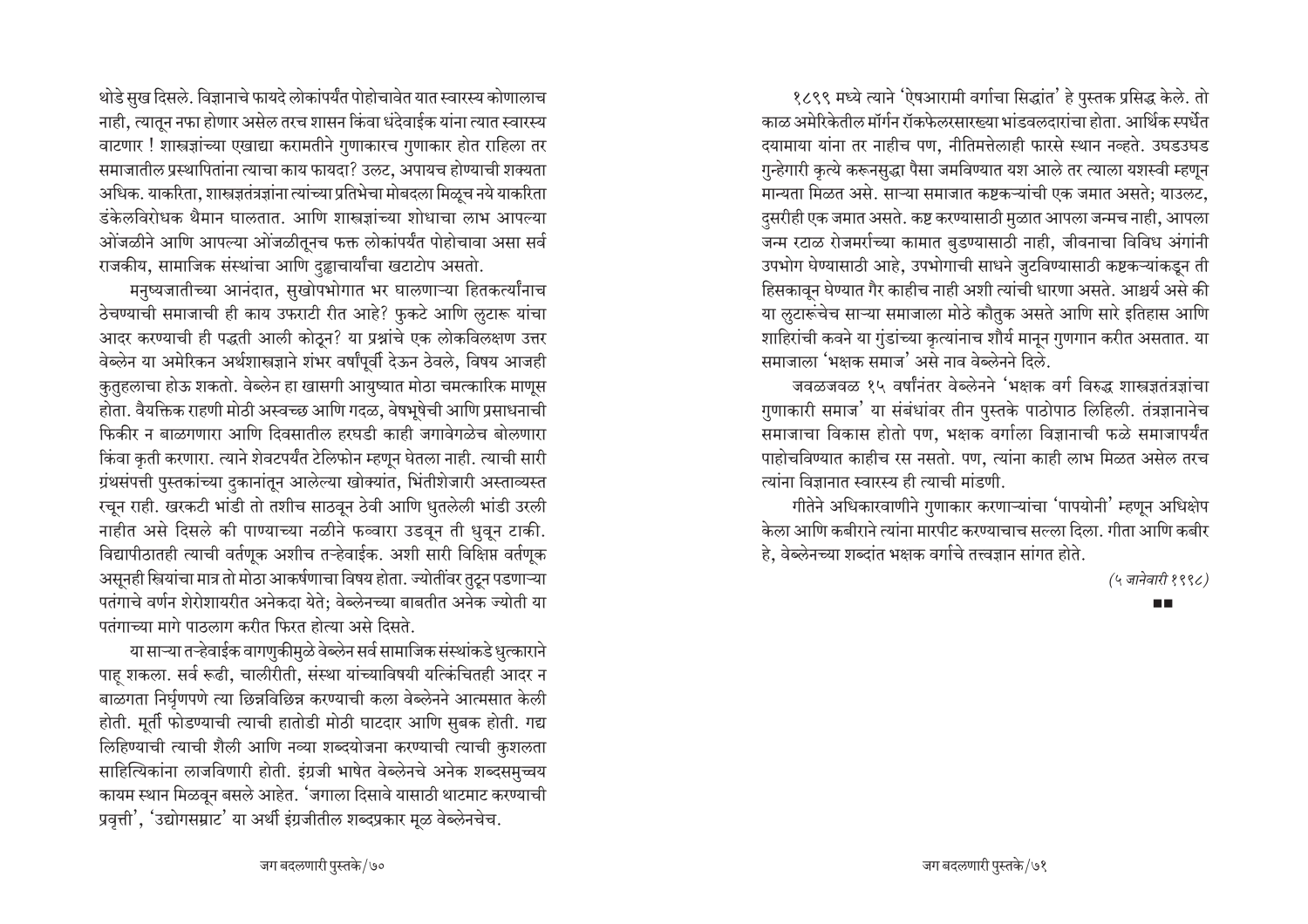थोडे सुख दिसले. विज्ञानाचे फायदे लोकांपर्यंत पोहोचावेत यात स्वारस्य कोणालाच नाही, त्यातून नफा होणार असेल तरच शासन किंवा धंदेवाईक यांना त्यात स्वारस्य वाटणार ! शास्त्रज्ञांच्या एखाद्या करामतीने गुणाकारच गुणाकार होत राहिला तर समाजातील प्रस्थापितांना त्याचा काय फायदा? उलट, अपायच होण्याची शक्यता अधिक. याकरिता, शास्त्रज्ञतंत्रज्ञांना त्यांच्या प्रतिभेचा मोबदला मिळूच नये याकरिता डंकेलविरोधक थैमान घालतात. आणि शास्त्रज्ञांच्या शोधाचा लाभ आपल्या ओंजळीने आणि आपल्या ओंजळीतूनच फक्त लोकांपर्यंत पोहोचावा असा सर्व राजकीय, सामाजिक संस्थांचा आणि दुह्वाचार्यांचा खटाटोप असतो.

मनुष्यजातीच्या आनंदात, सुखोपभोगात भर घालणाऱ्या हितकर्त्यांनाच ठेचण्याची समाजाची ही काय उफराटी रीत आहे? फुकटे आणि लुटारू यांचा आदर करण्याची ही पद्धती आली कोठून? या प्रश्नांचे एक लोकविलक्षण उत्तर वेब्लेन या अमेरिकन अर्थशास्त्रज्ञाने शंभर वर्षांपूर्वी देऊन ठेवले, विषय आजही कुतुहलाचा होऊ शकतो. वेब्लेन हा खासगी आयुष्यात मोठा चमत्कारिक माणूस होता. वैयक्तिक राहणी मोठी अस्वच्छ आणि गदळ, वेषभूषेची आणि प्रसाधनाची फिकीर न बाळगणारा आणि दिवसातील हरघडी काही जगावेगळेच बोलणारा किंवा कृती करणारा. त्याने शेवटपर्यंत टेलिफोन म्हणून घेतला नाही. त्याची सारी ग्रंथसंपत्ती पुस्तकांच्या दुकानांतून आलेल्या खोक्यांत, भिंतीशेजारी अस्ताव्यस्त रचून राही. खरकटी भांडी तो तशीच साठवून ठेवी आणि धुतलेली भांडी उरली नाहीत असे दिसले की पाण्याच्या नळीने फव्वारा उडवून ती धुवून टाकी. विद्यापीठातही त्याची वर्तणूक अशीच तऱ्हेवाईक. अशी सारी विक्षिप्त वर्तणूक असूनही स्त्रियांचा मात्र तो मोठा आकर्षणाचा विषय होता. ज्योतींवर तुटून पडणाऱ्या पतंगाचे वर्णन शेरोशायरीत अनेकदा येते: वेब्लेनच्या बाबतीत अनेक ज्योती या पतंगाच्या मागे पाठलाग करीत फिरत होत्या असे दिसते.

या साऱ्या तऱ्हेवाईक वागणुकीमुळे वेब्लेन सर्व सामाजिक संस्थांकडे धुत्काराने पाह शकला. सर्व रूढी, चालीरीती, संस्था यांच्याविषयी यत्किंचितही आदर न बाळगता निर्घृणपणे त्या छिन्नविछिन्न करण्याची कला वेब्लेनने आत्मसात केली होती. मूर्ती फोडण्याची त्याची हातोडी मोठी घाटदार आणि सुबक होती. गद्य लिहिण्याची त्याची शैली आणि नव्या शब्दयोजना करण्याची त्याची कुशलता साहित्यिकांना लाजविणारी होती. इंग्रजी भाषेत वेब्लेनचे अनेक शब्दसमुच्चय कायम स्थान मिळवून बसले आहेत. 'जगाला दिसावे यासाठी थाटमाट करण्याची प्रवृत्ती', 'उद्योगसम्राट' या अर्थी इंग्रजीतील शब्दप्रकार मूळ वेब्लेनचेच.

१८९९ मध्ये त्याने 'ऐषआरामी वर्गाचा सिद्धांत' हे पुस्तक प्रसिद्ध केले. तो काळ अमेरिकेतील मॉर्गन रॉकफेलरसारख्या भांडवलदारांचा होता. आर्थिक स्पर्धेत दयामाया यांना तर नाहीच पण, नीतिमत्तेलाही फारसे स्थान नव्हते. उघडउघड गुन्हेगारी कृत्ये करूनसुद्धा पैसा जमविण्यात यश आले तर त्याला यशस्वी म्हणून मान्यता मिळत असे. साऱ्या समाजात कष्टकऱ्यांची एक जमात असते; याउलट, दुसरीही एक जमात असते. कष्ट करण्यासाठी मुळात आपला जन्मच नाही, आपला जन्म रटाळ रोजमर्राच्या कामात बुडण्यासाठी नाही, जीवनाचा विविध अंगांनी उपभोग घेण्यासाठी आहे, उपभोगाची साधने जुटविण्यासाठी कष्टकऱ्यांकडून ती हिसकावून घेण्यात गैर काहीच नाही अशी त्यांची धारणा असते. आश्चर्य असे की या लुटारूंचेच साऱ्या समाजाला मोठे कौतुक असते आणि सारे इतिहास आणि शाहिरांची कवने या गुंडांच्या कृत्यांनाच शौर्य मानून गुणगान करीत असतात. या समाजाला 'भक्षक समाज' असे नाव वेब्लेनने दिले.

जवळजवळ १५ वर्षांनंतर वेब्लेनने 'भक्षक वर्ग विरुद्ध शास्त्रज्ञतंत्रज्ञांचा गुणाकारी समाज' या संबंधांवर तीन पुस्तके पाठोपाठ लिहिली. तंत्रज्ञानानेच समाजाचा विकास होतो पण, भक्षक वर्गाला विज्ञानाची फळे समाजापर्यंत पाहोचविण्यात काहीच रस नसतो. पण, त्यांना काही लाभ मिळत असेल तरच त्यांना विज्ञानात स्वारस्य ही त्याची मांडणी.

गीतेने अधिकारवाणीने गुणाकार करणाऱ्यांचा 'पापयोनी' म्हणून अधिक्षेप केला आणि कबीराने त्यांना मारपीट करण्याचाच सल्ला दिला. गीता आणि कबीर हे, वेब्लेनच्या शब्दांत भक्षक वर्गाचे तत्त्वज्ञान सांगत होते.

(५ जानेवारी १९९८)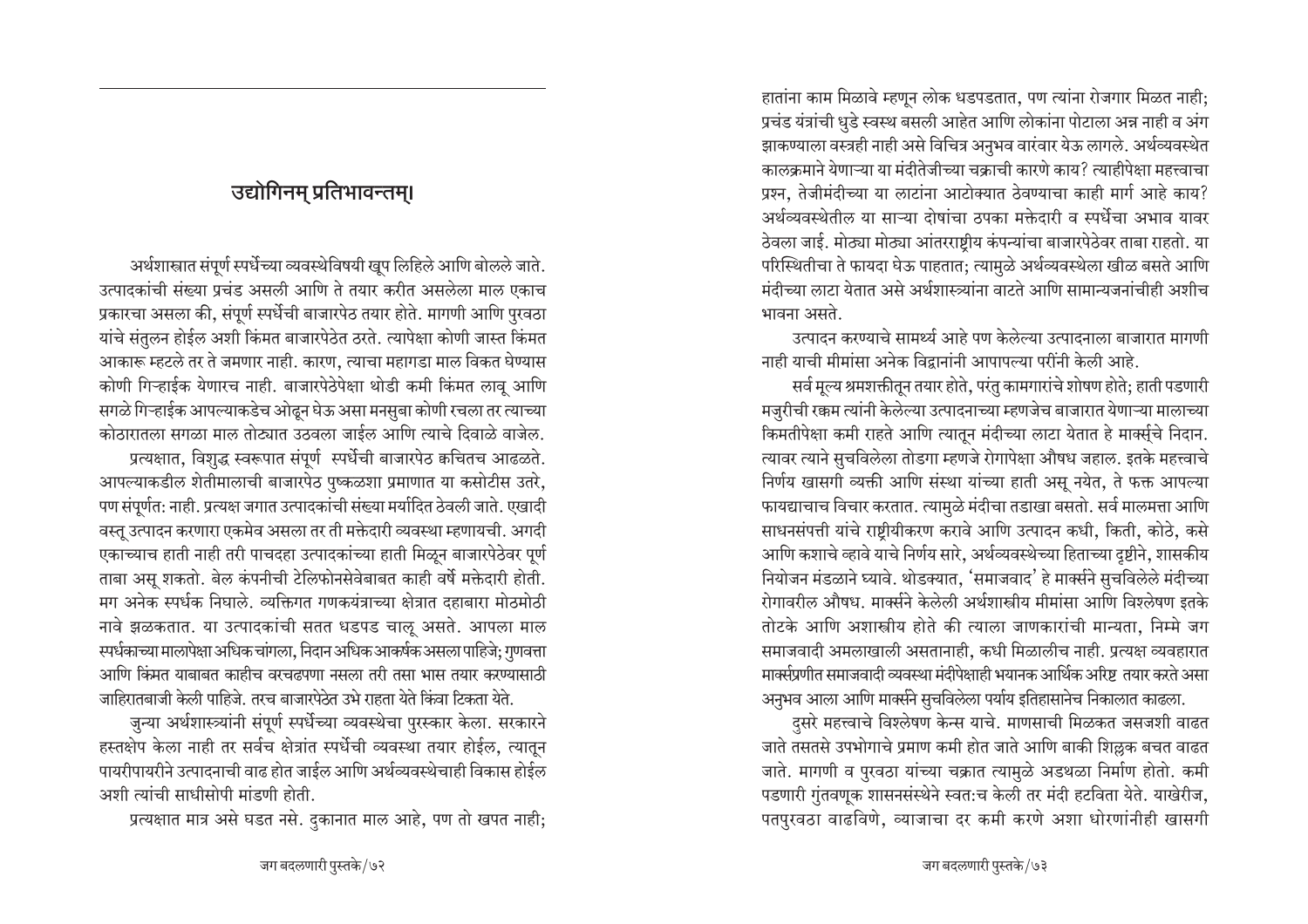हातांना काम मिळावे म्हणून लोक धडपडतात, पण त्यांना रोजगार मिळत नाही; प्रचंड यंत्रांची धुडे स्वस्थ बसली आहेत आणि लोकांना पोटाला अन्न नाही व अंग झाकण्याला वस्त्रही नाही असे विचित्र अनुभव वारंवार येऊ लागले. अर्थव्यवस्थेत कालक्रमाने येणाऱ्या या मंदीतेजीच्या चक्राची कारणे काय? त्याहीपेक्षा महत्त्वाचा प्रश्न, तेजीमंदीच्या या लाटांना आटोक्यात ठेवण्याचा काही मार्ग आहे काय? अर्थव्यवस्थेतील या साऱ्या दोषांचा ठपका मक्तेदारी व स्पर्धेचा अभाव यावर ठेवला जाई. मोठ्या मोठ्या आंतरराष्ट्रीय कंपन्यांचा बाजारपेठेवर ताबा राहतो. या परिस्थितीचा ते फायदा घेऊ पाहतात; त्यामुळे अर्थव्यवस्थेला खीळ बसते आणि मंदीच्या लाटा येतात असे अर्थशास्त्र्यांना वाटते आणि सामान्यजनांचीही अशीच भावना असते.

उत्पादन करण्याचे सामर्थ्य आहे पण केलेल्या उत्पादनाला बाजारात मागणी नाही याची मीमांसा अनेक विद्रानांनी आपापल्या परींनी केली आहे.

सर्व मूल्य श्रमशक्तीतून तयार होते, परंतु कामगारांचे शोषण होते; हाती पडणारी मजुरीची रक्कम त्यांनी केलेल्या उत्पादनाच्या म्हणजेच बाजारात येणाऱ्या मालाच्या किमतीपेक्षा कमी राहते आणि त्यातून मंदीच्या लाटा येतात हे मार्क्स्चे निदान. त्यावर त्याने सुचविलेला तोडगा म्हणजे रोगापेक्षा औषध जहाल. इतके महत्त्वाचे निर्णय खासगी व्यक्ती आणि संस्था यांच्या हाती असू नयेत, ते फक्त आपल्या फायद्याचाच विचार करतात. त्यामुळे मंदीचा तडाखा बसतो. सर्व मालमत्ता आणि साधनसंपत्ती यांचे राष्ट्रीयीकरण करावे आणि उत्पादन कधी, किती, कोठे, कसे आणि कशाचे व्हावे याचे निर्णय सारे, अर्थव्यवस्थेच्या हिताच्या दृष्टीने, शासकीय नियोजन मंडळाने घ्यावे. थोडक्यात, 'समाजवाद' हे मार्क्सने सुचविलेले मंदीच्या रोगावरील औषध. मार्क्सने केलेली अर्थशास्त्रीय मीमांसा आणि विश्लेषण इतके तोटके आणि अशास्त्रीय होते की त्याला जाणकारांची मान्यता. निम्मे जग समाजवादी अमलाखाली असतानाही. कधी मिळालीच नाही. प्रत्यक्ष व्यवहारात मार्क्सप्रणीत समाजवादी व्यवस्था मंदीपेक्षाही भयानक आर्थिक अरिष्ट तयार करते असा अनुभव आला आणि मार्क्सने सुचविलेला पर्याय इतिहासानेच निकालात काढला.

दुसरे महत्त्वाचे विश्लेषण केन्स याचे. माणसाची मिळकत जसजशी वाढत जाते तसतसे उपभोगाचे प्रमाण कमी होत जाते आणि बाकी शिल्लक बचत वाढत जाते. मागणी व पुरवठा यांच्या चक्रात त्यामुळे अडथळा निर्माण होतो. कमी पडणारी गुंतवणूक शासनसंस्थेने स्वत:च केली तर मंदी हटविता येते. याखेरीज, पतपुरवठा वाढविणे, व्याजाचा दर कमी करणे अशा धोरणांनीही खासगी

# उद्योगिनम प्रतिभावन्तम।

अर्थशास्त्रात संपूर्ण स्पर्धेच्या व्यवस्थेविषयी खुप लिहिले आणि बोलले जाते. उत्पादकांची संख्या प्रचंड असली आणि ते तयार करीत असलेला माल एकाच प्रकारचा असला की, संपूर्ण स्पर्धेची बाजारपेठ तयार होते. मागणी आणि पुरवठा यांचे संतुलन होईल अशी किंमत बाजारपेठेत ठरते. त्यापेक्षा कोणी जास्त किंमत आकारू म्हटले तर ते जमणार नाही. कारण, त्याचा महागडा माल विकत घेण्यास कोणी गिऱ्हाईक येणारच नाही. बाजारपेठेपेक्षा थोडी कमी किंमत लावू आणि सगळे गिऱ्हाईक आपल्याकडेच ओढून घेऊ असा मनसुबा कोणी रचला तर त्याच्या कोठारातला सगळा माल तोट्यात उठवला जाईल आणि त्याचे दिवाळे वाजेल. प्रत्यक्षात, विशुद्ध स्वरूपात संपूर्ण स्पर्धेची बाजारपेठ कचितच आढळते. आपल्याकडील शेतीमालाची बाजारपेठ पुष्कळशा प्रमाणात या कसोटीस उतरे, पण संपूर्णत: नाही. प्रत्यक्ष जगात उत्पादकांची संख्या मर्यादित ठेवली जाते. एखादी वस्तू उत्पादन करणारा एकमेव असला तर ती मक्तेदारी व्यवस्था म्हणायची. अगदी एकाच्याच हाती नाही तरी पाचदहा उत्पादकांच्या हाती मिळून बाजारपेठेवर पूर्ण ताबा असू शकतो. बेल कंपनीची टेलिफोनसेवेबाबत काही वर्षे मक्तेदारी होती. मग अनेक स्पर्धक निघाले. व्यक्तिगत गणकयंत्राच्या क्षेत्रात दहाबारा मोठमोठी नावे झळकतात. या उत्पादकांची सतत धडपड चालू असते. आपला माल स्पर्धकाच्या मालापेक्षा अधिक चांगला, निदान अधिक आकर्षक असला पाहिजे; गुणवत्ता आणि किंमत याबाबत काहीच वरचढपणा नसला तरी तसा भास तयार करण्यासाठी जाहिरातबाजी केली पाहिजे. तरच बाजारपेठेत उभे राहता येते किंवा टिकता येते.

जुन्या अर्थशास्त्र्यांनी संपूर्ण स्पर्धेच्या व्यवस्थेचा पुरस्कार केला. सरकारने हस्तक्षेप केला नाही तर सर्वच क्षेत्रांत स्पर्धेची व्यवस्था तयार होईल, त्यातून पायरीपायरीने उत्पादनाची वाढ होत जाईल आणि अर्थव्यवस्थेचाही विकास होईल अशी त्यांची साधीसोपी मांडणी होती.

प्रत्यक्षात मात्र असे घडत नसे. दुकानात माल आहे, पण तो खपत नाही;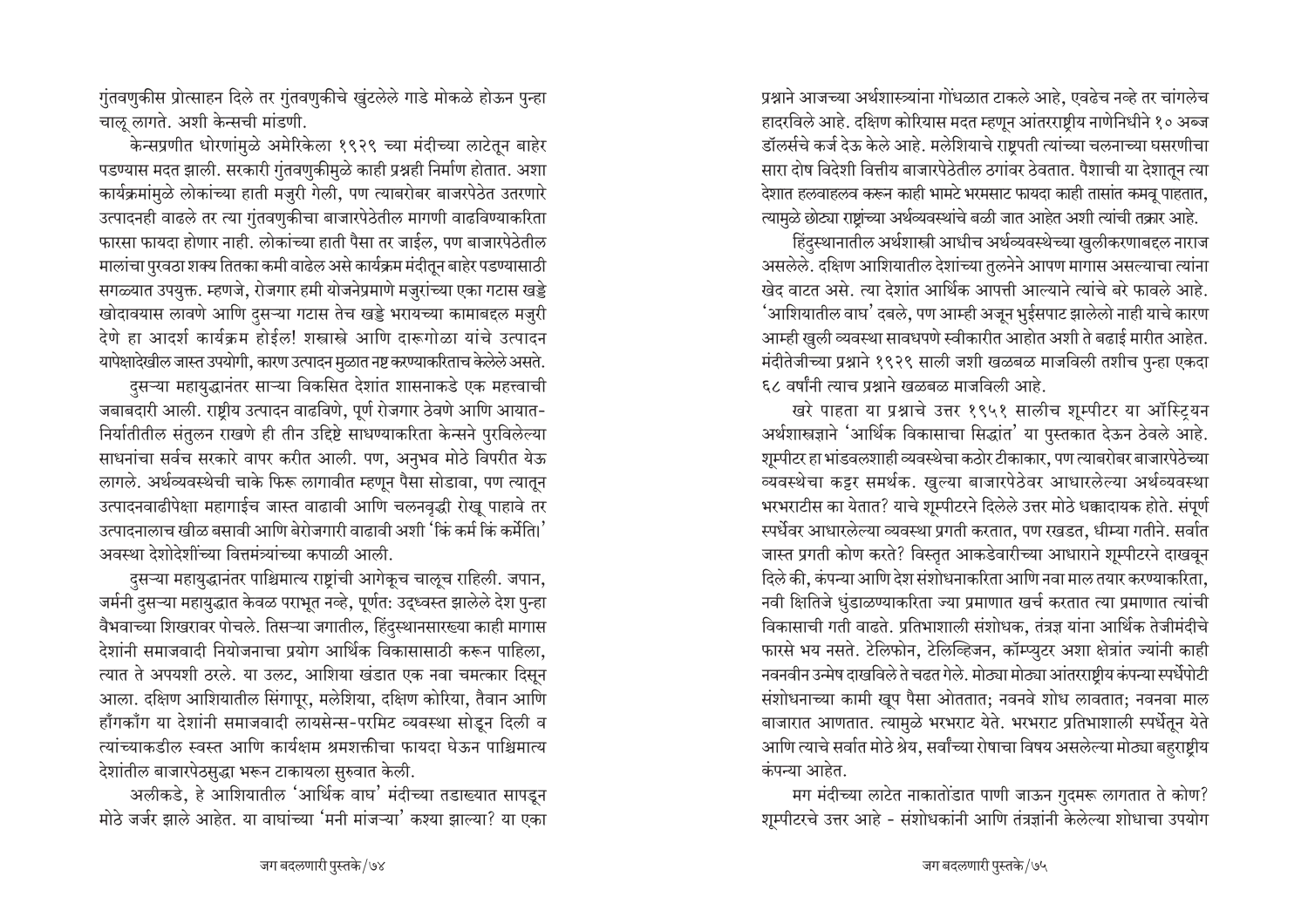गुंतवणुकीस प्रोत्साहन दिले तर गुंतवणुकीचे खुंटलेले गाडे मोकळे होऊन पुन्हा चालू लागते. अशी केन्सची मांडणी.

केन्सप्रणीत धोरणांमुळे अमेरिकेला १९२९ च्या मंदीच्या लाटेतून बाहेर पडण्यास मदत झाली. सरकारी गुंतवणुकीमुळे काही प्रश्नही निर्माण होतात. अशा कार्यक्रमांमुळे लोकांच्या हाती मजुरी गेली, पण त्याबरोबर बाजरपेठेत उतरणारे उत्पादनही वाढले तर त्या गुंतवणुकीचा बाजारपेठेतील मागणी वाढविण्याकरिता फारसा फायदा होणार नाही. लोकांच्या हाती पैसा तर जाईल, पण बाजारपेठेतील मालांचा पुरवठा शक्य तितका कमी वाढेल असे कार्यक्रम मंदीतून बाहेर पडण्यासाठी सगळ्यात उपयुक्त. म्हणजे, रोजगार हमी योजनेप्रमाणे मजुरांच्या एका गटास खड्डे खोदावयास लावणे आणि दसऱ्या गटास तेच खड्डे भरायच्या कामाबद्दल मजुरी देणे हा आदर्श कार्यक्रम होईल! शस्त्रास्त्रे आणि दारूगोळा यांचे उत्पादन यापेक्षादेखील जास्त उपयोगी, कारण उत्पादन मुळात नष्ट करण्याकरिताच केलेले असते. दसऱ्या महायुद्धानंतर साऱ्या विकसित देशांत शासनाकडे एक महत्त्वाची

जबाबदारी आली. राष्टीय उत्पादन वाढविणे, पूर्ण रोजगार ठेवणे आणि आयात-निर्यातीतील संतुलन राखणे ही तीन उद्दिष्टे साधण्याकरिता केन्सने पुरविलेल्या साधनांचा सर्वच सरकारे वापर करीत आली. पण, अनुभव मोठे विपरीत येऊ लागले. अर्थव्यवस्थेची चाके फिरू लागावीत म्हणून पैसा सोडावा, पण त्यातून उत्पादनवाढीपेक्षा महागाईच जास्त वाढावी आणि चलनवृद्धी रोखू पाहावे तर उत्पादनालाच खीळ बसावी आणि बेरोजगारी वाढावी अशी 'किं कर्म किं कर्मेति।' अवस्था देशोदेशींच्या वित्तमंत्र्यांच्या कपाळी आली.

दसऱ्या महायुद्धानंतर पाश्चिमात्य राष्टांची आगेकूच चालूच राहिली. जपान, जर्मनी दुसऱ्या महायुद्धात केवळ पराभूत नव्हे, पूर्णत: उद्ध्वस्त झालेले देश पुन्हा वैभवाच्या शिखरावर पोचले. तिसऱ्या जगातील, हिंदुस्थानसारख्या काही मागास देशांनी समाजवादी नियोजनाचा प्रयोग आर्थिक विकासासाठी करून पाहिला, त्यात ते अपयशी ठरले. या उलट, आशिया खंडात एक नवा चमत्कार दिसून आला. दक्षिण आशियातील सिंगापूर, मलेशिया, दक्षिण कोरिया, तैवान आणि हाँगकाँग या देशांनी समाजवादी लायसेन्स-परमिट व्यवस्था सोडन दिली व त्यांच्याकडील स्वस्त आणि कार्यक्षम श्रमशक्तीचा फायदा घेऊन पाश्चिमात्य देशांतील बाजारपेठसुद्धा भरून टाकायला सुरुवात केली.

अलीकडे, हे आशियातील 'आर्थिक वाघ' मंदीच्या तडाख्यात सापडून मोठे जर्जर झाले आहेत. या वाघांच्या 'मनी मांजऱ्या' कश्या झाल्या? या एका प्रश्नाने आजच्या अर्थशास्त्र्यांना गोंधळात टाकले आहे, एवढेच नव्हे तर चांगलेच हादरविले आहे. दक्षिण कोरियास मदत म्हणून आंतरराष्टीय नाणेनिधीने १० अब्ज डॉलर्सचे कर्ज देऊ केले आहे. मलेशियाचे राष्टपती त्यांच्या चलनाच्या घसरणीचा सारा दोष विदेशी वित्तीय बाजारपेठेतील ठगांवर ठेवतात. पैशाची या देशातून त्या देशात हलवाहलव करून काही भामटे भरमसाट फायदा काही तासांत कमवू पाहतात, त्यामुळे छोट्या राष्ट्रांच्या अर्थव्यवस्थांचे बळी जात आहेत अशी त्यांची तक्रार आहे.

हिंदस्थानातील अर्थशास्त्री आधीच अर्थव्यवस्थेच्या खुलीकरणाबद्दल नाराज असलेले. दक्षिण आशियातील देशांच्या तुलनेने आपण मागास असल्याचा त्यांना खेद वाटत असे. त्या देशांत आर्थिक आपत्ती आल्याने त्यांचे बरे फावले आहे. 'आशियातील वाघ' दबले, पण आम्ही अजून भुईसपाट झालेलो नाही याचे कारण आम्ही खुली व्यवस्था सावधपणे स्वीकारीत आहोत अशी ते बढाई मारीत आहेत. मंदीतेजीच्या प्रश्नाने १९२९ साली जशी खळबळ माजविली तशीच पुन्हा एकदा ६८ वर्षांनी त्याच प्रश्नाने खळबळ माजविली आहे.

खरे पाहता या प्रश्नाचे उत्तर १९५१ सालीच शुम्पीटर या ऑस्टियन अर्थशास्त्रज्ञाने 'आर्थिक विकासाचा सिद्धांत' या पुस्तकात देऊन ठेवले आहे. शूम्पीटर हा भांडवलशाही व्यवस्थेचा कठोर टीकाकार, पण त्याबरोबर बाजारपेठेच्या व्यवस्थेचा कट्टर समर्थक. खुल्या बाजारपेठेवर आधारलेल्या अर्थव्यवस्था भरभराटीस का येतात? याचे शूम्पीटरने दिलेले उत्तर मोठे धक्कादायक होते. संपूर्ण स्पर्धेवर आधारलेल्या व्यवस्था प्रगती करतात, पण रखडत, धीम्या गतीने. सर्वात जास्त प्रगती कोण करते? विस्तृत आकडेवारीच्या आधाराने शुम्पीटरने दाखवून दिले की, कंपन्या आणि देश संशोधनाकरिता आणि नवा माल तयार करण्याकरिता, नवी क्षितिजे धुंडाळण्याकरिता ज्या प्रमाणात खर्च करतात त्या प्रमाणात त्यांची विकासाची गती वाढते. प्रतिभाशाली संशोधक, तंत्रज्ञ यांना आर्थिक तेजीमंदीचे फारसे भय नसते. टेलिफोन, टेलिव्हिजन, कॉम्प्युटर अशा क्षेत्रांत ज्यांनी काही नवनवीन उन्मेष दाखविले ते चढत गेले. मोठ्या मोठ्या आंतरराष्टीय कंपन्या स्पर्धेपोटी संशोधनाच्या कामी खूप पैसा ओततात; नवनवे शोध लावतात; नवनवा माल बाजारात आणतात. त्यामुळे भरभराट येते. भरभराट प्रतिभाशाली स्पर्धेतून येते आणि त्याचे सर्वात मोठे श्रेय, सर्वांच्या रोषाचा विषय असलेल्या मोठ्या बहराष्ट्रीय कंपन्या आहेत.

मग मंदीच्या लाटेत नाकातोंडात पाणी जाऊन गुदमरू लागतात ते कोण? शूम्पीटरचे उत्तर आहे - संशोधकांनी आणि तंत्रज्ञांनी केलेल्या शोधाचा उपयोग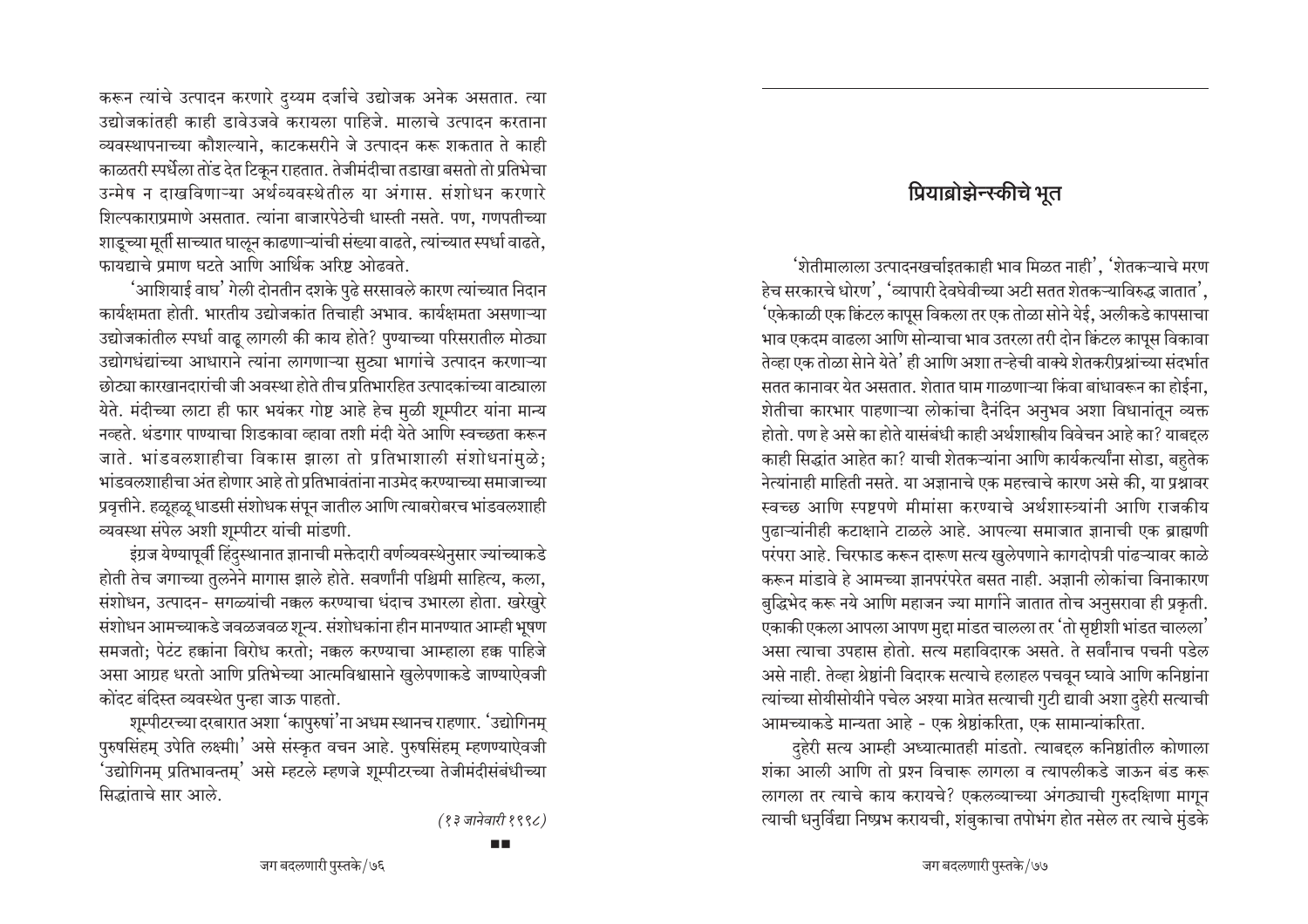करून त्यांचे उत्पादन करणारे दुय्यम दर्जाचे उद्योजक अनेक असतात. त्या उद्योजकांतही काही डावेउजवे करायला पाहिजे. मालाचे उत्पादन करताना व्यवस्थापनाच्या कौशल्याने, काटकसरीने जे उत्पादन करू शकतात ते काही काळतरी स्पर्धेला तोंड देत टिकून राहतात. तेजीमंदीचा तडाखा बसतो तो प्रतिभेचा उन्मेष न दाखविणाऱ्या अर्थव्यवस्थेतील या अंगास. संशोधन करणारे शिल्पकाराप्रमाणे असतात. त्यांना बाजारपेठेची धास्ती नसते. पण, गणपतीच्या शाडूच्या मूर्ती साच्यात घालून काढणाऱ्यांची संख्या वाढते, त्यांच्यात स्पर्धा वाढते, फायद्याचे प्रमाण घटते आणि आर्थिक अरिष्ट ओढवते.

'आशियाई वाघ' गेली दोनतीन दशके पुढे सरसावले कारण त्यांच्यात निदान कार्यक्षमता होती. भारतीय उद्योजकांत तिचाही अभाव. कार्यक्षमता असणाऱ्या उद्योजकांतील स्पर्धा वाढ़ लागली की काय होते? पुण्याच्या परिसरातील मोठ्या उद्योगधंद्यांच्या आधाराने त्यांना लागणाऱ्या सूट्या भागांचे उत्पादन करणाऱ्या छोट्या कारखानदारांची जी अवस्था होते तीच प्रतिभारहित उत्पादकांच्या वाट्याला येते. मंदीच्या लाटा ही फार भयंकर गोष्ट आहे हेच मुळी शुम्पीटर यांना मान्य नव्हते. थंडगार पाण्याचा शिडकावा व्हावा तशी मंदी येते आणि स्वच्छता करून जाते. भांडवलशाहीचा विकास झाला तो प्रतिभाशाली संशोधनांमुळे; भांडवलशाहीचा अंत होणार आहे तो प्रतिभावंतांना नाउमेद करण्याच्या समाजाच्या प्रवृत्तीने. हळूहळू धाडसी संशोधक संपून जातील आणि त्याबरोबरच भांडवलशाही व्यवस्था संपेल अशी शूम्पीटर यांची मांडणी.

इंग्रज येण्यापूर्वी हिंदुस्थानात ज्ञानाची मक्तेदारी वर्णव्यवस्थेनुसार ज्यांच्याकडे होती तेच जगाच्या तुलनेने मागास झाले होते. सवर्णांनी पश्चिमी साहित्य, कला, संशोधन, उत्पादन- सगळ्यांची नकल करण्याचा धंदाच उभारला होता. खरेखुरे संशोधन आमच्याकडे जवळजवळ शुन्य. संशोधकांना हीन मानण्यात आम्ही भूषण समजतो; पेटंट हक्कांना विरोध करतो; नक्कल करण्याचा आम्हाला हक्क पाहिजे असा आग्रह धरतो आणि प्रतिभेच्या आत्मविश्वासाने खुलेपणाकडे जाण्याऐवजी कोंदट बंदिस्त व्यवस्थेत पुन्हा जाऊ पाहतो.

शूम्पीटरच्या दरबारात अशा 'कापुरुषां'ना अधम स्थानच राहणार. 'उद्योगिनम् पुरुषसिंहम् उपेति लक्ष्मी।' असे संस्कृत वचन आहे. पुरुषसिंहम् म्हणण्याऐवजी 'उद्योगिनम् प्रतिभावन्तम्' असे म्हटले म्हणजे शुम्पीटरच्या तेजीमंदीसंबंधीच्या सिद्धांताचे सार आले.

(१३ जानेवारी १९९८)

## प्रियाब्रोझेन्स्कीचे भूत

'शेतीमालाला उत्पादनखर्चाइतकाही भाव मिळत नाही', 'शेतकऱ्याचे मरण हेच सरकारचे धोरण'. 'व्यापारी देवघेवीच्या अटी सतत शेतकऱ्याविरुद्ध जातात'. 'एकेकाळी एक क्विंटल कापुस विकला तर एक तोळा सोने येई. अलीकडे कापसाचा भाव एकदम वाढला आणि सोन्याचा भाव उतरला तरी दोन क्विंटल कापूस विकावा तेव्हा एक तोळा सेाने येते' ही आणि अशा तऱ्हेची वाक्ये शेतकरीप्रश्नांच्या संदर्भात सतत कानावर येत असतात. शेतात घाम गाळणाऱ्या किंवा बांधावरून का होईना, शेतीचा कारभार पाहणाऱ्या लोकांचा दैनंदिन अनुभव अशा विधानांतून व्यक्त होतो. पण हे असे का होते यासंबंधी काही अर्थशास्त्रीय विवेचन आहे का? याबद्दल काही सिद्धांत आहेत का? याची शेतकऱ्यांना आणि कार्यकर्त्यांना सोडा, बहुतेक नेत्यांनाही माहिती नसते. या अज्ञानाचे एक महत्त्वाचे कारण असे की, या प्रश्नावर स्वच्छ आणि स्पष्टपणे मीमांसा करण्याचे अर्थशास्त्र्यांनी आणि राजकीय पुढाऱ्यांनीही कटाक्षाने टाळले आहे. आपल्या समाजात ज्ञानाची एक ब्राह्मणी परंपरा आहे. चिरफाड करून दारूण सत्य खुलेपणाने कागदोपत्री पांढऱ्यावर काळे करून मांडावे हे आमच्या ज्ञानपरंपरेत बसत नाही. अज्ञानी लोकांचा विनाकारण बुद्धिभेद करू नये आणि महाजन ज्या मार्गाने जातात तोच अनुसरावा ही प्रकृती. एकाकी एकला आपला आपण मुद्दा मांडत चालला तर 'तो सृष्टीशी भांडत चालला' असा त्याचा उपहास होतो. सत्य महाविदारक असते. ते सर्वांनाच पचनी पडेल असे नाही. तेव्हा श्रेष्ठांनी विदारक सत्याचे हलाहल पचवून घ्यावे आणि कनिष्ठांना त्यांच्या सोयीसोयीने पचेल अश्या मात्रेत सत्याची गुटी द्यावी अशा दहेरी सत्याची आमच्याकडे मान्यता आहे - एक श्रेष्ठांकरिता, एक सामान्यांकरिता.

दहेरी सत्य आम्ही अध्यात्मातही मांडतो. त्याबद्दल कनिष्ठांतील कोणाला शंका आली आणि तो प्रश्न विचारू लागला व त्यापलीकडे जाऊन बंड करू लागला तर त्याचे काय करायचे? एकलव्याच्या अंगठ्याची गुरुदक्षिणा मागुन त्याची धनुर्विद्या निष्प्रभ करायची, शंबुकाचा तपोभंग होत नसेल तर त्याचे मुंडके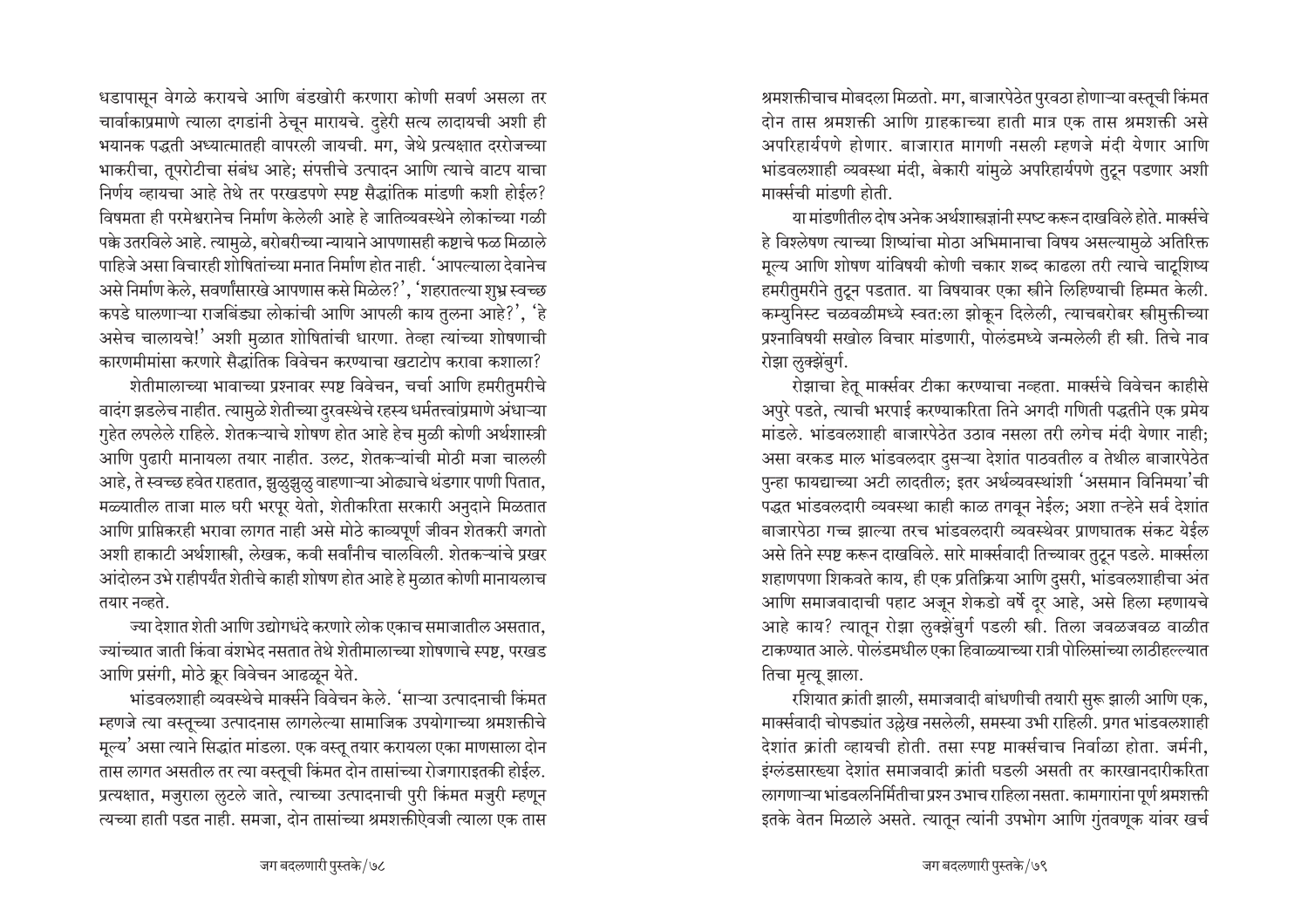धडापासून वेगळे करायचे आणि बंडखोरी करणारा कोणी सवर्ण असला तर चार्वाकाप्रमाणे त्याला दगडांनी ठेचून मारायचे. दुहेरी सत्य लादायची अशी ही भयानक पद्धती अध्यात्मातही वापरली जायची. मग, जेथे प्रत्यक्षात दररोजच्या भाकरीचा, तूपरोटीचा संबंध आहे; संपत्तीचे उत्पादन आणि त्याचे वाटप याचा निर्णय व्हायचा आहे तेथे तर परखडपणे स्पष्ट सैद्धांतिक मांडणी कशी होईल? विषमता ही परमेश्वरानेच निर्माण केलेली आहे हे जातिव्यवस्थेने लोकांच्या गळी पक्के उतरविले आहे. त्यामुळे, बरोबरीच्या न्यायाने आपणासही कष्टाचे फळ मिळाले पाहिजे असा विचारही शोषितांच्या मनात निर्माण होत नाही. 'आपल्याला देवानेच असे निर्माण केले, सवर्णांसारखे आपणास कसे मिळेल?', 'शहरातल्या शुभ्र स्वच्छ कपडे घालणाऱ्या राजबिंड्या लोकांची आणि आपली काय तुलना आहे?', 'हे असेच चालायचे!' अशी मुळात शोषितांची धारणा. तेव्हा त्यांच्या शोषणाची कारणमीमांसा करणारे सैद्धांतिक विवेचन करण्याचा खटाटोप करावा कशाला?

शेतीमालाच्या भावाच्या प्रश्नावर स्पष्ट विवेचन, चर्चा आणि हमरीतुमरीचे वादंग झडलेच नाहीत. त्यामुळे शेतीच्या दुरवस्थेचे रहस्य धर्मतत्त्वांप्रमाणे अंधाऱ्या गुहेत लपलेले राहिले. शेतकऱ्याचे शोषण होत आहे हेच मुळी कोणी अर्थशास्त्री आणि पुढारी मानायला तयार नाहीत. उलट, शेतकऱ्यांची मोठी मजा चालली आहे, ते स्वच्छ हवेत राहतात, झूळुझूळु वाहणाऱ्या ओढ्याचे थंडगार पाणी पितात, मळ्यातील ताजा माल घरी भरपूर येतो, शेतीकरिता सरकारी अनुदाने मिळतात आणि प्राप्तिकरही भरावा लागत नाही असे मोठे काव्यपूर्ण जीवन शेतकरी जगतो अशी हाकाटी अर्थशास्त्री, लेखक, कवी सर्वांनीच चालविली. शेतकऱ्यांचे प्रखर आंदोलन उभे राहीपर्यंत शेतीचे काही शोषण होत आहे हे मुळात कोणी मानायलाच तयार नव्हते.

ज्या देशात शेती आणि उद्योगधंदे करणारे लोक एकाच समाजातील असतात. ज्यांच्यात जाती किंवा वंशभेद नसतात तेथे शेतीमालाच्या शोषणाचे स्पष्ट, परखड आणि प्रसंगी, मोठे क्रूर विवेचन आढळून येते.

भांडवलशाही व्यवस्थेचे मार्क्सने विवेचन केले. 'साऱ्या उत्पादनाची किंमत म्हणजे त्या वस्तूच्या उत्पादनास लागलेल्या सामाजिक उपयोगाच्या श्रमशक्तीचे मूल्य' असा त्याने सिद्धांत मांडला. एक वस्तू तयार करायला एका माणसाला दोन तास लागत असतील तर त्या वस्तूची किंमत दोन तासांच्या रोजगाराइतकी होईल. प्रत्यक्षात, मजुराला लूटले जाते, त्याच्या उत्पादनाची पुरी किंमत मजुरी म्हणून त्यच्या हाती पडत नाही. समजा, दोन तासांच्या श्रमशक्तीऐवजी त्याला एक तास

श्रमशक्तीचाच मोबदला मिळतो. मग, बाजारपेठेत पुरवठा होणाऱ्या वस्तूची किंमत दोन तास श्रमशक्ती आणि ग्राहकाच्या हाती मात्र एक तास श्रमशक्ती असे अपरिहार्यपणे होणार. बाजारात मागणी नसली म्हणजे मंदी येणार आणि भांडवलशाही व्यवस्था मंदी, बेकारी यांमुळे अपरिहार्यपणे तुटून पडणार अशी मार्क्सची मांडणी होती.

या मांडणीतील दोष अनेक अर्थशास्त्रज्ञांनी स्पष्ट करून दाखविले होते. मार्क्सचे हे विश्लेषण त्याच्या शिष्यांचा मोठा अभिमानाचा विषय असल्यामुळे अतिरिक्त मूल्य आणि शोषण यांविषयी कोणी चकार शब्द काढला तरी त्याचे चाटूशिष्य हमरीतुमरीने तुटून पडतात. या विषयावर एका स्त्रीने लिहिण्याची हिम्मत केली. कम्युनिस्ट चळवळीमध्ये स्वत:ला झोकून दिलेली, त्याचबरोबर स्त्रीमुक्तीच्या प्रश्नाविषयी सखोल विचार मांडणारी, पोलंडमध्ये जन्मलेली ही स्त्री. तिचे नाव रोझा लुक्झेंबुर्ग.

रोझाचा हेतू मार्क्सवर टीका करण्याचा नव्हता. मार्क्सचे विवेचन काहीसे अपुरे पडते, त्याची भरपाई करण्याकरिता तिने अगदी गणिती पद्धतीने एक प्रमेय मांडले. भांडवलशाही बाजारपेठेत उठाव नसला तरी लगेच मंदी येणार नाही; असा वरकड माल भांडवलदार दुसऱ्या देशांत पाठवतील व तेथील बाजारपेठेत पुन्हा फायद्याच्या अटी लादतील; इतर अर्थव्यवस्थांशी 'असमान विनिमया'ची पद्धत भांडवलदारी व्यवस्था काही काळ तगवून नेईल; अशा तऱ्हेने सर्व देशांत बाजारपेठा गच्च झाल्या तरच भांडवलदारी व्यवस्थेवर प्राणघातक संकट येईल असे तिने स्पष्ट करून दाखविले. सारे मार्क्सवादी तिच्यावर तुटून पडले. मार्क्सला शहाणपणा शिकवते काय, ही एक प्रतिक्रिया आणि दुसरी, भांडवलशाहीचा अंत आणि समाजवादाची पहाट अजून शेकडो वर्षे दूर आहे, असे हिला म्हणायचे आहे काय? त्यातून रोझा लुक्झेंबुर्ग पडली स्त्री. तिला जवळजवळ वाळीत टाकण्यात आले. पोलंडमधील एका हिवाळ्याच्या रात्री पोलिसांच्या लाठीहल्ल्यात तिचा मृत्यू झाला.

रशियात क्रांती झाली, समाजवादी बांधणीची तयारी सुरू झाली आणि एक, मार्क्सवादी चोपड्यांत उल्लेख नसलेली, समस्या उभी राहिली. प्रगत भांडवलशाही देशांत क्रांती व्हायची होती. तसा स्पष्ट मार्क्सचाच निर्वाळा होता. जर्मनी. इंग्लंडसारख्या देशांत समाजवादी क्रांती घडली असती तर कारखानदारीकरिता लागणाऱ्या भांडवलनिर्मितीचा प्रश्न उभाच राहिला नसता. कामगारांना पूर्ण श्रमशक्ती इतके वेतन मिळाले असते. त्यातून त्यांनी उपभोग आणि गुंतवणुक यांवर खर्च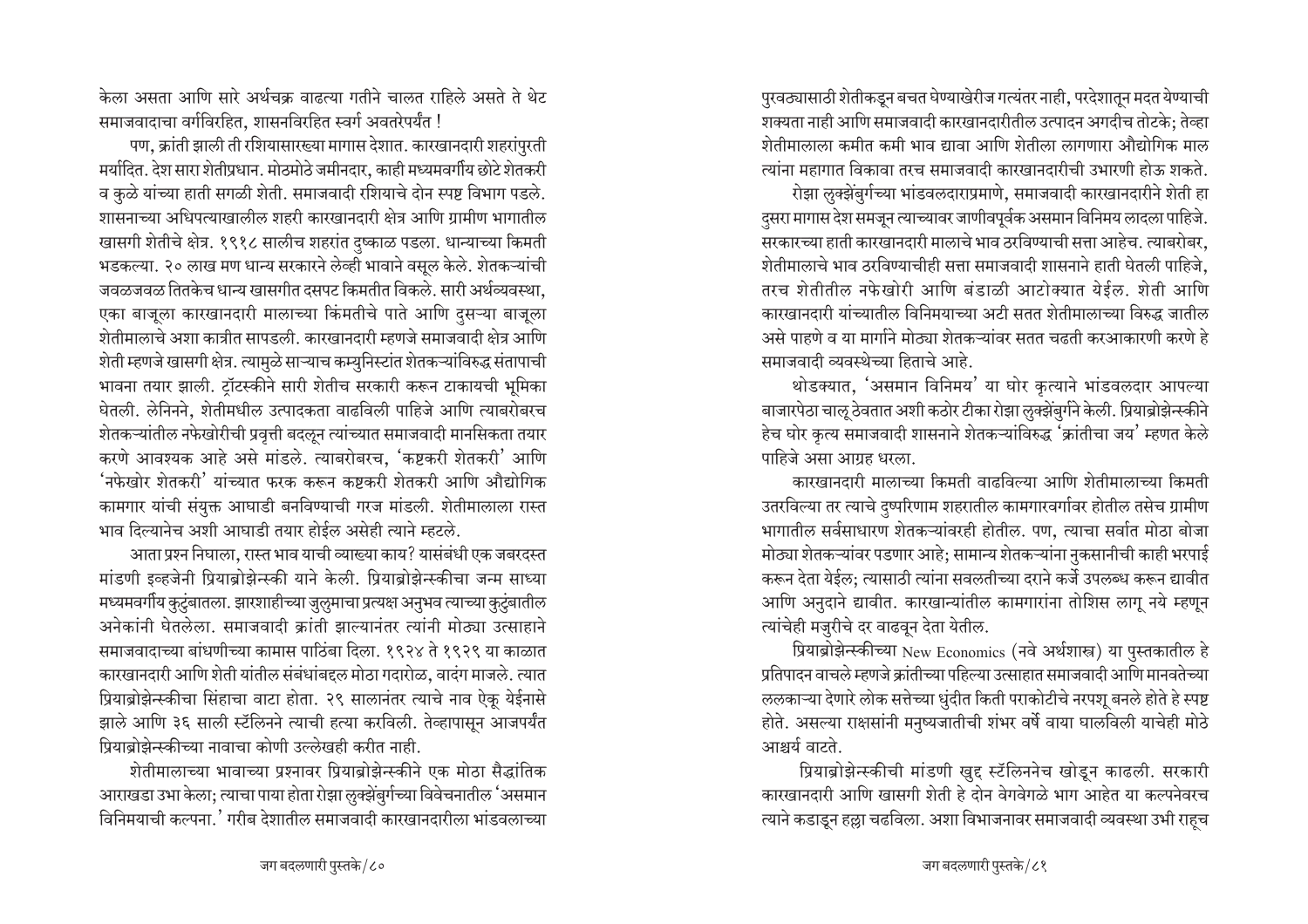केला असता आणि सारे अर्थचक्र वाढत्या गतीने चालत राहिले असते ते थेट समाजवादाचा वर्गविरहित, शासनविरहित स्वर्ग अवतरेपर्यंत !

पण, क्रांती झाली ती रशियासारख्या मागास देशात. कारखानदारी शहरांपुरती मर्यादित. देश सारा शेतीप्रधान. मोठमोठे जमीनदार, काही मध्यमवर्गीय छोटे शेतकरी व कुळे यांच्या हाती सगळी शेती. समाजवादी रशियाचे दोन स्पष्ट विभाग पडले. शासनाच्या अधिपत्याखालील शहरी कारखानदारी क्षेत्र आणि ग्रामीण भागातील खासगी शेतीचे क्षेत्र. १९१८ सालीच शहरांत दुष्काळ पडला. धान्याच्या किमती भडकल्या. २० लाख मण धान्य सरकारने लेव्ही भावाने वसूल केले. शेतकऱ्यांची जवळजवळ तितकेच धान्य खासगीत दसपट किमतीत विकले. सारी अर्थव्यवस्था, एका बाजूला कारखानदारी मालाच्या किंमतीचे पाते आणि दुसऱ्या बाजूला शेतीमालाचे अशा कात्रीत सापडली. कारखानदारी म्हणजे समाजवादी क्षेत्र आणि शेती म्हणजे खासगी क्षेत्र. त्यामुळे साऱ्याच कम्युनिस्टांत शेतकऱ्यांविरुद्ध संतापाची भावना तयार झाली. ट्रॉटस्कीने सारी शेतीच सरकारी करून टाकायची भूमिका घेतली. लेनिनने, शेतीमधील उत्पादकता वाढविली पाहिजे आणि त्याबरोबरच शेतकऱ्यांतील नफेखोरीची प्रवृत्ती बदलून त्यांच्यात समाजवादी मानसिकता तयार करणे आवश्यक आहे असे मांडले. त्याबरोबरच, 'कष्टकरी शेतकरी' आणि 'नफेखोर शेतकरी' यांच्यात फरक करून कष्टकरी शेतकरी आणि औद्योगिक कामगार यांची संयुक्त आघाडी बनविण्याची गरज मांडली. शेतीमालाला रास्त भाव दिल्यानेच अशी आघाडी तयार होईल असेही त्याने म्हटले.

आता प्रश्न निघाला, रास्त भाव याची व्याख्या काय? यासंबंधी एक जबरदस्त मांडणी इव्हजेनी प्रियाब्रोझेन्स्की याने केली. प्रियाब्रोझेन्स्कीचा जन्म साध्या मध्यमवर्गीय कुटुंबातला. झारशाहीच्या जुलुमाचा प्रत्यक्ष अनुभव त्याच्या कुटुंबातील अनेकांनी घेतलेला. समाजवादी क्रांती झाल्यानंतर त्यांनी मोठ्या उत्साहाने समाजवादाच्या बांधणीच्या कामास पाठिंबा दिला. १९२४ ते १९२९ या काळात कारखानदारी आणि शेती यांतील संबंधांबद्दल मोठा गदारोळ, वादंग माजले. त्यात प्रियाब्रोझेन्स्कीचा सिंहाचा वाटा होता. २९ सालानंतर त्याचे नाव ऐकू येईनासे झाले आणि ३६ साली स्टॅलिनने त्याची हत्या करविली. तेव्हापासून आजपर्यंत प्रियाब्रोझेन्स्कीच्या नावाचा कोणी उल्लेखही करीत नाही.

शेतीमालाच्या भावाच्या प्रश्नावर प्रियाब्रोझेन्स्कीने एक मोठा सैद्धांतिक आराखडा उभा केला; त्याचा पाया होता रोझा लुक्झेंबुर्गच्या विवेचनातील 'असमान विनिमयाची कल्पना.' गरीब देशातील समाजवादी कारखानदारीला भांडवलाच्या

पुरवठ्यासाठी शेतीकडून बचत घेण्याखेरीज गत्यंतर नाही, परदेशातून मदत येण्याची शक्यता नाही आणि समाजवादी कारखानदारीतील उत्पादन अगदीच तोटके; तेव्हा शेतीमालाला कमीत कमी भाव द्यावा आणि शेतीला लागणारा औद्योगिक माल त्यांना महागात विकावा तरच समाजवादी कारखानदारीची उभारणी होऊ शकते.

रोझा लुक्झेंबुर्गच्या भांडवलदाराप्रमाणे, समाजवादी कारखानदारीने शेती हा दसरा मागास देश समजून त्याच्यावर जाणीवपूर्वक असमान विनिमय लादला पाहिजे. .<br>सरकारच्या हाती कारखानदारी मालाचे भाव ठरविण्याची सत्ता आहेच. त्याबरोबर, शेतीमालाचे भाव ठरविण्याचीही सत्ता समाजवादी शासनाने हाती घेतली पाहिजे. तरच शेतीतील नफेखोरी आणि बंडाळी आटोक्यात येईल. शेती आणि कारखानदारी यांच्यातील विनिमयाच्या अटी सतत शेतीमालाच्या विरुद्ध जातील असे पाहणे व या मार्गाने मोठ्या शेतकऱ्यांवर सतत चढती करआकारणी करणे हे समाजवादी व्यवस्थेच्या हिताचे आहे.

थोडक्यात, 'असमान विनिमय' या घोर कृत्याने भांडवलदार आपल्या बाजारपेठा चालू ठेवतात अशी कठोर टीका रोझा लुक्झेंबुर्गने केली. प्रियाब्रोझेन्स्कीने हेच घोर कृत्य समाजवादी शासनाने शेतकऱ्यांविरुद्ध 'क्रांतीचा जय' म्हणत केले पाहिजे असा आग्रह धरला.

कारखानदारी मालाच्या किमती वाढविल्या आणि शेतीमालाच्या किमती उतरविल्या तर त्याचे दुष्परिणाम शहरातील कामगारवर्गावर होतील तसेच ग्रामीण भागातील सर्वसाधारण शेतकऱ्यांवरही होतील. पण, त्याचा सर्वात मोठा बोजा मोठ्या शेतकऱ्यांवर पडणार आहे; सामान्य शेतकऱ्यांना नुकसानीची काही भरपाई करून देता येईल; त्यासाठी त्यांना सवलतीच्या दराने कर्जे उपलब्ध करून द्यावीत आणि अनुदाने द्यावीत. कारखान्यांतील कामगारांना तोशिस लागू नये म्हणून त्यांचेही मज़ुरीचे दर वाढवून देता येतील.

प्रियाब्रोझेन्स्कीच्या New Economics (नवे अर्थशास्त्र) या पुस्तकातील हे प्रतिपादन वाचले म्हणजे क्रांतीच्या पहिल्या उत्साहात समाजवादी आणि मानवतेच्या ललकाऱ्या देणारे लोक सत्तेच्या धुंदीत किती पराकोटीचे नरपशू बनले होते हे स्पष्ट होते. असल्या राक्षसांनी मनुष्यजातीची शंभर वर्षे वाया घालविली याचेही मोठे आश्चर्य वाटते.

प्रियाब्रोझेन्स्कीची मांडणी खुद्द स्टॅलिननेच खोडून काढली. सरकारी कारखानदारी आणि खासगी शेती हे दोन वेगवेगळे भाग आहेत या कल्पनेवरच त्याने कडाडून हल्ला चढविला. अशा विभाजनावर समाजवादी व्यवस्था उभी राहच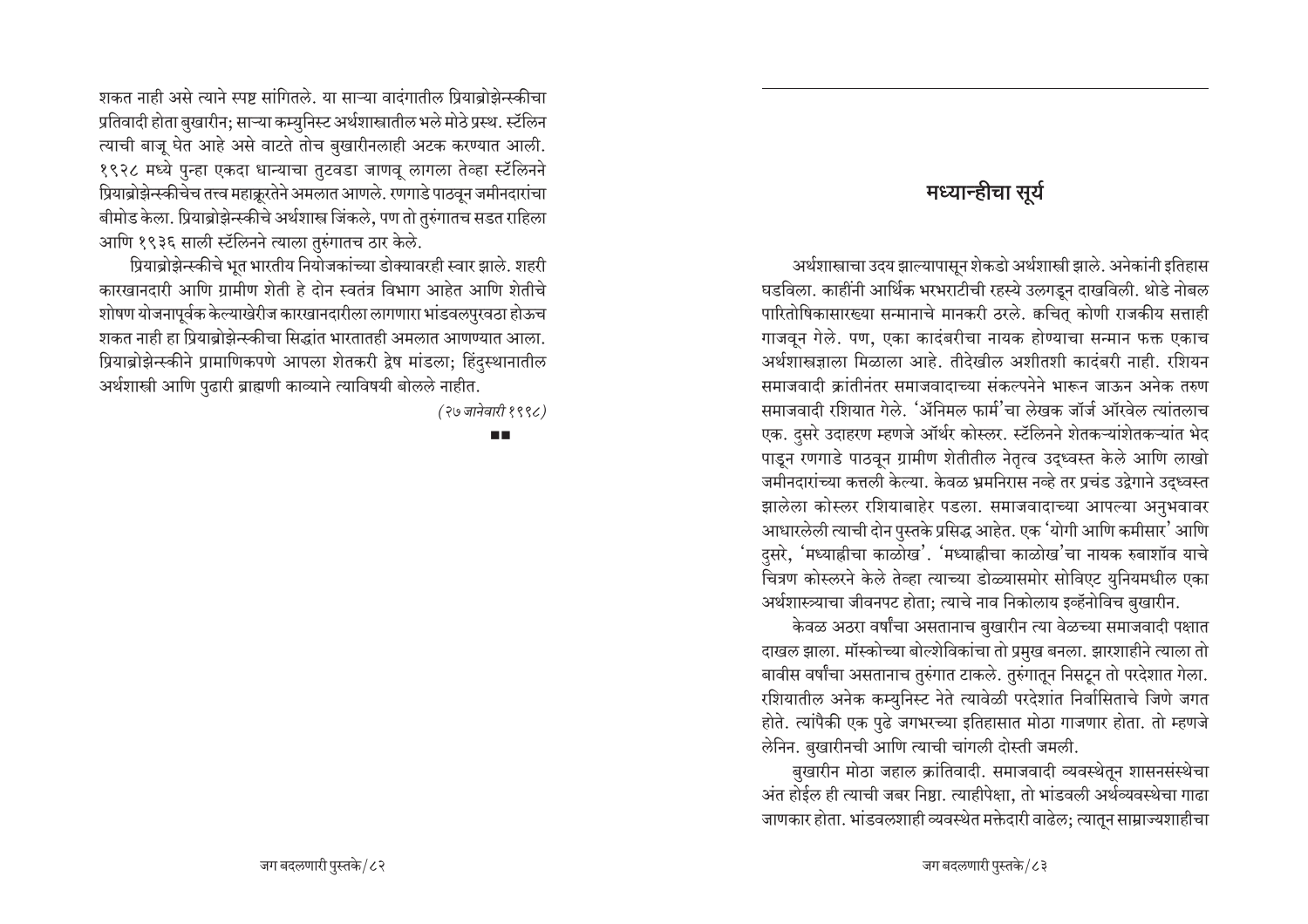### मध्या<del>न</del>्हीचा सुर्य

<u>अर्थशास्त्राचा उदय झाल्यापासून शेकडो अर्थशास्त्री झाले. अनेकांनी इतिहास</u> घडविला. काहींनी आर्थिक भरभराटीची रहस्ये उलगडून दाखविली. थोडे नोबल पारितोषिकासारख्या सन्मानाचे मानकरी ठरले. कचित् कोणी राजकीय सत्ताही गाजवून गेले. पण, एका कादंबरीचा नायक होण्याचा सन्मान फक्त एकाच अर्थशास्त्रज्ञाला मिळाला आहे. तीदेखील अशीतशी कादंबरी नाही. रशियन समाजवादी क्रांतीनंतर समाजवादाच्या संकल्पनेने भारून जाऊन अनेक तरुण समाजवादी रशियात गेले. 'ॲनिमल फार्म'चा लेखक जॉर्ज ऑरवेल त्यांतलाच एक. दुसरे उदाहरण म्हणजे ऑर्थर कोस्लर. स्टॅलिनने शेतकऱ्यांशेतकऱ्यांत भेद पाडून रणगाडे पाठवून ग्रामीण शेतीतील नेतृत्व उद्ध्वस्त केले आणि लाखो जमीनदारांच्या कत्तली केल्या. केवळ भ्रमनिरास नव्हे तर प्रचंड उद्वेगाने उद्ध्वस्त झालेला कोस्लर रशियाबाहेर पडला. समाजवादाच्या आपल्या अनुभवावर आधारलेली त्याची दोन पुस्तके प्रसिद्ध आहेत. एक 'योगी आणि कमीसार' आणि दुसरे, 'मध्याह्रीचा काळोख'. 'मध्याह्रीचा काळोख'चा नायक रुबाशॉव याचे चित्रण कोस्लरने केले तेव्हा त्याच्या डोळ्यासमोर सोविएट युनियमधील एका अर्थशास्त्र्याचा जीवनपट होता; त्याचे नाव निकोलाय इव्हॅनोविच बुखारीन.

<u>केवळ अठरा वर्षांचा असतानाच बुखारीन त्या वेळच्या समाजवादी पक्षात</u> दाखल झाला. मॉस्कोच्या बोल्शेविकांचा तो प्रमुख बनला. झारशाहीने त्याला तो बावीस वर्षांचा असतानाच तुरुंगात टाकले. तुरुंगातून निसटून तो परदेशात गेला. रशियातील अनेक कम्युनिस्ट नेते त्यावेळी परदेशांत निर्वासिताचे जिणे जगत होते. त्यांपैकी एक पुढे जगभरच्या इतिहासात मोठा गाजणार होता. तो म्हणजे लेनिन. बुखारीनची आणि त्याची चांगली दोस्ती जमली.

बुखारीन मोठा जहाल क्रांतिवादी. समाजवादी व्यवस्थेतून शासनसंस्थेचा अंत होईल ही त्याची जबर निष्ठा. त्याहीपेक्षा, तो भांडवली अर्थव्यवस्थेचा गाढा जाणकार होता. भांडवलशाही व्यवस्थेत मक्तेदारी वाढेल; त्यातून साम्राज्यशाहीचा

<u>शकत नाही असे त्याने स्पष्ट सांगितले. या साऱ्या वादंगातील प्रियाब्रोझेन्स्कीचा</u> <u>प्रतिवादी होता बुखारीन; साऱ्या कम्युनिस्ट अर्थशास्त्रातील भले मोठे प्रस्थ. स्टॅलिन</u> ख्याची बाजू घेत आहे असे वाटते तोच बुखारीनलाही अटक करण्यात आली. १९२८ मध्ये पुन्हा एकदा धान्याचा तुटवडा जाणवू लागला तेव्हा स्टॅलिनने प्रियाब्रोझेन्स्कीचेच तत्त्व महाक्रूरतेने अमलात आणले. रणगाडे पाठवून जमीनदारांचा बीमोड केला. प्रियाब्रोझेन्स्कीचे अर्थशास्त्र जिंकले. पण तो तुरुंगातच सडत राहिला आणि १९३६ साली स्टॅलिनने त्याला तुरुंगातच ठार केले.

प्रियाब्रोझेन्स्कीचे भूत भारतीय नियोजकांच्या डोक्यावरही स्वार झाले. शहरी कारखानदारी आणि ग्रामीण शेती हे दोन स्वतंत्र विभाग आहेत आणि शेतीचे <u>शोषण योजनापूर्वक केल्याखेरीज कारखानदारीला लागणारा भांडवलपुरवठा होऊच</u> शकत नाही हा प्रियाब्रोझेन्स्कीचा सिद्धांत भारतातही अमलात आणण्यात आला. प्रियाब्रोझेन्स्कीने प्रामाणिकपणे आपला शेतकरी द्वेष मांडला; हिंदस्थानातील अर्थशास्त्री आणि पुढारी ब्राह्मणी काव्याने त्याविषयी बोलले नाहीत.

*(२७ जानेवारी १९९८)* 

п.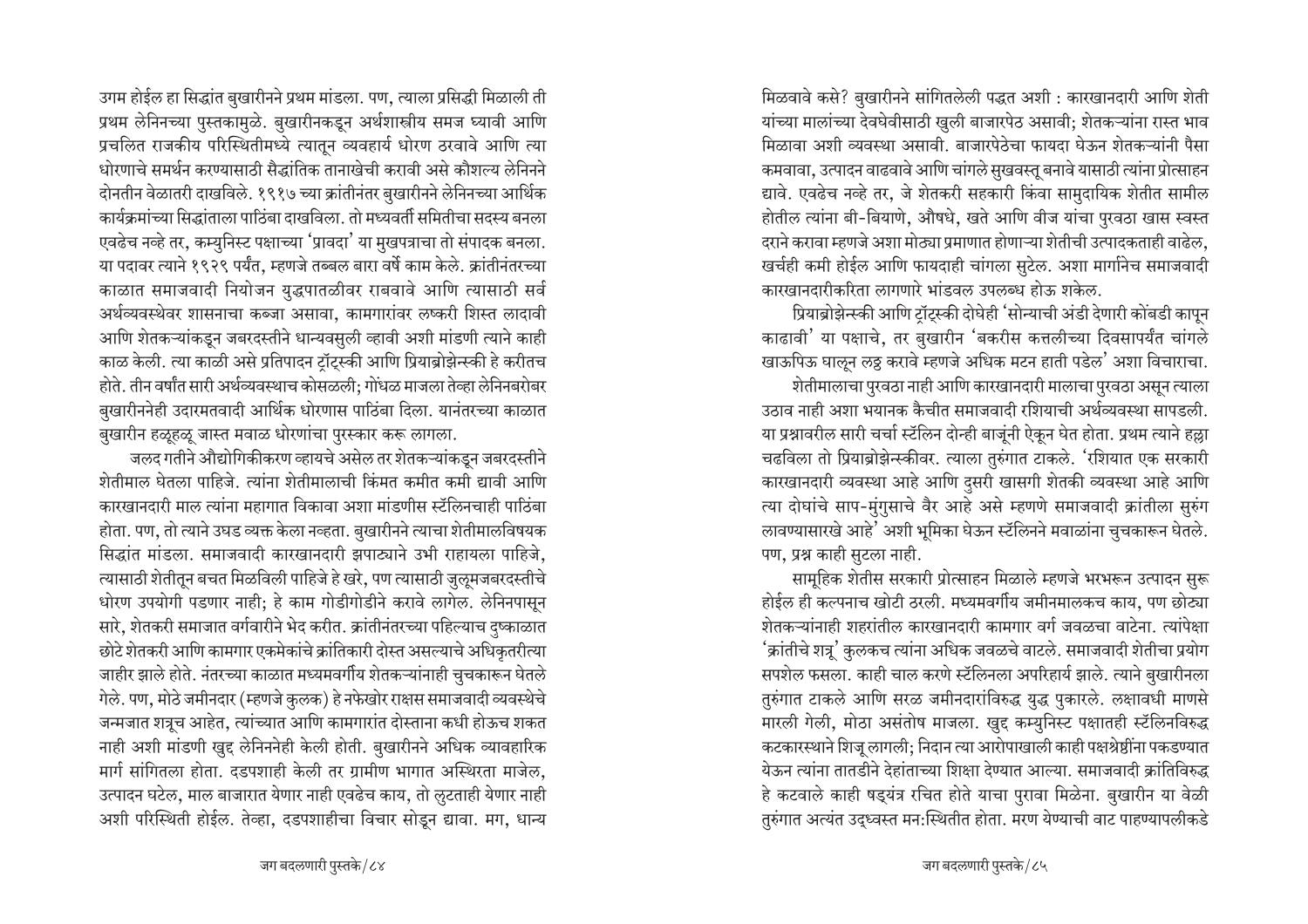उगम होईल हा सिद्धांत बुखारीनने प्रथम मांडला. पण, त्याला प्रसिद्धी मिळाली ती प्रथम लेनिनच्या पुस्तकामुळे. बुखारीनकडून अर्थशास्त्रीय समज घ्यावी आणि प्रचलित राजकीय परिस्थितीमध्ये त्यातून व्यवहार्य धोरण ठरवावे आणि त्या धोरणाचे समर्थन करण्यासाठी सैद्धांतिक तानाखेची करावी असे कौशल्य लेनिनने दोनतीन वेळातरी दाखविले. १९१७ च्या क्रांतीनंतर बुखारीनने लेनिनच्या आर्थिक कार्यक्रमांच्या सिद्धांताला पाठिंबा दाखविला. तो मध्यवर्ती समितीचा सदस्य बनला एवढेच नव्हे तर, कम्युनिस्ट पक्षाच्या 'प्रावदा' या मुखपत्राचा तो संपादक बनला. या पदावर त्याने १९२९ पर्यंत, म्हणजे तब्बल बारा वर्षे काम केले. क्रांतीनंतरच्या काळात समाजवादी नियोजन युद्धपातळीवर राबवावे आणि त्यासाठी सर्व अर्थव्यवस्थेवर शासनाचा कब्जा असावा, कामगारांवर लष्करी शिस्त लादावी आणि शेतकऱ्यांकडून जबरदस्तीने धान्यवसुली व्हावी अशी मांडणी त्याने काही काळ केली. त्या काळी असे प्रतिपादन टॉट्स्की आणि प्रियाब्रोझेन्स्की हे करीतच होते. तीन वर्षांत सारी अर्थव्यवस्थाच कोसळली; गोंधळ माजला तेव्हा लेनिनबरोबर बुखारीननेही उदारमतवादी आर्थिक धोरणास पाठिंबा दिला. यानंतरच्या काळात बुखारीन हळूहळू जास्त मवाळ धोरणांचा पुरस्कार करू लागला.

जलद गतीने औद्योगिकीकरण व्हायचे असेल तर शेतकऱ्यांकडून जबरदस्तीने शेतीमाल घेतला पाहिजे. त्यांना शेतीमालाची किंमत कमीत कमी द्यावी आणि कारखानदारी माल त्यांना महागात विकावा अशा मांडणीस स्टॅलिनचाही पाठिंबा होता. पण, तो त्याने उघड व्यक्त केला नव्हता. बुखारीनने त्याचा शेतीमालविषयक सिद्धांत मांडला. समाजवादी कारखानदारी झपाट्याने उभी राहायला पाहिजे. त्यासाठी शेतीतून बचत मिळविली पाहिजे हे खरे, पण त्यासाठी जुलूमजबरदस्तीचे धोरण उपयोगी पडणार नाही; हे काम गोडीगोडीने करावे लागेल. लेनिनपासून सारे, शेतकरी समाजात वर्गवारीने भेद करीत. क्रांतीनंतरच्या पहिल्याच दष्काळात छोटे शेतकरी आणि कामगार एकमेकांचे क्रांतिकारी दोस्त असल्याचे अधिकृतरीत्या जाहीर झाले होते. नंतरच्या काळात मध्यमवर्गीय शेतकऱ्यांनाही चुचकारून घेतले गेले. पण, मोठे जमीनदार (म्हणजे कुलक) हे नफेखोर राक्षस समाजवादी व्यवस्थेचे जन्मजात शत्रूच आहेत, त्यांच्यात आणि कामगारांत दोस्ताना कधी होऊच शकत नाही अशी मांडणी खुद्द लेनिननेही केली होती. बुखारीनने अधिक व्यावहारिक मार्ग सांगितला होता. दडपशाही केली तर ग्रामीण भागात अस्थिरता माजेल, उत्पादन घटेल, माल बाजारात येणार नाही एवढेच काय, तो लुटताही येणार नाही अशी परिस्थिती होईल. तेव्हा, दडपशाहीचा विचार सोडून द्यावा. मग, धान्य

मिळवावे कसे? बुखारीनने सांगितलेली पद्धत अशी : कारखानदारी आणि शेती यांच्या मालांच्या देवघेवीसाठी खुली बाजारपेठ असावी; शेतकऱ्यांना रास्त भाव मिळावा अशी व्यवस्था असावी. बाजारपेठेचा फायदा घेऊन शेतकऱ्यांनी पैसा कमवावा, उत्पादन वाढवावे आणि चांगले सुखवस्तू बनावे यासाठी त्यांना प्रोत्साहन द्यावे. एवढेच नव्हे तर, जे शेतकरी सहकारी किंवा सामुदायिक शेतीत सामील होतील त्यांना बी-बियाणे, औषधे, खते आणि वीज यांचा पुरवठा खास स्वस्त दराने करावा म्हणजे अशा मोठ्या प्रमाणात होणाऱ्या शेतीची उत्पादकताही वाढेल. खर्चही कमी होईल आणि फायदाही चांगला सुटेल. अशा मार्गानेच समाजवादी कारखानदारीकरिता लागणारे भांडवल उपलब्ध होऊ शकेल.

प्रियाब्रोझेन्स्की आणि टॉट्स्की दोघेही 'सोन्याची अंडी देणारी कोंबडी कापून काढावी' या पक्षाचे, तर बुखारीन 'बकरीस कत्तलीच्या दिवसापर्यंत चांगले खाऊपिऊ घालून लठ्ठ करावे म्हणजे अधिक मटन हाती पडेल' अशा विचाराचा. शेतीमालाचा पुरवठा नाही आणि कारखानदारी मालाचा पुरवठा असून त्याला उठाव नाही अशा भयानक कैचीत समाजवादी रशियाची अर्थव्यवस्था सापडली. या प्रश्नावरील सारी चर्चा स्टॅलिन दोन्ही बाजूंनी ऐकून घेत होता. प्रथम त्याने हल्ला चढविला तो प्रियाब्रोझेन्स्कीवर. त्याला तुरुंगात टाकले. 'रशियात एक सरकारी कारखानदारी व्यवस्था आहे आणि दुसरी खासगी शेतकी व्यवस्था आहे आणि त्या दोघांचे साप-मुंगुसाचे वैर आहे असे म्हणणे समाजवादी क्रांतीला सुरुंग लावण्यासारखे आहे' अशी भूमिका घेऊन स्टॅलिनने मवाळांना चुचकारून घेतले. पण, प्रश्न काही सुटला नाही.

सामूहिक शेतीस सरकारी प्रोत्साहन मिळाले म्हणजे भरभरून उत्पादन सुरू होईल ही कल्पनाच खोटी ठरली. मध्यमवर्गीय जमीनमालकच काय, पण छोट्या शेतकऱ्यांनाही शहरांतील कारखानदारी कामगार वर्ग जवळचा वाटेना. त्यांपेक्षा 'क्रांतीचे शत्र्' कुलकच त्यांना अधिक जवळचे वाटले. समाजवादी शेतीचा प्रयोग सपशेल फसला. काही चाल करणे स्टॅलिनला अपरिहार्य झाले. त्याने बुखारीनला तुरुंगात टाकले आणि सरळ जमीनदारांविरुद्ध युद्ध पुकारले. लक्षावधी माणसे मारली गेली, मोठा असंतोष माजला. खुद्द कम्युनिस्ट पक्षातही स्टॅलिनविरुद्ध कटकारस्थाने शिज् लागली; निदान त्या आरोपाखाली काही पक्षश्रेष्ठींना पकडण्यात येऊन त्यांना तातडीने देहांताच्या शिक्षा देण्यात आल्या. समाजवादी क्रांतिविरुद्ध हे कटवाले काही षड्यंत्र रचित होते याचा पुरावा मिळेना. बुखारीन या वेळी तुरुंगात अत्यंत उद्ध्वस्त मन:स्थितीत होता. मरण येण्याची वाट पाहण्यापलीकडे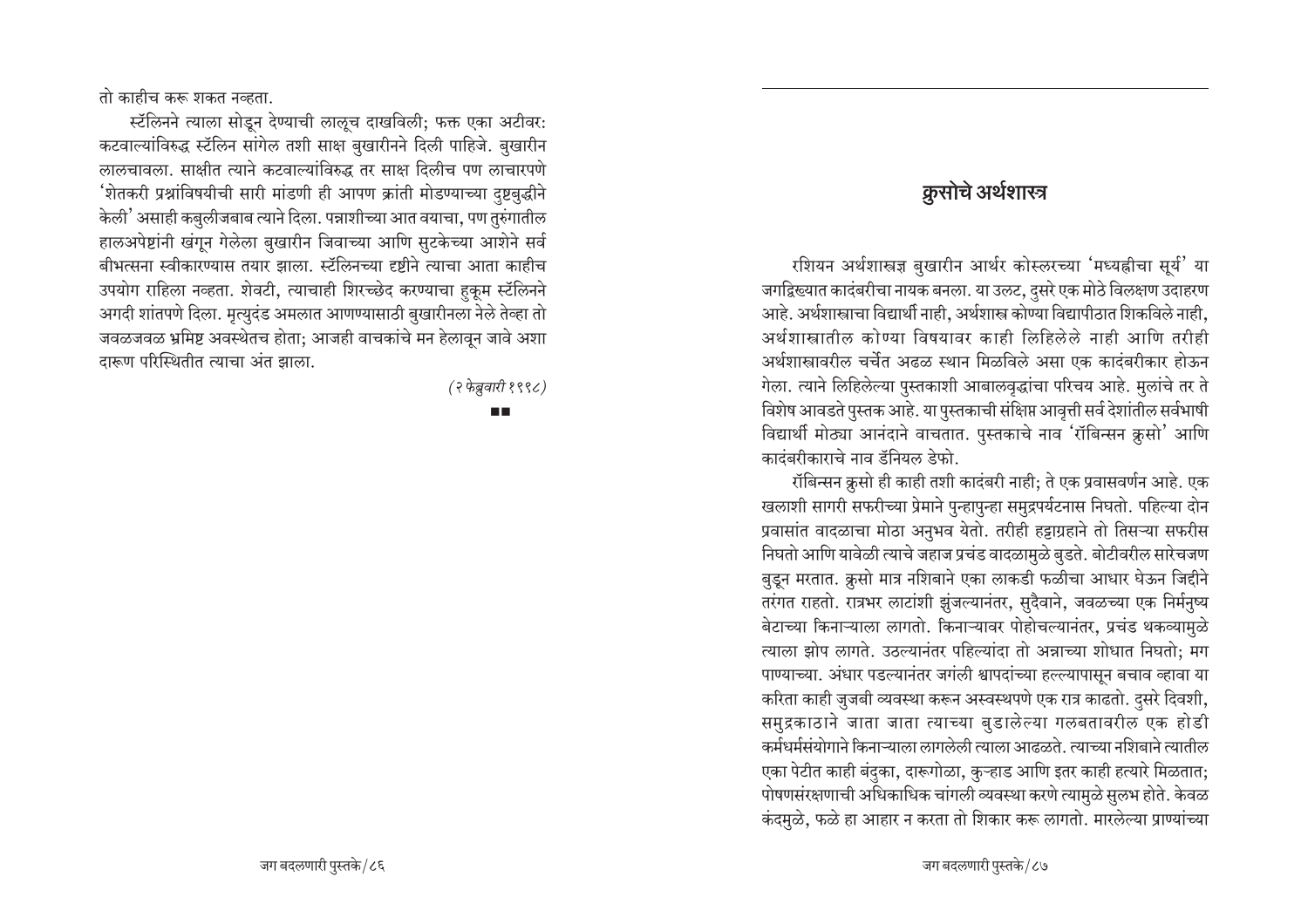तो काहीच करू शकत नव्हता.

स्टॅलिनने त्याला सोडून देण्याची लालूच दाखविली: फक्त एका अटीवर: कटवाल्यांविरुद्ध स्टॅलिन सांगेल तशी साक्ष बुखारीनने दिली पाहिजे. बुखारीन लालचावला. साक्षीत त्याने कटवाल्यांविरुद्ध तर साक्ष दिलीच पण लाचारपणे 'शेतकरी प्रश्नांविषयीची सारी मांडणी ही आपण क्रांती मोडण्याच्या दुष्टबुद्धीने केली' असाही कबुलीजबाब त्याने दिला. पन्नाशीच्या आत वयाचा, पण तुरुंगातील हालअपेष्टांनी खंगून गेलेला बुखारीन जिवाच्या आणि सुटकेच्या आशेने सर्व बीभत्सना स्वीकारण्यास तयार झाला. स्टॅलिनच्या दृष्टीने त्याचा आता काहीच उपयोग राहिला नव्हता. शेवटी, त्याचाही शिरच्छेद करण्याचा हुकूम स्टॅलिनने अगदी शांतपणे दिला. मृत्युदंड अमलात आणण्यासाठी बुखारीनला नेले तेव्हा तो जवळजवळ भ्रमिष्ट अवस्थेतच होता: आजही वाचकांचे मन हेलावून जावे अशा दारूण परिस्थितीत त्याचा अंत झाला.

(२ फेब्रुवारी १९९८)

#### m m

#### क़ुसोचे अर्थशास्त्र

रशियन अर्थशास्त्रज्ञ बुखारीन आर्थर कोस्लरच्या 'मध्यह्नीचा सूर्य' या जगद्विख्यात कादंबरीचा नायक बनला. या उलट, दुसरे एक मोठे विलक्षण उदाहरण आहे. अर्थशास्त्राचा विद्यार्थी नाही, अर्थशास्त्र कोण्या विद्यापीठात शिकविले नाही, अर्थशास्त्रातील कोण्या विषयावर काही लिहिलेले नाही आणि तरीही अर्थशास्त्रावरील चर्चेत अढळ स्थान मिळविले असा एक कादंबरीकार होऊन गेला. त्याने लिहिलेल्या पुस्तकाशी आबालवृद्धांचा परिचय आहे. मुलांचे तर ते विशेष आवडते पुस्तक आहे. या पुस्तकाची संक्षिप्त आवृत्ती सर्व देशांतील सर्वभाषी विद्यार्थी मोठ्या आनंदाने वाचतात. पुस्तकाचे नाव 'रॉबिन्सन क्रूसो' आणि कादंबरीकाराचे नाव डॅनियल डेफो.

रॉबिन्सन क्रूसो ही काही तशी कादंबरी नाही; ते एक प्रवासवर्णन आहे. एक खलाशी सागरी सफरीच्या प्रेमाने पुन्हापुन्हा समुद्रपर्यटनास निघतो. पहिल्या दोन प्रवासांत वादळाचा मोठा अनुभव येतो. तरीही हट्टाग्रहाने तो तिसऱ्या सफरीस निघतो आणि यावेळी त्याचे जहाज प्रचंड वादळामुळे बुडते. बोटीवरील सारेचजण बुडून मरतात. क्रूसो मात्र नशिबाने एका लाकडी फळीचा आधार घेऊन जिद्दीने तरंगत राहतो. रात्रभर लाटांशी झुंजल्यानंतर, सुदैवाने, जवळच्या एक निर्मनुष्य बेटाच्या किनाऱ्याला लागतो. किनाऱ्यावर पोहोचल्यानंतर, प्रचंड थकव्यामुळे त्याला झोप लागते. उठल्यानंतर पहिल्यांदा तो अन्नाच्या शोधात निघतो; मग पाण्याच्या. अंधार पडल्यानंतर जगंली श्वापदांच्या हल्ल्यापासून बचाव व्हावा या करिता काही जुजबी व्यवस्था करून अस्वस्थपणे एक रात्र काढतो. दुसरे दिवशी, समुद्रकाठाने जाता जाता त्याच्या बुडालेल्या गलबतावरील एक होडी कर्मधर्मसंयोगाने किनाऱ्याला लागलेली त्याला आढळते. त्याच्या नशिबाने त्यातील एका पेटीत काही बंदुका, दारूगोळा, कुऱ्हाड आणि इतर काही हत्यारे मिळतात; पोषणसंरक्षणाची अधिकाधिक चांगली व्यवस्था करणे त्यामुळे सुलभ होते. केवळ कंदमुळे, फळे हा आहार न करता तो शिकार करू लागतो. मारलेल्या प्राण्यांच्या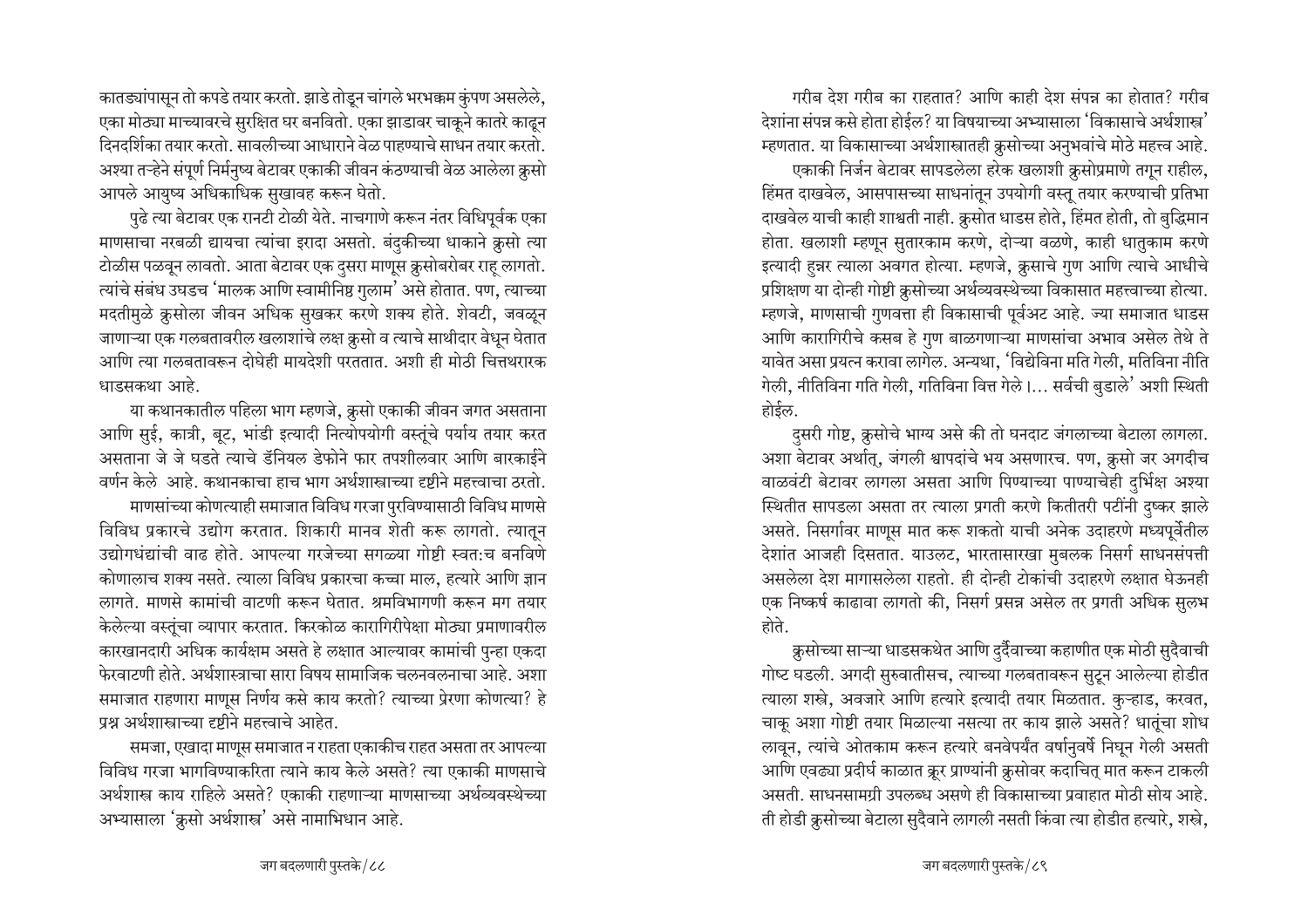कातड्यांपासून तो कपडे तयार करतो. झाडे तोडून चांगले भरभक्कम कुंपण असलेले, एका मोठ्या माच्यावरचे सुरक्षित घर बनवितो. एका झाडावर चाकूने कातरे काढून दिनदर्शिका तयार करतो. सावलीच्या आधाराने वेळ पाहण्याचे साधन तयार करतो. अश्या तऱ्हेने संपूर्ण निर्मनुष्य बेटावर एकाकी जीवन कंठण्याची वेळ आलेला क्रूसो आपले आयुष्य अधिकाधिक सुखावह करून घेतो.

पुढे त्या बेटावर एक रानटी टोळी येते. नाचगाणे करून नंतर विधिपूर्वक एका माणसाचा नरबळी द्यायचा त्यांचा इरादा असतो. बंदुकीच्या धाकाने क्रूसो त्या टोळीस पळवून लावतो. आता बेटावर एक दुसरा माणूस क्रूसोबरोबर राह लागतो. त्यांचे संबंध उघडच 'मालक आणि स्वामीनिष्ठ गुलाम' असे होतात. पण, त्याच्या मदतीमुळे क्रुसोला जीवन अधिक सुखकर करणे शक्य होते. शेवटी, जवळून जाणाऱ्या एक गलबतावरील खलाशांचे लक्ष क्रुसो व त्याचे साथीदार वेधून घेतात आणि त्या गलबतावरून दोघेही मायदेशी परततात. अशी ही मोठी चित्तथरारक धाडसकथा आहे.

या कथानकातील पहिला भाग म्हणजे, क्रुसो एकाकी जीवन जगत असताना आणि सुई, कात्री, बूट, भांडी इत्यादी नित्योपयोगी वस्तूंचे पर्याय तयार करत असताना जे जे घडते त्याचे डॅनियल डेफोने फार तपशीलवार आणि बारकाईने वर्णन केले आहे. कथानकाचा हाच भाग अर्थशास्त्राच्या दृष्टीने महत्त्वाचा ठरतो.

माणसांच्या कोणत्याही समाजात विविध गरजा पुरविण्यासाठी विविध माणसे विविध प्रकारचे उद्योग करतात. शिकारी मानव शेती करू लागतो. त्यातून उद्योगधंद्यांची वाढ होते. आपल्या गरजेच्या सगळ्या गोष्टी स्वत:च बनविणे कोणालाच शक्य नसते. त्याला विविध प्रकारचा कच्चा माल. हत्यारे आणि ज्ञान लागते. माणसे कामांची वाटणी करून घेतात. श्रमविभागणी करून मग तयार केलेल्या वस्तुंचा व्यापार करतात. किरकोळ कारागिरीपेक्षा मोठ्या प्रमाणावरील कारखानदारी अधिक कार्यक्षम असते हे लक्षात आल्यावर कामांची पुन्हा एकदा फेरवाटणी होते. अर्थशास्त्राचा सारा विषय सामाजिक चलनवलनाचा आहे. अशा समाजात राहणारा माणूस निर्णय कसे काय करतो? त्याच्या प्रेरणा कोणत्या? हे प्रश्न अर्थशास्त्राच्या दृष्टीने महत्त्वाचे आहेत.

समजा, एखादा माणूस समाजात न राहता एकाकीच राहत असता तर आपल्या विविध गरजा भागविण्याकरिता त्याने काय केले असते? त्या एकाकी माणसाचे अर्थशास्त्र काय राहिले असते? एकाकी राहणाऱ्या माणसाच्या अर्थव्यवस्थेच्या अभ्यासाला 'क्रूसो अर्थशास्त्र' असे नामाभिधान आहे.

गरीब देश गरीब का राहतात? आणि काही देश संपन्न का होतात? गरीब देशांना संपन्न कसे होता होईल? या विषयाच्या अभ्यासाला 'विकासाचे अर्थशास्त्र' म्हणतात. या विकासाच्या अर्थशास्त्रातही क्रुसोच्या अनुभवांचे मोठे महत्त्व आहे.

एकाकी निर्जन बेटावर सापडलेला हरेक खलाशी क्रसोप्रमाणे तगून राहील, हिंमत दाखवेल, आसपासच्या साधनांतून उपयोगी वस्तू तयार करण्याची प्रतिभा दाखवेल याची काही शाश्वती नाही. क्रूसोत धाडस होते, हिंमत होती, तो बुद्धिमान होता. खलाशी म्हणून सुतारकाम करणे, दोऱ्या वळणे, काही धातुकाम करणे इत्यादी हन्नर त्याला अवगत होत्या. म्हणजे, क्रुसाचे गुण आणि त्याचे आधीचे प्रशिक्षण या दोन्ही गोष्टी क्रुसोच्या अर्थव्यवस्थेच्या विकासात महत्त्वाच्या होत्या. म्हणजे, माणसाची गुणवत्ता ही विकासाची पूर्वअट आहे. ज्या समाजात धाडस आणि कारागिरीचे कसब हे गुण बाळगणाऱ्या माणसांचा अभाव असेल तेथे ते यावेत असा प्रयत्न करावा लागेल. अन्यथा, 'विद्येविना मति गेली, मतिविना नीति गेली. नीतिविना गति गेली. गतिविना वित्त गेले।... सर्वची बडाले' अशी स्थिती होईल.

दुसरी गोष्ट, क्रुसोचे भाग्य असे की तो घनदाट जंगलाच्या बेटाला लागला. अशा बेटावर अर्थात्, जंगली श्वापदांचे भय असणारच. पण, क्रुसो जर अगदीच वाळवंटी बेटावर लागला असता आणि पिण्याच्या पाण्याचेही दुर्भिक्ष अश्या स्थितीत सापडला असता तर त्याला प्रगती करणे कितीतरी पटींनी दुष्कर झाले असते. निसर्गावर माणूस मात करू शकतो याची अनेक उदाहरणे मध्यपूर्वेतील देशांत आजही दिसतात. याउलट, भारतासारखा मुबलक निसर्ग साधनसंपत्ती असलेला देश मागासलेला राहतो. ही दोन्ही टोकांची उदाहरणे लक्षात घेऊनही एक निष्कर्ष काढावा लागतो की, निसर्ग प्रसन्न असेल तर प्रगती अधिक सुलभ होते.

क्रुसोच्या साऱ्या धाडसकथेत आणि दुर्दैवाच्या कहाणीत एक मोठी सुदैवाची गोष्ट घडली. अगदी सुरुवातीसच, त्याच्या गलबतावरून सुटून आलेल्या होडीत त्याला शस्त्रे, अवजारे आणि हत्यारे इत्यादी तयार मिळतात. कुऱ्हाड, करवत, चाकू अशा गोष्टी तयार मिळाल्या नसत्या तर काय झाले असते? धातूंचा शोध लावून, त्यांचे ओतकाम करून हत्यारे बनवेपर्यंत वर्षानुवर्षे निघून गेली असती आणि एवढ्या प्रदीर्घ काळात क्रूर प्राण्यांनी क्रुसोवर कदाचित् मात करून टाकली असती. साधनसामग्री उपलब्ध असणे ही विकासाच्या प्रवाहात मोठी सोय आहे. ती होडी क्रूसोच्या बेटाला सुदैवाने लागली नसती किंवा त्या होडीत हत्यारे, शस्त्रे,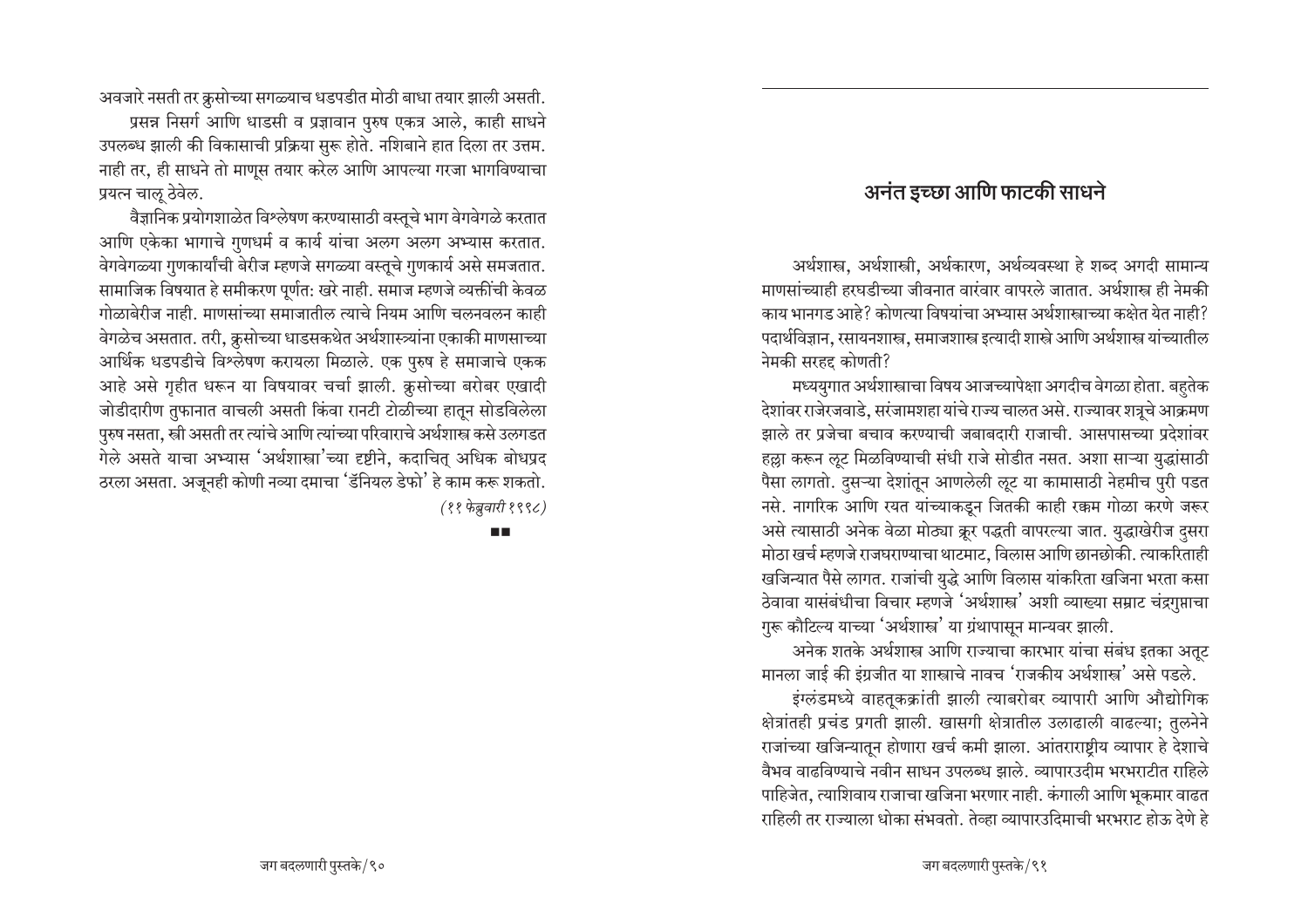<u>अवजारे नसती तर क्रूसोच्या सगळ्याच धडपडीत मोठी बाधा तयार झाली असती.</u>

प्रसन्न निसर्ग आणि धाडसी व प्रज्ञावान पुरुष एकत्र आले, काही साधने उपलब्ध झाली की विकासाची प्रक्रिया सुरू होते. नशिबाने हात दिला तर उत्तम. नाही तर, ही साधने तो माणूस तयार करेल आणि आपल्या गरजा भागविण्याचा प्रयत्न चाऌ ठेवेल.

वैज्ञानिक प्रयोगशाळेत विश्लेषण करण्यासाठी वस्तुचे भाग वेगवेगळे करतात आणि एकेका भागाचे गुणधर्म व कार्य यांचा अलग अलग अभ्यास करतात. <u>वेगवेगळ्या गुणकार्यांची बेरीज म्हणजे सगळ्या वस्तुचे गुणकार्य असे समजतात.</u> सामाजिक विषयात हे समीकरण पूर्णत: खरे नाही. समाज म्हणजे व्यक्तींची केवळ  $\overline{z}$ गोळाबेरीज नाही. माणसांच्या समाजातील त्याचे नियम आणि चलनवलन काही वेगळेच असतात. तरी, क्रूसोच्या धाडसकथेत अर्थशास्त्र्यांना एकाकी माणसाच्या आर्थिक धडपडीचे विश्लेषण करायला मिळाले. एक पुरुष हे समाजाचे एकक आहे असे गृहीत धरून या विषयावर चर्चा झाली. क्रूसोच्या बरोबर एखादी जोडीदारीण तुफानात वाचली असती किंवा रानटी टोळीच्या हातून सोडविलेला पुरुष नसता, स्त्री असती तर त्यांचे आणि त्यांच्या परिवाराचे अर्थशास्त्र कसे उलगडत गेले असते याचा अभ्यास 'अर्थशास्त्रा'च्या दृष्टीने, कदाचित् अधिक बोधप्रद ठरला असता. अजूनही कोणी नव्या दमाचा 'डॅनियल डेफो' हे काम करू शकतो. *(11 VCTk–NÎbŸa 1998)*

ПD

### अनंत इच्छा आणि फाटकी साधने

अर्थशास्त्र, अर्थशास्त्री, अर्थकारण, अर्थव्यवस्था हे शब्द अगदी सामान्य माणसांच्याही हरघडीच्या जीवनात वारंवार वापरले जातात. अर्थशास्त्र ही नेमकी काय भानगड आहे? कोणत्या विषयांचा अभ्यास अर्थशास्त्राच्या कक्षेत येत नाही? पदार्थविज्ञान, रसायनशास्त्र, समाजशास्त्र इत्यादी शास्त्रे आणि अर्थशास्त्र यांच्यातील नेमकी सरहद्द कोणती?

मध्ययुगात अर्थशास्त्राचा विषय आजच्यापेक्षा अगदीच वेगळा होता. बहुतेक देशांवर राजेरजवाडे. सरंजामशहा यांचे राज्य चालत असे. राज्यावर शत्रूचे आक्रमण झाले तर प्रजेचा बचाव करण्याची जबाबदारी राजाची. आसपासच्या प्रदेशांवर हल्ला करून ऌूट मिळविण्याची संधी राजे सोडीत नसत. अशा साऱ्या युद्धांसाठी पैसा लागतो. दुसऱ्या देशांतून आणलेली लूट या कामासाठी नेहमीच पुरी पडत नसे. नागरिक आणि रयत यांच्याकडून जितकी काही रक्कम गोळा करणे जरूर असे त्यासाठी अनेक वेळा मोठ्या क्रूर पद्धती वापरल्या जात. युद्धाखेरीज <u>द</u>सरा hोठा खर्च म्हणजे राजघराण्याचा थाटमाट, विलास आणि छानछोकी. त्याकरिताही खजिन्यात पैसे लागत. राजांची युद्धे आणि विलास यांकरिता खजिना भरता कसा ठेवावा यासंबंधीचा विचार म्हणजे 'अर्थशास्त्र' अशी व्याख्या सम्राट चंद्रगुप्ताचा  $\eta$ रू कौटिल्य याच्या 'अर्थशास्त्र' या ग्रंथापासून मान्यवर झाली.

अनेक शतके अर्थशास्त्र आणि राज्याचा कारभार यांचा संबंध इतका अतट मानला जाई की इंग्रजीत या शास्त्राचे नावच 'राजकीय अर्थशास्त्र' असे पडले.

इंग्लंडमध्ये वाहतूकक्रांती झाली त्याबरोबर व्यापारी आणि औद्योगिक क्षेत्रांतही प्रचंड प्रगती झाली. खासगी क्षेत्रातील उलाढाली वाढल्या; तुलनेने राजांच्या खजिन्यातून होणारा खर्च कमी झाला. आंतराराष्टीय व्यापार हे देशाचे वैभव वाढविण्याचे नवीन साधन उपलब्ध झाले. व्यापारउदीम भरभराटीत राहिले पाहिजेत, त्याशिवाय राजाचा खजिना भरणार नाही. कंगाली आणि भूकमार वाढत राहिली तर राज्याला धोका संभवतो. तेव्हा व्यापारउदिमाची भरभराट होऊ देणे हे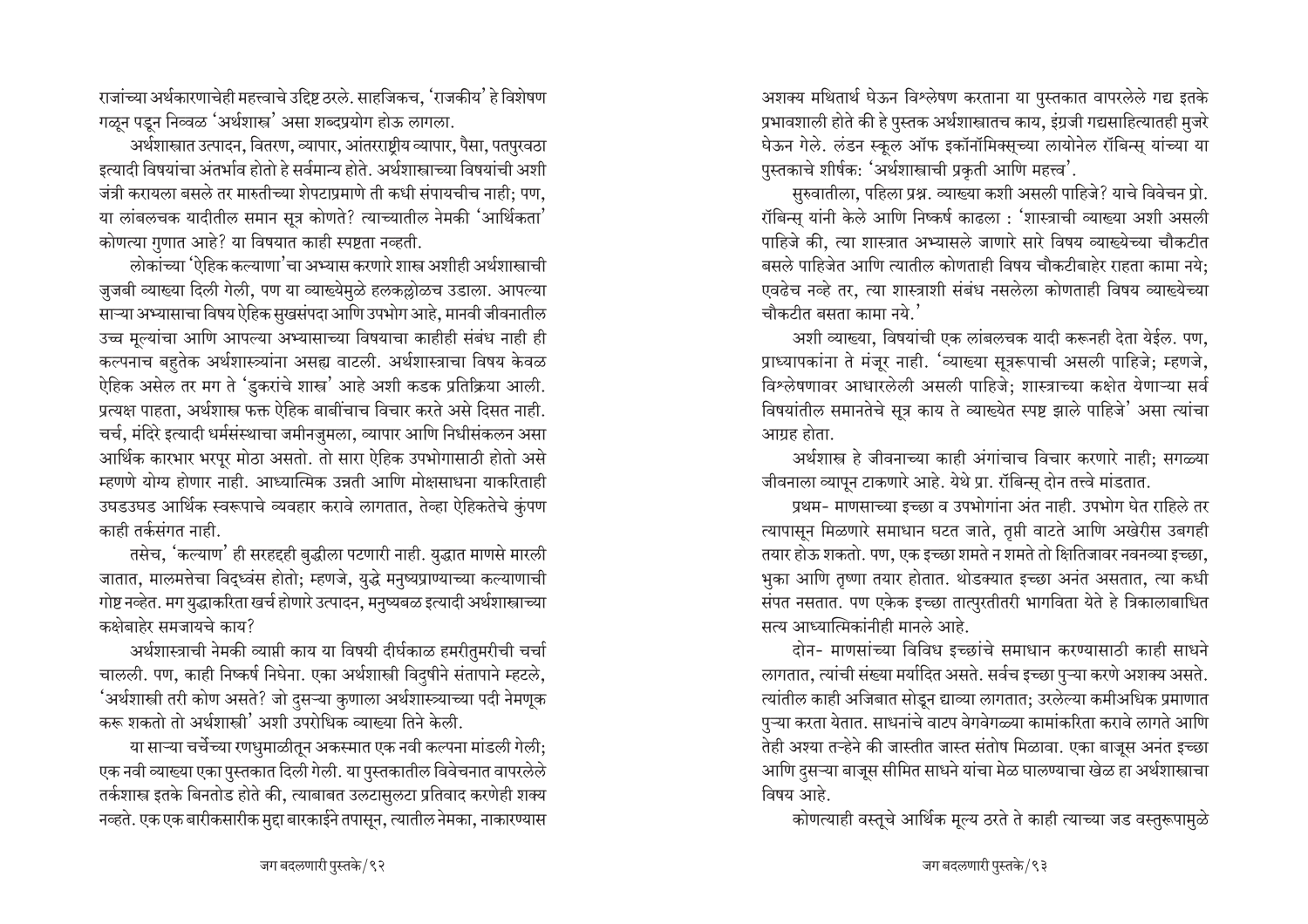राजांच्या अर्थकारणाचेही महत्त्वाचे उद्दिष्ट ठरले. साहजिकच, 'राजकीय' हे विशेषण गळून पडून निव्वळ 'अर्थशास्त्र' असा शब्दप्रयोग होऊ लागला.

अर्थशास्त्रात उत्पादन, वितरण, व्यापार, आंतरराष्ट्रीय व्यापार, पैसा, पतपुरवठा इत्यादी विषयांचा अंतर्भाव होतो हे सर्वमान्य होते. अर्थशास्त्राच्या विषयांची अशी जंत्री करायला बसले तर मारुतीच्या शेपटाप्रमाणे ती कधी संपायचीच नाही; पण, या लांबलचक यादीतील समान सूत्र कोणते? त्याच्यातील नेमकी 'आर्थिकता' कोणत्या गुणात आहे? या विषयात काही स्पष्टता नव्हती.

लोकांच्या 'ऐहिक कल्याणा'चा अभ्यास करणारे शास्त्र अशीही अर्थशास्त्राची जुजबी व्याख्या दिली गेली, पण या व्याख्येमुळे हलकल्लोळच उडाला. आपल्या साऱ्या अभ्यासाचा विषय ऐहिक सुखसंपदा आणि उपभोग आहे, मानवी जीवनातील उच्च मुल्यांचा आणि आपल्या अभ्यासाच्या विषयाचा काहीही संबंध नाही ही कल्पनाच बहतेक अर्थशास्त्र्यांना असह्य वाटली. अर्थशास्त्राचा विषय केवळ ऐहिक असेल तर मग ते 'डुकरांचे शास्त्र' आहे अशी कडक प्रतिक्रिया आली. प्रत्यक्ष पाहता. अर्थशास्त्र फक्त ऐहिक बाबींचाच विचार करते असे दिसत नाही. चर्च, मंदिरे इत्यादी धर्मसंस्थाचा जमीनजुमला, व्यापार आणि निधीसंकलन असा आर्थिक कारभार भरपूर मोठा असतो. तो सारा ऐहिक उपभोगासाठी होतो असे म्हणणे योग्य होणार नाही. आध्यात्मिक उन्नती आणि मोक्षसाधना याकरिताही उघडउघड आर्थिक स्वरूपाचे व्यवहार करावे लागतात, तेव्हा ऐहिकतेचे कुंपण काही तर्कसंगत नाही.

तसेच, 'कल्याण' ही सरहद्दही बुद्धीला पटणारी नाही. युद्धात माणसे मारली जातात, मालमत्तेचा विद्ध्वंस होतो; म्हणजे, युद्धे मनुष्यप्राण्याच्या कल्याणाची गोष्ट नव्हेत. मग युद्धाकरिता खर्च होणारे उत्पादन, मनुष्यबळ इत्यादी अर्थशास्त्राच्या कक्षेबाहेर समजायचे काय?

अर्थशास्त्राची नेमकी व्याप्ती काय या विषयी दीर्घकाळ हमरीतुमरीची चर्चा चालली. पण, काही निष्कर्ष निघेना. एका अर्थशास्त्री विदुषीने संतापाने म्हटले, 'अर्थशास्त्री तरी कोण असते? जो दुसऱ्या कुणाला अर्थशास्त्र्याच्या पदी नेमणूक करू शकतो तो अर्थशास्त्री' अशी उपरोधिक व्याख्या तिने केली.

या साऱ्या चर्चेच्या रणधुमाळीतून अकस्मात एक नवी कल्पना मांडली गेली: एक नवी व्याख्या एका पुस्तकात दिली गेली. या पुस्तकातील विवेचनात वापरलेले तर्कशास्त्र इतके बिनतोड होते की, त्याबाबत उलटासुलटा प्रतिवाद करणेही शक्य नव्हते. एक एक बारीकसारीक मुद्दा बारकाईने तपासून, त्यातील नेमका, नाकारण्यास

अशक्य मथितार्थ घेऊन विश्लेषण करताना या पुस्तकात वापरलेले गद्य इतके प्रभावशाली होते की हे पुस्तक अर्थशास्त्रातच काय, इंग्रजी गद्यसाहित्यातही मुजरे घेऊन गेले. लंडन स्कूल ऑफ इकॉनॉमिक्सच्या लायोनेल रॉबिन्स यांच्या या पुस्तकाचे शीर्षक: 'अर्थशास्त्राची प्रकृती आणि महत्त्व'.

सुरुवातीला, पहिला प्रश्न. व्याख्या कशी असली पाहिजे? याचे विवेचन प्रो. रॉबिन्स यांनी केले आणि निष्कर्ष काढला : 'शास्त्राची व्याख्या अशी असली पाहिजे की, त्या शास्त्रात अभ्यासले जाणारे सारे विषय व्याख्येच्या चौकटीत बसले पाहिजेत आणि त्यातील कोणताही विषय चौकटीबाहेर राहता कामा नये: एवढेच नव्हे तर, त्या शास्त्राशी संबंध नसलेला कोणताही विषय व्याख्येच्या चौकटीत बसता कामा नये. $^{\prime}$ 

अशी व्याख्या, विषयांची एक लांबलचक यादी करूनही देता येईल. पण, प्राध्यापकांना ते मंजूर नाही. 'व्याख्या सूत्ररूपाची असली पाहिजे; म्हणजे, विश्लेषणावर आधारलेली असली पाहिजे: शास्त्राच्या कक्षेत येणाऱ्या सर्व विषयांतील समानतेचे सूत्र काय ते व्याख्येत स्पष्ट झाले पाहिजे' असा त्यांचा आग्रह होता.

अर्थशास्त्र हे जीवनाच्या काही अंगांचाच विचार करणारे नाही; सगळ्या जीवनाला व्यापून टाकणारे आहे. येथे प्रा. रॉबिन्स् दोन तत्त्वे मांडतात.

प्रथम- माणसाच्या इच्छा व उपभोगांना अंत नाही. उपभोग घेत राहिले तर त्यापासून मिळणारे समाधान घटत जाते, तृप्ती वाटते आणि अखेरीस उबगही तयार होऊ शकतो. पण, एक इच्छा शमते न शमते तो क्षितिजावर नवनव्या इच्छा, भुका आणि तृष्णा तयार होतात. थोडक्यात इच्छा अनंत असतात, त्या कधी संपत नसतात. पण एकेक इच्छा तात्पुरतीतरी भागविता येते हे त्रिकालाबाधित सत्य आध्यात्मिकांनीही मानले आहे.

दोन- माणसांच्या विविध इच्छांचे समाधान करण्यासाठी काही साधने लागतात, त्यांची संख्या मर्यादित असते. सर्वच इच्छा पुऱ्या करणे अशक्य असते. त्यांतील काही अजिबात सोडून द्याव्या लागतात; उरलेल्या कमीअधिक प्रमाणात पुऱ्या करता येतात. साधनांचे वाटप वेगवेगळ्या कामांकरिता करावे लागते आणि तेही अश्या तऱ्हेने की जास्तीत जास्त संतोष मिळावा. एका बाजूस अनंत इच्छा आणि दुसऱ्या बाजूस सीमित साधने यांचा मेळ घालण्याचा खेळ हा अर्थशास्त्राचा विषय आहे.

कोणत्याही वस्तूचे आर्थिक मूल्य ठरते ते काही त्याच्या जड वस्तुरूपामुळे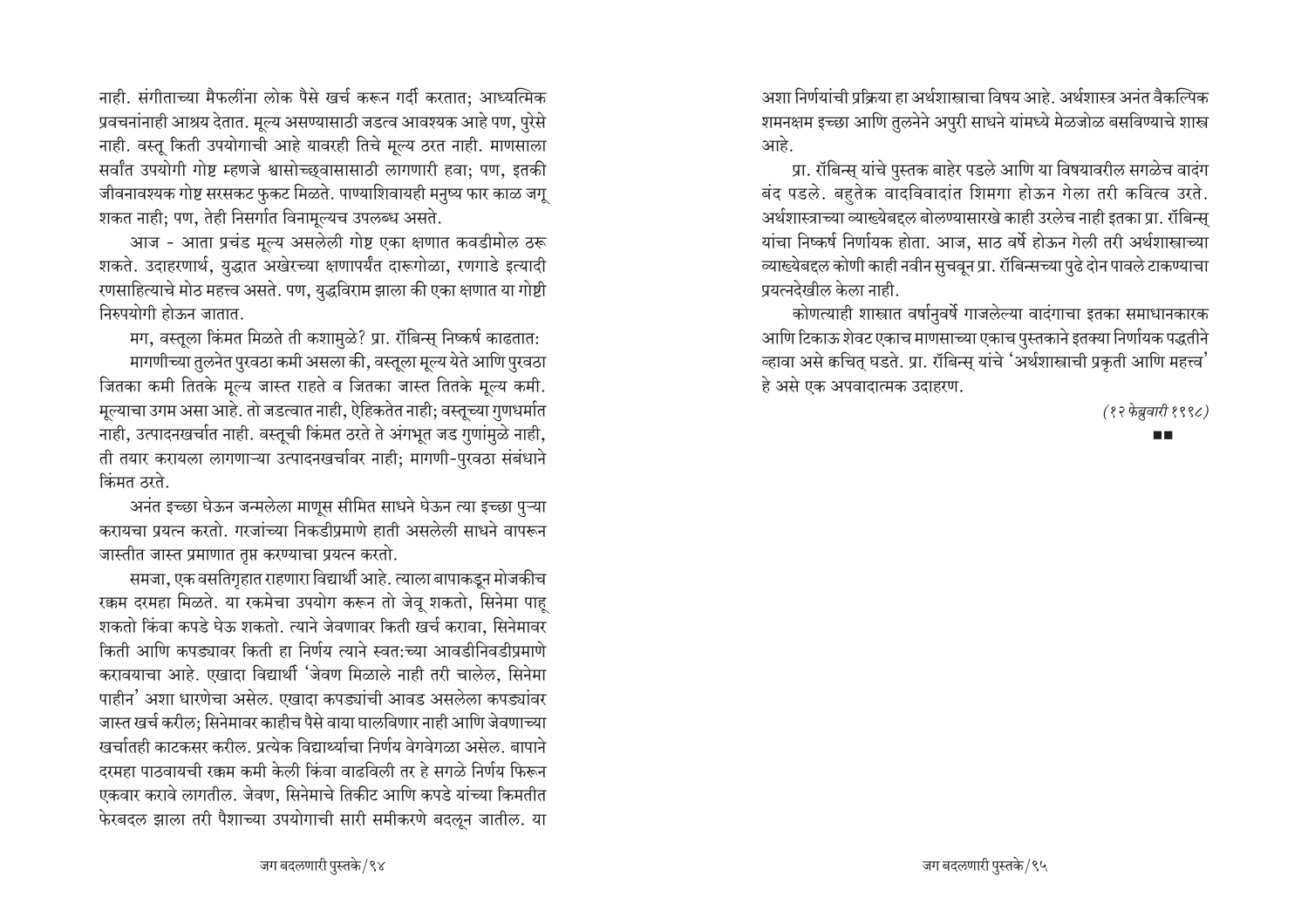नाही. संगीताच्या मैफलींना लोक पैसे खर्च करून गर्दी करतात; आध्यत्मिक प्रवचनांनाही आश्रय देतात. मूल्य असण्यासाठी जडत्व आवश्यक आहे पण, पुरेसे नाही. वस्तु किती उपयोगाची आहे यावरही तिचे मूल्य ठरत नाही. माणसाला सर्वांत उपयोगी गोष्ट म्हणजे श्वासोच्छ्वासासाठी लागणारी हवा; पण, इतकी जीवनावश्यक गोष्ट सरसकट फुकट मिळते. पाण्याशिवायही मनुष्य फार काळ जगू शकत नाही; पण, तेही निसर्गात विनामूल्यच उपलब्ध असते.

आज - आता प्रचंड मूल्य असलेली गोष्ट एका क्षणात कवडीमोल ठरू शकते. उदाहरणार्थ, युद्धात अखेरच्या क्षणापर्यंत दारूगोळा, रणगाडे इत्यादी रणसाहित्याचे मोठ महत्त्व असते. पण, युद्धविराम झाला की एका क्षणात या गोष्टी निरुपयोगी होऊन जातात.

मग, वस्तुला किंमत मिळते ती कशामुळे? प्रा. रॉबिन्स निष्कर्ष काढतात: मागणीच्या तुलनेत पुरवठा कमी असला की, वस्तूला मूल्य येते आणि पुरवठा जितका कमी तितके मूल्य जास्त राहते व जितका जास्त तितके मूल्य कमी. मूल्याचा उगम असा आहे. तो जडत्वात नाही, ऐहिकतेत नाही; वस्तूच्या गुणधर्मात नाही, उत्पादनखर्चात नाही. वस्तूची किंमत ठरते ते अंगभूत जड गुणांमुळे नाही, ती तयार करायला लागणाऱ्या उत्पादनखर्चावर नाही; मागणी-पुरवठा संबंधाने क्रिमत ठरते

अनंत इच्छा घेऊन जन्मलेला माणूस सीमित साधने घेऊन त्या इच्छा पुऱ्या करायचा प्रयत्न करतो. गरजांच्या निकडीप्रमाणे हाती असलेली साधने वापरून जास्तीत जास्त प्रमाणात तुप्त करण्याचा प्रयत्न करतो.

समजा, एक वसतिगृहात राहणारा विद्यार्थी आहे. त्याला बापाकडून मोजकीच रक्कम दरमहा मिळते. या रकमेचा उपयोग करून तो जेवू शकतो, सिनेमा पाह शकतो किंवा कपडे घेऊ शकतो. त्याने जेवणावर किती खर्च करावा. सिनेमावर किती आणि कपड्यावर किती हा निर्णय त्याने स्वत:च्या आवडीनिवडीप्रमाणे करावयाचा आहे. एखादा विद्यार्थी 'जेवण मिळाले नाही तरी चालेल, सिनेमा पाहीन' अशा धारणेचा असेल. एखादा कपड्यांची आवड असलेला कपड्यांवर जास्त खर्च करील: सिनेमावर काहीच पैसे वाया घालविणार नाही आणि जेवणाच्या खर्चातही काटकसर करील. प्रत्येक विद्यार्थ्याचा निर्णय वेगवेगळा असेल. बापाने दरमहा पाठवायची रक्कम कमी केली किंवा वाढविली तर हे सगळे निर्णय फिरून एकवार करावे लागतील. जेवण, सिनेमाचे तिकीट आणि कपडे यांच्या किमतीत फेरबदल झाला तरी पैशाच्या उपयोगाची सारी समीकरणे बदलून जातील. या अशा निर्णयांची प्रक्रिया हा अर्थशास्त्राचा विषय आहे. अर्थशास्त्र अनंत वैकल्पिक शमनक्षम इच्छा आणि तुलनेने अपुरी साधने यांमध्ये मेळजोळ बसविण्याचे शास्त्र आहे.

प्रा. रॉबिन्स् यांचे पुस्तक बाहेर पडले आणि या विषयावरील सगळेच वादंग बंद पडले. बहतेक वादविवादांत शिमगा होऊन गेला तरी कवित्व उरते. अर्थशास्त्राच्या व्याख्येबद्दल बोलण्यासारखे काही उरलेच नाही इतका प्रा. रॉबिन्स यांचा निष्कर्ष निर्णायक होता. आज, साठ वर्षे होऊन गेली तरी अर्थशास्त्राच्या व्याख्येबद्दल कोणी काही नवीन सुचवून प्रा. रॉबिन्सच्या पुढे दोन पावले टाकण्याचा प्रयत्नदेखील केला नाही.

कोणत्याही शास्त्रात वर्षानुवर्षे गाजलेल्या वादंगाचा इतका समाधानकारक आणि टिकाऊ शेवट एकाच माणसाच्या एकाच पुस्तकाने इतक्या निर्णायक पद्धतीने व्हावा असे कचित् घडते. प्रा. रॉबिन्स् यांचे 'अर्थशास्त्राची प्रकृती आणि महत्त्व' हे असे एक अपवादात्मक उदाहरण.

(१२ फेब्रुवारी १९९८)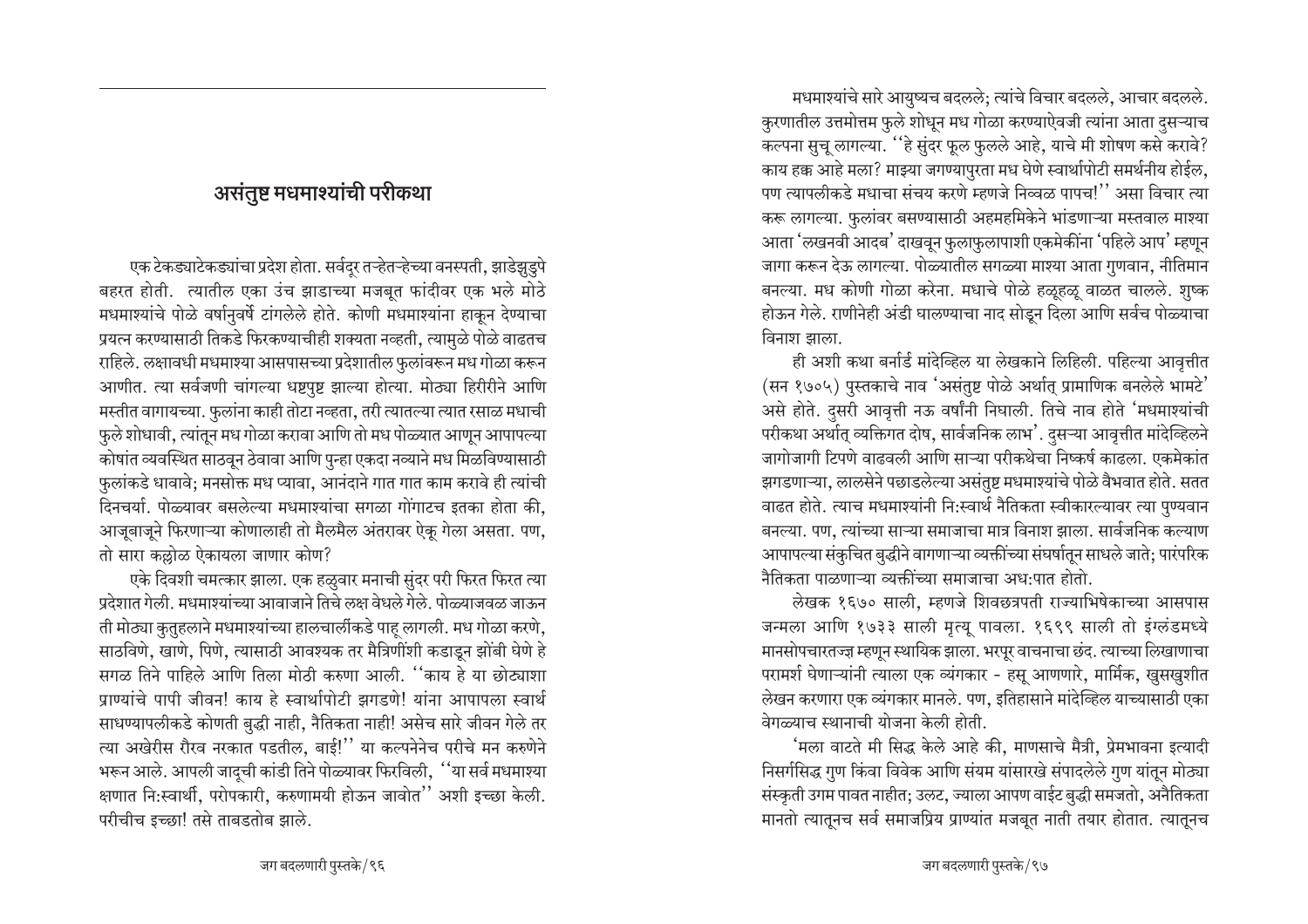# असंतुष्ट मधमाश्यांची परीकथा

एक टेकड्याटेकड्यांचा प्रदेश होता. सर्वदर तऱ्हेतऱ्हेच्या वनस्पती, झाडेझुडुपे बहरत होती. त्यातील एका उंच झाडाच्या मजबूत फांदीवर एक भले मोठे मधमाश्यांचे पोळे वर्षानुवर्षे टांगलेले होते. कोणी मधमाश्यांना हाकून देण्याचा प्रयत्न करण्यासाठी तिकडे फिरकण्याचीही शक्यता नव्हती, त्यामुळे पोळे वाढतच राहिले. लक्षावधी मधमाश्या आसपासच्या प्रदेशातील फुलांवरून मध गोळा करून आणीत. त्या सर्वजणी चांगल्या धष्टपुष्ट झाल्या होत्या. मोठ्या हिरीरीने आणि मस्तीत वागायच्या. फुलांना काही तोटा नव्हता, तरी त्यातल्या त्यात रसाळ मधाची फुले शोधावी, त्यांतून मध गोळा करावा आणि तो मध पोळ्यात आणून आपापल्या कोषांत व्यवस्थित साठवून ठेवावा आणि पुन्हा एकदा नव्याने मध मिळविण्यासाठी फुलांकडे धावावे; मनसोक्त मध प्यावा, आनंदाने गात गात काम करावे ही त्यांची दिनचर्या. पोळ्यावर बसलेल्या मधमाश्यांचा सगळा गोंगाटच इतका होता की, आजूबाजूने फिरणाऱ्या कोणालाही तो मैलमैल अंतरावर ऐकू गेला असता. पण, तो सारा कल्लोळ ऐकायला जाणार कोण?

एके दिवशी चमत्कार झाला. एक हळुवार मनाची सुंदर परी फिरत फिरत त्या प्रदेशात गेली. मधमाश्यांच्या आवाजाने तिचे लक्ष वेधले गेले. पोळ्याजवळ जाऊन ती मोठ्या कुतुहलाने मधमाश्यांच्या हालचालींकडे पाह् लागली. मध गोळा करणे, साठविणे, खाणे, पिणे, त्यासाठी आवश्यक तर मैत्रिणींशी कडाडून झोंबी घेणे हे सगळ तिने पाहिले आणि तिला मोठी करुणा आली. ''काय हे या छोट्याशा प्राण्यांचे पापी जीवन! काय हे स्वार्थापोटी झगडणे! यांना आपापला स्वार्थ साधण्यापलीकडे कोणती बुद्धी नाही, नैतिकता नाही! असेच सारे जीवन गेले तर त्या अखेरीस रौरव नरकात पडतील, बाई!'' या कल्पनेनेच परीचे मन करुणेने भरून आले. आपली जादची कांडी तिने पोळ्यावर फिरविली, ''या सर्व मधमाश्या क्षणात नि:स्वार्थी, परोपकारी, करुणामयी होऊन जावोत'' अशी इच्छा केली. परीचीच इच्छा! तसे ताबडतोब झाले.

मधमाश्यांचे सारे आयुष्यच बदलले; त्यांचे विचार बदलले, आचार बदलले. कुरणातील उत्तमोत्तम फुले शोधून मध गोळा करण्याऐवजी त्यांना आता दुसऱ्याच कल्पना सूच लागल्या. ''हे सुंदर फूल फूलले आहे. याचे मी शोषण कसे करावे? काय हक्क आहे मला? माझ्या जगण्यापुरता मध घेणे स्वार्थापोटी समर्थनीय होईल, पण त्यापलीकडे मधाचा संचय करणे म्हणजे निव्वळ पापच!'' असा विचार त्या करू लागल्या. फुलांवर बसण्यासाठी अहमहमिकेने भांडणाऱ्या मस्तवाल माश्या आता 'लखनवी आदब' दाखवून फुलाफुलापाशी एकमेकींना 'पहिले आप' म्हणून जागा करून देऊ लागल्या. पोळ्यातील सगळ्या माश्या आता गुणवान, नीतिमान बनल्या. मध कोणी गोळा करेना. मधाचे पोळे हळूहळू वाळत चालले. शुष्क होऊन गेले. राणीनेही अंडी घालण्याचा नाद सोडून दिला आणि सर्वच पोळ्याचा विनाश झाला.

ही अशी कथा बर्नार्ड मांदेव्हिल या लेखकाने लिहिली. पहिल्या आवृत्तीत (सन १७०५) पुस्तकाचे नाव 'असंतुष्ट पोळे अर्थात् प्रामाणिक बनलेले भामटे' असे होते. दसरी आवृत्ती नऊ वर्षांनी निघाली. तिचे नाव होते 'मधमाश्यांची परीकथा अर्थात् व्यक्तिगत दोष, सार्वजनिक लाभ'. दुसऱ्या आवृत्तीत मांदेव्हिलने जागोजागी टिपणे वाढवली आणि साऱ्या परीकथेचा निष्कर्ष काढला. एकमेकांत झगडणाऱ्या, लालसेने पछाडलेल्या असंतुष्ट मधमाश्यांचे पोळे वैभवात होते. सतत वाढत होते. त्याच मधमाश्यांनी नि:स्वार्थ नैतिकता स्वीकारल्यावर त्या पुण्यवान बनल्या. पण, त्यांच्या साऱ्या समाजाचा मात्र विनाश झाला. सार्वजनिक कल्याण आपापल्या संकुचित बुद्धीने वागणाऱ्या व्यक्तींच्या संघर्षातून साधले जाते; पारंपरिक नैतिकता पाळणाऱ्या व्यक्तींच्या समाजाचा अध:पात होतो.

लेखक १६७० साली, म्हणजे शिवछत्रपती राज्याभिषेकाच्या आसपास जन्मला आणि १७३३ साली मृत्यु पावला. १६९९ साली तो इंग्लंडमध्ये मानसोपचारतज्ज्ञ म्हणून स्थायिक झाला. भरपूर वाचनाचा छंद. त्याच्या लिखाणाचा परामर्श घेणाऱ्यांनी त्याला एक व्यंगकार - हसू आणणारे, मार्मिक, खुसखुशीत लेखन करणारा एक व्यंगकार मानले. पण, इतिहासाने मांदेव्हिल याच्यासाठी एका वेगळ्याच स्थानाची योजना केली होती.

'मला वाटते मी सिद्ध केले आहे की, माणसाचे मैत्री, प्रेमभावना इत्यादी निसर्गसिद्ध गुण किंवा विवेक आणि संयम यांसारखे संपादलेले गुण यांतून मोठ्या संस्कृती उगम पावत नाहीत; उलट, ज्याला आपण वाईट बुद्धी समजतो, अनैतिकता मानतो त्यातूनच सर्व समाजप्रिय प्राण्यांत मजबूत नाती तयार होतात. त्यातूनच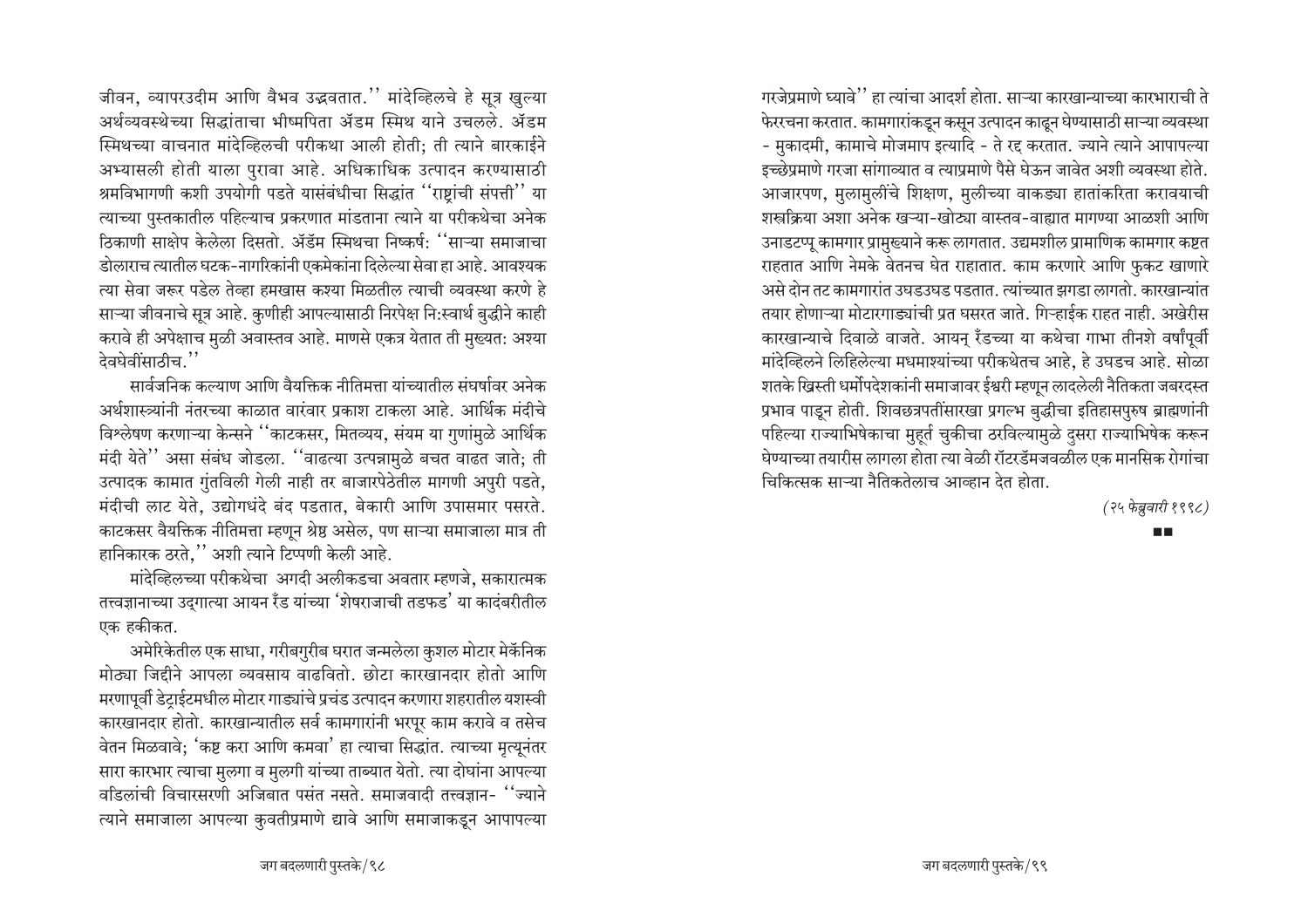जीवन, व्यापरउदीम आणि वैभव उद्भवतात.'' मांदेव्हिलचे हे सूत्र खुल्या अर्थव्यवस्थेच्या सिद्धांताचा भीष्मपिता ॲडम स्मिथ याने उचलले. ॲडम स्मिथच्या वाचनात मांदेव्हिलची परीकथा आली होती: ती त्याने बारकाईने अभ्यासली होती याला पुरावा आहे. अधिकाधिक उत्पादन करण्यासाठी श्रमविभागणी कशी उपयोगी पडते यासंबंधीचा सिद्धांत "राष्ट्रांची संपत्ती" या त्याच्या पुस्तकातील पहिल्याच प्रकरणात मांडताना त्याने या परीकथेचा अनेक ठिकाणी साक्षेप केलेला दिसतो. ॲडॅम स्मिथचा निष्कर्ष: ''साऱ्या समाजाचा डोलाराच त्यातील घटक-नागरिकांनी एकमेकांना दिलेल्या सेवा हा आहे. आवश्यक त्या सेवा जरूर पडेल तेव्हा हमखास कश्या मिळतील त्याची व्यवस्था करणे हे साऱ्या जीवनाचे सूत्र आहे. कुणीही आपल्यासाठी निरपेक्ष नि:स्वार्थ बुद्धीने काही करावे ही अपेक्षाच मुळी अवास्तव आहे. माणसे एकत्र येतात ती मुख्यत: अश्या देवघेवींसाठीच.''

सार्वजनिक कल्याण आणि वैयक्तिक नीतिमत्ता यांच्यातील संघर्षावर अनेक अर्थशास्त्र्यांनी नंतरच्या काळात वारंवार प्रकाश टाकला आहे. आर्थिक मंदीचे विश्लेषण करणाऱ्या केन्सने ''काटकसर, मितव्यय, संयम या गुणांमुळे आर्थिक मंदी येते" असा संबंध जोडला. "वाढत्या उत्पन्नामुळे बचत वाढत जाते; ती उत्पादक कामात गुंतविली गेली नाही तर बाजारपेठेतील मागणी अपुरी पडते, मंदीची लाट येते, उद्योगधंदे बंद पडतात, बेकारी आणि उपासमार पसरते. काटकसर वैयक्तिक नीतिमत्ता म्हणून श्रेष्ठ असेल, पण साऱ्या समाजाला मात्र ती हानिकारक ठरते,'' अशी त्याने टिप्पणी केली आहे.

मांदेव्हिलच्या परीकथेचा अगदी अलीकडचा अवतार म्हणजे. सकारात्मक तत्त्वज्ञानाच्या उद्गात्या आयन रॅंड यांच्या 'शेषराजाची तडफड' या कादंबरीतील एक हकीकत.

अमेरिकेतील एक साधा, गरीबगुरीब घरात जन्मलेला कुशल मोटार मेकॅनिक मोठ्या जिद्दीने आपला व्यवसाय वाढवितो. छोटा कारखानदार होतो आणि मरणापूर्वी डेट्राईटमधील मोटार गाड्यांचे प्रचंड उत्पादन करणारा शहरातील यशस्वी कारखानदार होतो. कारखान्यातील सर्व कामगारांनी भरपूर काम करावे व तसेच वेतन मिळवावे; 'कष्ट करा आणि कमवा' हा त्याचा सिद्धांत. त्याच्या मृत्यूनंतर सारा कारभार त्याचा मुलगा व मुलगी यांच्या ताब्यात येतो. त्या दोघांना आपल्या वडिलांची विचारसरणी अजिबात पसंत नसते. समाजवादी तत्त्वज्ञान- ''ज्याने त्याने समाजाला आपल्या कुवतीप्रमाणे द्यावे आणि समाजाकडून आपापल्या गरजेप्रमाणे घ्यावे'' हा त्यांचा आदर्श होता. साऱ्या कारखान्याच्या कारभाराची ते फेररचना करतात. कामगारांकडून कसून उत्पादन काढून घेण्यासाठी साऱ्या व्यवस्था - मुकादमी, कामाचे मोजमाप इत्यादि - ते रद्द करतात. ज्याने त्याने आपापल्या इच्छेप्रमाणे गरजा सांगाव्यात व त्याप्रमाणे पैसे घेऊन जावेत अशी व्यवस्था होते. आजारपण, मुलामुलींचे शिक्षण, मुलीच्या वाकड्या हातांकरिता करावयाची शस्त्रक्रिया अशा अनेक खऱ्या-खोट्या वास्तव-वाह्यात मागण्या आळशी आणि उनाडटप्पू कामगार प्रामुख्याने करू लागतात. उद्यमशील प्रामाणिक कामगार कष्टत राहतात आणि नेमके वेतनच घेत राहातात. काम करणारे आणि फुकट खाणारे असे दोन तट कामगारांत उघडउघड पडतात. त्यांच्यात झगडा लागतो. कारखान्यांत तयार होणाऱ्या मोटारगाड्यांची प्रत घसरत जाते. गिऱ्हाईक राहत नाही. अखेरीस कारखान्याचे दिवाळे वाजते. आयन् रॅंडच्या या कथेचा गाभा तीनशे वर्षांपूर्वी मांदेव्हिलने लिहिलेल्या मधमाश्यांच्या परीकथेतच आहे, हे उघडच आहे. सोळा शतके ख्रिस्ती धर्मोपदेशकांनी समाजावर ईश्वरी म्हणून लादलेली नैतिकता जबरदस्त प्रभाव पाइन होती. शिवछत्रपतींसारखा प्रगल्भ बुद्धीचा इतिहासपुरुष ब्राह्मणांनी पहिल्या राज्याभिषेकाचा मुहूर्त चुकीचा ठरविल्यामुळे दुसरा राज्याभिषेक करून घेण्याच्या तयारीस लागला होता त्या वेळी रॉटरडॅमजवळील एक मानसिक रोगांचा चिकित्सक साऱ्या नैतिकतेलाच आव्हान देत होता.

(२५ फेब्रुवारी १९९८)

**TIME**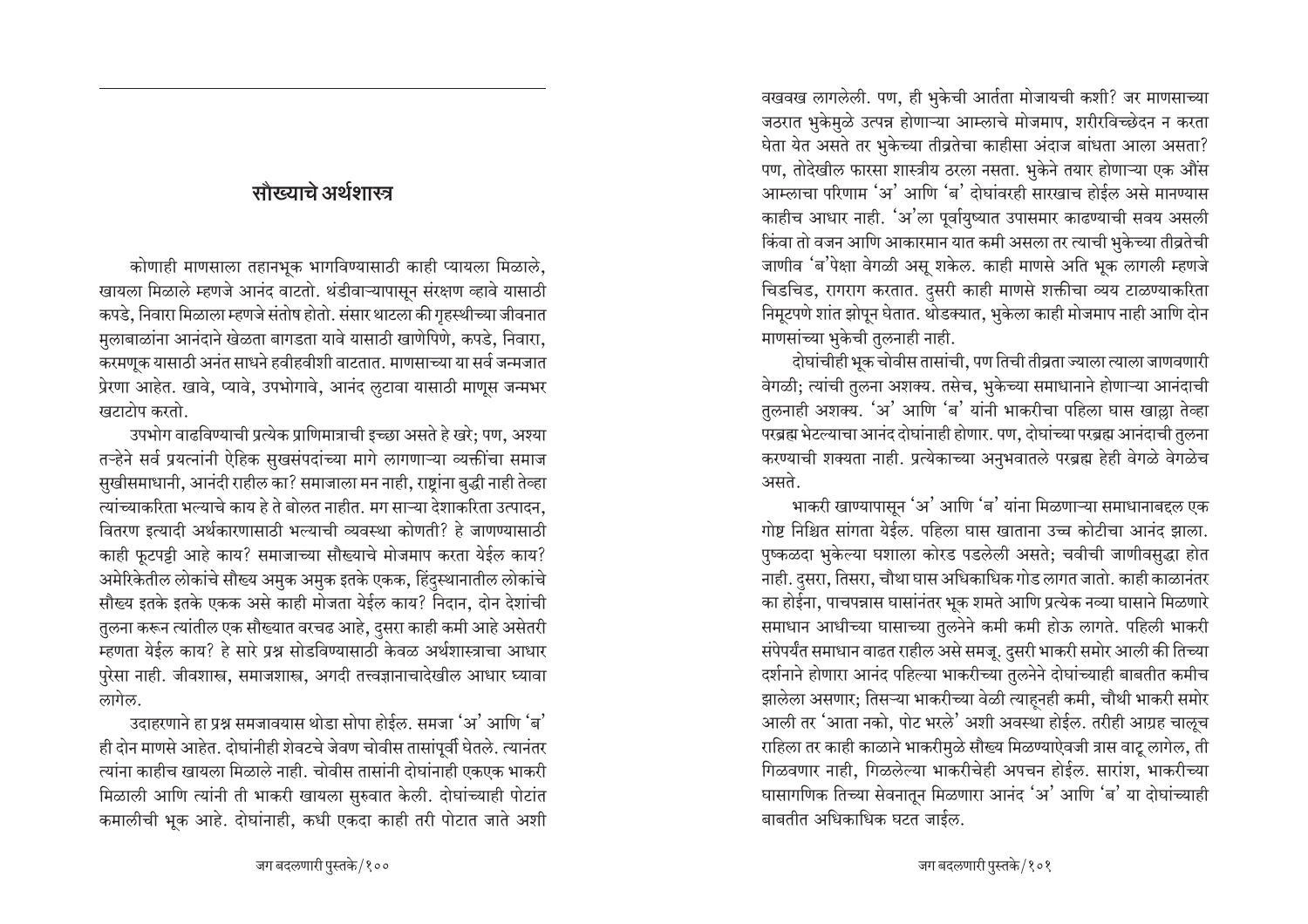# <u>सौख्याचे अर्थशास्त्र</u>

कोणाही माणसाला तहानभूक भागविण्यासाठी काही प्यायला मिळाले, ⁄ खायला मिळाले म्हणजे आनंद वाटतो. थंडीवाऱ्यापासून संरक्षण व्हावे यासाठी कपडे, निवारा मिळाला म्हणजे संतोष होतो. संसार थाटला की गृहस्थीच्या जीवनात मलाबाळांना आनंदाने खेळता बागडता यावे यासाठी खाणेपिणे, कपडे, निवारा, करमणूक यासाठी अनंत साधने हवीहवीशी वाटतात. माणसाच्या या सर्व जन्मजात प्रेरणा आहेत. खावे, प्यावे, उपभोगावे, आनंद लुटावा यासाठी माणूस जन्मभर **≀**बटाटोप करतो.

उपभोग वाढविण्याची प्रत्येक प्राणिमात्राची इच्छा असते हे खरे; पण, अश्या तऱ्हेने सर्व प्रयत्नांनी ऐहिक सुखसंपदांच्या मागे लागणाऱ्या व्यक्तींचा समाज सुखीसमाधानी, आनंदी राहील का? समाजाला मन नाही, राष्ट्रांना बुद्धी नाही तेव्हा <u>त्यांच्याकरिता भल्याचे काय हे ते बोलत नाहीत. मग साऱ्या देशाकरिता उत्पादन,</u> वितरण इत्यादी अर्थकारणासाठी भल्याची व्यवस्था कोणती? हे जाणण्यासाठी काही फूटपट्टी आहे काय? समाजाच्या सौख्याचे मोजमाप करता येईल काय? <u>अमेरिकेतील लोकांचे सौख्य अमुक अमुक इतके एकक, हिंदुस्थानातील लोकांचे</u> सौख्य इतके इतके एकक असे काही मोजता येईल काय? निदान, दोन देशांची तुलना करून त्यांतील एक सौख्यात वरचढ आहे, दुसरा काही कमी आहे असेतरी म्हणता येईल काय? हे सारे प्रश्न सोडविण्यासाठी केवळ अर्थशास्त्राचा आधार पुरेसा नाही. जीवशास्त्र, समाजशास्त्र, अगदी तत्त्वज्ञानाचादेखील आधार घ्यावा लागेल.

उदाहरणाने हा प्रश्न समजावयास थोडा सोपा होईल. समजा 'अ' आणि 'ब' ही दोन माणसे आहेत. दोघांनीही शेवटचे जेवण चोवीस तासांपूर्वी घेतले. त्यानंतर त्यांना काहीच खायला मिळाले नाही. चोवीस तासांनी दोघांनाही एकएक भाकरी मिळाली आणि त्यांनी ती भाकरी खायला सुरुवात केली. दोघांच्याही पोटांत • कमालीची भूक आहे. दोघांनाही, कधी एकदा काही तरी पोटात जाते अशी वखवख लागलेली. पण, ही भुकेची आर्तता मोजायची कशी? जर माणसाच्या जठरात भुकेमुळे उत्पन्न होणाऱ्या आम्लाचे मोजमाप, शरीरविच्छेदन न करता घेता येत असते तर भुकेच्या तीव्रतेचा काहीसा अंदाज बांधता आला असता? पण, तोदेखील फारसा शास्त्रीय ठरला नसता. भुकेने तयार होणाऱ्या एक औंस आम्लाचा परिणाम 'अ' आणि 'ब' दोघांवरही सारखाच होईल असे मानण्यास काहीच आधार नाही. 'अ'ला पूर्वायुष्यात उपासमार काढण्याची सवय असली <u>किंवा तो वजन आणि आकारमान यात कमी असला तर त्याची भुकेच्या तीव्रतेची</u> जाणीव 'ब'पेक्षा वेगळी असू शकेल. काही माणसे अति भूक लागली म्हणजे चिडचिड, रागराग करतात. दुसरी काही माणसे शक्तीचा व्यय टाळण्याकरिता निमूटपणे शांत झोपून घेतात. थोडक्यात, भुकेला काही मोजमाप नाही आणि दोन माणसांच्या भुकेची तुलनाही नाही.

दोघांचीही भूक चोवीस तासांची, पण तिची तीव्रता ज्याला त्याला जाणवणारी वेगळी; त्यांची तुलना अशक्य. तसेच, भुकेच्या समाधानाने होणाऱ्या आनंदाची तुलनाही अशक्य. 'अ' आणि 'ब' यांनी भाकरीचा पहिला घास खाल्ला तेव्हा परब्रह्म भेटल्याचा आनंद दोघांनाही होणार. पण, दोघांच्या परब्रह्म आनंदाची तुलना करण्याची शक्यता नाही. प्रत्येकाच्या अनुभवातले परब्रह्म हेही वेगळे वेगळेच असते.

भाकरी खाण्यापासून 'अ' आणि 'ब' यांना मिळणाऱ्या समाधानाबद्दल एक गोष्ट निश्चित सांगता येईल. पहिला घास खाताना उच्च कोटीचा आनंद झाला. पुष्कळदा भुकेल्या घशाला कोरड पडलेली असते; चवीची जाणीवसुद्धा होत नाही. दसरा, तिसरा, चौथा घास अधिकाधिक गोड लागत जातो. काही काळानंतर का होईना, पाचपन्नास घासांनंतर भूक शमते आणि प्रत्येक नव्या घासाने मिळणारे समाधान आधीच्या घासाच्या तुलनेने कमी कमी होऊ लागते. पहिली भाकरी संपेपर्यंत समाधान वाढत राहील असे समजू. दुसरी भाकरी समोर आली की तिच्या दर्शनाने होणारा आनंद पहिल्या भाकरीच्या तुलनेने दोघांच्याही बाबतीत कमीच झालेला असणार; तिसऱ्या भाकरीच्या वेळी त्याहूनही कमी, चौथी भाकरी समोर आली तर 'आता नको, पोट भरले' अशी अवस्था होईल. तरीही आग्रह चालूच राहिला तर काही काळाने भाकरीमुळे सौख्य मिळण्याऐवजी त्रास वाटू लागेल, ती गिळवणार नाही, गिळलेल्या भाकरीचेही अपचन होईल. सारांश, भाकरीच्या घासागणिक तिच्या सेवनातून मिळणारा आनंद 'अ' आणि 'ब' या दोघांच्याही बाबतीत अधिकाधिक घटत जाईल.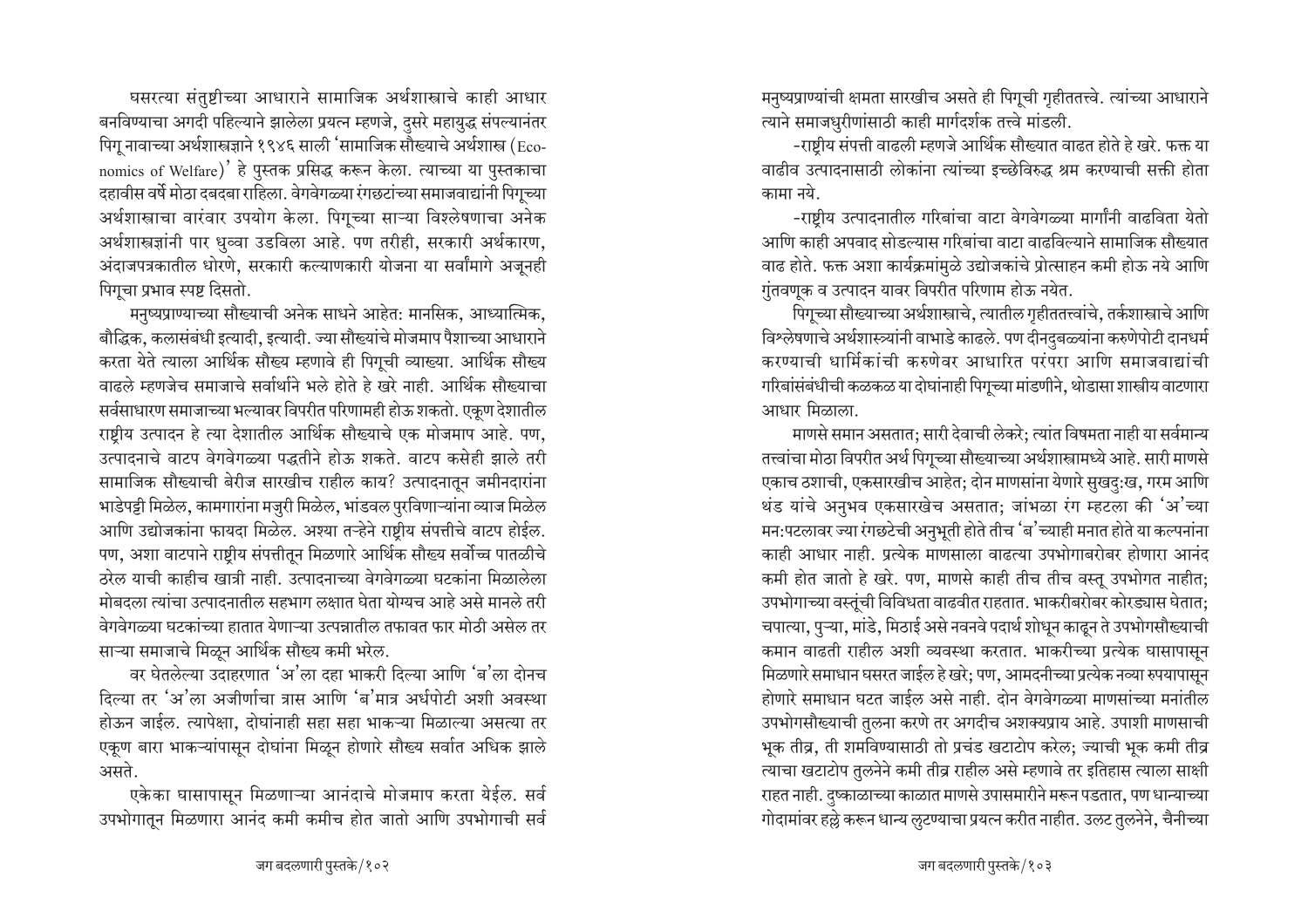घसरत्या संतुष्टीच्या आधाराने सामाजिक अर्थशास्त्राचे काही आधार बनविण्याचा अगदी पहिल्याने झालेला प्रयत्न म्हणजे, दुसरे महायुद्ध संपल्यानंतर पिगु नावाच्या अर्थशास्त्रज्ञाने १९४६ साली 'सामाजिक सौख्याचे अर्थशास्त्र (Economics of Welfare)' हे पुस्तक प्रसिद्ध करून केला. त्याच्या या पुस्तकाचा दहावीस वर्षे मोठा दबदबा राहिला. वेगवेगळ्या रंगछटांच्या समाजवाद्यांनी पिगूच्या अर्थशास्त्राचा वारंवार उपयोग केला. पिगूच्या साऱ्या विश्लेषणाचा अनेक अर्थशास्त्रज्ञांनी पार धुव्वा उडविला आहे. पण तरीही, सरकारी अर्थकारण, अंदाजपत्रकातील धोरणे, सरकारी कल्याणकारी योजना या सर्वांमागे अजूनही पिगूचा प्रभाव स्पष्ट दिसतो.

मनुष्यप्राण्याच्या सौख्याची अनेक साधने आहेत: मानसिक, आध्यात्मिक, बौद्धिक, कलासंबंधी इत्यादी, इत्यादी. ज्या सौख्यांचे मोजमाप पैशाच्या आधाराने करता येते त्याला आर्थिक सौख्य म्हणावे ही पिगूची व्याख्या. आर्थिक सौख्य वाढले म्हणजेच समाजाचे सर्वार्थाने भले होते हे खरे नाही. आर्थिक सौख्याचा सर्वसाधारण समाजाच्या भल्यावर विपरीत परिणामही होऊ शकतो. एकूण देशातील राष्ट्रीय उत्पादन हे त्या देशातील आर्थिक सौख्याचे एक मोजमाप आहे. पण, उत्पादनाचे वाटप वेगवेगळ्या पद्धतीने होऊ शकते. वाटप कसेही झाले तरी सामाजिक सौख्याची बेरीज सारखीच राहील काय? उत्पादनातून जमीनदारांना भाडेपट्टी मिळेल, कामगारांना मजुरी मिळेल, भांडवल पुरविणाऱ्यांना व्याज मिळेल आणि उद्योजकांना फायदा मिळेल. अश्या तऱ्हेने राष्ट्रीय संपत्तीचे वाटप होईल. पण, अशा वाटपाने राष्ट्रीय संपत्तीतून मिळणारे आर्थिक सौख्य सर्वोच्च पातळीचे ठरेल याची काहीच खात्री नाही. उत्पादनाच्या वेगवेगळ्या घटकांना मिळालेला <u>मोबदला त्यांचा उत्पादनातील सहभाग लक्षात घेता योग्यच आहे असे मानले तरी</u> <u>वेगवेगळ्या घटकांच्या हातात येणाऱ्या उत्पन्नातील तफावत फार मोठी असेल तर</u> साऱ्या समाजाचे मिळून आर्थिक सौख्य कमी भरेल.

वर घेतलेल्या उदाहरणात 'अ'ला दहा भाकरी दिल्या आणि 'ब'ला दोनच हिल्या तर 'अ'ला अजीर्णाचा त्रास आणि 'ब'मात्र अर्धपोटी अशी अवस्था होऊन जाईल. त्यापेक्षा. दोघांनाही सहा सहा भाकऱ्या मिळाल्या असत्या तर एकूण बारा भाकऱ्यांपासून दोघांना मिळून होणारे सौख्य सर्वात अधिक झाले असते.

एकेका घासापासून मिळणाऱ्या आनंदाचे मोजमाप करता येईल. सर्व उपभोगातून मिळणारा आनंद कमी कमीच होत जातो आणि उपभोगाची सर्व

मनुष्यप्राण्यांची क्षमता सारखीच असते ही पिगूची गृहीततत्त्वे. त्यांच्या आधाराने ल्याने समाजधुरीणांसाठी काही मार्गदर्शक तत्त्वे मांडली.

-राष्टीय संपत्ती वाढली म्हणजे आर्थिक सौख्यात वाढत होते हे खरे. फक्त या वाढीव उत्पादनासाठी लोकांना त्यांच्या इच्छेविरुद्ध श्रम करण्याची सक्ती होता कामा नये

-राष्टीय उत्पादनातील गरिबांचा वाटा वेगवेगळ्या मार्गांनी वाढविता येतो आणि काही अपवाद सोडल्यास गरिबांचा वाटा वाढविल्याने सामाजिक सौख्यात वाढ होते. फक्त अशा कार्यक्रमांमुळे उद्योजकांचे प्रोत्साहन कमी होऊ नये आणि  $\overline{\eta}$ तवणूक व उत्पादन यावर विपरीत परिणाम होऊ नयेत.

पिगूच्या सौख्याच्या अर्थशास्त्राचे, त्यातील गृहीततत्त्वांचे, तर्कशास्त्राचे आणि विश्लेषणाचे अर्थशास्त्र्यांनी वाभाडे काढले. पण दीनदुबळ्यांना करुणेपोटी दानधर्म करण्याची धार्मिकांची करुणेवर आधारित परंपरा आणि समाजवाद्यांची गरिबांसंबंधीची कळकळ या दोघांनाही पिगूच्या मांडणीने, थोडासा शास्त्रीय वाटणारा आधार मिळाला.

माणसे समान असतात; सारी देवाची लेकरे; त्यांत विषमता नाही या सर्वमान्य तत्त्वांचा मोठा विपरीत अर्थ पिगूच्या सौख्याच्या अर्थशास्त्रामध्ये आहे. सारी माणसे एकाच ठशाची, एकसारखीच आहेत; दोन माणसांना येणारे सुखदु:ख, गरम आणि थंड यांचे अनुभव एकसारखेच असतात; जांभळा रंग म्हटला की 'अ'च्या मन:पटलावर ज्या रंगछटेची अनुभूती होते तीच 'ब'च्याही मनात होते या कल्पनांना काही आधार नाही. प्रत्येक माणसाला वाढत्या उपभोगाबरोबर होणारा आनंद कमी होत जातो हे खरे. पण, माणसे काही तीच तीच वस्तू उपभोगत नाहीत; उपभोगाच्या वस्तूंची विविधता वाढवीत राहतात. भाकरीबरोबर कोरड्यास घेतात; चपात्या, पुऱ्या, मांडे, मिठाई असे नवनवे पदार्थ शोधून काढून ते उपभोगसौख्याची कमान वाढती राहील अशी व्यवस्था करतात. भाकरीच्या प्रत्येक घासापासून <u>मिळणारे समाधान घसरत जाईल हे खरे; पण, आमदनीच्या प्रत्येक नव्या रुपयापासून</u> होणारे समाधान घटत जाईल असे नाही. दोन वेगवेगळ्या माणसांच्या मनांतील उपभोगसौख्याची तुलना करणे तर अगदीच अशक्यप्राय आहे. उपाशी माणसाची भूक तीव्र, ती शमविण्यासाठी तो प्रचंड खटाटोप करेल; ज्याची भूक कमी तीव्र त्याचा खटाटोप तुलनेने कमी तीव्र राहील असे म्हणावे तर इतिहास त्याला साक्षी राहत नाही. दुष्काळाच्या काळात माणसे उपासमारीने मरून पडतात, पण धान्याच्या गोदामांवर हल्ले करून धान्य लुटण्याचा प्रयत्न करीत नाहीत. उलट तुलनेने, चैनीच्या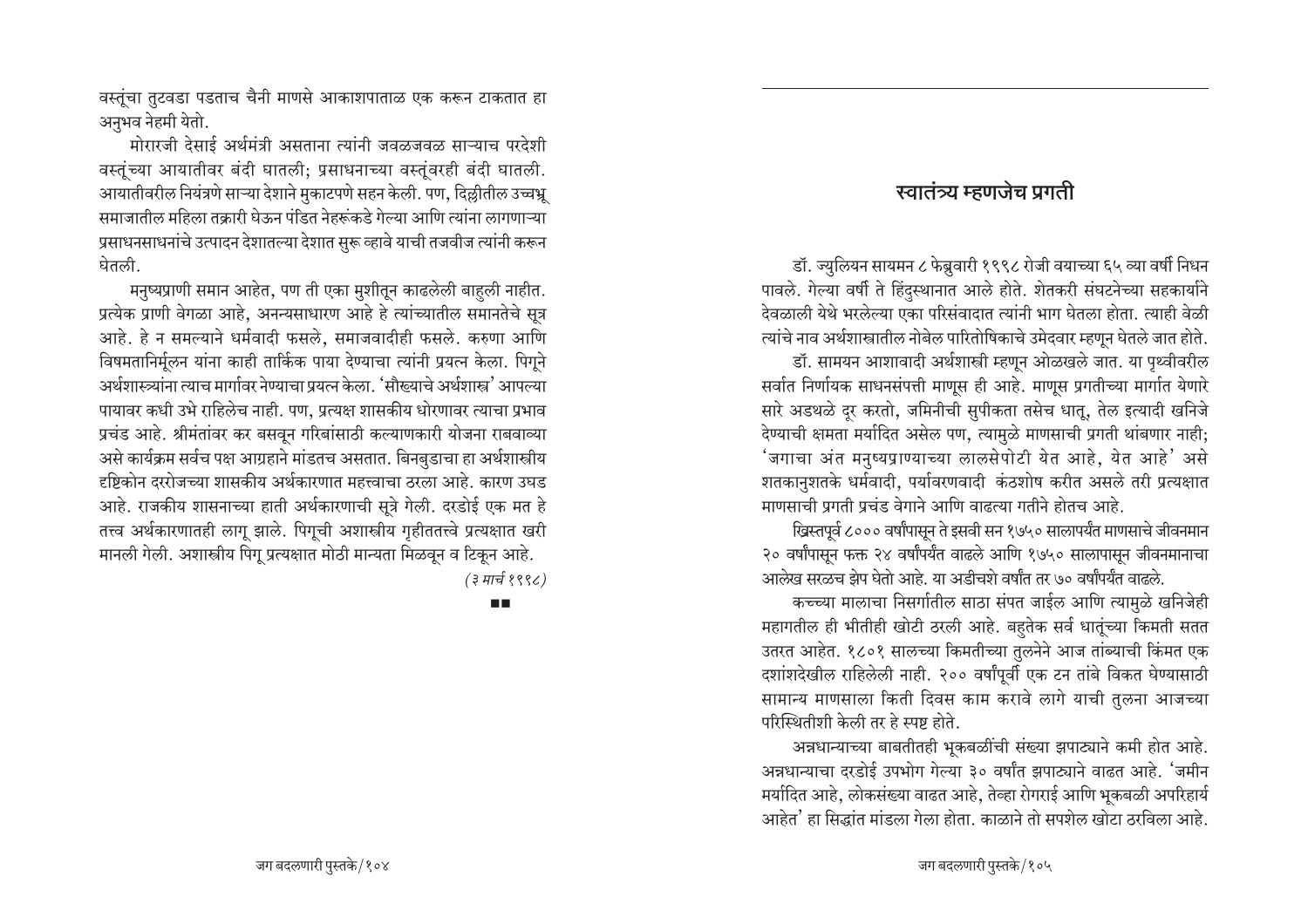वस्तूंचा तुटवडा पडताच चैनी माणसे आकाशपाताळ एक करून टाकतात हा अनुभव नेहमी येतो.

मोरारजी देसाई अर्थमंत्री असताना त्यांनी जवळजवळ साऱ्याच परदेशी वस्तूंच्या आयातीवर बंदी घातली; प्रसाधनाच्या वस्तूंवरही बंदी घातली. आयातीवरील नियंत्रणे साऱ्या देशाने मुकाटपणे सहन केली. पण, दिल्लीतील उच्चभ्र समाजातील महिला तक्रारी घेऊन पंडित नेहरूंकडे गेल्या आणि त्यांना लागणाऱ्या प्रसाधनसाधनांचे उत्पादन देशातल्या देशात सुरू व्हावे याची तजवीज त्यांनी करून घेतली.

मनुष्यप्राणी समान आहेत, पण ती एका मुशीतून काढलेली बाहुली नाहीत. प्रत्येक प्राणी वेगळा आहे, अनन्यसाधारण आहे हे त्यांच्यातील समानतेचे सूत्र आहे. हे न समल्याने धर्मवादी फसले, समाजवादीही फसले. करुणा आणि विषमतानिर्मूलन यांना काही तार्किक पाया देण्याचा त्यांनी प्रयत्न केला. पिगूने अर्थशास्त्र्यांना त्याच मार्गावर नेण्याचा प्रयत्न केला. 'सौख्याचे अर्थशास्त्र' आपल्या पायावर कधी उभे राहिलेच नाही. पण, प्रत्यक्ष शासकीय धोरणावर त्याचा प्रभाव प्रचंड आहे. श्रीमंतांवर कर बसवून गरिबांसाठी कल्याणकारी योजना राबवाव्या असे कार्यक्रम सर्वच पक्ष आग्रहाने मांडतच असतात. बिनबुडाचा हा अर्थशास्त्रीय दृष्टिकोन दररोजच्या शासकीय अर्थकारणात महत्त्वाचा ठरला आहे. कारण उघड आहे. राजकीय शासनाच्या हाती अर्थकारणाची सूत्रे गेली. दरडोई एक मत हे तत्त्व अर्थकारणातही लागू झाले. पिगूची अशास्त्रीय गृहीततत्त्वे प्रत्यक्षात खरी मानली गेली. अशास्त्रीय पिगू प्रत्यक्षात मोठी मान्यता मिळवून व टिकून आहे. (३ मार्च १९९८)

ПD

#### स्वातंत्र्य म्हणजेच प्रगती

डॉ. ज्युलियन सायमन ८ फेब्रुवारी १९९८ रोजी वयाच्या ६५ व्या वर्षी निधन पावले. गेल्या वर्षी ते हिंदुस्थानात आले होते. शेतकरी संघटनेच्या सहकार्याने देवळाली येथे भरलेल्या एका परिसंवादात त्यांनी भाग घेतला होता. त्याही वेळी त्यांचे नाव अर्थशास्त्रातील नोबेल पारितोषिकाचे उमेदवार म्हणून घेतले जात होते. डॉ. सामयन आशावादी अर्थशास्त्री म्हणून ओळखले जात. या पृथ्वीवरील सर्वात निर्णायक साधनसंपत्ती माणूस ही आहे. माणूस प्रगतीच्या मार्गात येणारे सारे अडथळे दुर करतो, जमिनीची सुपीकता तसेच धातू, तेल इत्यादी खनिजे देण्याची क्षमता मर्यादित असेल पण, त्यामुळे माणसाची प्रगती थांबणार नाही; 'जगाचा अंत मनुष्यप्राण्याच्या लालसेपोटी येत आहे, येत आहे' असे शतकानुशतके धर्मवादी, पर्यावरणवादी कंठशोष करीत असले तरी प्रत्यक्षात माणसाची प्रगती प्रचंड वेगाने आणि वाढत्या गतीने होतच आहे.

ख्रिस्तपूर्व ८००० वर्षांपासून ते इसवी सन १७५० सालापर्यंत माणसाचे जीवनमान २० वर्षांपासून फक्त २४ वर्षांपर्यंत वाढले आणि १७५० सालापासून जीवनमानाचा आलेख सरळच झेप घेतो आहे. या अडीचशे वर्षांत तर ७० वर्षांपर्यंत वाढले.

कच्च्या मालाचा निसर्गातील साठा संपत जाईल आणि त्यामुळे खनिजेही महागतील ही भीतीही खोटी ठरली आहे. बहुतेक सर्व धातूंच्या किमती सतत उतरत आहेत. १८०१ सालच्या किमतीच्या तुलनेने आज तांब्याची किंमत एक दशांशदेखील राहिलेली नाही. २०० वर्षांपूर्वी एक टन तांबे विकत घेण्यासाठी सामान्य माणसाला किती दिवस काम करावे लागे याची तुलना आजच्या परिस्थितीशी केली तर हे स्पष्ट होते.

अन्नधान्याच्या बाबतीतही भूकबळींची संख्या झपाट्याने कमी होत आहे. अन्नधान्याचा दरडोई उपभोग गेल्या ३० वर्षांत झपाट्याने वाढत आहे. 'जमीन मर्यादित आहे, लोकसंख्या वाढत आहे, तेव्हा रोगराई आणि भूकबळी अपरिहार्य आहेत' हा सिद्धांत मांडला गेला होता. काळाने तो सपशेल खोटा ठरविला आहे.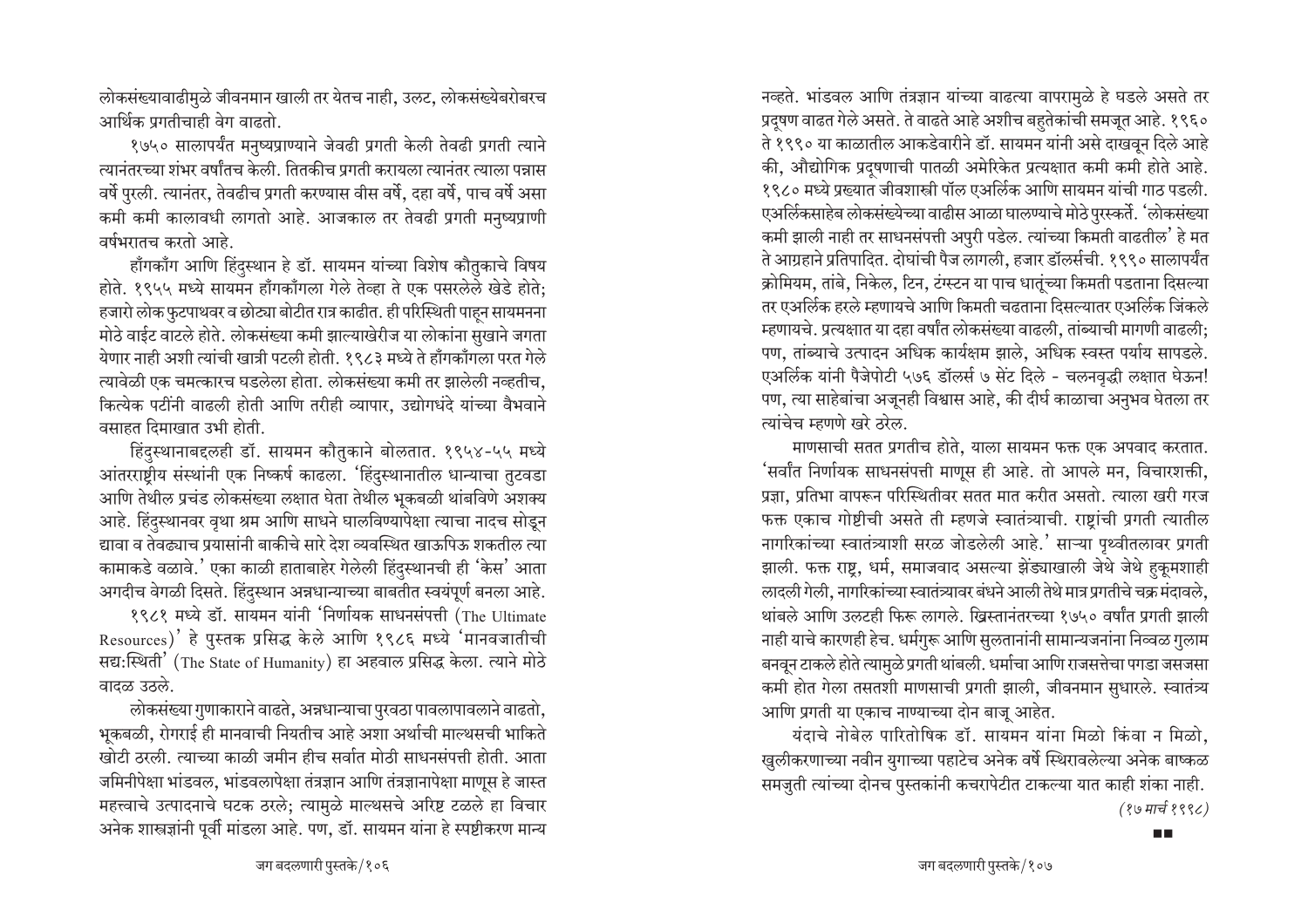लोकसंख्यावाढीमुळे जीवनमान खाली तर येतच नाही, उलट, लोकसंख्येबरोबरच आर्थिक प्रगतीचाही वेग वाढतो.

१७५० सालापर्यंत मनुष्यप्राण्याने जेवढी प्रगती केली तेवढी प्रगती त्याने त्यानंतरच्या शंभर वर्षांतच केली. तितकीच प्रगती करायला त्यानंतर त्याला पन्नास वर्षे पुरली. त्यानंतर, तेवढीच प्रगती करण्यास वीस वर्षे, दहा वर्षे, पाच वर्षे असा कमी कमी कालावधी लागतो आहे. आजकाल तर तेवढी प्रगती मनुष्यप्राणी वर्षभरातच करतो आहे.

हाँगकाँग आणि हिंदस्थान हे डॉ. सायमन यांच्या विशेष कौतुकाचे विषय होते. १९५५ मध्ये सायमन हाँगकाँगला गेले तेव्हा ते एक पसरलेले खेडे होते; हजारो लोक फुटपाथवर व छोट्या बोटीत रात्र काढीत. ही परिस्थिती पाहन सायमनना मोठे वाईट वाटले होते. लोकसंख्या कमी झाल्याखेरीज या लोकांना सुखाने जगता येणार नाही अशी त्यांची खात्री पटली होती. १९८३ मध्ये ते हाँगकाँगला परत गेले त्यावेळी एक चमत्कारच घडलेला होता. लोकसंख्या कमी तर झालेली नव्हतीच, कित्येक पटींनी वाढली होती आणि तरीही व्यापार, उद्योगधंदे यांच्या वैभवाने वसाहत दिमाखात उभी होती.

हिंदुस्थानाबद्दलही डॉ. सायमन कौतुकाने बोलतात. १९५४-५५ मध्ये आंतरराष्ट्रीय संस्थांनी एक निष्कर्ष काढला. 'हिंदुस्थानातील धान्याचा तुटवडा आणि तेथील प्रचंड लोकसंख्या लक्षात घेता तेथील भूकबळी थांबविणे अशक्य आहे. हिंदुस्थानवर वृथा श्रम आणि साधने घालविण्यापेक्षा त्याचा नादच सोडून द्यावा व तेवढ्याच प्रयासांनी बाकीचे सारे देश व्यवस्थित खाऊपिऊ शकतील त्या कामाकडे वळावे.' एका काळी हाताबाहेर गेलेली हिंदुस्थानची ही 'केस' आता अगदीच वेगळी दिसते. हिंदुस्थान अन्नधान्याच्या बाबतीत स्वयंपूर्ण बनला आहे.

१९८१ मध्ये डॉ. सायमन यांनी 'निर्णायक साधनसंपत्ती (The Ultimate Resources)' हे पुस्तक प्रसिद्ध केले आणि १९८६ मध्ये 'मानवजातीची सद्य:स्थिती' (The State of Humanity) हा अहवाल प्रसिद्ध केला. त्याने मोठे वादळ उठले.

लोकसंख्या गुणाकाराने वाढते, अन्नधान्याचा पुरवठा पावलापावलाने वाढतो, भूकबळी, रोगराई ही मानवाची नियतीच आहे अशा अर्थाची माल्थसची भाकिते खोटी ठरली. त्याच्या काळी जमीन हीच सर्वात मोठी साधनसंपत्ती होती. आता जमिनीपेक्षा भांडवल, भांडवलापेक्षा तंत्रज्ञान आणि तंत्रज्ञानापेक्षा माणुस हे जास्त महत्त्वाचे उत्पादनाचे घटक ठरले; त्यामुळे माल्थसचे अरिष्ट टळले हा विचार अनेक शास्त्रज्ञांनी पूर्वी मांडला आहे. पण, डॉ. सायमन यांना हे स्पष्टीकरण मान्य

नव्हते. भांडवल आणि तंत्रज्ञान यांच्या वाढत्या वापरामुळे हे घडले असते तर प्रदुषण वाढत गेले असते. ते वाढते आहे अशीच बहुतेकांची समजूत आहे. १९६० ते १९९० या काळातील आकडेवारीने डॉ. सायमन यांनी असे दाखवून दिले आहे की, औद्योगिक प्रदषणाची पातळी अमेरिकेत प्रत्यक्षात कमी कमी होते आहे. १९८० मध्ये प्रख्यात जीवशास्त्री पॉल एअर्लिक आणि सायमन यांची गाठ पडली. एअर्लिकसाहेब लोकसंख्येच्या वाढीस आळा घालण्याचे मोठे पुरस्कर्ते. 'लोकसंख्या कमी झाली नाही तर साधनसंपत्ती अपुरी पडेल. त्यांच्या किमती वाढतील' हे मत ते आग्रहाने प्रतिपादित. दोघांची पैज लागली, हजार डॉलर्सची. १९९० सालापर्यंत क्रोमियम, तांबे, निकेल, टिन, टंग्स्टन या पाच धातुंच्या किमती पडताना दिसल्या तर एअर्लिक हरले म्हणायचे आणि किमती चढताना दिसल्यातर एअर्लिक जिंकले म्हणायचे. प्रत्यक्षात या दहा वर्षांत लोकसंख्या वाढली, तांब्याची मागणी वाढली; पण, तांब्याचे उत्पादन अधिक कार्यक्षम झाले, अधिक स्वस्त पर्याय सापडले. एअर्लिक यांनी पैजेपोटी ५७६ डॉलर्स ७ सेंट दिले - चलनवद्धी लक्षात घेऊन! पण, त्या साहेबांचा अजूनही विश्वास आहे, की दीर्घ काळाचा अनुभव घेतला तर त्यांचेच म्हणणे खरे ठरेल.

माणसाची सतत प्रगतीच होते. याला सायमन फक्त एक अपवाद करतात. 'सर्वांत निर्णायक साधनसंपत्ती माणूस ही आहे. तो आपले मन, विचारशक्ती, प्रज्ञा, प्रतिभा वापरून परिस्थितीवर सतत मात करीत असतो. त्याला खरी गरज फक्त एकाच गोष्टीची असते ती म्हणजे स्वातंत्र्याची. राष्टांची प्रगती त्यातील नागरिकांच्या स्वातंत्र्याशी सरळ जोडलेली आहे.' साऱ्या पृथ्वीतलावर प्रगती झाली. फक्त राष्ट्र, धर्म, समाजवाद असल्या झेंड्याखाली जेथे जेथे हुकूमशाही लादली गेली, नागरिकांच्या स्वातंत्र्यावर बंधने आली तेथे मात्र प्रगतीचे चक्र मंदावले, थांबले आणि उलटही फिरू लागले. ख्रिस्तानंतरच्या १७५० वर्षांत प्रगती झाली नाही याचे कारणही हेच. धर्मगुरू आणि सुलतानांनी सामान्यजनांना निव्वळ गुलाम बनवून टाकले होते त्यामुळे प्रगती थांबली. धर्माचा आणि राजसत्तेचा पगडा जसजसा कमी होत गेला तसतशी माणसाची प्रगती झाली, जीवनमान सुधारले. स्वातंत्र्य आणि प्रगती या एकाच नाण्याच्या दोन बाजू आहेत.

यंदाचे नोबेल पारितोषिक डॉ. सायमन यांना मिळो किंवा न मिळो, खुलीकरणाच्या नवीन युगाच्या पहाटेच अनेक वर्षे स्थिरावलेल्या अनेक बाष्कळ समजुती त्यांच्या दोनच पुस्तकांनी कचरापेटीत टाकल्या यात काही शंका नाही. (१७ मार्च १९९८)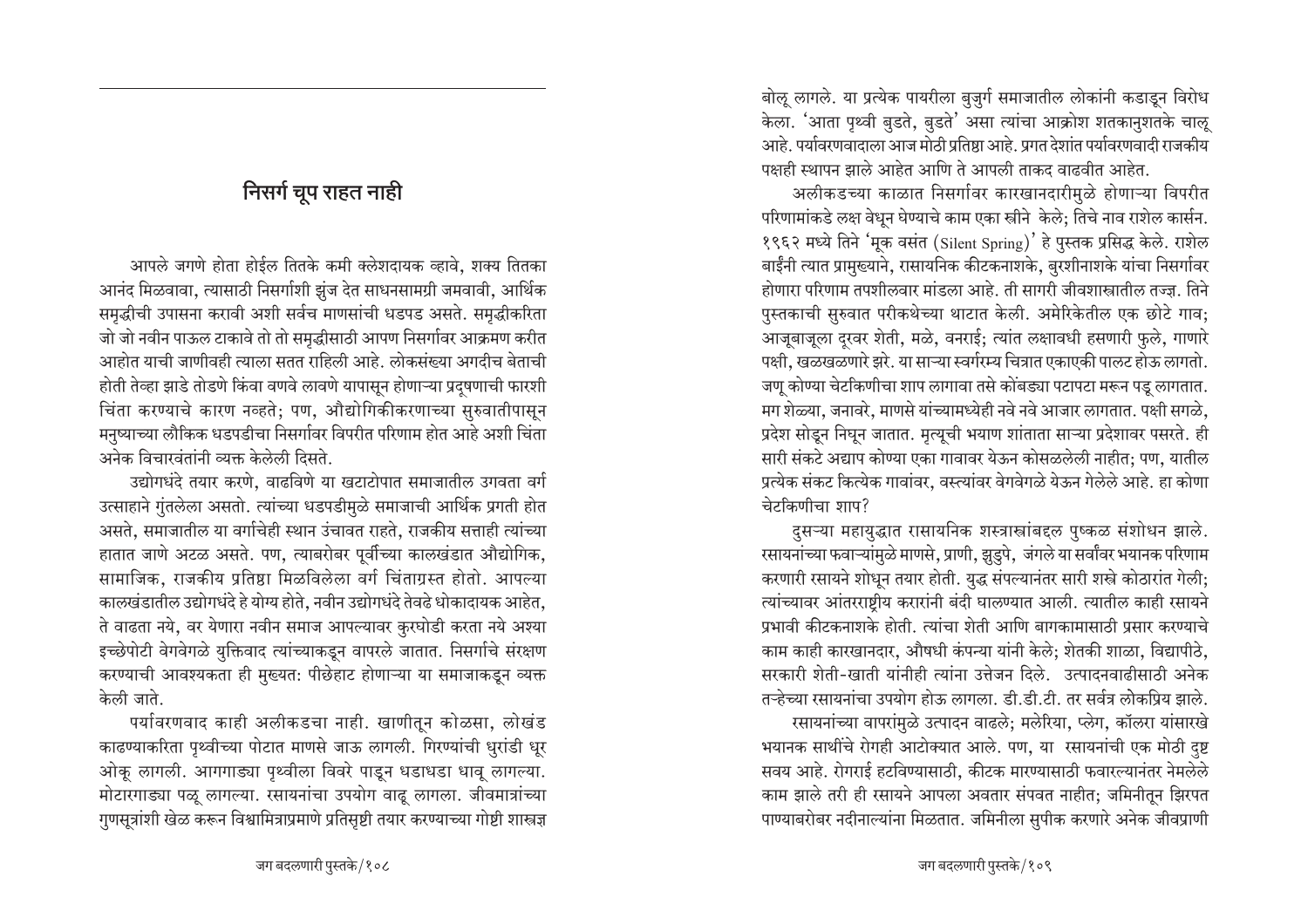# निसर्ग चूप राहत नाही

आपले जगणे होता होईल तितके कमी क्लेशदायक व्हावे. शक्य तितका आनंद मिळवावा, त्यासाठी निसर्गाशी झुंज देत साधनसामग्री जमवावी, आर्थिक समृद्धीची उपासना करावी अशी सर्वच माणसांची धडपड असते. समृद्धीकरिता जो जो नवीन पाऊल टाकावे तो तो समृद्धीसाठी आपण निसर्गावर आक्रमण करीत आहोत याची जाणीवही त्याला सतत राहिली आहे. लोकसंख्या अगदीच बेताची होती तेव्हा झाडे तोडणे किंवा वणवे लावणे यापासून होणाऱ्या प्रदुषणाची फारशी चिंता करण्याचे कारण नव्हते; पण, औद्योगिकीकरणाच्या सुरुवातीपासून मनुष्याच्या लौकिक धडपडीचा निसर्गावर विपरीत परिणाम होत आहे अशी चिंता अनेक विचारवंतांनी व्यक्त केलेली दिसते.

उद्योगधंदे तयार करणे. वाढविणे या खटाटोपात समाजातील उगवता वर्ग उत्साहाने गुंतलेला असतो. त्यांच्या धडपडीमुळे समाजाची आर्थिक प्रगती होत असते, समाजातील या वर्गाचेही स्थान उंचावत राहते, राजकीय सत्ताही त्यांच्या हातात जाणे अटळ असते. पण, त्याबरोबर पूर्वीच्या कालखंडात औद्योगिक, सामाजिक, राजकीय प्रतिष्ठा मिळविलेला वर्ग चिंताग्रस्त होतो. आपल्या कालखंडातील उद्योगधंदे हे योग्य होते, नवीन उद्योगधंदे तेवढे धोकादायक आहेत, ते वाढता नये, वर येणारा नवीन समाज आपल्यावर कुरघोडी करता नये अश्या इच्छेपोटी वेगवेगळे युक्तिवाद त्यांच्याकडून वापरले जातात. निसर्गाचे संरक्षण करण्याची आवश्यकता ही मुख्यत: पीछेहाट होणाऱ्या या समाजाकडून व्यक्त केली जाते.

पर्यावरणवाद काही अलीकडचा नाही. खाणीतून कोळसा, लोखंड काढण्याकरिता पृथ्वीच्या पोटात माणसे जाऊ लागली. गिरण्यांची धुरांडी धूर ओकू लागली. आगगाड्या पृथ्वीला विवरे पाडून धडाधडा धावू लागल्या. मोटारगाड्या पळू लागल्या. रसायनांचा उपयोग वाढू लागला. जीवमात्रांच्या गुणसूत्रांशी खेळ करून विश्वामित्राप्रमाणे प्रतिसृष्टी तयार करण्याच्या गोष्टी शास्त्रज्ञ

बोलू लागले. या प्रत्येक पायरीला बुजुर्ग समाजातील लोकांनी कडाडून विरोध केला. 'आता पृथ्वी बुडते, बुडते' असा त्यांचा आक्रोश शतकानुशतके चालू आहे. पर्यावरणवादाला आज मोठी प्रतिष्ठा आहे. प्रगत देशांत पर्यावरणवादी राजकीय पक्षही स्थापन झाले आहेत आणि ते आपली ताकद वाढवीत आहेत.

अलीकडच्या काळात निसर्गावर कारखानदारीमुळे होणाऱ्या विपरीत परिणामांकडे लक्ष वेधन घेण्याचे काम एका स्त्रीने केले: तिचे नाव राशेल कार्सन. १९६२ मध्ये तिने 'मूक वसंत (Silent Spring)' हे पुस्तक प्रसिद्ध केले. राशेल बाईंनी त्यात प्रामुख्याने, रासायनिक कीटकनाशके, बुरशीनाशके यांचा निसर्गावर होणारा परिणाम तपशीलवार मांडला आहे. ती सागरी जीवशास्त्रातील तज्ज्ञ. तिने पुस्तकाची सुरुवात परीकथेच्या थाटात केली. अमेरिकेतील एक छोटे गाव; आजूबाजुला दरवर शेती, मळे, वनराई: त्यांत लक्षावधी हसणारी फुले, गाणारे पक्षी, खळखळणारे झरे. या साऱ्या स्वर्गरम्य चित्रात एकाएकी पालट होऊ लागतो. जणू कोण्या चेटकिणीचा शाप लागावा तसे कोंबड्या पटापटा मरून पडू लागतात. मग शेळ्या, जनावरे, माणसे यांच्यामध्येही नवे नवे आजार लागतात. पक्षी सगळे, प्रदेश सोडून निघून जातात. मृत्यूची भयाण शांताता साऱ्या प्रदेशावर पसरते. ही सारी संकटे अद्याप कोण्या एका गावावर येऊन कोसळलेली नाहीत; पण, यातील प्रत्येक संकट कित्येक गावांवर, वस्त्यांवर वेगवेगळे येऊन गेलेले आहे. हा कोणा चेटकिणीचा शाप?

दुसऱ्या महायुद्धात रासायनिक शस्त्रास्त्रांबद्दल पुष्कळ संशोधन झाले. रसायनांच्या फवाऱ्यांमुळे माणसे, प्राणी, झुडुपे, जंगले या सर्वांवर भयानक परिणाम करणारी रसायने शोधून तयार होती. युद्ध संपल्यानंतर सारी शस्त्रे कोठारांत गेली; त्यांच्यावर आंतरराष्ट्रीय करारांनी बंदी घालण्यात आली. त्यातील काही रसायने प्रभावी कीटकनाशके होती. त्यांचा शेती आणि बागकामासाठी प्रसार करण्याचे काम काही कारखानदार, औषधी कंपन्या यांनी केले; शेतकी शाळा, विद्यापीठे, सरकारी शेती-खाती यांनीही त्यांना उत्तेजन दिले. उत्पादनवाढीसाठी अनेक तऱ्हेच्या रसायनांचा उपयोग होऊ लागला. डी.डी.टी. तर सर्वत्र लोकप्रिय झाले. रसायनांच्या वापरांमुळे उत्पादन वाढले; मलेरिया, प्लेग, कॉलरा यांसारखे भयानक साथींचे रोगही आटोक्यात आले. पण, या रसायनांची एक मोठी दुष्ट सवय आहे. रोगराई हटविण्यासाठी, कीटक मारण्यासाठी फवारल्यानंतर नेमलेले काम झाले तरी ही रसायने आपला अवतार संपवत नाहीत; जमिनीतून झिरपत पाण्याबरोबर नदीनाल्यांना मिळतात. जमिनीला सुपीक करणारे अनेक जीवप्राणी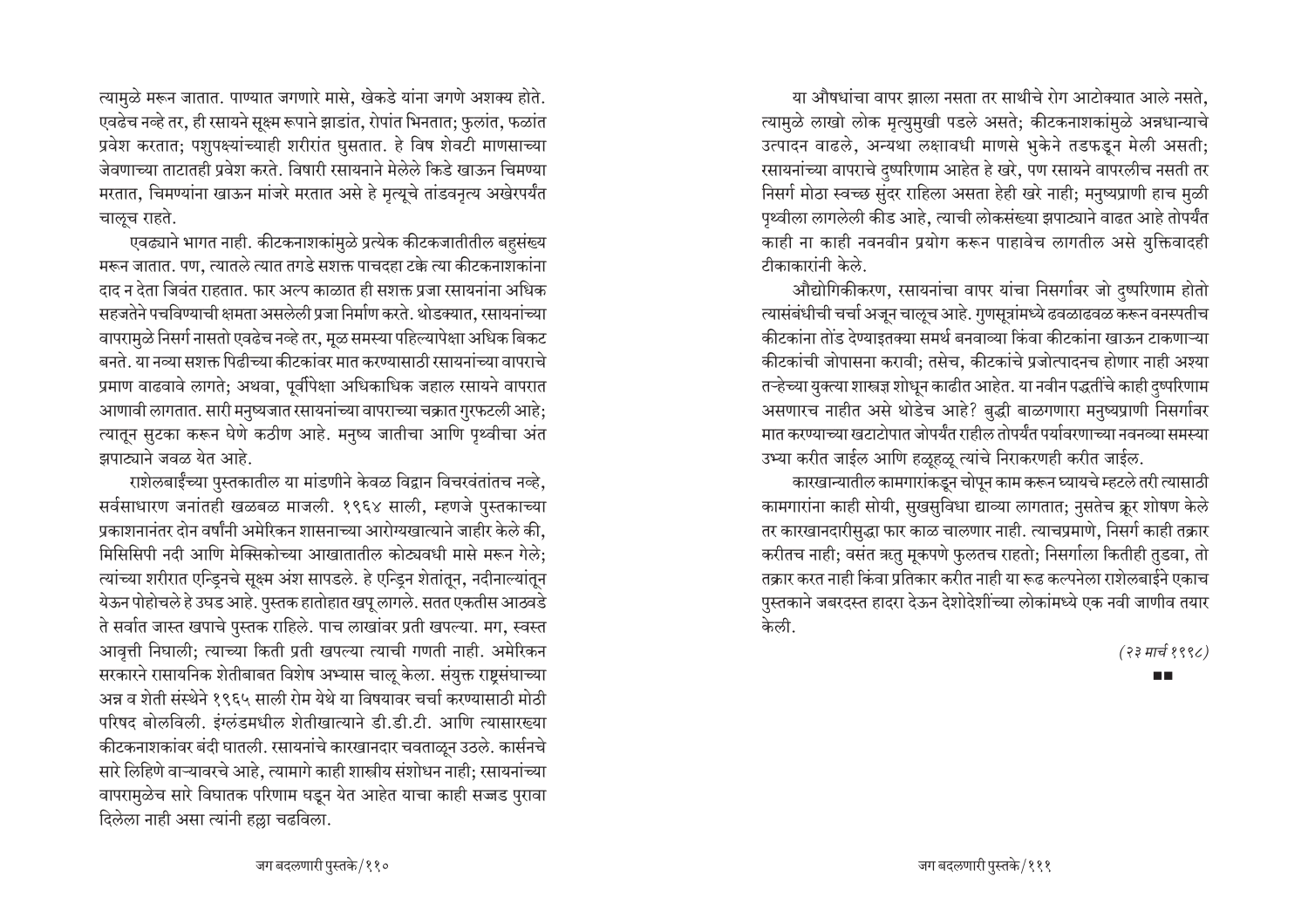त्यामुळे मरून जातात. पाण्यात जगणारे मासे, खेकडे यांना जगणे अशक्य होते. एवढेच नव्हे तर, ही रसायने सूक्ष्म रूपाने झाडांत, रोपांत भिनतात; फुलांत, फळांत प्रवेश करतात; पशुपक्ष्यांच्याही शरीरांत घुसतात. हे विष शेवटी माणसाच्या जेवणाच्या ताटातही प्रवेश करते. विषारी रसायनाने मेलेले किडे खाऊन चिमण्या मरतात, चिमण्यांना खाऊन मांजरे मरतात असे हे मृत्यूचे तांडवनृत्य अखेरपर्यंत चालूच राहते.

एवढ्याने भागत नाही. कीटकनाशकांमुळे प्रत्येक कीटकजातीतील बहुसंख्य मरून जातात. पण, त्यातले त्यात तगडे सशक्त पाचदहा टक्के त्या कीटकनाशकांना दाद न देता जिवंत राहतात. फार अल्प काळात ही सशक्त प्रजा रसायनांना अधिक सहजतेने पचविण्याची क्षमता असलेली प्रजा निर्माण करते. थोडक्यात, रसायनांच्या वापरामुळे निसर्ग नासतो एवढेच नव्हे तर, मुळ समस्या पहिल्यापेक्षा अधिक बिकट बनते. या नव्या सशक्त पिढीच्या कीटकांवर मात करण्यासाठी रसायनांच्या वापराचे प्रमाण वाढवावे लागते; अथवा, पूर्वीपेक्षा अधिकाधिक जहाल रसायने वापरात आणावी लागतात. सारी मनुष्यजात रसायनांच्या वापराच्या चक्रात गुरफटली आहे: त्यातून सुटका करून घेणे कठीण आहे. मनुष्य जातीचा आणि पृथ्वीचा अंत झपाट्याने जवळ येत आहे.

राशेलबाईंच्या पुस्तकातील या मांडणीने केवळ विद्वान विचरवंतांतच नव्हे, सर्वसाधारण जनांतही खळबळ माजली. १९६४ साली, म्हणजे पुस्तकाच्या प्रकाशनानंतर दोन वर्षांनी अमेरिकन शासनाच्या आरोग्यखात्याने जाहीर केले की, मिसिसिपी नदी आणि मेक्सिकोच्या आखातातील कोट्यवधी मासे मरून गेले: त्यांच्या शरीरात एन्डिनचे सूक्ष्म अंश सापडले. हे एन्डिन शेतांतून, नदीनाल्यांतून येऊन पोहोचले हे उघड आहे. पुस्तक हातोहात खपू लागले. सतत एकतीस आठवडे ते सर्वात जास्त खपाचे पुस्तक राहिले. पाच लाखांवर प्रती खपल्या. मग, स्वस्त आवृत्ती निघाली; त्याच्या किती प्रती खपल्या त्याची गणती नाही. अमेरिकन सरकारने रासायनिक शेतीबाबत विशेष अभ्यास चालू केला. संयुक्त राष्टसंघाच्या अन्न व शेती संस्थेने १९६५ साली रोम येथे या विषयावर चर्चा करण्यासाठी मोठी परिषद बोलविली. इंग्लंडमधील शेतीखात्याने डी.डी.टी. आणि त्यासारख्या कीटकनाशकांवर बंदी घातली. रसायनांचे कारखानदार चवताळून उठले. कार्सनचे सारे लिहिणे वाऱ्यावरचे आहे. त्यामागे काही शास्त्रीय संशोधन नाही: रसायनांच्या वापरामुळेच सारे विघातक परिणाम घडून येत आहेत याचा काही सज्जड पुरावा दिलेला नाही असा त्यांनी हल्ला चढविला.

या औषधांचा वापर झाला नसता तर साथीचे रोग आटोक्यात आले नसते. त्यामुळे लाखो लोक मृत्युमुखी पडले असते; कीटकनाशकांमुळे अन्नधान्याचे उत्पादन वाढले, अन्यथा लक्षावधी माणसे भुकेने तडफडुन मेली असती; रसायनांच्या वापराचे दुष्परिणाम आहेत हे खरे, पण रसायने वापरलीच नसती तर निसर्ग मोठा स्वच्छ सुंदर राहिला असता हेही खरे नाही; मनुष्यप्राणी हाच मुळी पृथ्वीला लागलेली कीड आहे, त्याची लोकसंख्या झपाट्याने वाढत आहे तोपर्यंत काही ना काही नवनवीन प्रयोग करून पाहावेच लागतील असे युक्तिवादही टीकाकारांनी केले.

औद्योगिकीकरण, रसायनांचा वापर यांचा निसर्गावर जो दुष्परिणाम होतो त्यासंबंधीची चर्चा अजून चालूच आहे. गुणसूत्रांमध्ये ढवळाढवळ करून वनस्पतीच कीटकांना तोंड देण्याइतक्या समर्थ बनवाव्या किंवा कीटकांना खाऊन टाकणाऱ्या कीटकांची जोपासना करावी; तसेच, कीटकांचे प्रजोत्पादनच होणार नाही अश्या तऱ्हेच्या युक्त्या शास्त्रज्ञ शोधून काढीत आहेत. या नवीन पद्धतींचे काही दृष्परिणाम असणारच नाहीत असे थोडेच आहे? बुद्धी बाळगणारा मनुष्यप्राणी निसर्गावर मात करण्याच्या खटाटोपात जोपर्यंत राहील तोपर्यंत पर्यावरणाच्या नवनव्या समस्या उभ्या करीत जाईल आणि हळूहळू त्यांचे निराकरणही करीत जाईल.

कारखान्यातील कामगारांकडून चोपून काम करून घ्यायचे म्हटले तरी त्यासाठी कामगारांना काही सोयी, सुखसुविधा द्याव्या लागतात; नुसतेच क्रूर शोषण केले तर कारखानदारीसुद्धा फार काळ चालणार नाही. त्याचप्रमाणे, निसर्ग काही तक्रार करीतच नाही; वसंत ऋतु मूकपणे फुलतच राहतो; निसर्गाला कितीही तुडवा, तो तक्रार करत नाही किंवा प्रतिकार करीत नाही या रूढ कल्पनेला राशेलबाईने एकाच पुस्तकाने जबरदस्त हादरा देऊन देशोदेशींच्या लोकांमध्ये एक नवी जाणीव तयार केली.

(२३ मार्च १९९८)

**TIME**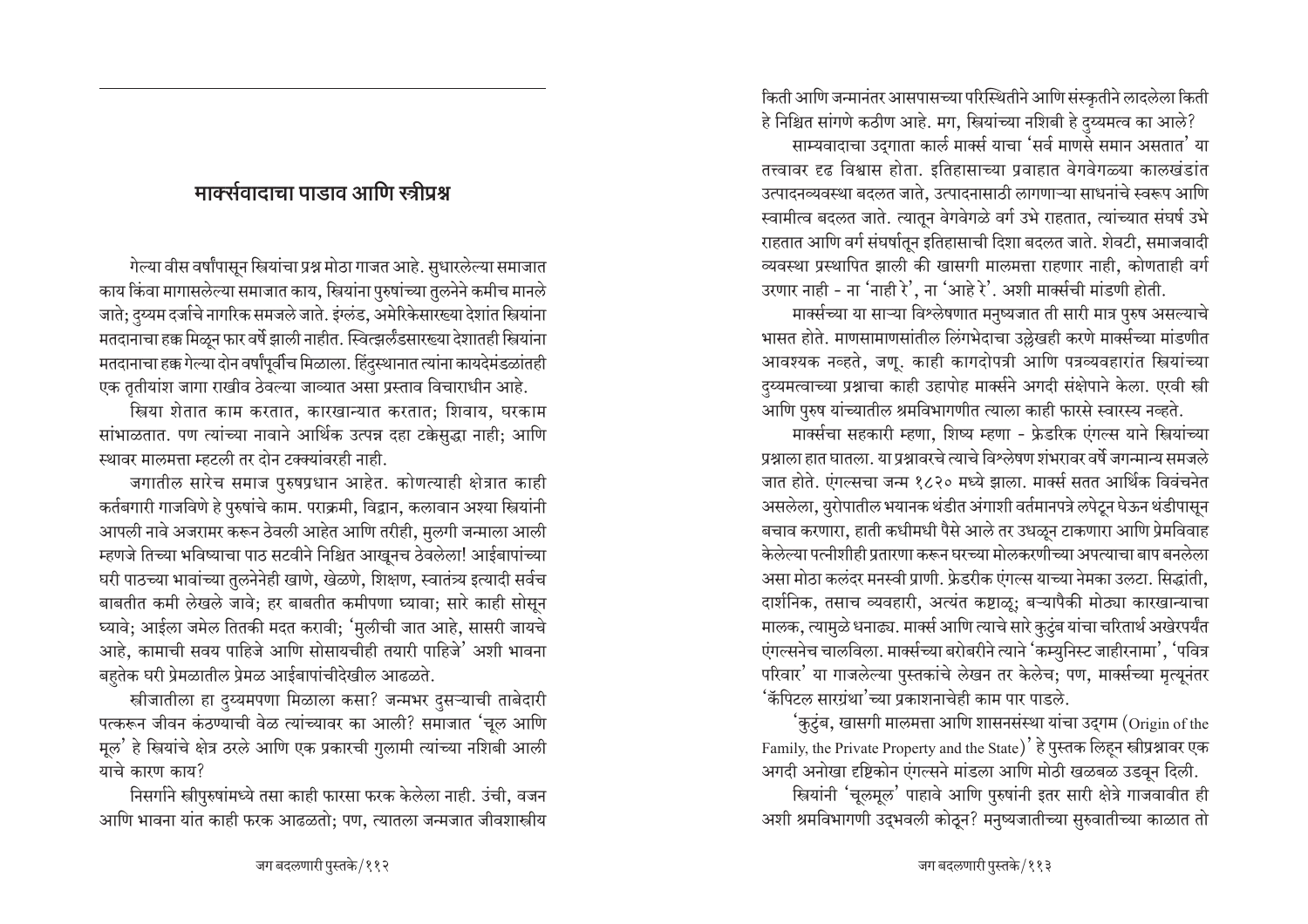## मार्क्सवादाचा पाडाव आणि स्त्रीप्रश्न

गेल्या वीस वर्षांपासुन स्त्रियांचा प्रश्न मोठा गाजत आहे. सुधारलेल्या समाजात काय किंवा मागासलेल्या समाजात काय, स्त्रियांना पुरुषांच्या तुलनेने कमीच मानले जाते; दुय्यम दर्जाचे नागरिक समजले जाते. इंग्लंड, अमेरिकेसारख्या देशांत स्त्रियांना मतदानाचा हक्क मिळून फार वर्षे झाली नाहीत. स्वित्झर्लंडसारख्या देशातही स्त्रियांना मतदानाचा हक्क गेल्या दोन वर्षांपूर्वीच मिळाला. हिंदुस्थानात त्यांना कायदेमंडळांतही एक तृतीयांश जागा राखीव ठेवल्या जाव्यात असा प्रस्ताव विचाराधीन आहे.

स्त्रिया शेतात काम करतात, कारखान्यात करतात; शिवाय, घरकाम सांभाळतात. पण त्यांच्या नावाने आर्थिक उत्पन्न दहा टक्केसुद्धा नाही; आणि स्थावर मालमत्ता म्हटली तर दोन टक्क्यांवरही नाही.

जगातील सारेच समाज पुरुषप्रधान आहेत. कोणत्याही क्षेत्रात काही कर्तबगारी गाजविणे हे पुरुषांचे काम. पराक्रमी, विद्वान, कलावान अश्या स्त्रियांनी आपली नावे अजरामर करून ठेवली आहेत आणि तरीही, मुलगी जन्माला आली म्हणजे तिच्या भविष्याचा पाठ सटवीने निश्चित आखूनच ठेवलेला! आईबापांच्या घरी पाठच्या भावांच्या तुलनेनेही खाणे, खेळणे, शिक्षण, स्वातंत्र्य इत्यादी सर्वच बाबतीत कमी लेखले जावे; हर बाबतीत कमीपणा घ्यावा; सारे काही सोसून घ्यावे; आईला जमेल तितकी मदत करावी; 'मुलीची जात आहे, सासरी जायचे आहे, कामाची सवय पाहिजे आणि सोसायचीही तयारी पाहिजे' अशी भावना बहुतेक घरी प्रेमळातील प्रेमळ आईबापांचीदेखील आढळते.

स्रीजातीला हा दुय्यमपणा मिळाला कसा? जन्मभर दुसऱ्याची ताबेदारी पत्करून जीवन कंठण्याची वेळ त्यांच्यावर का आली? समाजात 'चूल आणि मूल' हे स्त्रियांचे क्षेत्र ठरले आणि एक प्रकारची गुलामी त्यांच्या नशिबी आली याचे कारण काय?

निसर्गाने स्त्रीपुरुषांमध्ये तसा काही फारसा फरक केलेला नाही. उंची, वजन आणि भावना यांत काही फरक आढळतो: पण, त्यातला जन्मजात जीवशास्त्रीय

किती आणि जन्मानंतर आसपासच्या परिस्थितीने आणि संस्कृतीने लादलेला किती हे निश्चित सांगणे कठीण आहे. मग, स्त्रियांच्या नशिबी हे दुय्यमत्व का आले?

साम्यवादाचा उद्गाता कार्ल मार्क्स याचा 'सर्व माणसे समान असतात' या तत्त्वावर दृढ विश्वास होता. इतिहासाच्या प्रवाहात वेगवेगळ्या कालखंडांत उत्पादनव्यवस्था बदलत जाते. उत्पादनासाठी लागणाऱ्या साधनांचे स्वरूप आणि स्वामीत्व बदलत जाते. त्यातून वेगवेगळे वर्ग उभे राहतात, त्यांच्यात संघर्ष उभे राहतात आणि वर्ग संघर्षातून इतिहासाची दिशा बदलत जाते. शेवटी, समाजवादी व्यवस्था प्रस्थापित झाली की खासगी मालमत्ता राहणार नाही, कोणताही वर्ग उरणार नाही - ना 'नाही रे', ना 'आहे रे'. अशी मार्क्सची मांडणी होती.

मार्क्सच्या या साऱ्या विश्लेषणात मनुष्यजात ती सारी मात्र पुरुष असल्याचे भासत होते. माणसामाणसांतील लिंगभेदाचा उल्लेखही करणे मार्क्सच्या मांडणीत आवश्यक नव्हते, जणू. काही कागदोपत्री आणि पत्रव्यवहारांत स्त्रियांच्या दुय्यमत्वाच्या प्रश्नाचा काही उहापोह मार्क्सने अगदी संक्षेपाने केला. एरवी स्त्री आणि पुरुष यांच्यातील श्रमविभागणीत त्याला काही फारसे स्वारस्य नव्हते.

मार्क्सचा सहकारी म्हणा, शिष्य म्हणा - फ्रेडरिक एंगल्स याने स्त्रियांच्या प्रश्नाला हात घातला. या प्रश्नावरचे त्याचे विश्लेषण शंभरावर वर्षे जगन्मान्य समजले जात होते. एंगल्सचा जन्म १८२० मध्ये झाला. मार्क्स सतत आर्थिक विवंचनेत असलेला, युरोपातील भयानक थंडीत अंगाशी वर्तमानपत्रे लपेटून घेऊन थंडीपासून बचाव करणारा, हाती कधीमधी पैसे आले तर उधळून टाकणारा आणि प्रेमविवाह केलेल्या पत्नीशीही प्रतारणा करून घरच्या मोलकरणीच्या अपत्याचा बाप बनलेला असा मोठा कलंदर मनस्वी प्राणी. फ्रेडरीक एंगल्स याच्या नेमका उलटा. सिद्धांती, दार्शनिक, तसाच व्यवहारी, अत्यंत कष्टाळू; बऱ्यापैकी मोठ्या कारखान्याचा मालक, त्यामुळे धनाढ्य. मार्क्स आणि त्याचे सारे कुटुंब यांचा चरितार्थ अखेरपर्यंत एंगल्सनेच चालविला. मार्क्सच्या बरोबरीने त्याने 'कम्युनिस्ट जाहीरनामा', 'पवित्र परिवार' या गाजलेल्या पुस्तकांचे लेखन तर केलेच: पण, मार्क्सच्या मृत्युनंतर 'कॅपिटल सारग्रंथा'च्या प्रकाशनाचेही काम पार पाडले.

'कुटुंब, खासगी मालमत्ता आणि शासनसंस्था यांचा उदगम (Origin of the Family, the Private Property and the State)' हे पुस्तक लिहन स्त्रीप्रश्नावर एक अगदी अनोखा दृष्टिकोन एंगल्सने मांडला आणि मोठी खळबळ उडवून दिली.

स्त्रियांनी 'चूलमूल' पाहावे आणि पुरुषांनी इतर सारी क्षेत्रे गाजवावीत ही अशी श्रमविभागणी उद्भवली कोठून? मनुष्यजातीच्या सुरुवातीच्या काळात तो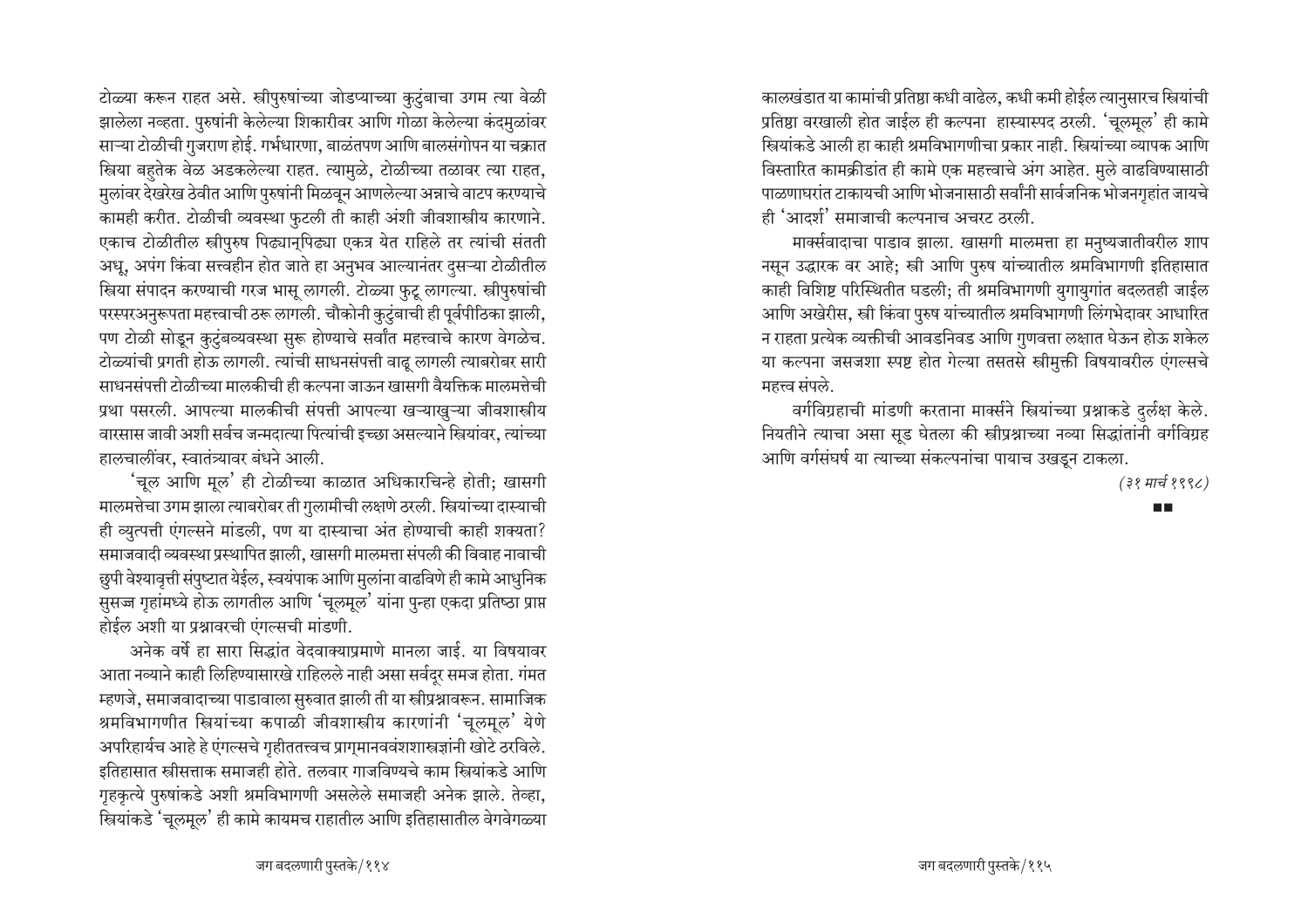टोळ्या करून राहत असे. स्त्रीपुरुषांच्या जोडप्याच्या कुटुंबाचा उगम त्या वेळी झालेला नव्हता. पुरुषांनी केलेल्या शिकारीवर आणि गोळा केलेल्या कंदमळांवर साऱ्या टोळीची गुजराण होई. गर्भधारणा, बाळंतपण आणि बालसंगोपन या चक्रात स्त्रिया बहुतेक वेळ अडकलेल्या राहत. त्यामुळे, टोळीच्या तळावर त्या राहत, मुलांवर देखरेख ठेवीत आणि पुरुषांनी मिळवून आणलेल्या अन्नाचे वाटप करण्याचे कामही करीत. टोळीची व्यवस्था फुटली ती काही अंशी जीवशास्त्रीय कारणाने. एकाच टोळीतील स्त्रीपुरुष पिढ्यानुपिढ्या एकत्र येत राहिले तर त्यांची संतती अधू, अपंग किंवा सत्त्वहीन होत जाते हा अनुभव आल्यानंतर दुसऱ्या टोळीतील स्त्रिया संपादन करण्याची गरज भासू लागली. टोळ्या फुटू लागल्या. स्त्रीपुरुषांची परस्परअनुरूपता महत्त्वाची ठरू लागली. चौकोनी कुटुंबाची ही पूर्वपीठिका झाली, पण टोळी सोडून कुटुंबव्यवस्था सुरू होण्याचे सर्वांत महत्त्वाचे कारण वेगळेच. टोळ्यांची प्रगती होऊ लागली. त्यांची साधनसंपत्ती वाढू लागली त्याबरोबर सारी साधनसंपत्ती टोळीच्या मालकीची ही कल्पना जाऊन खासगी वैयक्तिक मालमत्तेची प्रथा पसरली. आपल्या मालकीची संपत्ती आपल्या खऱ्याखूऱ्या जीवशास्त्रीय वारसास जावी अशी सर्वच जन्मदात्या पित्यांची इच्छा असल्याने स्त्रियांवर, त्यांच्या हालचालींवर, स्वातंत्र्यावर बंधने आली.

'चूल आणि मूल' ही टोळीच्या काळात अधिकारचिन्हे होती; खासगी मालमत्तेचा उगम झाला त्याबरोबर ती गुलामीची लक्षणे ठरली. स्त्रियांच्या दास्याची ही व्युत्पत्ती एंगल्सने मांडली, पण या दास्याचा अंत होण्याची काही शक्यता? समाजवादी व्यवस्था प्रस्थापित झाली, खासगी मालमत्ता संपली की विवाह नावाची छुपी वेश्यावृत्ती संपुष्टात येईल, स्वयंपाक आणि मुलांना वाढविणे ही कामे आधुनिक सुसज्ज गृहांमध्ये होऊ लागतील आणि 'चूलमूल' यांना पुन्हा एकदा प्रतिष्ठा प्राप्त होईल अशी या प्रश्नावरची एंगल्सची मांडणी.

अनेक वर्षे हा सारा सिद्धांत वेदवाक्याप्रमाणे मानला जाई. या विषयावर आता नव्याने काही लिहिण्यासारखे राहिलले नाही असा सर्वदूर समज होता. गंमत म्हणजे, समाजवादाच्या पाडावाला सुरुवात झाली ती या स्त्रीप्रश्नावरून. सामाजिक श्रमविभागणीत स्त्रियांच्या कपाळी जीवशास्त्रीय कारणांनी 'चूलमूल' येणे अपरिहार्यच आहे हे एंगल्सचे गृहीततत्त्वच प्रागुमानववंशशास्त्रज्ञांनी खोटे ठरविले. इतिहासात स्त्रीसत्ताक समाजही होते. तलवार गाजविण्यचे काम स्त्रियांकडे आणि गृहकृत्ये पुरुषांकडे अशी श्रमविभागणी असलेले समाजही अनेक झाले. तेव्हा, स्त्रियांकडे 'चूलमूल' ही कामे कायमच राहातील आणि इतिहासातील वेगवेगळ्या

कालखंडात या कामांची प्रतिष्ठा कधी वाढेल, कधी कमी होईल त्यानुसारच स्त्रियांची प्रतिष्ठा वरखाली होत जाईल ही कल्पना हास्यास्पद ठरली. 'चलमुल' ही कामे स्त्रियांकडे आली हा काही श्रमविभागणीचा प्रकार नाही. स्त्रियांच्या व्यापक आणि विस्तारित कामक्रीडांत ही कामे एक महत्त्वाचे अंग आहेत. मुले वाढविण्यासाठी पाळणाघरांत टाकायची आणि भोजनासाठी सर्वांनी सार्वजनिक भोजनगृहांत जायचे ही 'आदर्श' समाजाची कल्पनाच अचरट ठरली.

मार्क्सवादाचा पाडाव झाला. खासगी मालमत्ता हा मनुष्यजातीवरील शाप नसून उद्धारक वर आहे; स्त्री आणि पुरुष यांच्यातील श्रमविभागणी इतिहासात काही विशिष्ट परिस्थितीत घडली; ती श्रमविभागणी युगायुगांत बदलतही जाईल आणि अखेरीस, स्त्री किंवा पुरुष यांच्यातील श्रमविभागणी लिंगभेदावर आधारित न राहता प्रत्येक व्यक्तीची आवडनिवड आणि गुणवत्ता लक्षात घेऊन होऊ शकेल या कल्पना जसजशा स्पष्ट होत गेल्या तसतसे स्त्रीमुक्ती विषयावरील एंगल्सचे महत्त्व संपले.

वर्गविग्रहाची मांडणी करताना मार्क्सने स्त्रियांच्या प्रश्नाकडे दुर्लक्ष केले. नियतीने त्याचा असा सूड घेतला की स्त्रीप्रश्नाच्या नव्या सिद्धांतांनी वर्गविग्रह आणि वर्गसंघर्ष या त्याच्या संकल्पनांचा पायाच उखडून टाकला.

(३१ मार्च १९९८)

n II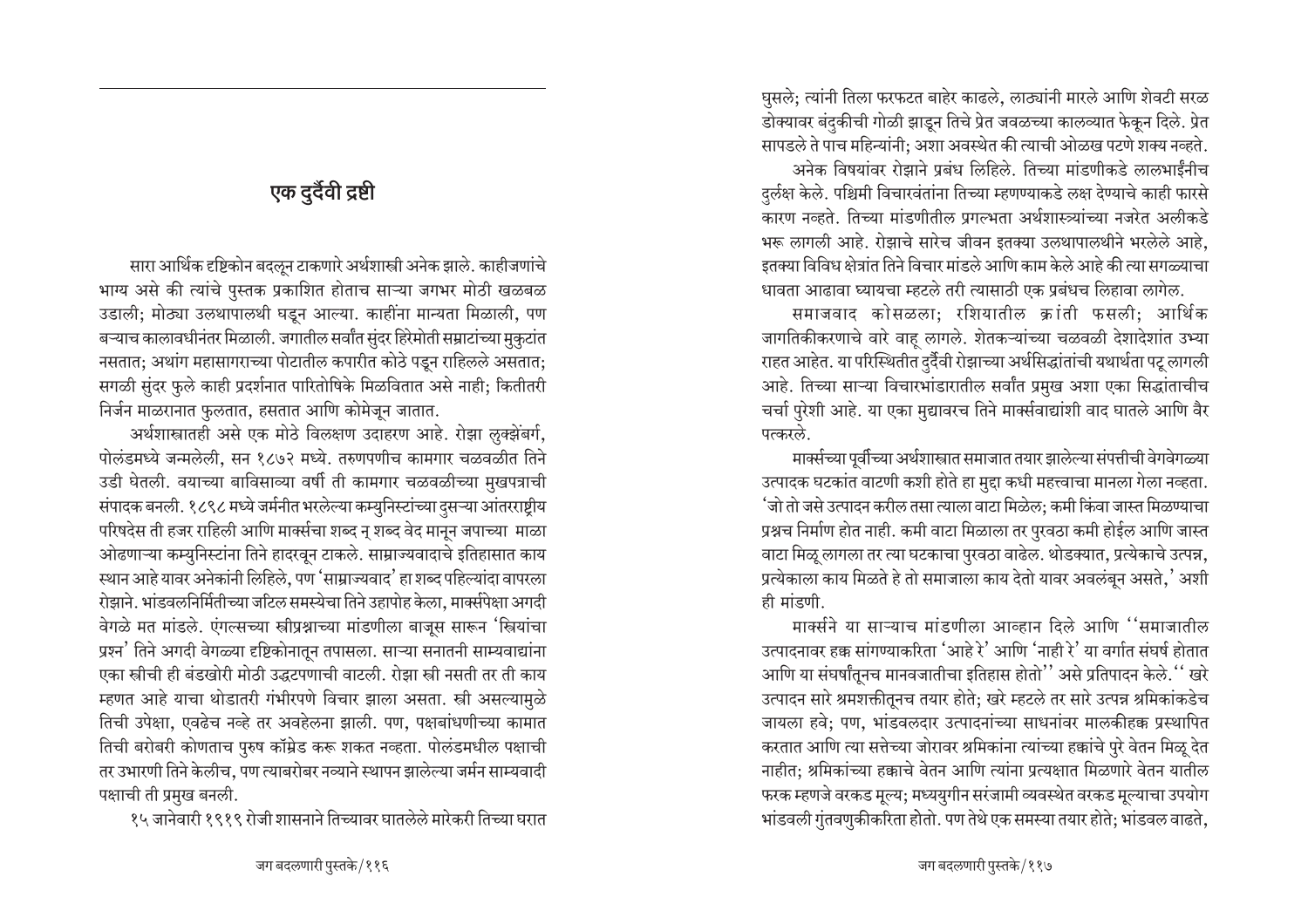# एक दुर्दैवी द्रष्टी

सारा आर्थिक दृष्टिकोन बदलून टाकणारे अर्थशास्त्री अनेक झाले. काहीजणांचे भाग्य असे की त्यांचे पुस्तक प्रकाशित होताच साऱ्या जगभर मोठी खळबळ उडाली; मोठ्या उलथापालथी घडून आल्या. काहींना मान्यता मिळाली, पण बऱ्याच कालावधीनंतर मिळाली. जगातील सर्वांत सुंदर हिरेमोती सम्राटांच्या मुकुटांत नसतात; अथांग महासागराच्या पोटातील कपारीत कोठे पडून राहिलले असतात; सगळी सुंदर फुले काही प्रदर्शनात पारितोषिके मिळवितात असे नाही; कितीतरी निर्जन माळरानात फुलतात, हसतात आणि कोमेजून जातात.

अर्थशास्त्रातही असे एक मोठे विलक्षण उदाहरण आहे. रोझा लुक्झेंबर्ग, पोलंडमध्ये जन्मलेली, सन १८७२ मध्ये. तरुणपणीच कामगार चळवळीत तिने उडी घेतली. वयाच्या बाविसाव्या वर्षी ती कामगार चळवळीच्या मुखपत्राची संपादक बनली. १८९८ मध्ये जर्मनीत भरलेल्या कम्युनिस्टांच्या दुसऱ्या आंतरराष्ट्रीय परिषदेस ती हजर राहिली आणि मार्क्सचा शब्द न् शब्द वेद मानून जपाच्या माळा ओढणाऱ्या कम्युनिस्टांना तिने हादरवून टाकले. साम्राज्यवादाचे इतिहासात काय स्थान आहे यावर अनेकांनी लिहिले, पण 'साम्राज्यवाद' हा शब्द पहिल्यांदा वापरला रोझाने. भांडवलनिर्मितीच्या जटिल समस्येचा तिने उहापोह केला, मार्क्सपेक्षा अगदी वेगळे मत मांडले. एंगल्सच्या स्त्रीप्रश्नाच्या मांडणीला बाजुस सारून 'स्त्रियांचा प्रश्न' तिने अगदी वेगळ्या दृष्टिकोनातून तपासला. साऱ्या सनातनी साम्यवाद्यांना एका स्त्रीची ही बंडखोरी मोठी उद्धटपणाची वाटली. रोझा स्त्री नसती तर ती काय म्हणत आहे याचा थोडातरी गंभीरपणे विचार झाला असता. स्त्री असल्यामुळे तिची उपेक्षा, एवढेच नव्हे तर अवहेलना झाली. पण, पक्षबांधणीच्या कामात तिची बरोबरी कोणताच पुरुष कॉम्रेड करू शकत नव्हता. पोलंडमधील पक्षाची तर उभारणी तिने केलीच, पण त्याबरोबर नव्याने स्थापन झालेल्या जर्मन साम्यवादी पक्षाची ती प्रमुख बनली.

१५ जानेवारी १९१९ रोजी शासनाने तिच्यावर घातलेले मारेकरी तिच्या घरात

घुसले; त्यांनी तिला फरफटत बाहेर काढले, लाठ्यांनी मारले आणि शेवटी सरळ डोक्यावर बंदुकीची गोळी झाडून तिचे प्रेत जवळच्या कालव्यात फेकून दिले. प्रेत सापडले ते पाच महिन्यांनी: अशा अवस्थेत की त्याची ओळख पटणे शक्य नव्हते. अनेक विषयांवर रोझाने प्रबंध लिहिले. तिच्या मांडणीकडे लालभाईंनीच दुर्लक्ष केले. पश्चिमी विचारवंतांना तिच्या म्हणण्याकडे लक्ष देण्याचे काही फारसे ्<br>कारण नव्हते. तिच्या मांडणीतील प्रगल्भता अर्थशास्त्र्यांच्या नजरेत अलीकडे भरू लागली आहे. रोझाचे सारेच जीवन इतक्या उलथापालथीने भरलेले आहे, इतक्या विविध क्षेत्रांत तिने विचार मांडले आणि काम केले आहे की त्या सगळ्याचा धावता आढावा घ्यायचा म्हटले तरी त्यासाठी एक प्रबंधच लिहावा लागेल.

समाजवाद कोसळला; रशियातील क्रांती फसली; आर्थिक जागतिकीकरणाचे वारे वाह लागले. शेतकऱ्यांच्या चळवळी देशादेशांत उभ्या राहत आहेत. या परिस्थितीत दुर्दैवी रोझाच्या अर्थसिद्धांतांची यथार्थता पटू लागली आहे. तिच्या साऱ्या विचारभांडारातील सर्वांत प्रमुख अशा एका सिद्धांताचीच चर्चा पुरेशी आहे. या एका मुद्यावरच तिने मार्क्सवाद्यांशी वाद घातले आणि वैर पत्करले

मार्क्सच्या पूर्वीच्या अर्थशास्त्रात समाजात तयार झालेल्या संपत्तीची वेगवेगळ्या उत्पादक घटकांत वाटणी कशी होते हा मुद्दा कधी महत्त्वाचा मानला गेला नव्हता. 'जो तो जसे उत्पादन करील तसा त्याला वाटा मिळेल; कमी किंवा जास्त मिळण्याचा प्रश्नच निर्माण होत नाही. कमी वाटा मिळाला तर पुरवठा कमी होईल आणि जास्त वाटा मिळू लागला तर त्या घटकाचा पुरवठा वाढेल. थोडक्यात, प्रत्येकाचे उत्पन्न, प्रत्येकाला काय मिळते हे तो समाजाला काय देतो यावर अवलंबून असते,' अशी ही मांडणी.

मार्क्सने या साऱ्याच मांडणीला आव्हान दिले आणि ''समाजातील उत्पादनावर हक्क सांगण्याकरिता 'आहे रे' आणि 'नाही रे' या वर्गात संघर्ष होतात आणि या संघर्षांतुनच मानवजातीचा इतिहास होतो'' असे प्रतिपादन केले.'' खरे उत्पादन सारे श्रमशक्तीतूनच तयार होते; खरे म्हटले तर सारे उत्पन्न श्रमिकांकडेच जायला हवे; पण, भांडवलदार उत्पादनांच्या साधनांवर मालकीहक्क प्रस्थापित करतात आणि त्या सत्तेच्या जोरावर श्रमिकांना त्यांच्या हक्कांचे पुरे वेतन मिळू देत नाहीत: श्रमिकांच्या हक्काचे वेतन आणि त्यांना प्रत्यक्षात मिळणारे वेतन यातील फरक म्हणजे वरकड मूल्य; मध्ययुगीन सरंजामी व्यवस्थेत वरकड मूल्याचा उपयोग भांडवली गुंतवणुकीकरिता होतो. पण तेथे एक समस्या तयार होते; भांडवल वाढते,